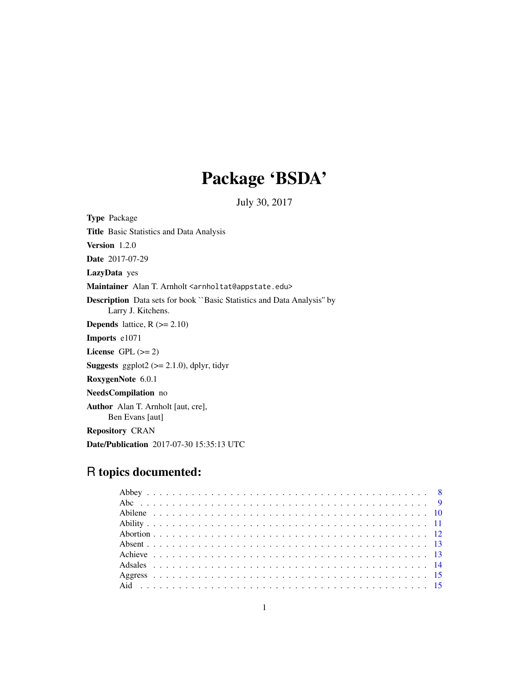# Package 'BSDA'

July 30, 2017

Type Package Title Basic Statistics and Data Analysis Version 1.2.0 Date 2017-07-29 LazyData yes Maintainer Alan T. Arnholt <arnholtat@appstate.edu> Description Data sets for book ``Basic Statistics and Data Analysis'' by Larry J. Kitchens. **Depends** lattice,  $R$  ( $>= 2.10$ ) Imports e1071 License GPL  $(>= 2)$ **Suggests** ggplot2 ( $>= 2.1.0$ ), dplyr, tidyr RoxygenNote 6.0.1 NeedsCompilation no Author Alan T. Arnholt [aut, cre], Ben Evans [aut] Repository CRAN Date/Publication 2017-07-30 15:35:13 UTC

## R topics documented: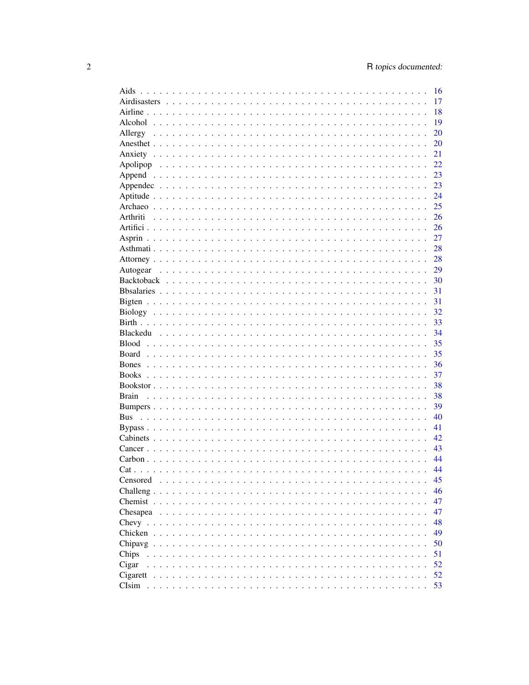| Aids                                                                                                                                                                                                                                                                                                                                                                                  | 16 |
|---------------------------------------------------------------------------------------------------------------------------------------------------------------------------------------------------------------------------------------------------------------------------------------------------------------------------------------------------------------------------------------|----|
|                                                                                                                                                                                                                                                                                                                                                                                       | 17 |
|                                                                                                                                                                                                                                                                                                                                                                                       | 18 |
|                                                                                                                                                                                                                                                                                                                                                                                       | 19 |
| Allergy                                                                                                                                                                                                                                                                                                                                                                               | 20 |
|                                                                                                                                                                                                                                                                                                                                                                                       | 20 |
|                                                                                                                                                                                                                                                                                                                                                                                       | 21 |
|                                                                                                                                                                                                                                                                                                                                                                                       | 22 |
|                                                                                                                                                                                                                                                                                                                                                                                       | 23 |
|                                                                                                                                                                                                                                                                                                                                                                                       | 23 |
|                                                                                                                                                                                                                                                                                                                                                                                       | 24 |
|                                                                                                                                                                                                                                                                                                                                                                                       | 25 |
| Arthriti                                                                                                                                                                                                                                                                                                                                                                              | 26 |
|                                                                                                                                                                                                                                                                                                                                                                                       | 26 |
|                                                                                                                                                                                                                                                                                                                                                                                       | 27 |
|                                                                                                                                                                                                                                                                                                                                                                                       | 28 |
|                                                                                                                                                                                                                                                                                                                                                                                       | 28 |
|                                                                                                                                                                                                                                                                                                                                                                                       | 29 |
| Autogear                                                                                                                                                                                                                                                                                                                                                                              | 30 |
|                                                                                                                                                                                                                                                                                                                                                                                       |    |
|                                                                                                                                                                                                                                                                                                                                                                                       | 31 |
|                                                                                                                                                                                                                                                                                                                                                                                       | 31 |
|                                                                                                                                                                                                                                                                                                                                                                                       | 32 |
|                                                                                                                                                                                                                                                                                                                                                                                       | 33 |
|                                                                                                                                                                                                                                                                                                                                                                                       | 34 |
| <b>Blood</b>                                                                                                                                                                                                                                                                                                                                                                          | 35 |
| Board                                                                                                                                                                                                                                                                                                                                                                                 | 35 |
| <b>Bones</b>                                                                                                                                                                                                                                                                                                                                                                          | 36 |
|                                                                                                                                                                                                                                                                                                                                                                                       | 37 |
|                                                                                                                                                                                                                                                                                                                                                                                       | 38 |
| <b>Brain</b>                                                                                                                                                                                                                                                                                                                                                                          | 38 |
|                                                                                                                                                                                                                                                                                                                                                                                       | 39 |
| <b>Bus</b>                                                                                                                                                                                                                                                                                                                                                                            | 40 |
|                                                                                                                                                                                                                                                                                                                                                                                       | 41 |
|                                                                                                                                                                                                                                                                                                                                                                                       | 42 |
|                                                                                                                                                                                                                                                                                                                                                                                       | 43 |
|                                                                                                                                                                                                                                                                                                                                                                                       | 44 |
|                                                                                                                                                                                                                                                                                                                                                                                       | 44 |
| Censored<br>$\mathbf{1}$ and $\mathbf{1}$                                                                                                                                                                                                                                                                                                                                             | 45 |
| Challeng                                                                                                                                                                                                                                                                                                                                                                              | 46 |
| Chemist $\ldots$ .<br>$\frac{1}{2}$ . $\frac{1}{2}$ . $\frac{1}{2}$ . $\frac{1}{2}$ . $\frac{1}{2}$ . $\frac{1}{2}$ . $\frac{1}{2}$ . $\frac{1}{2}$ . $\frac{1}{2}$                                                                                                                                                                                                                   | 47 |
| Chesapea $\ldots$ .<br>.                                                                                                                                                                                                                                                                                                                                                              | 47 |
| Chevy                                                                                                                                                                                                                                                                                                                                                                                 | 48 |
| Chicken<br>.<br>$\sim$ $\sim$ $\sim$ $\sim$                                                                                                                                                                                                                                                                                                                                           | 49 |
| Chipavg<br>$\sim$ $\sim$ $\sim$ $\sim$<br>$\mathbf{r}$ . The set of the set of the set of the set of the set of the set of the set of the set of the set of the set of the set of the set of the set of the set of the set of the set of the set of the set of the set of t<br>$\mathbf{r}$ , $\mathbf{r}$ , $\mathbf{r}$ , $\mathbf{r}$ , $\mathbf{r}$ , $\mathbf{r}$ , $\mathbf{r}$ | 50 |
| Chips                                                                                                                                                                                                                                                                                                                                                                                 | 51 |
| Cigar                                                                                                                                                                                                                                                                                                                                                                                 | 52 |
| $Cigarett$                                                                                                                                                                                                                                                                                                                                                                            | 52 |
|                                                                                                                                                                                                                                                                                                                                                                                       | 53 |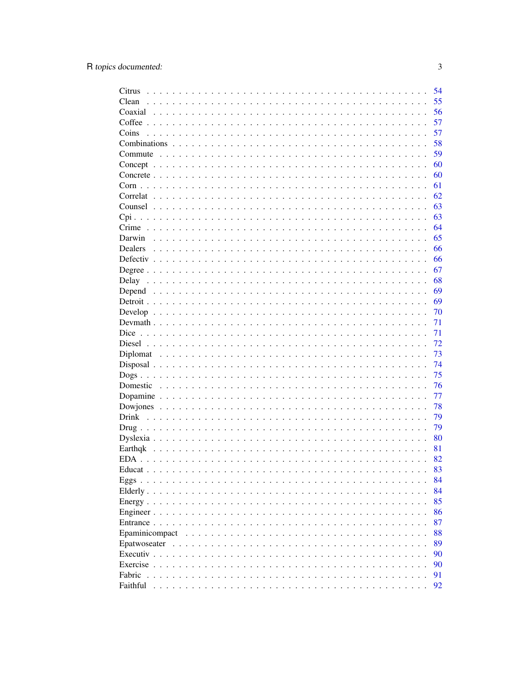| Citrus                                                                                                                                                                        | 54       |
|-------------------------------------------------------------------------------------------------------------------------------------------------------------------------------|----------|
| Clean                                                                                                                                                                         | 55       |
|                                                                                                                                                                               | 56       |
|                                                                                                                                                                               | 57       |
| Coins                                                                                                                                                                         | 57       |
|                                                                                                                                                                               | 58       |
|                                                                                                                                                                               | 59       |
|                                                                                                                                                                               | 60       |
|                                                                                                                                                                               | 60       |
|                                                                                                                                                                               | 61       |
|                                                                                                                                                                               | 62       |
|                                                                                                                                                                               | 63       |
|                                                                                                                                                                               | 63       |
|                                                                                                                                                                               | 64       |
| Darwin                                                                                                                                                                        | 65       |
| <b>Dealers</b>                                                                                                                                                                | 66       |
|                                                                                                                                                                               | 66       |
|                                                                                                                                                                               | 67       |
|                                                                                                                                                                               | 68       |
|                                                                                                                                                                               | 69       |
|                                                                                                                                                                               | 69       |
|                                                                                                                                                                               | 70       |
|                                                                                                                                                                               | 71       |
|                                                                                                                                                                               | 71       |
|                                                                                                                                                                               | 72       |
|                                                                                                                                                                               | 73       |
|                                                                                                                                                                               | 74       |
|                                                                                                                                                                               | 75       |
|                                                                                                                                                                               | 76       |
|                                                                                                                                                                               |          |
|                                                                                                                                                                               | 77<br>78 |
|                                                                                                                                                                               | 79       |
|                                                                                                                                                                               | 79       |
|                                                                                                                                                                               |          |
|                                                                                                                                                                               | 80       |
|                                                                                                                                                                               | 81       |
| EDA.                                                                                                                                                                          | 82       |
| Educat.<br>فالمتعالم والمتعالم والمتعالم والمتعالم والمتعالم والمتعالم والمتعالم والمتعالم والمتعالم والمتعالم والمتعالم                                                      | 83       |
|                                                                                                                                                                               | 84       |
| Elderly.<br>$\begin{array}{cccccccccccccc} \bullet & \bullet & \bullet & \bullet & \bullet & \bullet & \bullet & \bullet & \bullet & \bullet & \bullet & \bullet \end{array}$ | 84       |
|                                                                                                                                                                               | 85       |
|                                                                                                                                                                               | 86       |
|                                                                                                                                                                               | 87       |
| Epaminicompact                                                                                                                                                                | 88       |
|                                                                                                                                                                               | 89       |
|                                                                                                                                                                               | 90       |
|                                                                                                                                                                               | 90       |
| Fabric                                                                                                                                                                        | 91       |
| Faithful                                                                                                                                                                      | 92       |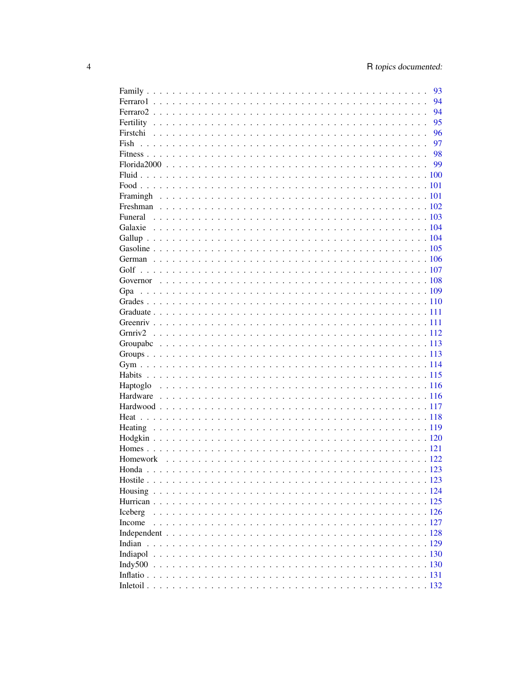|         | 93 |
|---------|----|
|         | 94 |
|         | 94 |
|         | 95 |
|         | 96 |
|         | 97 |
|         |    |
|         |    |
|         |    |
|         |    |
|         |    |
|         |    |
|         |    |
|         |    |
|         |    |
|         |    |
|         |    |
|         |    |
|         |    |
|         |    |
| Gpa     |    |
|         |    |
|         |    |
|         |    |
|         |    |
|         |    |
|         |    |
|         |    |
|         |    |
|         |    |
|         |    |
|         |    |
|         |    |
|         |    |
|         |    |
|         |    |
|         |    |
|         |    |
|         |    |
|         |    |
|         |    |
| Iceberg |    |
| Income  |    |
|         |    |
| Indian  |    |
|         |    |
|         |    |
|         |    |
|         |    |
|         |    |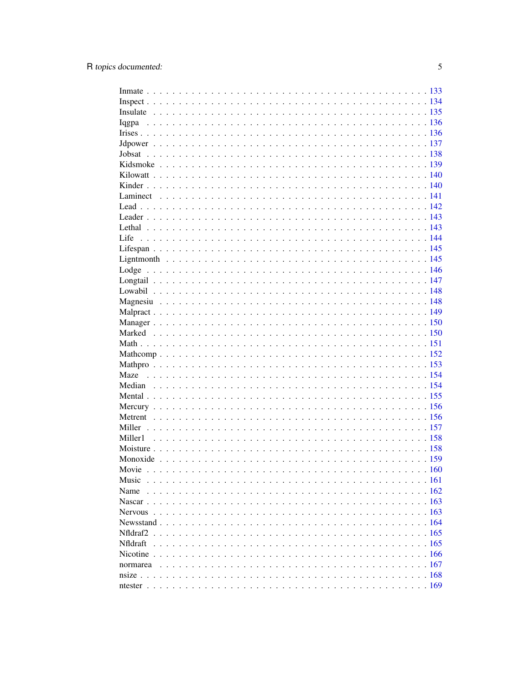| Maze            |      |
|-----------------|------|
|                 |      |
|                 |      |
|                 |      |
|                 |      |
|                 |      |
|                 |      |
|                 |      |
|                 |      |
| Movie           | .160 |
| Music           |      |
| Name            |      |
|                 |      |
|                 |      |
|                 |      |
| Nfldraf2        |      |
| <b>Nfldraft</b> |      |
|                 |      |
|                 |      |
|                 |      |
|                 |      |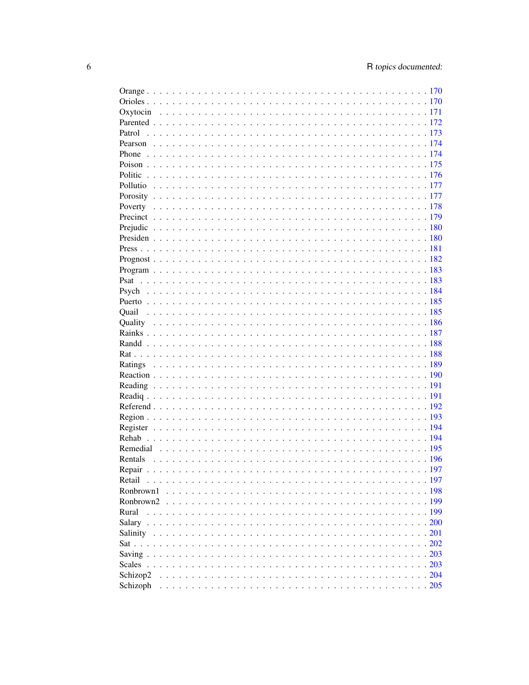| Rentals   |      |
|-----------|------|
|           | .197 |
| Retail    |      |
|           |      |
| Ronbrown2 |      |
| Rural     |      |
|           |      |
|           |      |
|           |      |
|           |      |
|           |      |
|           |      |
|           |      |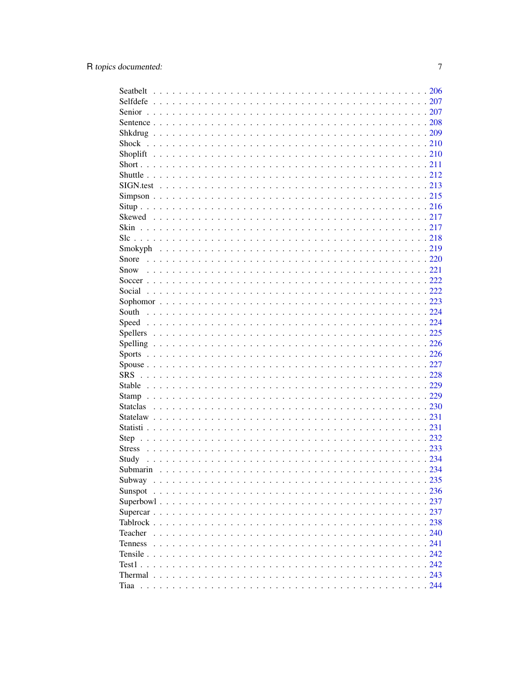| Step           |  |
|----------------|--|
|                |  |
| Study          |  |
|                |  |
| Submarin       |  |
| Subway         |  |
| Sunspot        |  |
|                |  |
|                |  |
|                |  |
| Teacher        |  |
| <b>Tenness</b> |  |
|                |  |
|                |  |
|                |  |
|                |  |
|                |  |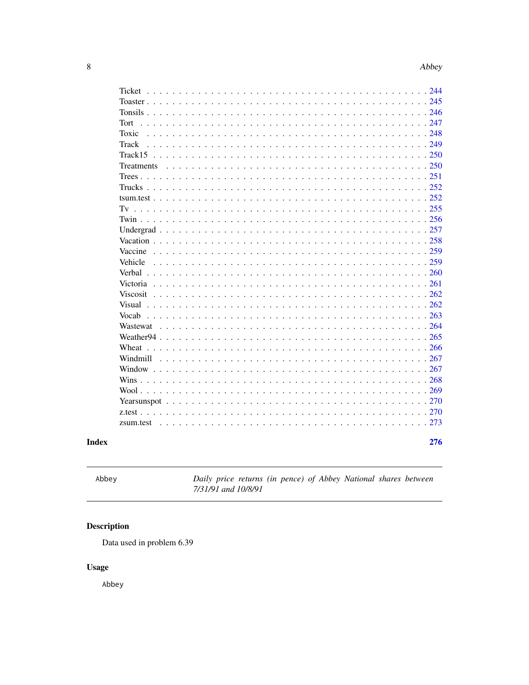<span id="page-7-0"></span>

| Ticket                                                                                                         |  |
|----------------------------------------------------------------------------------------------------------------|--|
|                                                                                                                |  |
|                                                                                                                |  |
| Tort                                                                                                           |  |
| Toxic                                                                                                          |  |
| Track                                                                                                          |  |
| Track 15                                                                                                       |  |
| Treatments                                                                                                     |  |
|                                                                                                                |  |
|                                                                                                                |  |
|                                                                                                                |  |
|                                                                                                                |  |
|                                                                                                                |  |
|                                                                                                                |  |
|                                                                                                                |  |
| Vaccine                                                                                                        |  |
| Vehicle                                                                                                        |  |
| Verbal                                                                                                         |  |
| Victoria                                                                                                       |  |
|                                                                                                                |  |
| <b>Viscosit</b>                                                                                                |  |
| Visual de concerte de la concerte de la concerte de la concerte de la concerte de la concerte de la concerte d |  |
| Vocab                                                                                                          |  |
|                                                                                                                |  |
|                                                                                                                |  |
| Wheat                                                                                                          |  |
|                                                                                                                |  |
|                                                                                                                |  |
|                                                                                                                |  |
|                                                                                                                |  |
|                                                                                                                |  |
|                                                                                                                |  |
|                                                                                                                |  |
|                                                                                                                |  |
| 276                                                                                                            |  |

### **Index**

Abbey

Daily price returns (in pence) of Abbey National shares between 7/31/91 and 10/8/91

## Description

Data used in problem 6.39

## **Usage**

Abbey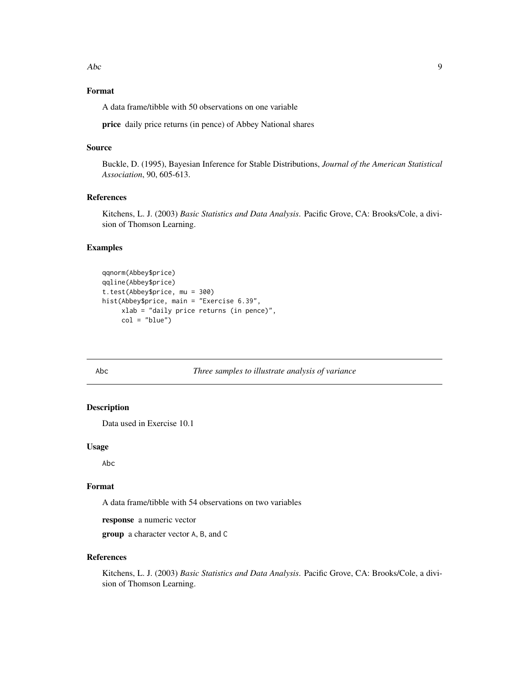<span id="page-8-0"></span>Abc 9

### Format

A data frame/tibble with 50 observations on one variable

price daily price returns (in pence) of Abbey National shares

#### Source

Buckle, D. (1995), Bayesian Inference for Stable Distributions, *Journal of the American Statistical Association*, 90, 605-613.

### References

Kitchens, L. J. (2003) *Basic Statistics and Data Analysis*. Pacific Grove, CA: Brooks/Cole, a division of Thomson Learning.

### Examples

```
qqnorm(Abbey$price)
qqline(Abbey$price)
t.test(Abbey$price, mu = 300)
hist(Abbey$price, main = "Exercise 6.39",
     xlab = "daily price returns (in pence)",
     col = "blue")
```
Abc *Three samples to illustrate analysis of variance*

### Description

Data used in Exercise 10.1

### Usage

Abc

#### Format

A data frame/tibble with 54 observations on two variables

response a numeric vector

group a character vector A, B, and C

### References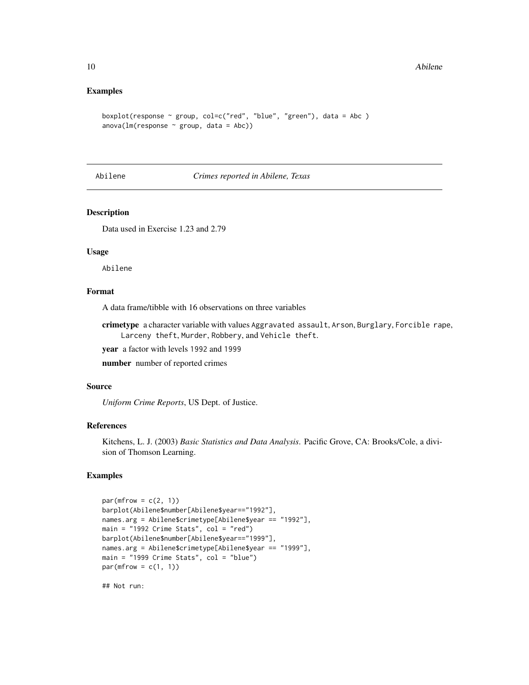#### <span id="page-9-0"></span>Examples

```
boxplot(response \sim group, col=c("red", "blue", "green"), data = Abc )
anova(lm(response ~ group, data = Abc))
```
#### Abilene *Crimes reported in Abilene, Texas*

#### Description

Data used in Exercise 1.23 and 2.79

### Usage

Abilene

### Format

A data frame/tibble with 16 observations on three variables

crimetype a character variable with values Aggravated assault, Arson, Burglary, Forcible rape, Larceny theft, Murder, Robbery, and Vehicle theft.

year a factor with levels 1992 and 1999

number number of reported crimes

### Source

*Uniform Crime Reports*, US Dept. of Justice.

### References

Kitchens, L. J. (2003) *Basic Statistics and Data Analysis*. Pacific Grove, CA: Brooks/Cole, a division of Thomson Learning.

### Examples

```
par(mfrow = c(2, 1))barplot(Abilene$number[Abilene$year=="1992"],
names.arg = Abilene$crimetype[Abilene$year == "1992"],
main = "1992 Crime Stats", col = "red")
barplot(Abilene$number[Abilene$year=="1999"],
names.arg = Abilene$crimetype[Abilene$year == "1999"],
main = "1999 Crime Stats", col = "blue")par(mfrow = c(1, 1))
```
## Not run: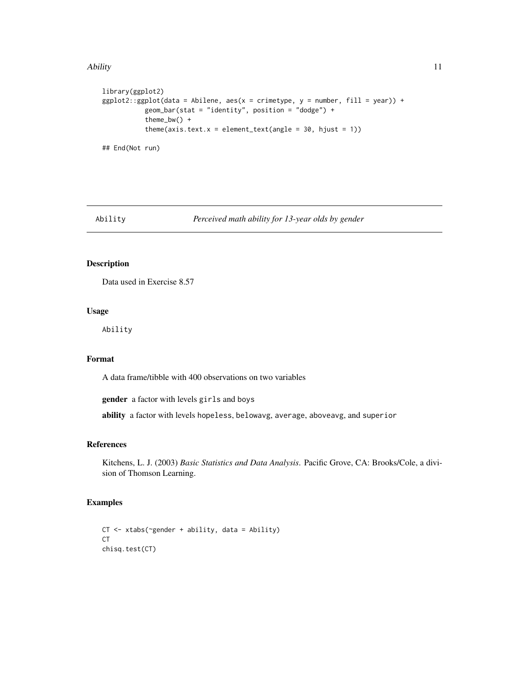#### <span id="page-10-0"></span>Ability 11

```
library(ggplot2)
ggplot2::ggplot(data = Abilene, aes(x = crimetype, y = number, fill = year)) +geom_bar(stat = "identity", position = "dodge") +
          theme_bw() +
          theme(axis.text.x = element_text(angle = 30, hjust = 1))
## End(Not run)
```
Ability *Perceived math ability for 13-year olds by gender*

### Description

Data used in Exercise 8.57

### Usage

Ability

#### Format

A data frame/tibble with 400 observations on two variables

gender a factor with levels girls and boys

ability a factor with levels hopeless, belowavg, average, aboveavg, and superior

### References

Kitchens, L. J. (2003) *Basic Statistics and Data Analysis*. Pacific Grove, CA: Brooks/Cole, a division of Thomson Learning.

```
CT <- xtabs(~gender + ability, data = Ability)
CT
chisq.test(CT)
```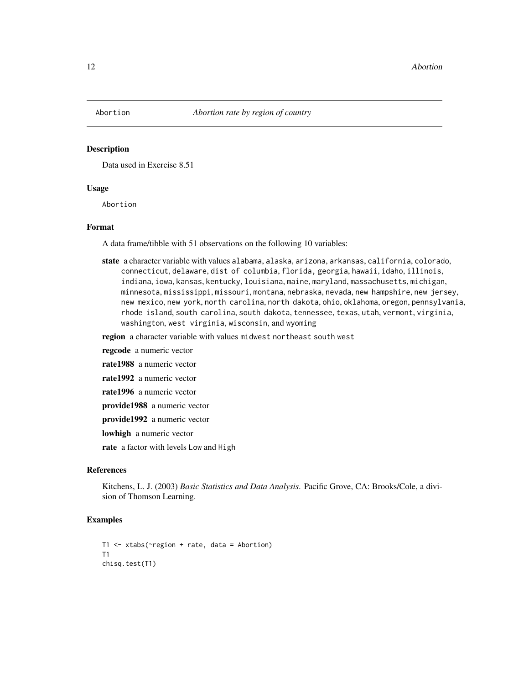<span id="page-11-0"></span>

Data used in Exercise 8.51

#### Usage

Abortion

#### Format

A data frame/tibble with 51 observations on the following 10 variables:

state a character variable with values alabama, alaska, arizona, arkansas, california, colorado, connecticut, delaware, dist of columbia, florida, georgia, hawaii, idaho, illinois, indiana, iowa, kansas, kentucky, louisiana, maine, maryland, massachusetts, michigan, minnesota, mississippi, missouri, montana, nebraska, nevada, new hampshire, new jersey, new mexico, new york, north carolina, north dakota, ohio, oklahoma, oregon, pennsylvania, rhode island, south carolina, south dakota, tennessee, texas, utah, vermont, virginia, washington, west virginia, wisconsin, and wyoming

region a character variable with values midwest northeast south west

regcode a numeric vector

rate1988 a numeric vector

rate1992 a numeric vector

rate1996 a numeric vector

provide1988 a numeric vector

provide1992 a numeric vector

lowhigh a numeric vector

rate a factor with levels Low and High

#### References

Kitchens, L. J. (2003) *Basic Statistics and Data Analysis*. Pacific Grove, CA: Brooks/Cole, a division of Thomson Learning.

```
T1 <- xtabs(~region + rate, data = Abortion)
T1
chisq.test(T1)
```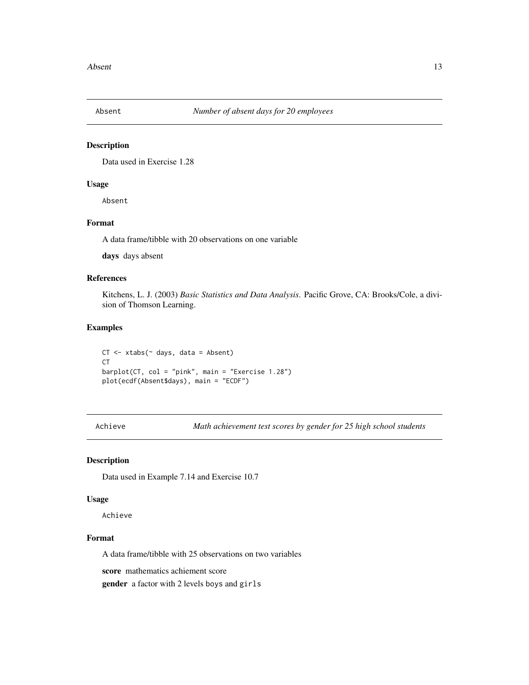<span id="page-12-0"></span>

Data used in Exercise 1.28

### Usage

Absent

### Format

A data frame/tibble with 20 observations on one variable

days days absent

#### References

Kitchens, L. J. (2003) *Basic Statistics and Data Analysis*. Pacific Grove, CA: Brooks/Cole, a division of Thomson Learning.

### Examples

 $CT < -xtabs(~ days, data = Absent)$ CT barplot(CT, col = "pink", main = "Exercise 1.28") plot(ecdf(Absent\$days), main = "ECDF")

Achieve *Math achievement test scores by gender for 25 high school students*

#### Description

Data used in Example 7.14 and Exercise 10.7

#### Usage

Achieve

### Format

A data frame/tibble with 25 observations on two variables

score mathematics achiement score

gender a factor with 2 levels boys and girls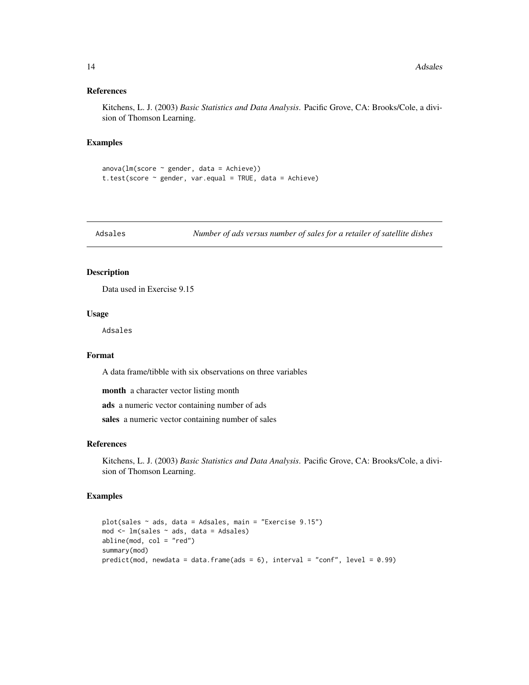#### <span id="page-13-0"></span>References

Kitchens, L. J. (2003) *Basic Statistics and Data Analysis*. Pacific Grove, CA: Brooks/Cole, a division of Thomson Learning.

### Examples

```
anova(lm(score ~ gender, data = Achieve))
t.test(score \sim gender, var.equal = TRUE, data = Achieve)
```
Adsales *Number of ads versus number of sales for a retailer of satellite dishes*

### Description

Data used in Exercise 9.15

### Usage

Adsales

### Format

A data frame/tibble with six observations on three variables

month a character vector listing month

ads a numeric vector containing number of ads

sales a numeric vector containing number of sales

### References

Kitchens, L. J. (2003) *Basic Statistics and Data Analysis*. Pacific Grove, CA: Brooks/Cole, a division of Thomson Learning.

```
plot(sales ~ ads, data = Adsales, main = "Exercise 9.15")
mod <- lm(sales ~ ads, data = Adsales)
abline(mod, col = "red")summary(mod)
predict(mod, newdata = data.frame(ads = 6), interval = "conf", level = 0.99)
```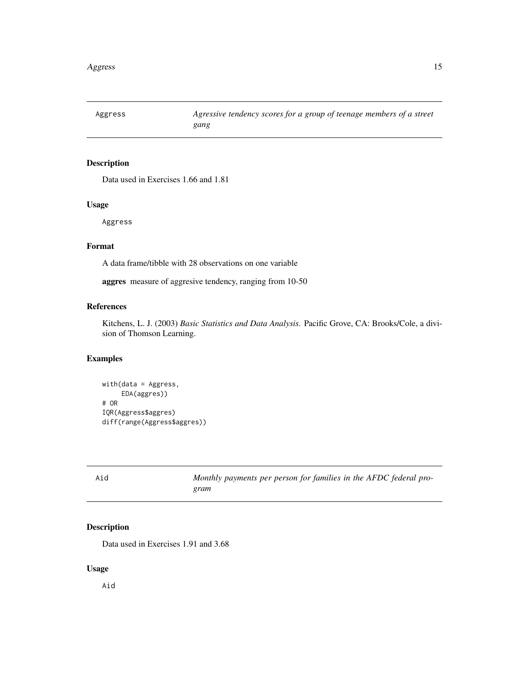<span id="page-14-0"></span>

Data used in Exercises 1.66 and 1.81

### Usage

Aggress

### Format

A data frame/tibble with 28 observations on one variable

aggres measure of aggresive tendency, ranging from 10-50

### References

Kitchens, L. J. (2003) *Basic Statistics and Data Analysis*. Pacific Grove, CA: Brooks/Cole, a division of Thomson Learning.

### Examples

```
with(data = Aggress,
    EDA(aggres))
# OR
IQR(Aggress$aggres)
diff(range(Aggress$aggres))
```

| Aid | Monthly payments per person for families in the AFDC federal pro- |
|-----|-------------------------------------------------------------------|
|     | gram                                                              |

### Description

Data used in Exercises 1.91 and 3.68

### Usage

Aid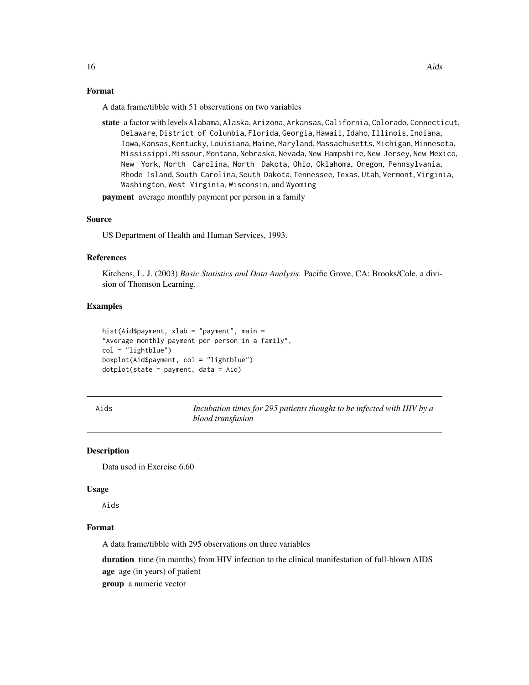### <span id="page-15-0"></span>Format

A data frame/tibble with 51 observations on two variables

state a factor with levels Alabama, Alaska, Arizona, Arkansas, California, Colorado, Connecticut, Delaware, District of Colunbia, Florida, Georgia, Hawaii, Idaho, Illinois, Indiana, Iowa, Kansas, Kentucky, Louisiana, Maine, Maryland, Massachusetts, Michigan, Minnesota, Mississippi, Missour, Montana, Nebraska, Nevada, New Hampshire, New Jersey, New Mexico, New York, North Carolina, North Dakota, Ohio, Oklahoma, Oregon, Pennsylvania, Rhode Island, South Carolina, South Dakota, Tennessee, Texas, Utah, Vermont, Virginia, Washington, West Virginia, Wisconsin, and Wyoming

**payment** average monthly payment per person in a family

### Source

US Department of Health and Human Services, 1993.

#### References

Kitchens, L. J. (2003) *Basic Statistics and Data Analysis*. Pacific Grove, CA: Brooks/Cole, a division of Thomson Learning.

#### Examples

```
hist(Aid$payment, xlab = "payment", main =
"Average monthly payment per person in a family",
col = "lightblue")
boxplot(Aid$payment, col = "lightblue")
dot(state \sim payment, data = Aid)
```
Aids *Incubation times for 295 patients thought to be infected with HIV by a blood transfusion*

#### Description

Data used in Exercise 6.60

#### Usage

Aids

### Format

A data frame/tibble with 295 observations on three variables

duration time (in months) from HIV infection to the clinical manifestation of full-blown AIDS age age (in years) of patient

group a numeric vector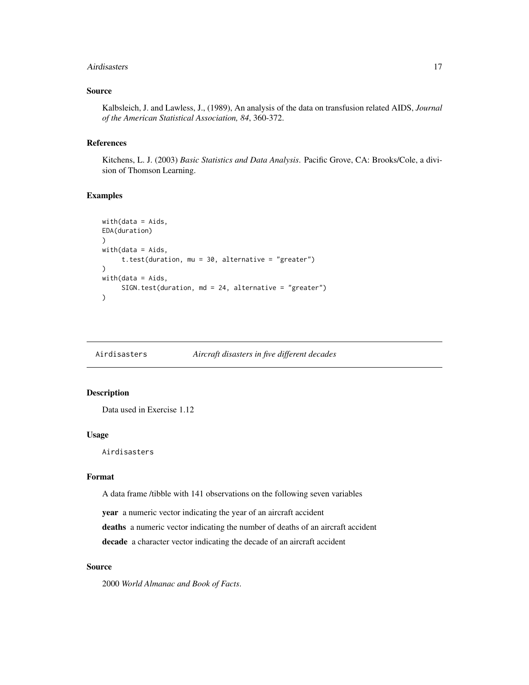#### <span id="page-16-0"></span>Airdisasters 17

### Source

Kalbsleich, J. and Lawless, J., (1989), An analysis of the data on transfusion related AIDS, *Journal of the American Statistical Association, 84*, 360-372.

#### References

Kitchens, L. J. (2003) *Basic Statistics and Data Analysis*. Pacific Grove, CA: Brooks/Cole, a division of Thomson Learning.

#### Examples

```
with(data = Aids,EDA(duration)
\lambdawith(data = Aids,
     t.test(duration, mu = 30, alternative = "greater")
)
with(data = Aids,
     SIGN.test(duration, md = 24, alternative = "greater")
)
```
Airdisasters *Aircraft disasters in five different decades*

#### Description

Data used in Exercise 1.12

#### Usage

Airdisasters

#### Format

A data frame /tibble with 141 observations on the following seven variables

year a numeric vector indicating the year of an aircraft accident

deaths a numeric vector indicating the number of deaths of an aircraft accident

decade a character vector indicating the decade of an aircraft accident

### Source

2000 *World Almanac and Book of Facts*.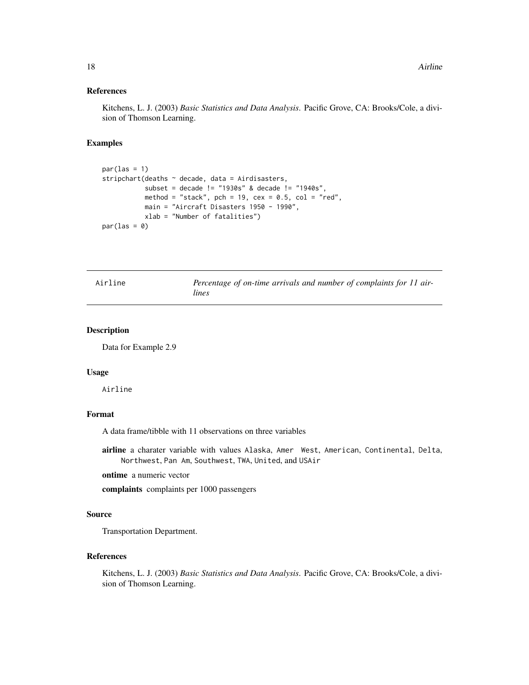### <span id="page-17-0"></span>References

Kitchens, L. J. (2003) *Basic Statistics and Data Analysis*. Pacific Grove, CA: Brooks/Cole, a division of Thomson Learning.

#### Examples

```
par(las = 1)stripchart(deaths \sim decade, data = Airdisasters,
           subset = decade != "1930s" & decade != "1940s",
          method = "stack", pch = 19, cex = 0.5, col = "red",
          main = "Aircraft Disasters 1950 - 1990",
          xlab = "Number of fatalities")
par(las = 0)
```

| Airline | Percentage of on-time arrivals and number of complaints for 11 air- |
|---------|---------------------------------------------------------------------|
|         | lines                                                               |

#### Description

Data for Example 2.9

#### Usage

Airline

### Format

A data frame/tibble with 11 observations on three variables

airline a charater variable with values Alaska, Amer West, American, Continental, Delta, Northwest, Pan Am, Southwest, TWA, United, and USAir

ontime a numeric vector

complaints complaints per 1000 passengers

### Source

Transportation Department.

### References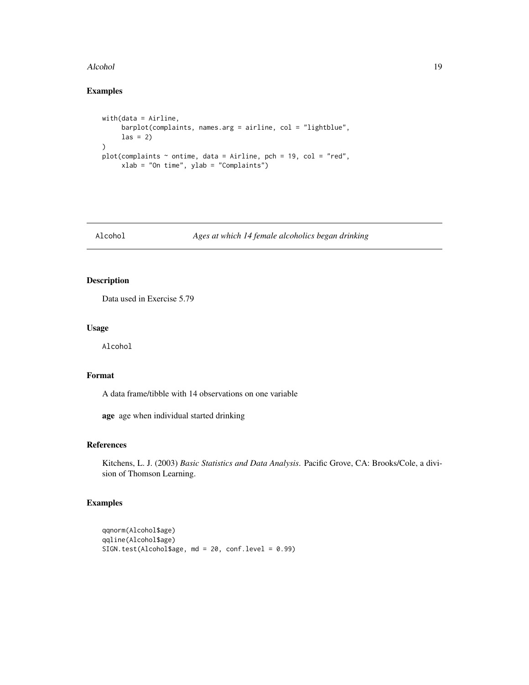#### <span id="page-18-0"></span>Alcohol 19

### Examples

```
with(data = Airline,
     barplot(complaints, names.arg = airline, col = "lightblue",
     \text{las} = 2)\mathcal{L}plot(complaints ~ ontime, data = Airline, pch = 19, col = "red",
     xlab = "On time", ylab = "Complaints")
```
Alcohol *Ages at which 14 female alcoholics began drinking*

### Description

Data used in Exercise 5.79

### Usage

Alcohol

### Format

A data frame/tibble with 14 observations on one variable

age age when individual started drinking

### References

Kitchens, L. J. (2003) *Basic Statistics and Data Analysis*. Pacific Grove, CA: Brooks/Cole, a division of Thomson Learning.

```
qqnorm(Alcohol$age)
qqline(Alcohol$age)
SIGN.test(Alcohol$age, md = 20, conf.level = 0.99)
```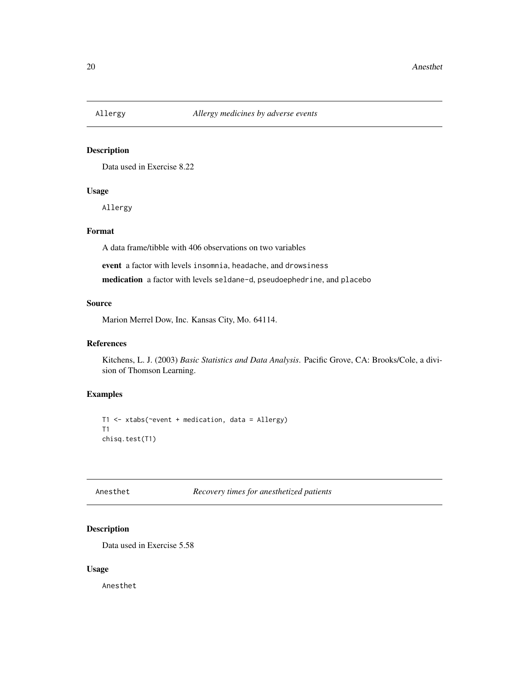<span id="page-19-0"></span>

Data used in Exercise 8.22

### Usage

Allergy

### Format

A data frame/tibble with 406 observations on two variables

event a factor with levels insomnia, headache, and drowsiness medication a factor with levels seldane-d, pseudoephedrine, and placebo

#### Source

Marion Merrel Dow, Inc. Kansas City, Mo. 64114.

#### References

Kitchens, L. J. (2003) *Basic Statistics and Data Analysis*. Pacific Grove, CA: Brooks/Cole, a division of Thomson Learning.

### Examples

T1 <- xtabs(~event + medication, data = Allergy) T1 chisq.test(T1)

Anesthet *Recovery times for anesthetized patients*

### Description

Data used in Exercise 5.58

#### Usage

Anesthet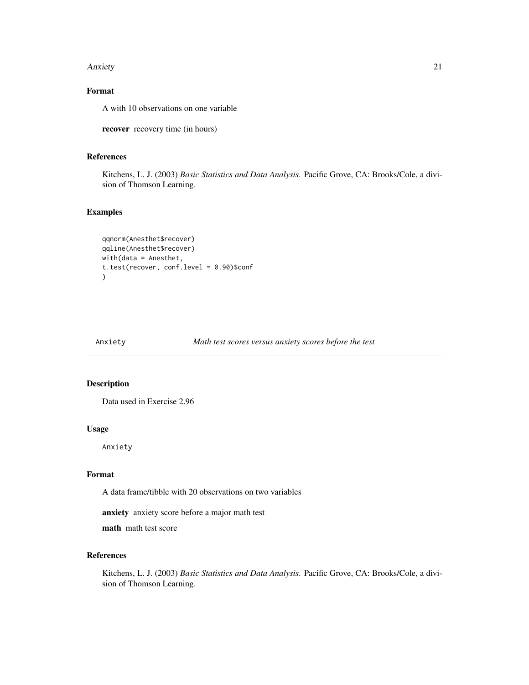#### <span id="page-20-0"></span>Anxiety 21

### Format

A with 10 observations on one variable

recover recovery time (in hours)

### References

Kitchens, L. J. (2003) *Basic Statistics and Data Analysis*. Pacific Grove, CA: Brooks/Cole, a division of Thomson Learning.

#### Examples

```
qqnorm(Anesthet$recover)
qqline(Anesthet$recover)
with(data = Anesthet,
t.test(recover, conf.level = 0.90)$conf
)
```
Anxiety *Math test scores versus anxiety scores before the test*

### Description

Data used in Exercise 2.96

#### Usage

Anxiety

#### Format

A data frame/tibble with 20 observations on two variables

anxiety anxiety score before a major math test

math math test score

#### References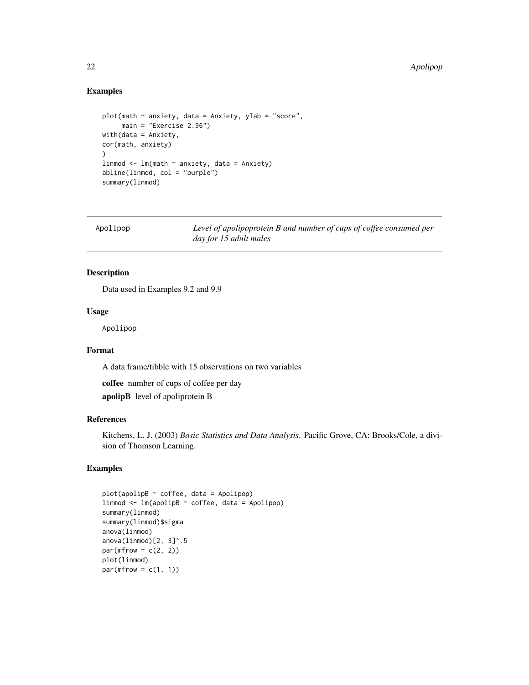### Examples

```
plot(math \sim anxiety, data = Anxiety, ylab = "score",
     main = "Exercise 2.96")
with(data = Anxiety,
cor(math, anxiety)
\lambdalinmod <- lm(math ~ anxiety, data = Anxiety)
abline(linmod, col = "purple")
summary(linmod)
```

| Apolipop | Level of apolipoprotein B and number of cups of coffee consumed per |
|----------|---------------------------------------------------------------------|
|          | day for 15 adult males                                              |

#### Description

Data used in Examples 9.2 and 9.9

#### Usage

Apolipop

### Format

A data frame/tibble with 15 observations on two variables

coffee number of cups of coffee per day

apolipB level of apoliprotein B

### References

Kitchens, L. J. (2003) *Basic Statistics and Data Analysis*. Pacific Grove, CA: Brooks/Cole, a division of Thomson Learning.

```
plot(apolipB ~ coffee, data = Apolipop)
linmod <- lm(apolipB ~ coffee, data = Apolipop)
summary(linmod)
summary(linmod)$sigma
anova(linmod)
anova(linmod)[2, 3]^.5
par(mfrow = c(2, 2))plot(linmod)
par(mfrow = c(1, 1))
```
<span id="page-21-0"></span>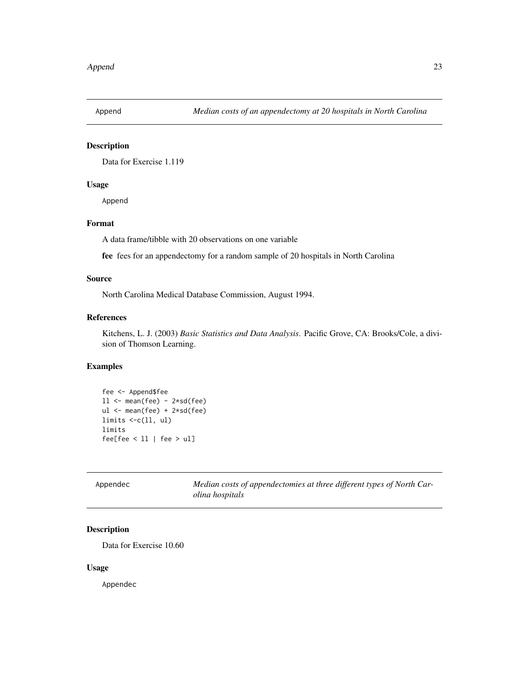<span id="page-22-0"></span>

Data for Exercise 1.119

### Usage

Append

### Format

A data frame/tibble with 20 observations on one variable

fee fees for an appendectomy for a random sample of 20 hospitals in North Carolina

#### Source

North Carolina Medical Database Commission, August 1994.

#### References

Kitchens, L. J. (2003) *Basic Statistics and Data Analysis*. Pacific Grove, CA: Brooks/Cole, a division of Thomson Learning.

### Examples

```
fee <- Append$fee
11 <- mean(fee) - 2*sd(fee)ul <- mean(fee) + 2*sd(fee)
limits <-c(ll, ul)
limits
fee[fee < ll | fee > ul]
```

| Appendec | Median costs of appendectomies at three different types of North Car- |
|----------|-----------------------------------------------------------------------|
|          | <i>olina hospitals</i>                                                |

### Description

Data for Exercise 10.60

#### Usage

Appendec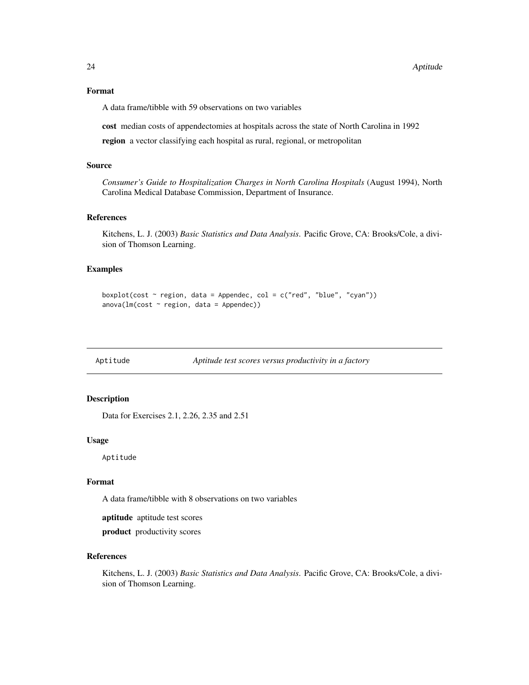### <span id="page-23-0"></span>Format

A data frame/tibble with 59 observations on two variables

cost median costs of appendectomies at hospitals across the state of North Carolina in 1992 region a vector classifying each hospital as rural, regional, or metropolitan

#### Source

*Consumer's Guide to Hospitalization Charges in North Carolina Hospitals* (August 1994), North Carolina Medical Database Commission, Department of Insurance.

#### References

Kitchens, L. J. (2003) *Basic Statistics and Data Analysis*. Pacific Grove, CA: Brooks/Cole, a division of Thomson Learning.

#### Examples

```
boxplot(cost \sim region, data = Appendec, col = c("red", "blue", "cyan"))
anova(lm(cost ~ region, data = Appendec))
```
Aptitude *Aptitude test scores versus productivity in a factory*

### Description

Data for Exercises 2.1, 2.26, 2.35 and 2.51

### Usage

Aptitude

### Format

A data frame/tibble with 8 observations on two variables

aptitude aptitude test scores

product productivity scores

### References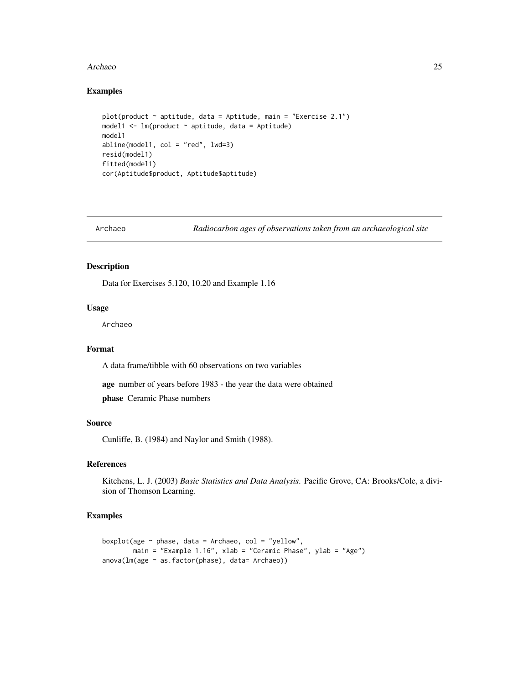#### <span id="page-24-0"></span>Archaeo 25

### Examples

```
plot(product \sim aptitude, data = Aptitude, main = "Exercise 2.1")
model1 <- lm(p \cdot r \cdot n) aptitude, data = Aptitude)
model1
abline(model1, col = "red", lwd=3)resid(model1)
fitted(model1)
cor(Aptitude$product, Aptitude$aptitude)
```
Archaeo *Radiocarbon ages of observations taken from an archaeological site*

### Description

Data for Exercises 5.120, 10.20 and Example 1.16

#### Usage

Archaeo

#### Format

A data frame/tibble with 60 observations on two variables

age number of years before 1983 - the year the data were obtained

phase Ceramic Phase numbers

### Source

Cunliffe, B. (1984) and Naylor and Smith (1988).

### References

Kitchens, L. J. (2003) *Basic Statistics and Data Analysis*. Pacific Grove, CA: Brooks/Cole, a division of Thomson Learning.

```
boxplot(age \sim phase, data = Archaeo, col = "yellow",
       main = "Example 1.16", xlab = "Ceramic Phase", ylab = "Age")
anova(lm(age ~ as.factor(phase), data= Archaeo))
```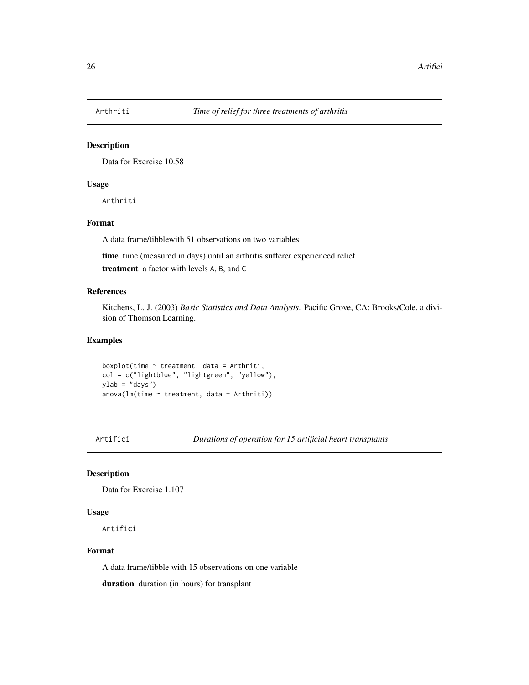<span id="page-25-0"></span>

Data for Exercise 10.58

#### Usage

Arthriti

### Format

A data frame/tibblewith 51 observations on two variables

time time (measured in days) until an arthritis sufferer experienced relief

treatment a factor with levels A, B, and C

#### References

Kitchens, L. J. (2003) *Basic Statistics and Data Analysis*. Pacific Grove, CA: Brooks/Cole, a division of Thomson Learning.

#### Examples

boxplot(time ~ treatment, data = Arthriti, col = c("lightblue", "lightgreen", "yellow"), ylab = "days")  $anova(Im(time ~ treatment, data = Arthuriti))$ 

Artifici *Durations of operation for 15 artificial heart transplants*

### Description

Data for Exercise 1.107

#### Usage

Artifici

### Format

A data frame/tibble with 15 observations on one variable

duration duration (in hours) for transplant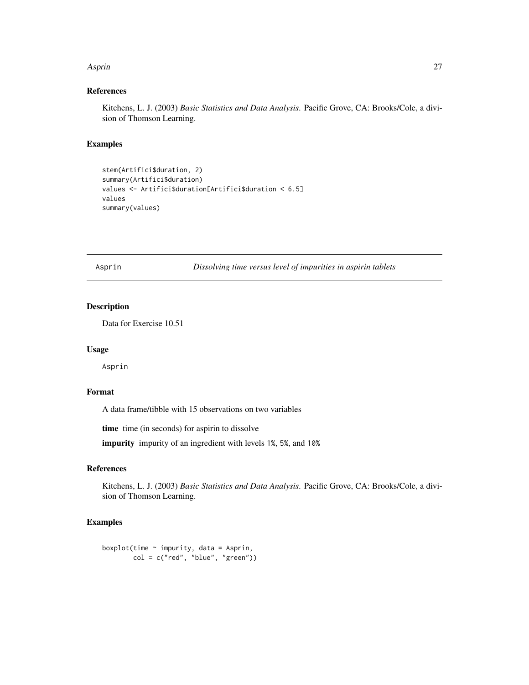#### <span id="page-26-0"></span>Asprin 27

### References

Kitchens, L. J. (2003) *Basic Statistics and Data Analysis*. Pacific Grove, CA: Brooks/Cole, a division of Thomson Learning.

#### Examples

```
stem(Artifici$duration, 2)
summary(Artifici$duration)
values <- Artifici$duration[Artifici$duration < 6.5]
values
summary(values)
```
Asprin *Dissolving time versus level of impurities in aspirin tablets*

### Description

Data for Exercise 10.51

#### Usage

Asprin

### Format

A data frame/tibble with 15 observations on two variables

time time (in seconds) for aspirin to dissolve

impurity impurity of an ingredient with levels 1%, 5%, and 10%

### References

Kitchens, L. J. (2003) *Basic Statistics and Data Analysis*. Pacific Grove, CA: Brooks/Cole, a division of Thomson Learning.

```
boxplot(time \sim impurity, data = Asprin,
        col = c("red", "blue", "green")
```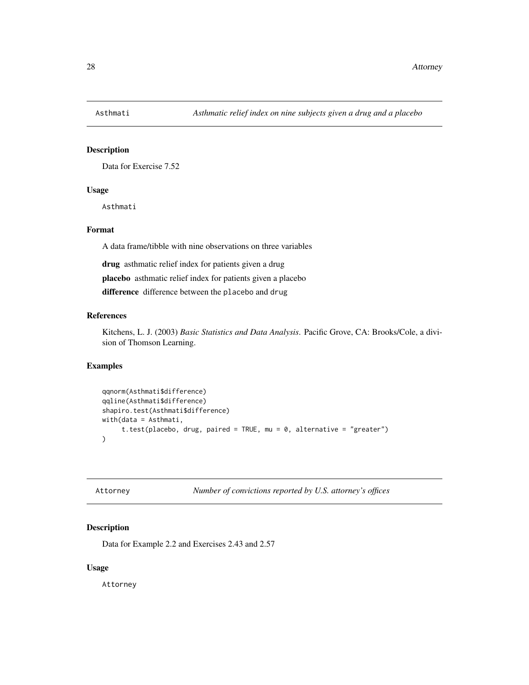<span id="page-27-0"></span>

Data for Exercise 7.52

### Usage

Asthmati

### Format

A data frame/tibble with nine observations on three variables

drug asthmatic relief index for patients given a drug

placebo asthmatic relief index for patients given a placebo

difference difference between the placebo and drug

### References

Kitchens, L. J. (2003) *Basic Statistics and Data Analysis*. Pacific Grove, CA: Brooks/Cole, a division of Thomson Learning.

### Examples

```
qqnorm(Asthmati$difference)
qqline(Asthmati$difference)
shapiro.test(Asthmati$difference)
with(data = Asthmati,
     t.test(placebo, drug, paired = TRUE, mu = 0, alternative = "greater")
\mathcal{L}
```
Attorney *Number of convictions reported by U.S. attorney's offices*

### Description

Data for Example 2.2 and Exercises 2.43 and 2.57

#### Usage

Attorney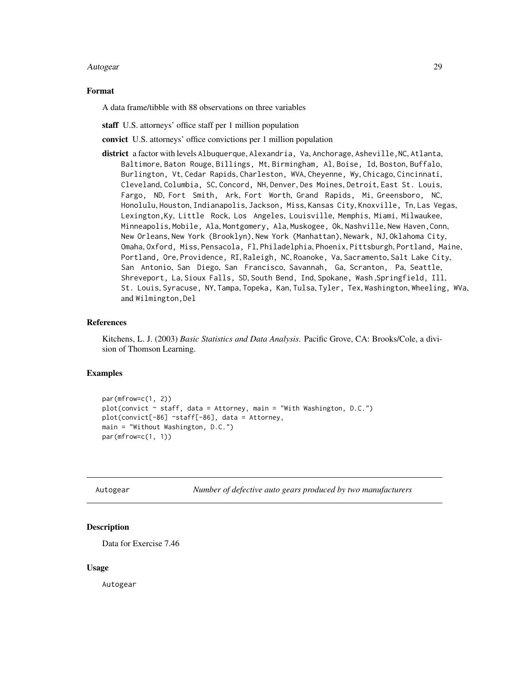#### <span id="page-28-0"></span>Autogear 29

#### Format

A data frame/tibble with 88 observations on three variables

staff U.S. attorneys' office staff per 1 million population

convict U.S. attorneys' office convictions per 1 million population

district a factor with levels Albuquerque, Alexandria, Va, Anchorage, Asheville, NC, Atlanta, Baltimore, Baton Rouge, Billings, Mt, Birmingham, Al, Boise, Id, Boston, Buffalo, Burlington, Vt, Cedar Rapids, Charleston, WVA, Cheyenne, Wy, Chicago, Cincinnati, Cleveland, Columbia, SC, Concord, NH, Denver, Des Moines, Detroit, East St. Louis, Fargo, ND, Fort Smith, Ark, Fort Worth, Grand Rapids, Mi, Greensboro, NC, Honolulu, Houston, Indianapolis, Jackson, Miss, Kansas City, Knoxville, Tn, Las Vegas, Lexington,Ky, Little Rock, Los Angeles, Louisville, Memphis, Miami, Milwaukee, Minneapolis, Mobile, Ala, Montgomery, Ala, Muskogee, Ok, Nashville, New Haven,Conn, New Orleans, New York (Brooklyn), New York (Manhattan), Newark, NJ, Oklahoma City, Omaha, Oxford, Miss, Pensacola, Fl, Philadelphia, Phoenix, Pittsburgh, Portland, Maine, Portland, Ore, Providence, RI, Raleigh, NC, Roanoke, Va, Sacramento, Salt Lake City, San Antonio, San Diego, San Francisco, Savannah, Ga, Scranton, Pa, Seattle, Shreveport, La, Sioux Falls, SD, South Bend, Ind, Spokane, Wash ,Springfield, Ill, St. Louis, Syracuse, NY, Tampa, Topeka, Kan, Tulsa, Tyler, Tex, Washington, Wheeling, WVa, and Wilmington,Del

#### References

Kitchens, L. J. (2003) *Basic Statistics and Data Analysis*. Pacific Grove, CA: Brooks/Cole, a division of Thomson Learning.

#### Examples

```
par(mfrow=c(1, 2))plot(convict ~ staff, data = Attorney, main = "With Washington, D.C.")
plot(convict[-86] ~staff[-86], data = Attorney,
main = "Without Washington, D.C.")
par(mfrow=c(1, 1))
```
Autogear *Number of defective auto gears produced by two manufacturers*

#### **Description**

Data for Exercise 7.46

#### Usage

Autogear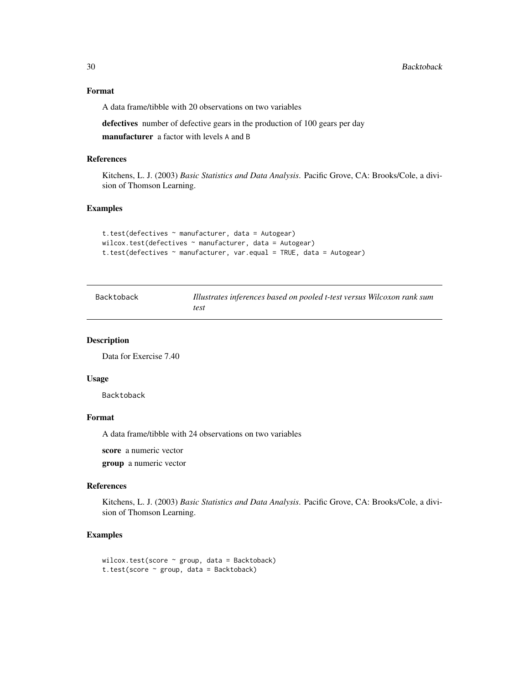### Format

A data frame/tibble with 20 observations on two variables

defectives number of defective gears in the production of 100 gears per day manufacturer a factor with levels A and B

#### References

Kitchens, L. J. (2003) *Basic Statistics and Data Analysis*. Pacific Grove, CA: Brooks/Cole, a division of Thomson Learning.

#### Examples

```
t.test(defectives ~ manufacturer, data = Autogear)
wilcox.test(defectives ~ manufacturer, data = Autogear)
t.test(defectives ~ manufacturer, var.equal = TRUE, data = Autogear)
```

| Backtoback | Illustrates inferences based on pooled t-test versus Wilcoxon rank sum |
|------------|------------------------------------------------------------------------|
|            | test                                                                   |

#### Description

Data for Exercise 7.40

#### Usage

Backtoback

#### Format

A data frame/tibble with 24 observations on two variables

score a numeric vector

group a numeric vector

#### References

Kitchens, L. J. (2003) *Basic Statistics and Data Analysis*. Pacific Grove, CA: Brooks/Cole, a division of Thomson Learning.

```
wilcox.test(score ~ group, data = Backtoback)
t.test(score ~ group, data = Backtoback)
```
<span id="page-29-0"></span>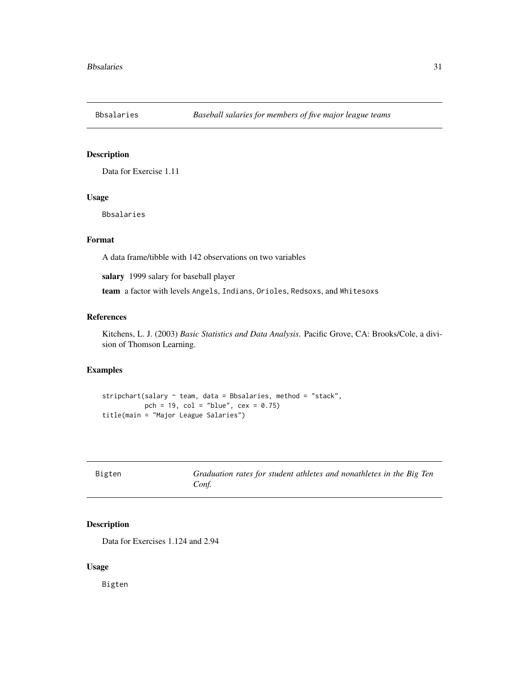<span id="page-30-0"></span>

Data for Exercise 1.11

### Usage

Bbsalaries

### Format

A data frame/tibble with 142 observations on two variables

salary 1999 salary for baseball player

team a factor with levels Angels, Indians, Orioles, Redsoxs, and Whitesoxs

#### References

Kitchens, L. J. (2003) *Basic Statistics and Data Analysis*. Pacific Grove, CA: Brooks/Cole, a division of Thomson Learning.

### Examples

```
stripchart(salary ~ team, data = Bbsalaries, method = "stack",
           pch = 19, col = "blue", cex = 0.75)
title(main = "Major League Salaries")
```

| Bigten | Graduation rates for student athletes and nonathletes in the Big Ten |  |
|--------|----------------------------------------------------------------------|--|
|        | Conf.                                                                |  |

#### Description

Data for Exercises 1.124 and 2.94

### Usage

Bigten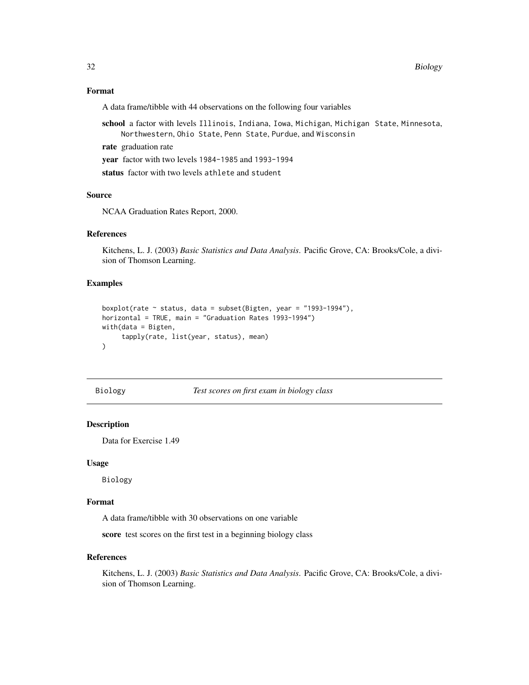### <span id="page-31-0"></span>Format

A data frame/tibble with 44 observations on the following four variables

- school a factor with levels Illinois, Indiana, Iowa, Michigan, Michigan State, Minnesota, Northwestern, Ohio State, Penn State, Purdue, and Wisconsin
- rate graduation rate

year factor with two levels 1984-1985 and 1993-1994

status factor with two levels athlete and student

### Source

NCAA Graduation Rates Report, 2000.

### References

Kitchens, L. J. (2003) *Basic Statistics and Data Analysis*. Pacific Grove, CA: Brooks/Cole, a division of Thomson Learning.

#### Examples

```
boxplot(rate \sim status, data = subset(Bigten, year = "1993-1994"),
horizontal = TRUE, main = "Graduation Rates 1993-1994")
with(data = Bigten,
     tapply(rate, list(year, status), mean)
)
```
Biology *Test scores on first exam in biology class*

#### Description

Data for Exercise 1.49

#### Usage

Biology

#### Format

A data frame/tibble with 30 observations on one variable

score test scores on the first test in a beginning biology class

#### References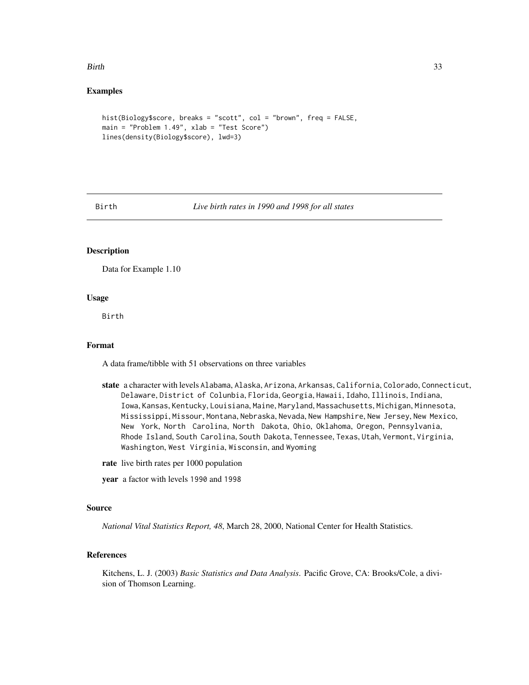#### <span id="page-32-0"></span>Birth 33

### Examples

```
hist(Biology$score, breaks = "scott", col = "brown", freq = FALSE,
main = "Problem 1.49", xlab = "Test Score")lines(density(Biology$score), lwd=3)
```
Birth *Live birth rates in 1990 and 1998 for all states*

### Description

Data for Example 1.10

#### Usage

Birth

#### Format

A data frame/tibble with 51 observations on three variables

- state a character with levels Alabama, Alaska, Arizona, Arkansas, California, Colorado, Connecticut, Delaware, District of Colunbia, Florida, Georgia, Hawaii, Idaho, Illinois, Indiana, Iowa, Kansas, Kentucky, Louisiana, Maine, Maryland, Massachusetts, Michigan, Minnesota, Mississippi, Missour, Montana, Nebraska, Nevada, New Hampshire, New Jersey, New Mexico, New York, North Carolina, North Dakota, Ohio, Oklahoma, Oregon, Pennsylvania, Rhode Island, South Carolina, South Dakota, Tennessee, Texas, Utah, Vermont, Virginia, Washington, West Virginia, Wisconsin, and Wyoming
- rate live birth rates per 1000 population

year a factor with levels 1990 and 1998

#### Source

*National Vital Statistics Report, 48*, March 28, 2000, National Center for Health Statistics.

### References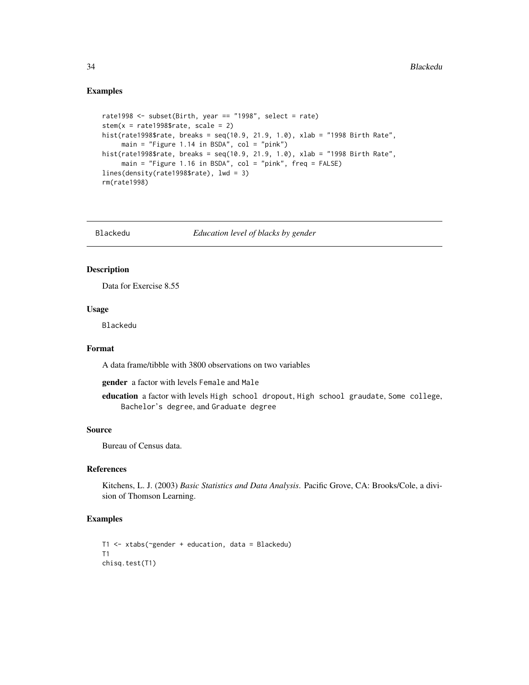#### Examples

```
rate1998 \le subset(Birth, year == "1998", select = rate)
stem(x =rate1998$rate, scale = 2)
hist(rate1998$rate, breaks = seq(10.9, 21.9, 1.0), xlab = "1998 Birth Rate",
     main = "Figure 1.14 in BSDA", col = "pink")hist(rate1998$rate, breaks = seq(10.9, 21.9, 1.0), xlab = "1998 Birth Rate",
     main = "Figure 1.16 in BSDA", col = "pink", freq = FALSE)
lines(density(rate1998$rate), lwd = 3)
rm(rate1998)
```
Blackedu *Education level of blacks by gender*

#### Description

Data for Exercise 8.55

### Usage

Blackedu

#### Format

A data frame/tibble with 3800 observations on two variables

gender a factor with levels Female and Male

education a factor with levels High school dropout, High school graudate, Some college, Bachelor's degree, and Graduate degree

### Source

Bureau of Census data.

#### References

Kitchens, L. J. (2003) *Basic Statistics and Data Analysis*. Pacific Grove, CA: Brooks/Cole, a division of Thomson Learning.

```
T1 <- xtabs(~gender + education, data = Blackedu)
T1
chisq.test(T1)
```
<span id="page-33-0"></span>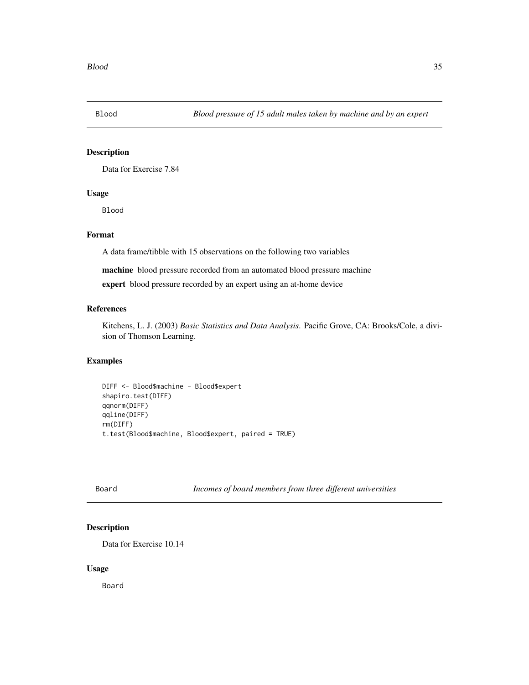<span id="page-34-0"></span>

Data for Exercise 7.84

### Usage

Blood

### Format

A data frame/tibble with 15 observations on the following two variables

machine blood pressure recorded from an automated blood pressure machine

expert blood pressure recorded by an expert using an at-home device

### References

Kitchens, L. J. (2003) *Basic Statistics and Data Analysis*. Pacific Grove, CA: Brooks/Cole, a division of Thomson Learning.

#### Examples

```
DIFF <- Blood$machine - Blood$expert
shapiro.test(DIFF)
qqnorm(DIFF)
qqline(DIFF)
rm(DIFF)
t.test(Blood$machine, Blood$expert, paired = TRUE)
```
Board *Incomes of board members from three different universities*

### Description

Data for Exercise 10.14

#### Usage

Board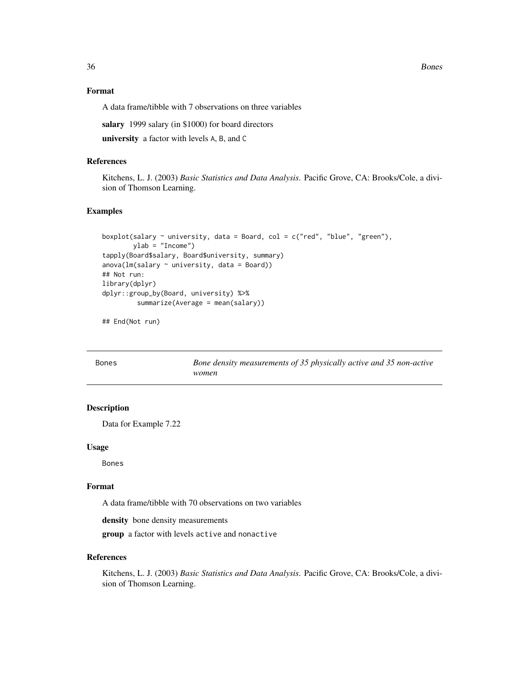<span id="page-35-0"></span>36 Bones

### Format

A data frame/tibble with 7 observations on three variables

salary 1999 salary (in \$1000) for board directors

university a factor with levels A, B, and C

### References

Kitchens, L. J. (2003) *Basic Statistics and Data Analysis*. Pacific Grove, CA: Brooks/Cole, a division of Thomson Learning.

#### Examples

```
boxplot(salary \sim university, data = Board, col = c("red", "blue", "green"),
        ylab = "Income")
tapply(Board$salary, Board$university, summary)
anova(lm(salary \sim university, data = Board))
## Not run:
library(dplyr)
dplyr::group_by(Board, university) %>%
         summarize(Average = mean(salary))
```
## End(Not run)

| <b>Bones</b> | Bone density measurements of 35 physically active and 35 non-active |
|--------------|---------------------------------------------------------------------|
|              | women                                                               |

### Description

Data for Example 7.22

#### Usage

Bones

#### Format

A data frame/tibble with 70 observations on two variables

density bone density measurements

group a factor with levels active and nonactive

### References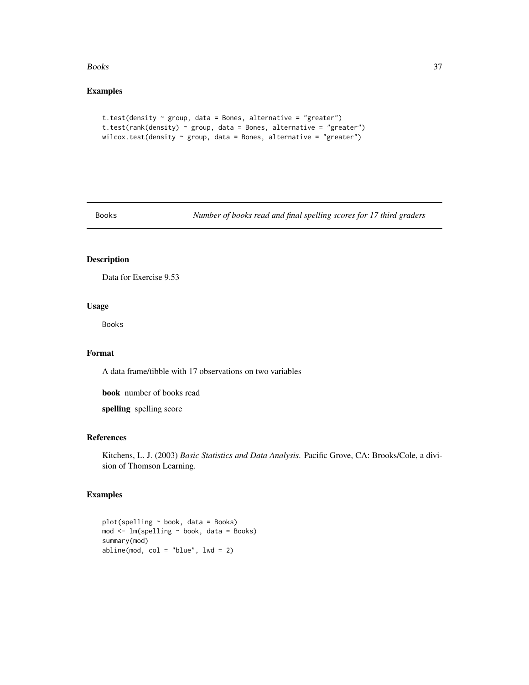#### Books 37

# Examples

```
t.test(density ~ group, data = Bones, alternative = "greater")
t.test(rank(density) ~ group, data = Bones, alternative = "greater")
wilcox.test(density \sim group, data = Bones, alternative = "greater")
```
Books *Number of books read and final spelling scores for 17 third graders*

### Description

Data for Exercise 9.53

#### Usage

Books

# Format

A data frame/tibble with 17 observations on two variables

book number of books read

spelling spelling score

# References

Kitchens, L. J. (2003) *Basic Statistics and Data Analysis*. Pacific Grove, CA: Brooks/Cole, a division of Thomson Learning.

```
plot(spelling ~ book, data = Books)
mod <- lm(spelling ~ book, data = Books)
summary(mod)
abline(mod, col = "blue", lwd = 2)
```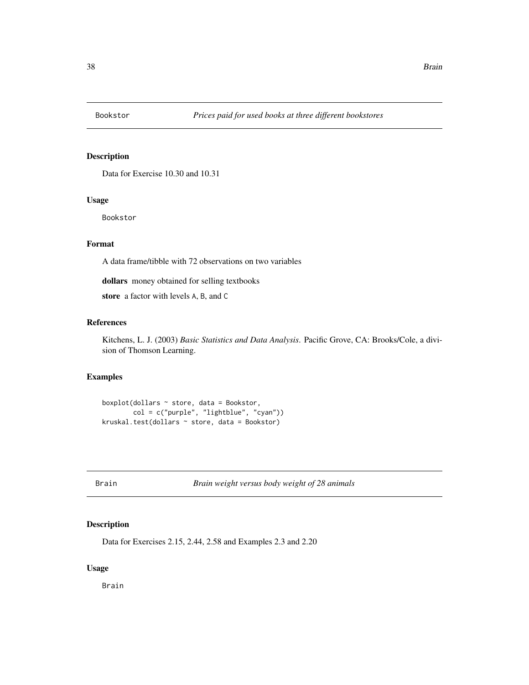Data for Exercise 10.30 and 10.31

### Usage

Bookstor

# Format

A data frame/tibble with 72 observations on two variables

dollars money obtained for selling textbooks

store a factor with levels A, B, and C

### References

Kitchens, L. J. (2003) *Basic Statistics and Data Analysis*. Pacific Grove, CA: Brooks/Cole, a division of Thomson Learning.

# Examples

```
boxplot(dollars ~ store, data = Bookstor,
        col = c("purple", "lightblue", "cyan"))
kruskal.test(dollars ~ store, data = Bookstor)
```
Brain *Brain weight versus body weight of 28 animals*

### Description

Data for Exercises 2.15, 2.44, 2.58 and Examples 2.3 and 2.20

### Usage

Brain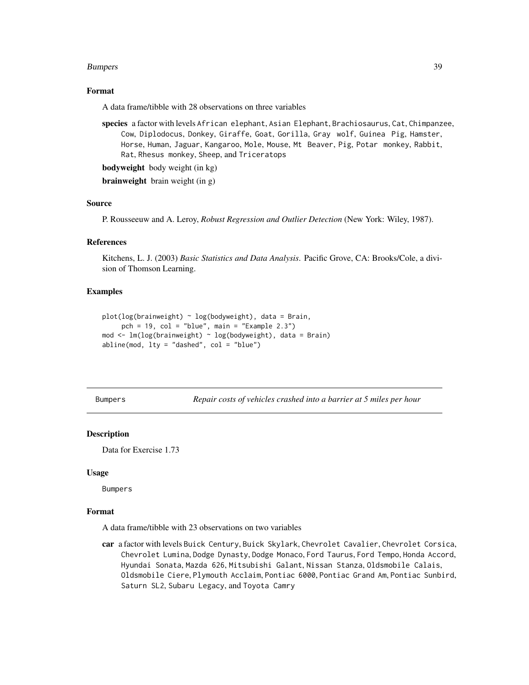#### Bumpers 39

### Format

A data frame/tibble with 28 observations on three variables

species a factor with levels African elephant, Asian Elephant, Brachiosaurus, Cat, Chimpanzee, Cow, Diplodocus, Donkey, Giraffe, Goat, Gorilla, Gray wolf, Guinea Pig, Hamster, Horse, Human, Jaguar, Kangaroo, Mole, Mouse, Mt Beaver, Pig, Potar monkey, Rabbit, Rat, Rhesus monkey, Sheep, and Triceratops

bodyweight body weight (in kg)

brainweight brain weight (in g)

# Source

P. Rousseeuw and A. Leroy, *Robust Regression and Outlier Detection* (New York: Wiley, 1987).

### References

Kitchens, L. J. (2003) *Basic Statistics and Data Analysis*. Pacific Grove, CA: Brooks/Cole, a division of Thomson Learning.

# Examples

```
plot(log(brainweight) ~ log(bodyweight), data = Brain,
     pch = 19, col = "blue", main = "Example 2.3")
mod \leq lm(log(brainweight) \sim log(bodyweight), data = Brain)
abline(mod, 1ty = "dashed", col = "blue")
```
Bumpers *Repair costs of vehicles crashed into a barrier at 5 miles per hour*

#### **Description**

Data for Exercise 1.73

#### Usage

Bumpers

#### Format

A data frame/tibble with 23 observations on two variables

car a factor with levels Buick Century, Buick Skylark, Chevrolet Cavalier, Chevrolet Corsica, Chevrolet Lumina, Dodge Dynasty, Dodge Monaco, Ford Taurus, Ford Tempo, Honda Accord, Hyundai Sonata, Mazda 626, Mitsubishi Galant, Nissan Stanza, Oldsmobile Calais, Oldsmobile Ciere, Plymouth Acclaim, Pontiac 6000, Pontiac Grand Am, Pontiac Sunbird, Saturn SL2, Subaru Legacy, and Toyota Camry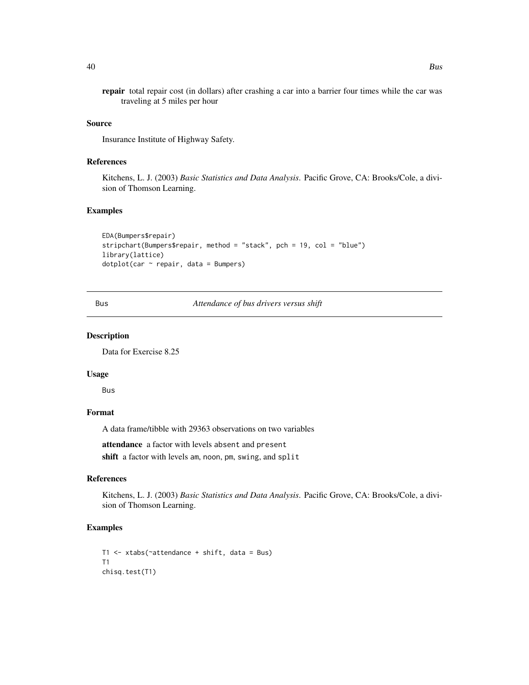repair total repair cost (in dollars) after crashing a car into a barrier four times while the car was traveling at 5 miles per hour

#### Source

Insurance Institute of Highway Safety.

### References

Kitchens, L. J. (2003) *Basic Statistics and Data Analysis*. Pacific Grove, CA: Brooks/Cole, a division of Thomson Learning.

### Examples

```
EDA(Bumpers$repair)
stripchart(Bumpers$repair, method = "stack", pch = 19, col = "blue")
library(lattice)
dot(car \sim repair, data = Bumpers)
```
Bus *Attendance of bus drivers versus shift*

#### Description

Data for Exercise 8.25

#### Usage

Bus

### Format

A data frame/tibble with 29363 observations on two variables

attendance a factor with levels absent and present

shift a factor with levels am, noon, pm, swing, and split

### References

Kitchens, L. J. (2003) *Basic Statistics and Data Analysis*. Pacific Grove, CA: Brooks/Cole, a division of Thomson Learning.

```
T1 <- xtabs(~attendance + shift, data = Bus)
T1
chisq.test(T1)
```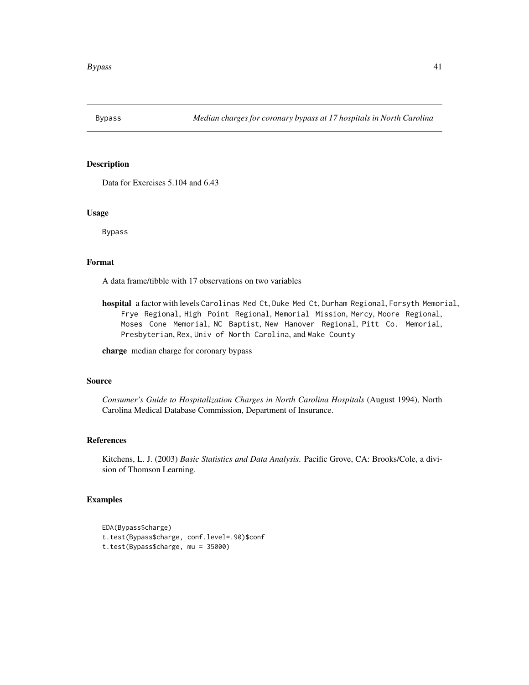Data for Exercises 5.104 and 6.43

### Usage

Bypass

# Format

A data frame/tibble with 17 observations on two variables

hospital a factor with levels Carolinas Med Ct, Duke Med Ct, Durham Regional, Forsyth Memorial, Frye Regional, High Point Regional, Memorial Mission, Mercy, Moore Regional, Moses Cone Memorial, NC Baptist, New Hanover Regional, Pitt Co. Memorial, Presbyterian, Rex, Univ of North Carolina, and Wake County

charge median charge for coronary bypass

#### Source

*Consumer's Guide to Hospitalization Charges in North Carolina Hospitals* (August 1994), North Carolina Medical Database Commission, Department of Insurance.

### References

Kitchens, L. J. (2003) *Basic Statistics and Data Analysis*. Pacific Grove, CA: Brooks/Cole, a division of Thomson Learning.

```
EDA(Bypass$charge)
t.test(Bypass$charge, conf.level=.90)$conf
t.test(Bypass$charge, mu = 35000)
```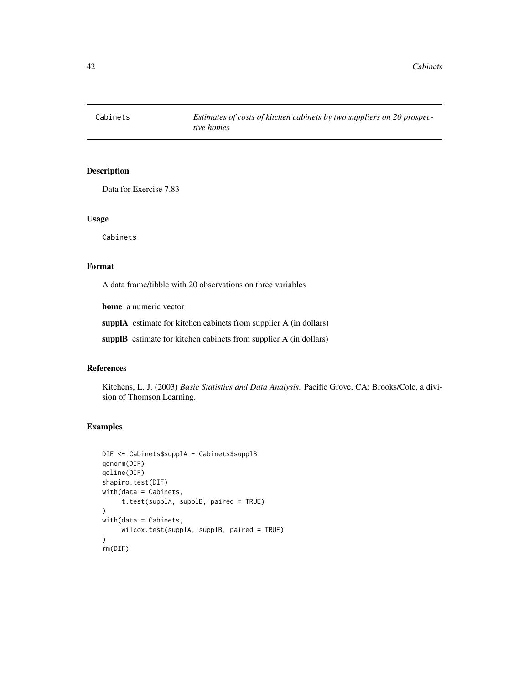42 Cabinets

# Description

Data for Exercise 7.83

### Usage

Cabinets

# Format

A data frame/tibble with 20 observations on three variables

home a numeric vector

supplA estimate for kitchen cabinets from supplier A (in dollars)

supplB estimate for kitchen cabinets from supplier A (in dollars)

### References

Kitchens, L. J. (2003) *Basic Statistics and Data Analysis*. Pacific Grove, CA: Brooks/Cole, a division of Thomson Learning.

```
DIF <- Cabinets$supplA - Cabinets$supplB
qqnorm(DIF)
qqline(DIF)
shapiro.test(DIF)
with(data = Cabinets,
     t.test(supplA, supplB, paired = TRUE)
)
with(data = Cabinets,
     wilcox.test(supplA, supplB, paired = TRUE)
\lambdarm(DIF)
```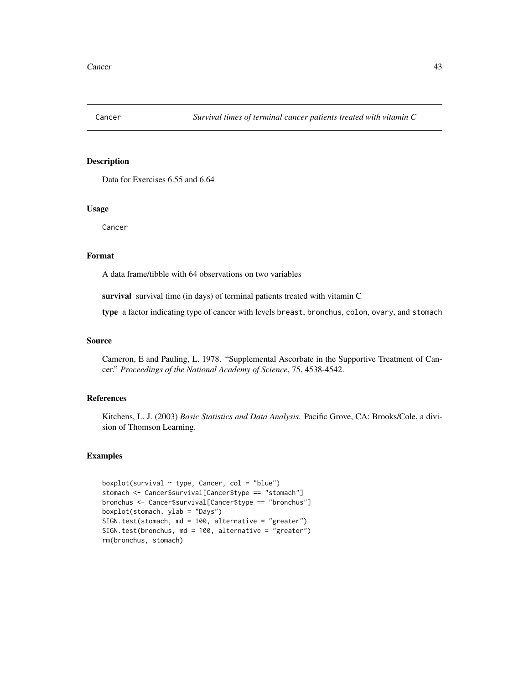Data for Exercises 6.55 and 6.64

### Usage

Cancer

### Format

A data frame/tibble with 64 observations on two variables

survival survival time (in days) of terminal patients treated with vitamin C

type a factor indicating type of cancer with levels breast, bronchus, colon, ovary, and stomach

### Source

Cameron, E and Pauling, L. 1978. "Supplemental Ascorbate in the Supportive Treatment of Cancer." *Proceedings of the National Academy of Science*, 75, 4538-4542.

# References

Kitchens, L. J. (2003) *Basic Statistics and Data Analysis*. Pacific Grove, CA: Brooks/Cole, a division of Thomson Learning.

```
boxplot(survival \sim type, Cancer, col = "blue")
stomach <- Cancer$survival[Cancer$type == "stomach"]
bronchus <- Cancer$survival[Cancer$type == "bronchus"]
boxplot(stomach, ylab = "Days")
SIGN.test(stomach, md = 100, alternative = "greater")
SIGN.test(bronchus, md = 100, alternative = "greater")
rm(bronchus, stomach)
```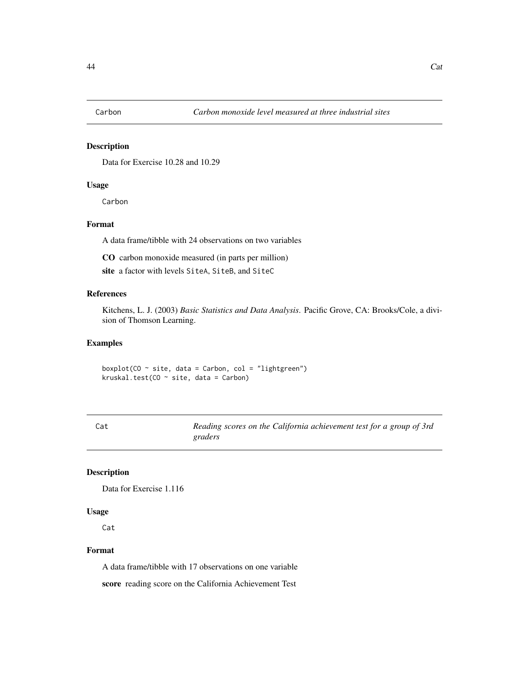Data for Exercise 10.28 and 10.29

# Usage

Carbon

# Format

A data frame/tibble with 24 observations on two variables

CO carbon monoxide measured (in parts per million)

site a factor with levels SiteA, SiteB, and SiteC

### References

Kitchens, L. J. (2003) *Basic Statistics and Data Analysis*. Pacific Grove, CA: Brooks/Cole, a division of Thomson Learning.

### Examples

boxplot(CO  $\sim$  site, data = Carbon, col = "lightgreen") kruskal.test(CO  $\sim$  site, data = Carbon)

| Cat | Reading scores on the California achievement test for a group of 3rd |  |
|-----|----------------------------------------------------------------------|--|
|     | graders                                                              |  |

### Description

Data for Exercise 1.116

#### Usage

Cat

#### Format

A data frame/tibble with 17 observations on one variable

score reading score on the California Achievement Test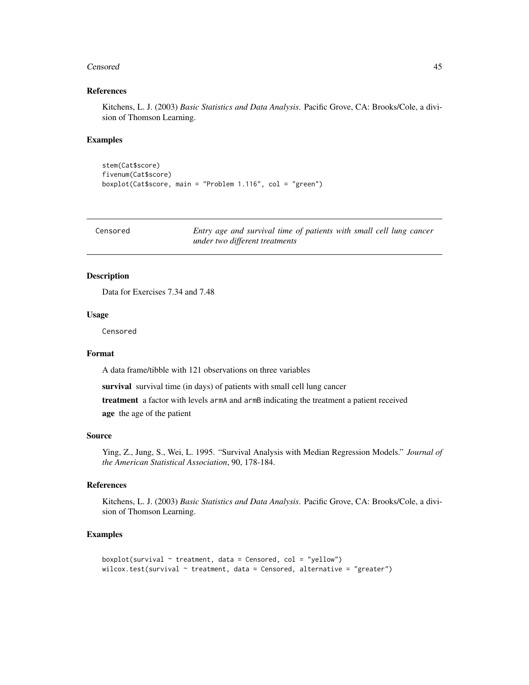#### Censored **45**

### References

Kitchens, L. J. (2003) *Basic Statistics and Data Analysis*. Pacific Grove, CA: Brooks/Cole, a division of Thomson Learning.

#### Examples

```
stem(Cat$score)
fivenum(Cat$score)
boxplot(Cat$score, main = "Problem 1.116", col = "green")
```

| Censored | Entry age and survival time of patients with small cell lung cancer |
|----------|---------------------------------------------------------------------|
|          | under two different treatments                                      |

### Description

Data for Exercises 7.34 and 7.48

#### Usage

Censored

### Format

A data frame/tibble with 121 observations on three variables

survival survival time (in days) of patients with small cell lung cancer

treatment a factor with levels armA and armB indicating the treatment a patient received age the age of the patient

#### Source

Ying, Z., Jung, S., Wei, L. 1995. "Survival Analysis with Median Regression Models." *Journal of the American Statistical Association*, 90, 178-184.

### References

Kitchens, L. J. (2003) *Basic Statistics and Data Analysis*. Pacific Grove, CA: Brooks/Cole, a division of Thomson Learning.

```
boxplot(survival \sim treatment, data = Censored, col = "yellow")
wilcox.test(survival \sim treatment, data = Censored, alternative = "greater")
```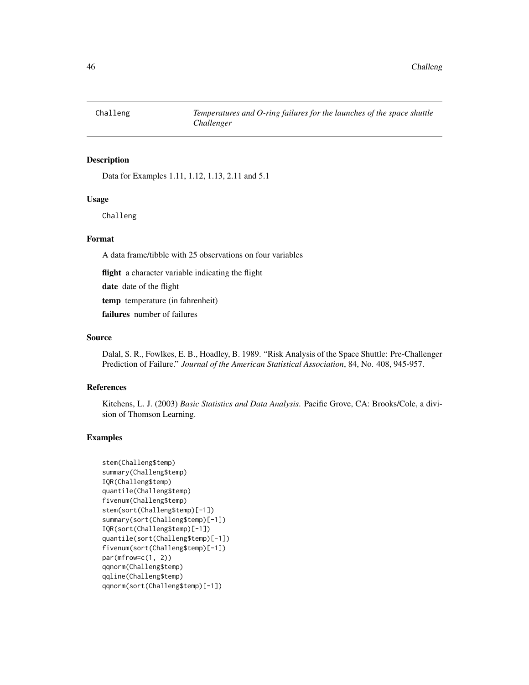Data for Examples 1.11, 1.12, 1.13, 2.11 and 5.1

### Usage

Challeng

#### Format

A data frame/tibble with 25 observations on four variables

flight a character variable indicating the flight

date date of the flight

temp temperature (in fahrenheit)

failures number of failures

#### Source

Dalal, S. R., Fowlkes, E. B., Hoadley, B. 1989. "Risk Analysis of the Space Shuttle: Pre-Challenger Prediction of Failure." *Journal of the American Statistical Association*, 84, No. 408, 945-957.

#### References

Kitchens, L. J. (2003) *Basic Statistics and Data Analysis*. Pacific Grove, CA: Brooks/Cole, a division of Thomson Learning.

```
stem(Challeng$temp)
summary(Challeng$temp)
IQR(Challeng$temp)
quantile(Challeng$temp)
fivenum(Challeng$temp)
stem(sort(Challeng$temp)[-1])
summary(sort(Challeng$temp)[-1])
IQR(sort(Challeng$temp)[-1])
quantile(sort(Challeng$temp)[-1])
fivenum(sort(Challeng$temp)[-1])
par(mfrow=c(1, 2))qqnorm(Challeng$temp)
qqline(Challeng$temp)
qqnorm(sort(Challeng$temp)[-1])
```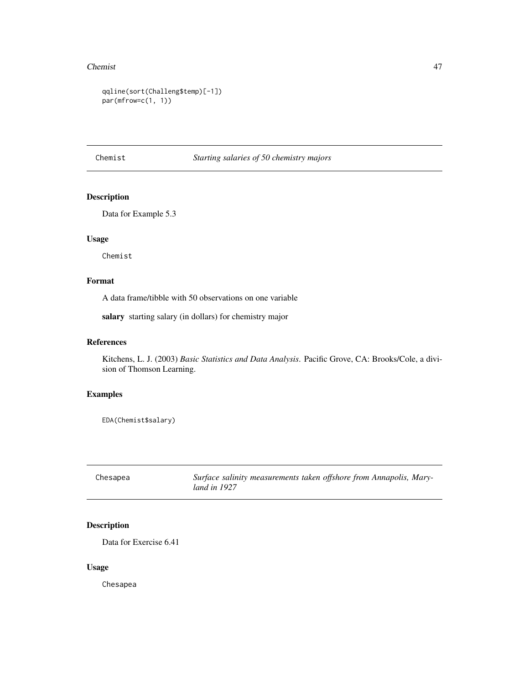#### Chemist 47

```
qqline(sort(Challeng$temp)[-1])
par(mfrow=c(1, 1))
```
# Chemist *Starting salaries of 50 chemistry majors*

# Description

Data for Example 5.3

### Usage

Chemist

# Format

A data frame/tibble with 50 observations on one variable

salary starting salary (in dollars) for chemistry major

### References

Kitchens, L. J. (2003) *Basic Statistics and Data Analysis*. Pacific Grove, CA: Brooks/Cole, a division of Thomson Learning.

# Examples

EDA(Chemist\$salary)

| Chesapea | Surface salinity measurements taken offshore from Annapolis, Mary- |
|----------|--------------------------------------------------------------------|
|          | land in 1927                                                       |

# Description

Data for Exercise 6.41

### Usage

Chesapea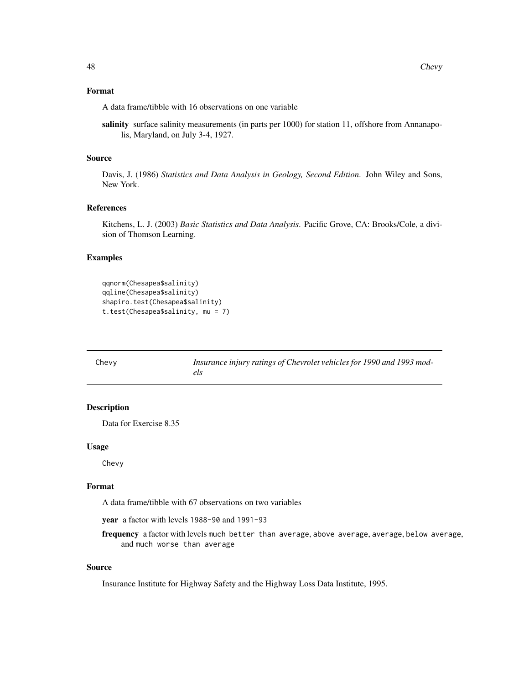### Format

A data frame/tibble with 16 observations on one variable

salinity surface salinity measurements (in parts per 1000) for station 11, offshore from Annanapolis, Maryland, on July 3-4, 1927.

#### Source

Davis, J. (1986) *Statistics and Data Analysis in Geology, Second Edition*. John Wiley and Sons, New York.

#### References

Kitchens, L. J. (2003) *Basic Statistics and Data Analysis*. Pacific Grove, CA: Brooks/Cole, a division of Thomson Learning.

#### Examples

```
qqnorm(Chesapea$salinity)
qqline(Chesapea$salinity)
shapiro.test(Chesapea$salinity)
t.test(Chesapea$salinity, mu = 7)
```

| Chevy | Insurance injury ratings of Chevrolet vehicles for 1990 and 1993 mod- |
|-------|-----------------------------------------------------------------------|
|       | els                                                                   |

# Description

Data for Exercise 8.35

#### Usage

Chevy

#### Format

A data frame/tibble with 67 observations on two variables

year a factor with levels 1988-90 and 1991-93

frequency a factor with levels much better than average, above average, average, below average, and much worse than average

### Source

Insurance Institute for Highway Safety and the Highway Loss Data Institute, 1995.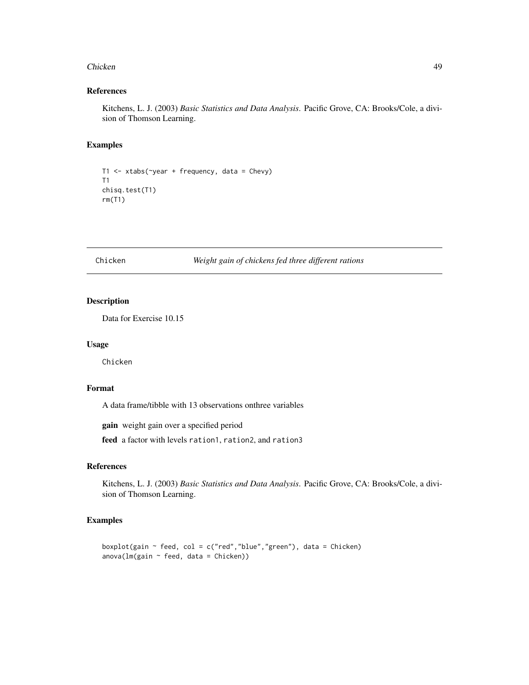#### Chicken **49**

### References

Kitchens, L. J. (2003) *Basic Statistics and Data Analysis*. Pacific Grove, CA: Brooks/Cole, a division of Thomson Learning.

### Examples

```
T1 <- xtabs(~year + frequency, data = Chevy)
T1
chisq.test(T1)
rm(T1)
```
### Chicken *Weight gain of chickens fed three different rations*

### Description

Data for Exercise 10.15

#### Usage

Chicken

### Format

A data frame/tibble with 13 observations onthree variables

gain weight gain over a specified period

feed a factor with levels ration1, ration2, and ration3

# References

Kitchens, L. J. (2003) *Basic Statistics and Data Analysis*. Pacific Grove, CA: Brooks/Cole, a division of Thomson Learning.

```
boxplot(gain \sim feed, col = c("red","blue","green"), data = Chicken)
anova(Im(gain ~ feet, data = Chicken))
```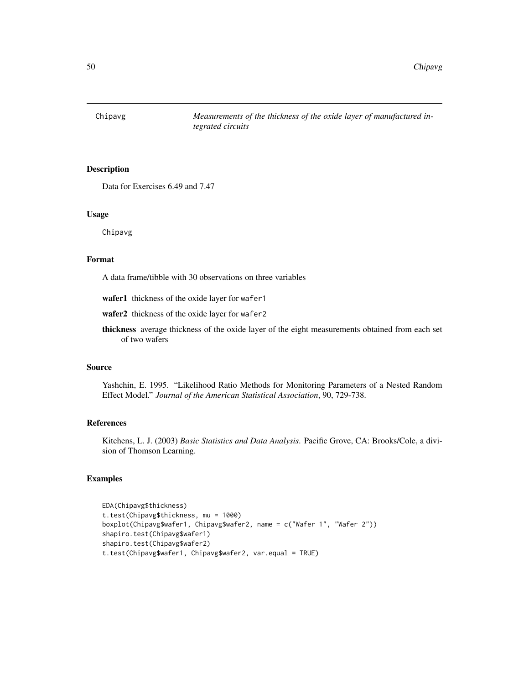Chipavg *Measurements of the thickness of the oxide layer of manufactured integrated circuits*

### Description

Data for Exercises 6.49 and 7.47

#### Usage

Chipavg

#### Format

A data frame/tibble with 30 observations on three variables

wafer1 thickness of the oxide layer for wafer1

wafer2 thickness of the oxide layer for wafer2

thickness average thickness of the oxide layer of the eight measurements obtained from each set of two wafers

#### Source

Yashchin, E. 1995. "Likelihood Ratio Methods for Monitoring Parameters of a Nested Random Effect Model." *Journal of the American Statistical Association*, 90, 729-738.

### References

Kitchens, L. J. (2003) *Basic Statistics and Data Analysis*. Pacific Grove, CA: Brooks/Cole, a division of Thomson Learning.

```
EDA(Chipavg$thickness)
t.test(Chipavg$thickness, mu = 1000)
boxplot(Chipavg$wafer1, Chipavg$wafer2, name = c("Wafer 1", "Wafer 2"))
shapiro.test(Chipavg$wafer1)
shapiro.test(Chipavg$wafer2)
t.test(Chipavg$wafer1, Chipavg$wafer2, var.equal = TRUE)
```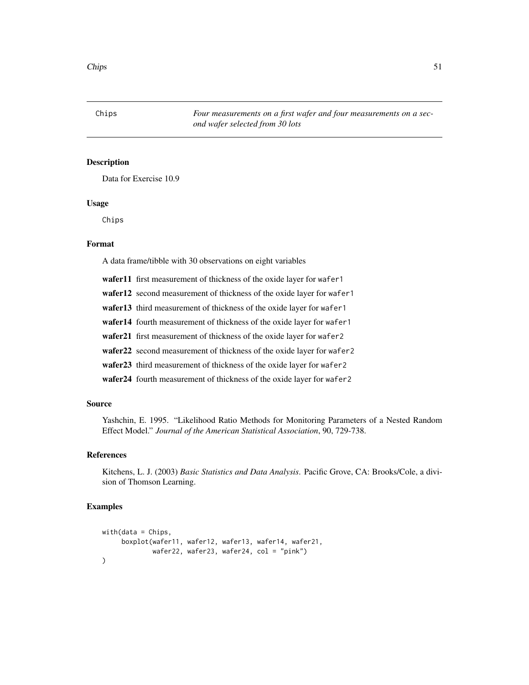Data for Exercise 10.9

### Usage

Chips

#### Format

A data frame/tibble with 30 observations on eight variables

wafer11 first measurement of thickness of the oxide layer for wafer1

wafer12 second measurement of thickness of the oxide layer for wafer1

wafer13 third measurement of thickness of the oxide layer for wafer1

wafer14 fourth measurement of thickness of the oxide layer for wafer1

wafer21 first measurement of thickness of the oxide layer for wafer2

wafer22 second measurement of thickness of the oxide layer for wafer2

wafer23 third measurement of thickness of the oxide layer for wafer2

wafer24 fourth measurement of thickness of the oxide layer for wafer2

### Source

Yashchin, E. 1995. "Likelihood Ratio Methods for Monitoring Parameters of a Nested Random Effect Model." *Journal of the American Statistical Association*, 90, 729-738.

#### References

Kitchens, L. J. (2003) *Basic Statistics and Data Analysis*. Pacific Grove, CA: Brooks/Cole, a division of Thomson Learning.

```
with(data = Chips,boxplot(wafer11, wafer12, wafer13, wafer14, wafer21,
              wafer22, wafer23, wafer24, col = "pink")
\mathcal{L}
```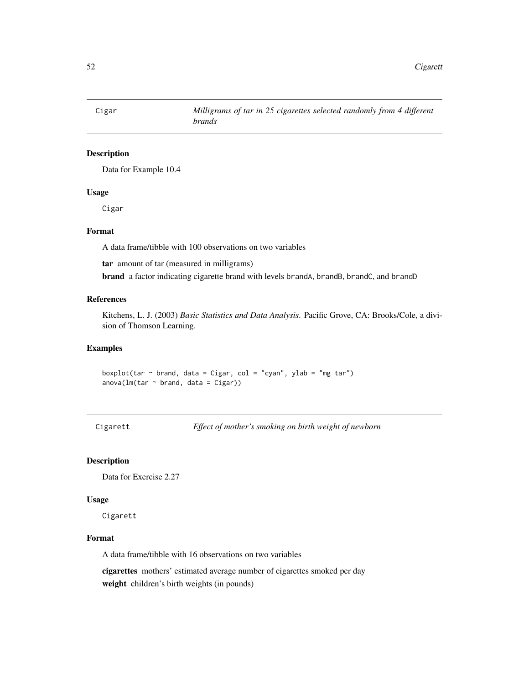Data for Example 10.4

### Usage

Cigar

### Format

A data frame/tibble with 100 observations on two variables

tar amount of tar (measured in milligrams)

brand a factor indicating cigarette brand with levels brandA, brandB, brandC, and brandD

### References

Kitchens, L. J. (2003) *Basic Statistics and Data Analysis*. Pacific Grove, CA: Brooks/Cole, a division of Thomson Learning.

#### Examples

boxplot(tar  $\sim$  brand, data = Cigar, col = "cyan", ylab = "mg tar")  $anova(lm(tar \sim brand, data = Cigar))$ 

Cigarett *Effect of mother's smoking on birth weight of newborn*

### Description

Data for Exercise 2.27

#### Usage

Cigarett

### Format

A data frame/tibble with 16 observations on two variables

cigarettes mothers' estimated average number of cigarettes smoked per day weight children's birth weights (in pounds)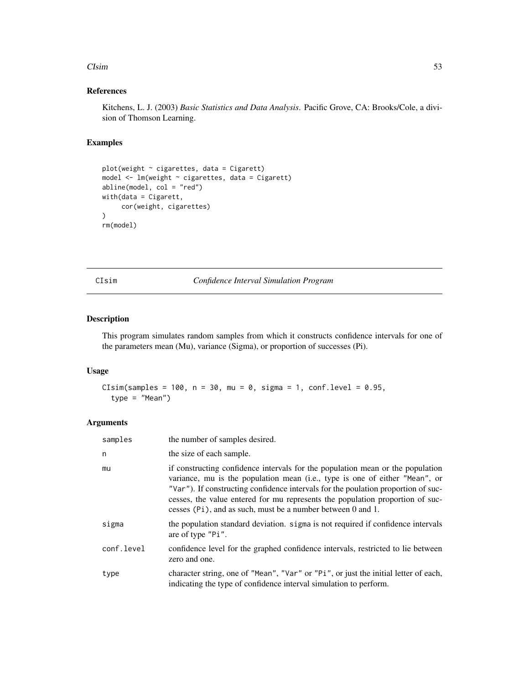#### $\epsilon$ Sim 53

### References

Kitchens, L. J. (2003) *Basic Statistics and Data Analysis*. Pacific Grove, CA: Brooks/Cole, a division of Thomson Learning.

# Examples

```
plot(weight \sim cigarettes, data = Cigaret)model <- lm(weight ~ cigarettes, data = Cigarett)
abline(model, col = "red")
with(data = Cigarett,
     cor(weight, cigarettes)
)
rm(model)
```
CIsim *Confidence Interval Simulation Program*

### Description

This program simulates random samples from which it constructs confidence intervals for one of the parameters mean (Mu), variance (Sigma), or proportion of successes (Pi).

# Usage

```
CIsim(samples = 100, n = 30, mu = 0, sigma = 1, conf.level = 0.95,
  type = "Mean")
```
# Arguments

| samples    | the number of samples desired.                                                                                                                                                                                                                                                                                                                                                                     |
|------------|----------------------------------------------------------------------------------------------------------------------------------------------------------------------------------------------------------------------------------------------------------------------------------------------------------------------------------------------------------------------------------------------------|
| n          | the size of each sample.                                                                                                                                                                                                                                                                                                                                                                           |
| mu         | if constructing confidence intervals for the population mean or the population<br>variance, mu is the population mean (i.e., type is one of either "Mean", or<br>"Var"). If constructing confidence intervals for the poulation proportion of suc-<br>cesses, the value entered for mu represents the population proportion of suc-<br>cesses (Pi), and as such, must be a number between 0 and 1. |
| sigma      | the population standard deviation. sigma is not required if confidence intervals<br>are of type "Pi".                                                                                                                                                                                                                                                                                              |
| conf.level | confidence level for the graphed confidence intervals, restricted to lie between<br>zero and one.                                                                                                                                                                                                                                                                                                  |
| type       | character string, one of "Mean", "Var" or "Pi", or just the initial letter of each,<br>indicating the type of confidence interval simulation to perform.                                                                                                                                                                                                                                           |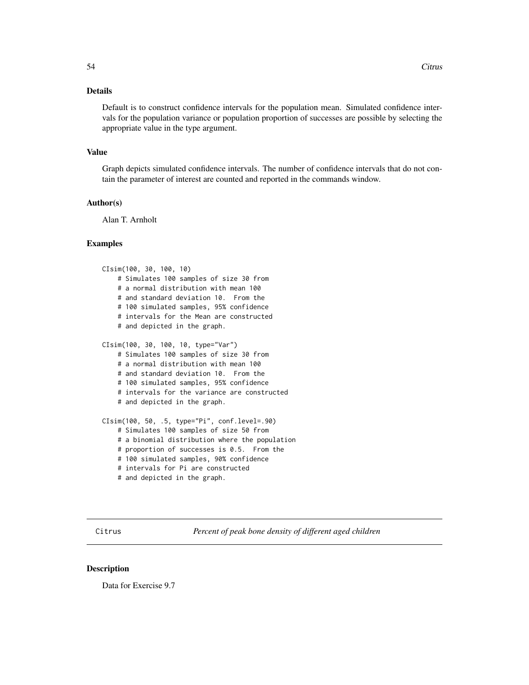# Details

Default is to construct confidence intervals for the population mean. Simulated confidence intervals for the population variance or population proportion of successes are possible by selecting the appropriate value in the type argument.

### Value

Graph depicts simulated confidence intervals. The number of confidence intervals that do not contain the parameter of interest are counted and reported in the commands window.

#### Author(s)

Alan T. Arnholt

#### Examples

```
CIsim(100, 30, 100, 10)
    # Simulates 100 samples of size 30 from
    # a normal distribution with mean 100
    # and standard deviation 10. From the
    # 100 simulated samples, 95% confidence
    # intervals for the Mean are constructed
    # and depicted in the graph.
CIsim(100, 30, 100, 10, type="Var")
    # Simulates 100 samples of size 30 from
    # a normal distribution with mean 100
    # and standard deviation 10. From the
    # 100 simulated samples, 95% confidence
    # intervals for the variance are constructed
    # and depicted in the graph.
CIsim(100, 50, .5, type="Pi", conf.level=.90)
    # Simulates 100 samples of size 50 from
   # a binomial distribution where the population
   # proportion of successes is 0.5. From the
   # 100 simulated samples, 90% confidence
    # intervals for Pi are constructed
    # and depicted in the graph.
```
Citrus *Percent of peak bone density of different aged children*

# **Description**

Data for Exercise 9.7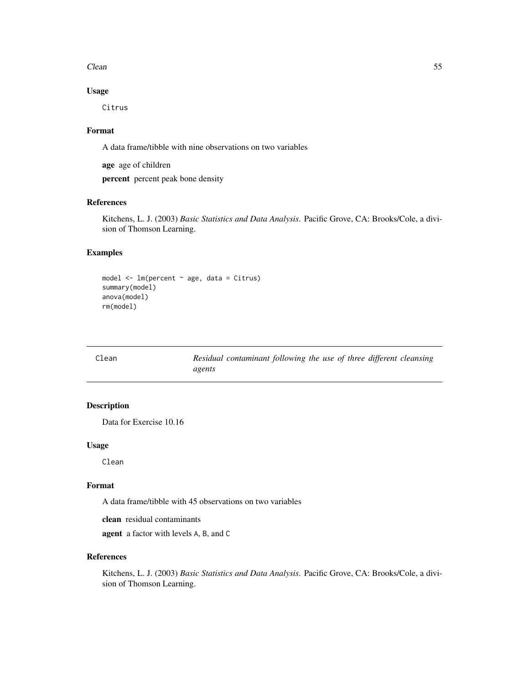$\epsilon$  Clean 55

# Usage

Citrus

# Format

A data frame/tibble with nine observations on two variables

age age of children

percent percent peak bone density

# References

Kitchens, L. J. (2003) *Basic Statistics and Data Analysis*. Pacific Grove, CA: Brooks/Cole, a division of Thomson Learning.

# Examples

```
model \leq - lm(percent \sim age, data = Citrus)
summary(model)
anova(model)
rm(model)
```

| Clean |        | Residual contaminant following the use of three different cleansing |  |  |  |  |
|-------|--------|---------------------------------------------------------------------|--|--|--|--|
|       | agents |                                                                     |  |  |  |  |

# Description

Data for Exercise 10.16

#### Usage

Clean

### Format

A data frame/tibble with 45 observations on two variables

clean residual contaminants

agent a factor with levels A, B, and C

### References

Kitchens, L. J. (2003) *Basic Statistics and Data Analysis*. Pacific Grove, CA: Brooks/Cole, a division of Thomson Learning.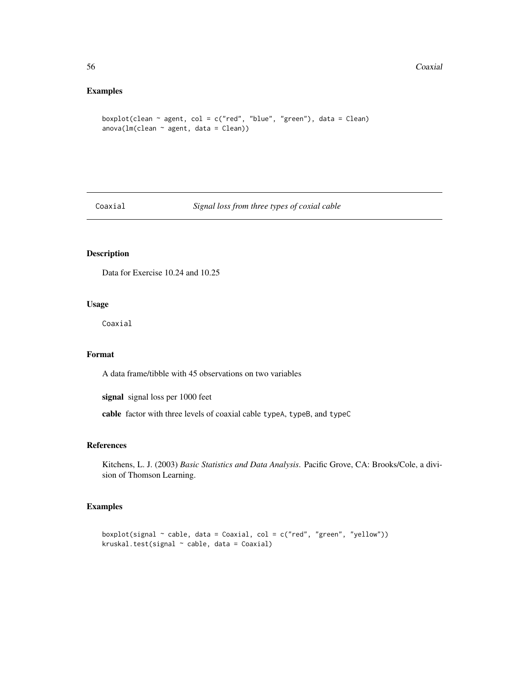### Examples

```
boxplot(clean \sim agent, col = c("red", "blue", "green"), data = Clean)
anova(Im(clean \sim agent, data = Clean))
```
# Coaxial *Signal loss from three types of coxial cable*

# Description

Data for Exercise 10.24 and 10.25

# Usage

Coaxial

### Format

A data frame/tibble with 45 observations on two variables

signal signal loss per 1000 feet

cable factor with three levels of coaxial cable typeA, typeB, and typeC

#### References

Kitchens, L. J. (2003) *Basic Statistics and Data Analysis*. Pacific Grove, CA: Brooks/Cole, a division of Thomson Learning.

```
boxplot(signal ~ cable, data = Coaxial, col = c("red", "green", "yellow"))
kruskal.test(signal ~ cable, data = Coaxial)
```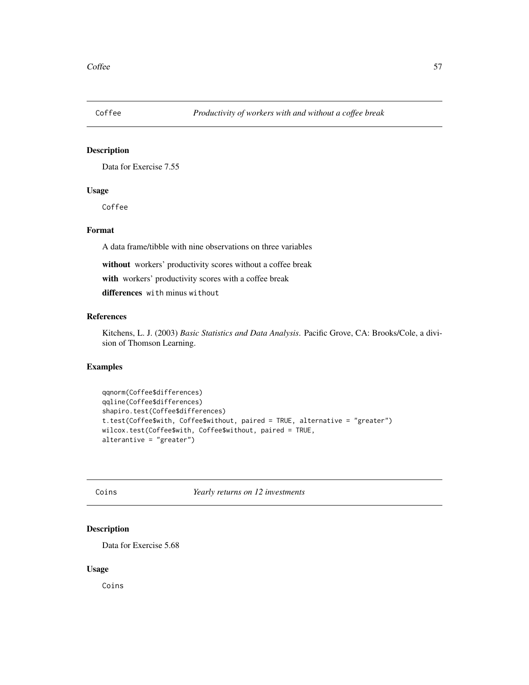Data for Exercise 7.55

# Usage

Coffee

#### Format

A data frame/tibble with nine observations on three variables

without workers' productivity scores without a coffee break

with workers' productivity scores with a coffee break

differences with minus without

### References

Kitchens, L. J. (2003) *Basic Statistics and Data Analysis*. Pacific Grove, CA: Brooks/Cole, a division of Thomson Learning.

### Examples

```
qqnorm(Coffee$differences)
qqline(Coffee$differences)
shapiro.test(Coffee$differences)
t.test(Coffee$with, Coffee$without, paired = TRUE, alternative = "greater")
wilcox.test(Coffee$with, Coffee$without, paired = TRUE,
alterantive = "greater")
```
Coins *Yearly returns on 12 investments*

### Description

Data for Exercise 5.68

#### Usage

Coins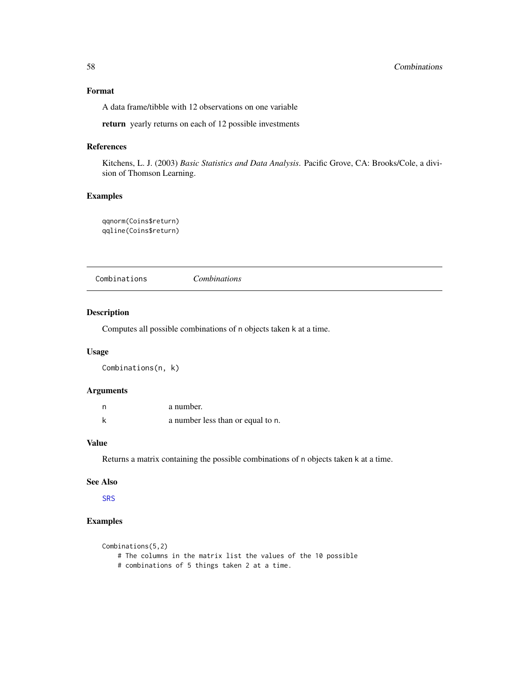# Format

A data frame/tibble with 12 observations on one variable

return yearly returns on each of 12 possible investments

### References

Kitchens, L. J. (2003) *Basic Statistics and Data Analysis*. Pacific Grove, CA: Brooks/Cole, a division of Thomson Learning.

### Examples

qqnorm(Coins\$return) qqline(Coins\$return)

| Combinations | Combinations |  |
|--------------|--------------|--|
|              |              |  |

### Description

Computes all possible combinations of n objects taken k at a time.

### Usage

Combinations(n, k)

### Arguments

| n | a number.                         |
|---|-----------------------------------|
| k | a number less than or equal to n. |

### Value

Returns a matrix containing the possible combinations of n objects taken k at a time.

### See Also

[SRS](#page-227-0)

```
Combinations(5,2)
   # The columns in the matrix list the values of the 10 possible
   # combinations of 5 things taken 2 at a time.
```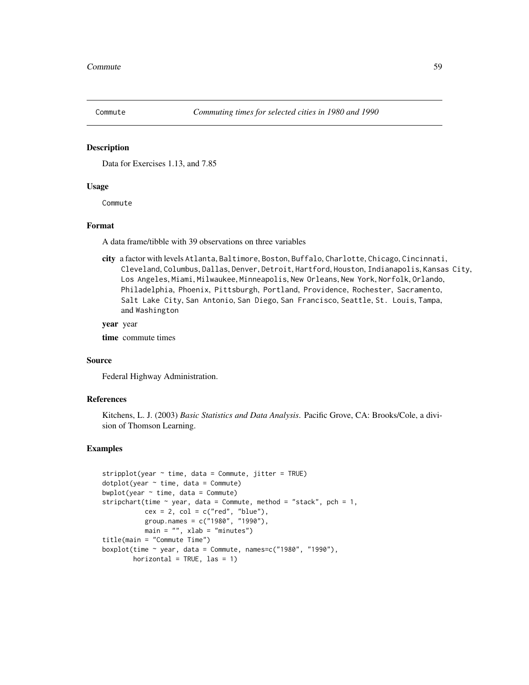Data for Exercises 1.13, and 7.85

### Usage

Commute

#### Format

A data frame/tibble with 39 observations on three variables

city a factor with levels Atlanta, Baltimore, Boston, Buffalo, Charlotte, Chicago, Cincinnati, Cleveland, Columbus, Dallas, Denver, Detroit, Hartford, Houston, Indianapolis, Kansas City, Los Angeles, Miami, Milwaukee, Minneapolis, New Orleans, New York, Norfolk, Orlando, Philadelphia, Phoenix, Pittsburgh, Portland, Providence, Rochester, Sacramento, Salt Lake City, San Antonio, San Diego, San Francisco, Seattle, St. Louis, Tampa, and Washington

#### year year

time commute times

#### Source

Federal Highway Administration.

#### References

Kitchens, L. J. (2003) *Basic Statistics and Data Analysis*. Pacific Grove, CA: Brooks/Cole, a division of Thomson Learning.

```
stripplot(year ~ time, data = Committee, jitter = TRUE)dot(\)ear \sim time, data = Commute)
bwplot(year \sim time, data = Commute)
stripchart(time \sim year, data = Commute, method = "stack", pch = 1,
           cex = 2, col = c("red", "blue"),group.names = c("1980", "1990"),
          main = "", xlab = "minutes")title(main = "Commute Time")
boxplot(time \sim year, data = Commute, names=c("1980", "1990"),
        horizontal = TRUE, las = 1)
```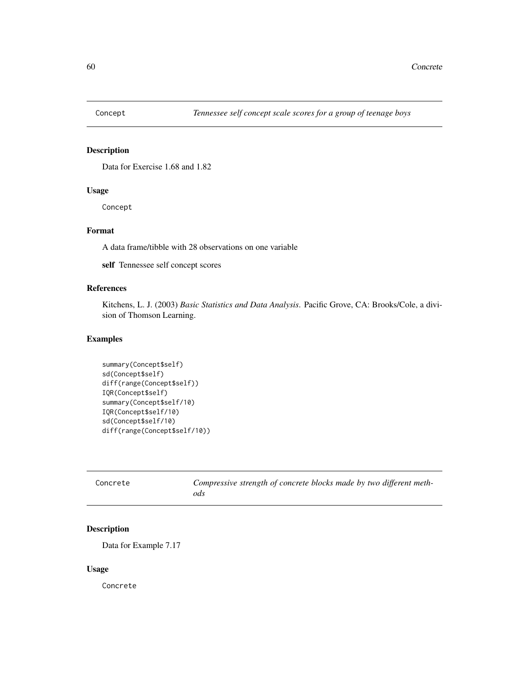Data for Exercise 1.68 and 1.82

# Usage

Concept

### Format

A data frame/tibble with 28 observations on one variable

self Tennessee self concept scores

### References

Kitchens, L. J. (2003) *Basic Statistics and Data Analysis*. Pacific Grove, CA: Brooks/Cole, a division of Thomson Learning.

# Examples

```
summary(Concept$self)
sd(Concept$self)
diff(range(Concept$self))
IQR(Concept$self)
summary(Concept$self/10)
IQR(Concept$self/10)
sd(Concept$self/10)
diff(range(Concept$self/10))
```

| Concrete | Compressive strength of concrete blocks made by two different meth-<br>ods |
|----------|----------------------------------------------------------------------------|
|          |                                                                            |

### Description

Data for Example 7.17

### Usage

Concrete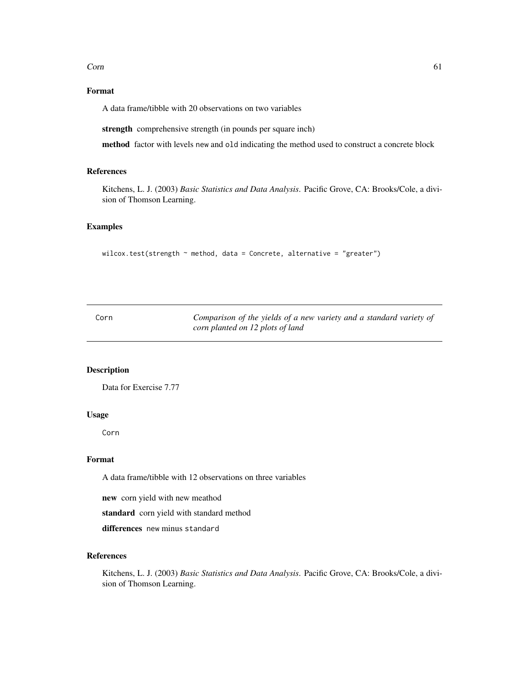$\epsilon$  61

# Format

A data frame/tibble with 20 observations on two variables

strength comprehensive strength (in pounds per square inch)

method factor with levels new and old indicating the method used to construct a concrete block

### References

Kitchens, L. J. (2003) *Basic Statistics and Data Analysis*. Pacific Grove, CA: Brooks/Cole, a division of Thomson Learning.

#### Examples

```
wilcox.test(strength \sim method, data = Concrete, alternative = "greater")
```

| Corn | Comparison of the yields of a new variety and a standard variety of |
|------|---------------------------------------------------------------------|
|      | corn planted on 12 plots of land                                    |

# Description

Data for Exercise 7.77

### Usage

Corn

### Format

A data frame/tibble with 12 observations on three variables

new corn yield with new meathod

standard corn yield with standard method

differences new minus standard

# References

Kitchens, L. J. (2003) *Basic Statistics and Data Analysis*. Pacific Grove, CA: Brooks/Cole, a division of Thomson Learning.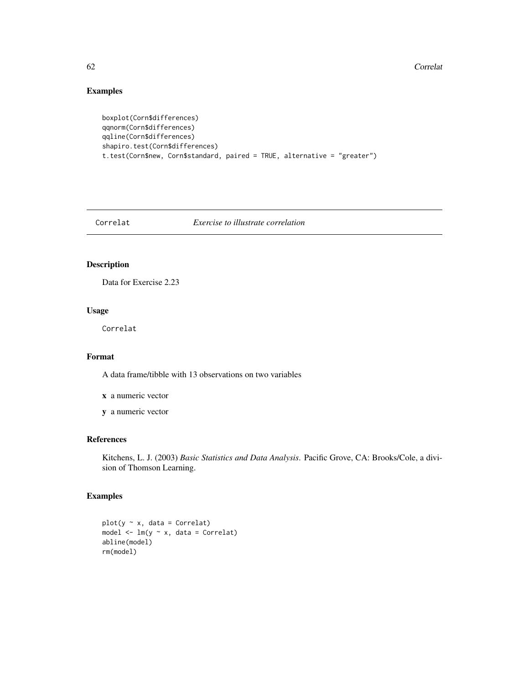#### 62 Correlation Control of the Control of the Control of the Control of the Control of the Control of the Control of the Control of the Control of the Control of the Control of the Control of the Control of the Control of t

# Examples

```
boxplot(Corn$differences)
qqnorm(Corn$differences)
qqline(Corn$differences)
shapiro.test(Corn$differences)
t.test(Corn$new, Corn$standard, paired = TRUE, alternative = "greater")
```
Correlat *Exercise to illustrate correlation*

# Description

Data for Exercise 2.23

# Usage

Correlat

### Format

A data frame/tibble with 13 observations on two variables

x a numeric vector

y a numeric vector

# References

Kitchens, L. J. (2003) *Basic Statistics and Data Analysis*. Pacific Grove, CA: Brooks/Cole, a division of Thomson Learning.

```
plot(y \sim x, data = Correlat)model \leq -\ln(y \sim x, \text{ data} = \text{Correlat})abline(model)
rm(model)
```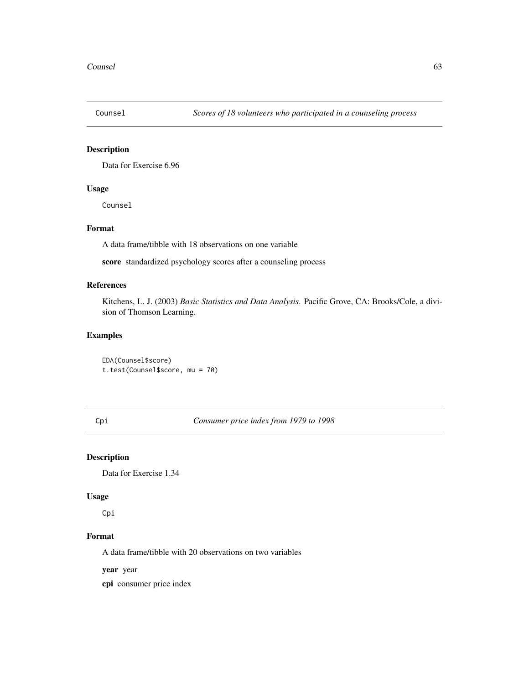Data for Exercise 6.96

# Usage

Counsel

### Format

A data frame/tibble with 18 observations on one variable

score standardized psychology scores after a counseling process

### References

Kitchens, L. J. (2003) *Basic Statistics and Data Analysis*. Pacific Grove, CA: Brooks/Cole, a division of Thomson Learning.

#### Examples

EDA(Counsel\$score) t.test(Counsel\$score, mu = 70)

Cpi *Consumer price index from 1979 to 1998*

# Description

Data for Exercise 1.34

### Usage

Cpi

# Format

A data frame/tibble with 20 observations on two variables

year year

cpi consumer price index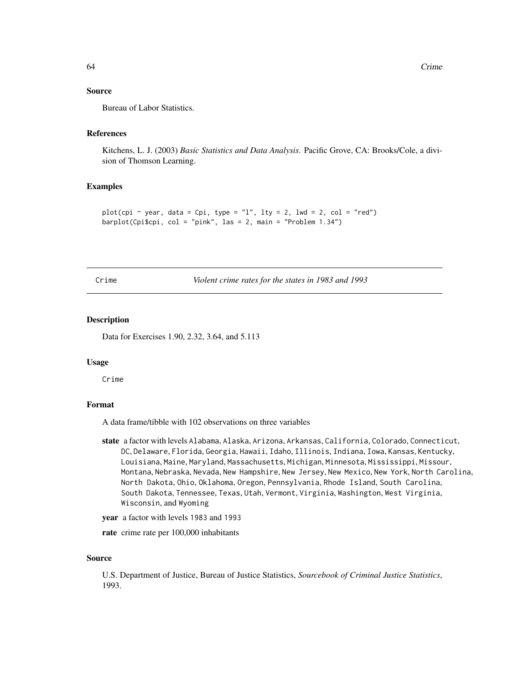### Source

Bureau of Labor Statistics.

### References

Kitchens, L. J. (2003) *Basic Statistics and Data Analysis*. Pacific Grove, CA: Brooks/Cole, a division of Thomson Learning.

#### Examples

```
plot(cpi \sim year, data = Cpi, type = "l", lty = 2, lwd = 2, col = "red")
barplot(Cpi$cpi, col = "pink", las = 2, main = "Problem 1.34")
```

|  |   | c |
|--|---|---|
|  | m |   |
|  |   |   |

Violent crime rates for the states in 1983 and 1993

#### Description

Data for Exercises 1.90, 2.32, 3.64, and 5.113

#### Usage

Crime

# Format

A data frame/tibble with 102 observations on three variables

- state a factor with levels Alabama, Alaska, Arizona, Arkansas, California, Colorado, Connecticut, DC, Delaware, Florida, Georgia, Hawaii, Idaho, Illinois, Indiana, Iowa, Kansas, Kentucky, Louisiana, Maine, Maryland, Massachusetts, Michigan, Minnesota, Mississippi, Missour, Montana, Nebraska, Nevada, New Hampshire, New Jersey, New Mexico, New York, North Carolina, North Dakota, Ohio, Oklahoma, Oregon, Pennsylvania, Rhode Island, South Carolina, South Dakota, Tennessee, Texas, Utah, Vermont, Virginia, Washington, West Virginia, Wisconsin, and Wyoming
- year a factor with levels 1983 and 1993
- rate crime rate per 100,000 inhabitants

#### Source

U.S. Department of Justice, Bureau of Justice Statistics, *Sourcebook of Criminal Justice Statistics*, 1993.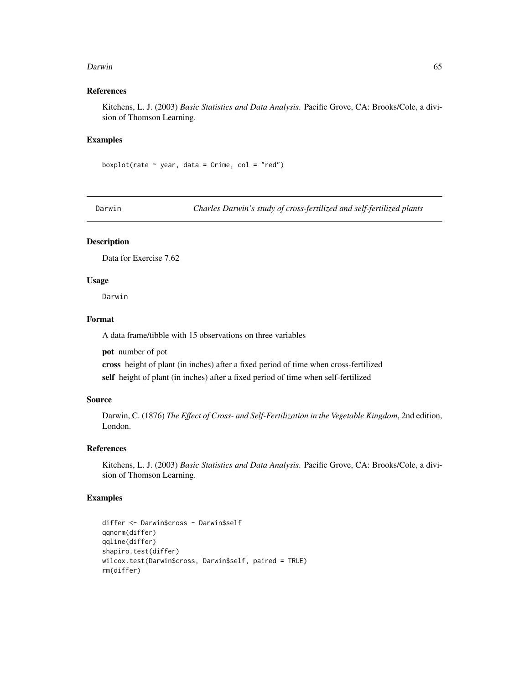#### Darwin 65

### References

Kitchens, L. J. (2003) *Basic Statistics and Data Analysis*. Pacific Grove, CA: Brooks/Cole, a division of Thomson Learning.

#### Examples

boxplot(rate  $\sim$  year, data = Crime, col = "red")

Darwin *Charles Darwin's study of cross-fertilized and self-fertilized plants*

# Description

Data for Exercise 7.62

### Usage

Darwin

# Format

A data frame/tibble with 15 observations on three variables

pot number of pot

cross height of plant (in inches) after a fixed period of time when cross-fertilized self height of plant (in inches) after a fixed period of time when self-fertilized

### Source

Darwin, C. (1876) *The Effect of Cross- and Self-Fertilization in the Vegetable Kingdom*, 2nd edition, London.

# References

Kitchens, L. J. (2003) *Basic Statistics and Data Analysis*. Pacific Grove, CA: Brooks/Cole, a division of Thomson Learning.

```
differ <- Darwin$cross - Darwin$self
qqnorm(differ)
qqline(differ)
shapiro.test(differ)
wilcox.test(Darwin$cross, Darwin$self, paired = TRUE)
rm(differ)
```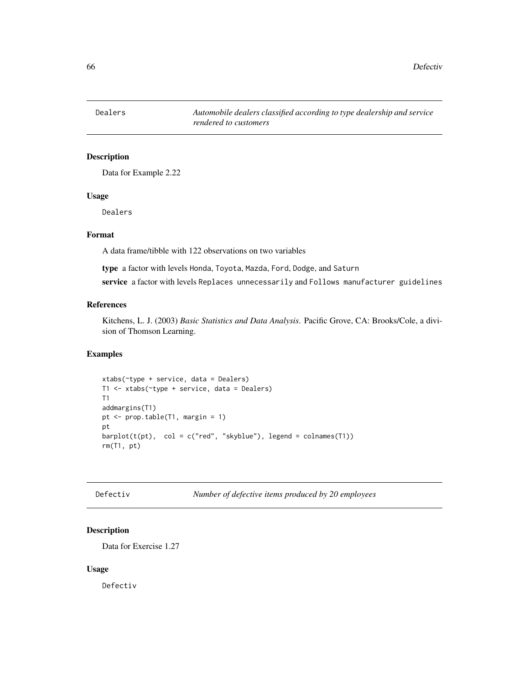Data for Example 2.22

### Usage

Dealers

# Format

A data frame/tibble with 122 observations on two variables

type a factor with levels Honda, Toyota, Mazda, Ford, Dodge, and Saturn

service a factor with levels Replaces unnecessarily and Follows manufacturer guidelines

# References

Kitchens, L. J. (2003) *Basic Statistics and Data Analysis*. Pacific Grove, CA: Brooks/Cole, a division of Thomson Learning.

#### Examples

```
xtabs(~type + service, data = Dealers)
T1 <- xtabs(~type + service, data = Dealers)
T1
addmargins(T1)
pt <- prop.table(T1, margin = 1)
pt
barplot(t(pt), col = c("red", "skyblue"), legend = colnames(T1))rm(T1, pt)
```
Defectiv *Number of defective items produced by 20 employees*

# Description

Data for Exercise 1.27

#### Usage

Defectiv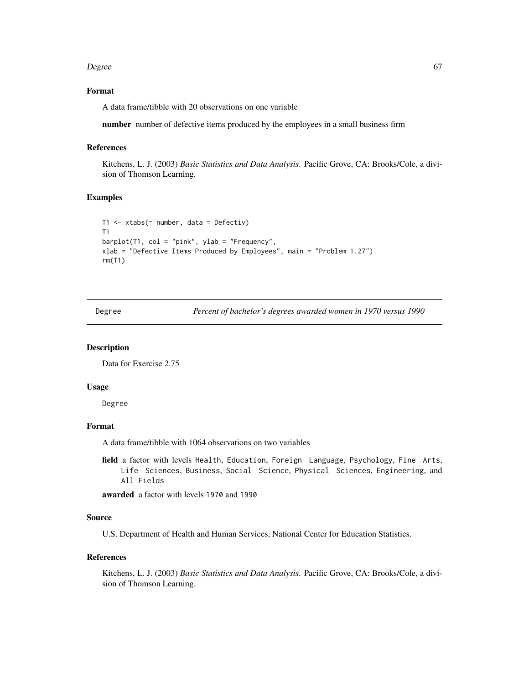#### Degree 67

### Format

A data frame/tibble with 20 observations on one variable

number number of defective items produced by the employees in a small business firm

#### References

Kitchens, L. J. (2003) *Basic Statistics and Data Analysis*. Pacific Grove, CA: Brooks/Cole, a division of Thomson Learning.

### Examples

```
T1 <- xtabs(~ number, data = Defectiv)
T1
barplot(T1, col = "pink", ylab = "Frequency",
xlab = "Defective Items Produced by Employees", main = "Problem 1.27")
rm(T1)
```
Degree *Percent of bachelor's degrees awarded women in 1970 versus 1990*

### Description

Data for Exercise 2.75

#### Usage

Degree

### Format

A data frame/tibble with 1064 observations on two variables

field a factor with levels Health, Education, Foreign Language, Psychology, Fine Arts, Life Sciences, Business, Social Science, Physical Sciences, Engineering, and All Fields

awarded a factor with levels 1970 and 1990

#### Source

U.S. Department of Health and Human Services, National Center for Education Statistics.

#### References

Kitchens, L. J. (2003) *Basic Statistics and Data Analysis*. Pacific Grove, CA: Brooks/Cole, a division of Thomson Learning.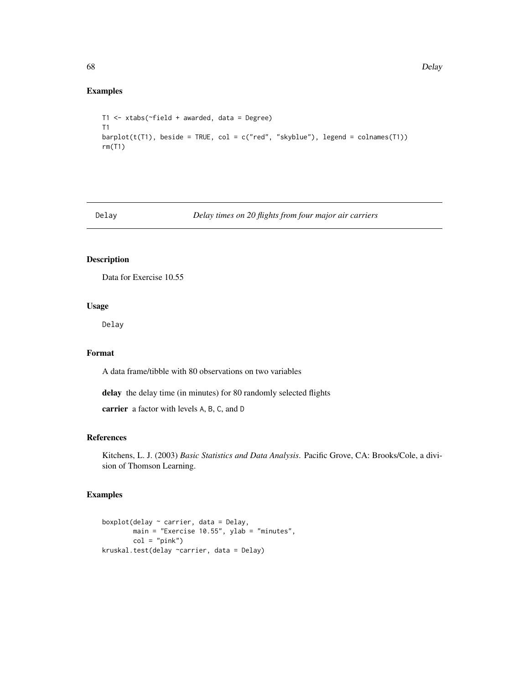### Examples

```
T1 <- xtabs(~field + awarded, data = Degree)
T1
barplot(t(T1), beside = TRUE, col = c("red", "skyblue"), legend = colnames(T1))rm(T1)
```
Delay *Delay times on 20 flights from four major air carriers*

### Description

Data for Exercise 10.55

#### Usage

Delay

# Format

A data frame/tibble with 80 observations on two variables

delay the delay time (in minutes) for 80 randomly selected flights

carrier a factor with levels A, B, C, and D

# References

Kitchens, L. J. (2003) *Basic Statistics and Data Analysis*. Pacific Grove, CA: Brooks/Cole, a division of Thomson Learning.

```
boxplot(delay ~ carrier, data = Delay,
       main = "Exercise 10.55", ylab = "minutes",
       col = "pink")kruskal.test(delay ~carrier, data = Delay)
```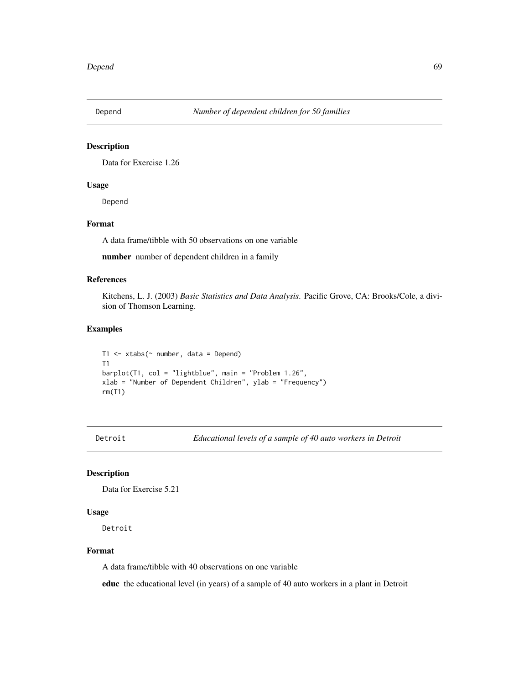Data for Exercise 1.26

# Usage

Depend

# Format

A data frame/tibble with 50 observations on one variable

number number of dependent children in a family

### References

Kitchens, L. J. (2003) *Basic Statistics and Data Analysis*. Pacific Grove, CA: Brooks/Cole, a division of Thomson Learning.

# Examples

```
T1 <- xtabs(\sim number, data = Depend)
T1
barplot(T1, col = "lightblue", main = "Problem 1.26",
xlab = "Number of Dependent Children", ylab = "Frequency")
rm(T1)
```
Detroit *Educational levels of a sample of 40 auto workers in Detroit*

### Description

Data for Exercise 5.21

#### Usage

Detroit

### Format

A data frame/tibble with 40 observations on one variable

educ the educational level (in years) of a sample of 40 auto workers in a plant in Detroit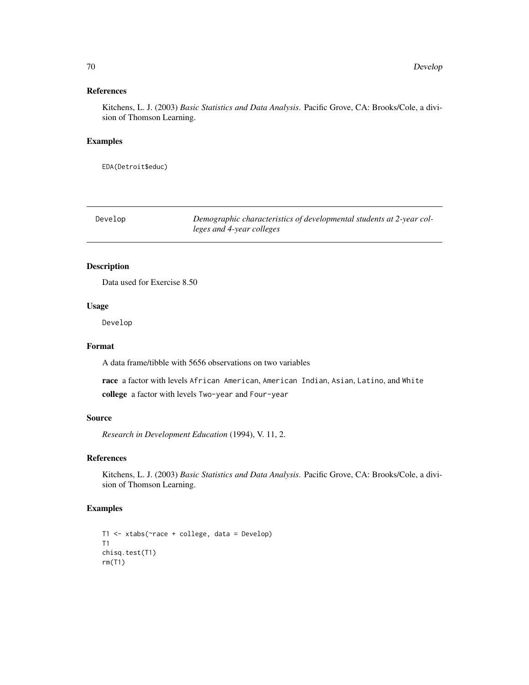### References

Kitchens, L. J. (2003) *Basic Statistics and Data Analysis*. Pacific Grove, CA: Brooks/Cole, a division of Thomson Learning.

#### Examples

EDA(Detroit\$educ)

| Develop | Demographic characteristics of developmental students at 2-year col- |
|---------|----------------------------------------------------------------------|
|         | leges and 4-year colleges                                            |

# Description

Data used for Exercise 8.50

#### Usage

Develop

### Format

A data frame/tibble with 5656 observations on two variables

race a factor with levels African American, American Indian, Asian, Latino, and White college a factor with levels Two-year and Four-year

### Source

*Research in Development Education* (1994), V. 11, 2.

### References

Kitchens, L. J. (2003) *Basic Statistics and Data Analysis*. Pacific Grove, CA: Brooks/Cole, a division of Thomson Learning.

```
T1 <- xtabs(~race + college, data = Develop)
T1
chisq.test(T1)
rm(T1)
```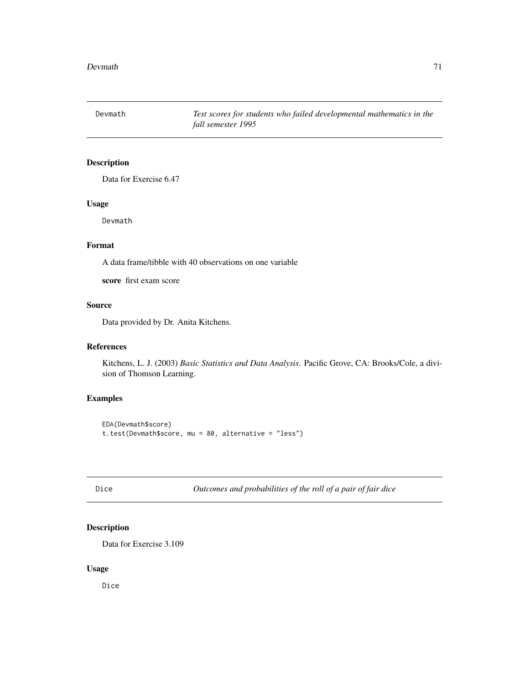Devmath *Test scores for students who failed developmental mathematics in the fall semester 1995*

### Description

Data for Exercise 6.47

# Usage

Devmath

### Format

A data frame/tibble with 40 observations on one variable

score first exam score

# Source

Data provided by Dr. Anita Kitchens.

### References

Kitchens, L. J. (2003) *Basic Statistics and Data Analysis*. Pacific Grove, CA: Brooks/Cole, a division of Thomson Learning.

# Examples

EDA(Devmath\$score) t.test(Devmath\$score, mu = 80, alternative = "less")

Dice *Outcomes and probabilities of the roll of a pair of fair dice*

# Description

Data for Exercise 3.109

### Usage

Dice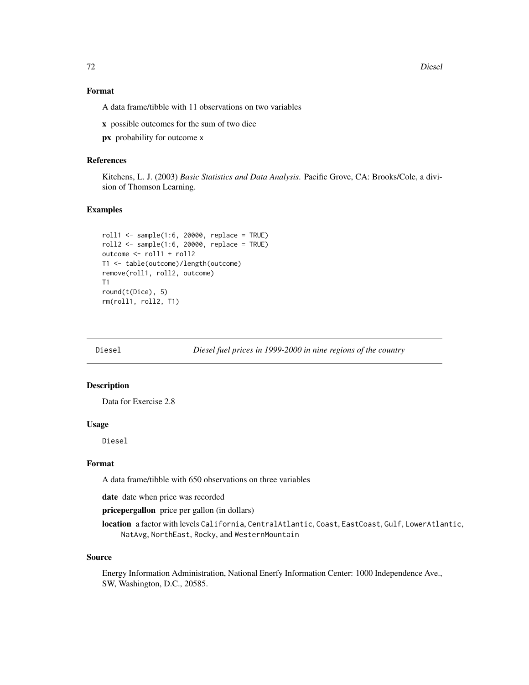72 Diesel

### Format

A data frame/tibble with 11 observations on two variables

x possible outcomes for the sum of two dice

px probability for outcome x

#### References

Kitchens, L. J. (2003) *Basic Statistics and Data Analysis*. Pacific Grove, CA: Brooks/Cole, a division of Thomson Learning.

### Examples

```
roll1 < - sample(1:6, 20000, replace = TRUE)roll2 <- sample(1:6, 20000, replace = TRUE)
outcome <- roll1 + roll2
T1 <- table(outcome)/length(outcome)
remove(roll1, roll2, outcome)
T1
round(t(Dice), 5)
rm(roll1, roll2, T1)
```
Diesel *Diesel fuel prices in 1999-2000 in nine regions of the country*

### Description

Data for Exercise 2.8

### Usage

Diesel

#### Format

A data frame/tibble with 650 observations on three variables

date date when price was recorded

pricepergallon price per gallon (in dollars)

location a factor with levels California, CentralAtlantic, Coast, EastCoast, Gulf, LowerAtlantic, NatAvg, NorthEast, Rocky, and WesternMountain

#### Source

Energy Information Administration, National Enerfy Information Center: 1000 Independence Ave., SW, Washington, D.C., 20585.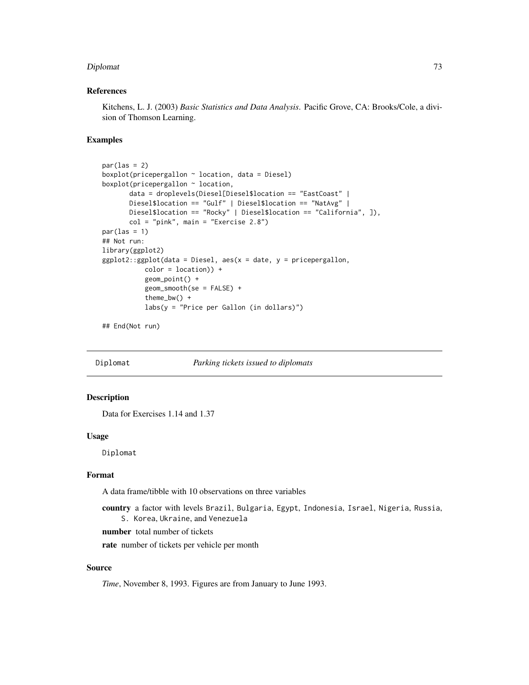#### Diplomat 23

#### References

Kitchens, L. J. (2003) *Basic Statistics and Data Analysis*. Pacific Grove, CA: Brooks/Cole, a division of Thomson Learning.

#### Examples

```
par(las = 2)boxplot(pricepergallon ~ location, data = Diesel)
boxplot(pricepergallon ~ location,
      data = droplevels(Diesel[Diesel$location == "EastCoast" |
      Diesel$location == "Gulf" | Diesel$location == "NatAvg" |
      Diesel$location == "Rocky" | Diesel$location == "California", ]),
      col = "pink", main = "Exercise 2.8")par(las = 1)## Not run:
library(ggplot2)
ggplot2::ggplot(data = Diesel, aes(x = date, y = pricepergallon,color = location) +geom_point() +
          geom_smooth(se = FALSE) +
          theme_bw() +
          labs(y = "Price per Gallon (in dollars)")
```
## End(Not run)

Diplomat *Parking tickets issued to diplomats*

## Description

Data for Exercises 1.14 and 1.37

#### Usage

Diplomat

# Format

A data frame/tibble with 10 observations on three variables

country a factor with levels Brazil, Bulgaria, Egypt, Indonesia, Israel, Nigeria, Russia, S. Korea, Ukraine, and Venezuela

number total number of tickets

rate number of tickets per vehicle per month

#### Source

*Time*, November 8, 1993. Figures are from January to June 1993.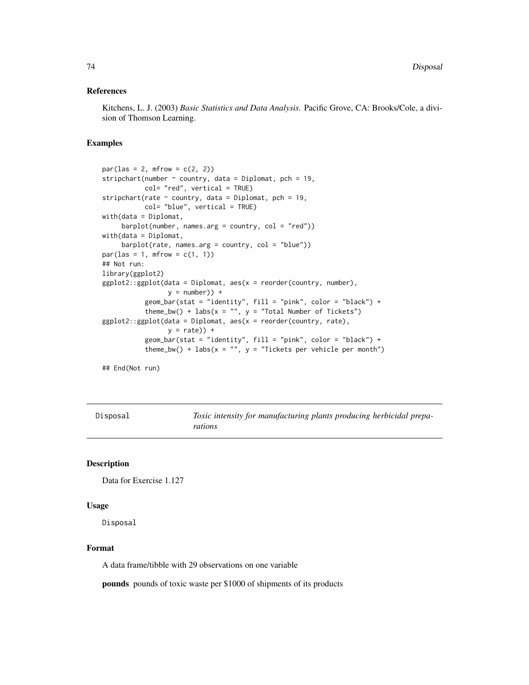#### References

Kitchens, L. J. (2003) *Basic Statistics and Data Analysis*. Pacific Grove, CA: Brooks/Cole, a division of Thomson Learning.

## Examples

```
par(las = 2, mfrom = c(2, 2))stripchart(number \sim country, data = Diplomat, pch = 19,
          col= "red", vertical = TRUE)
stripchart(rate \sim country, data = Diplomat, pch = 19,
          col= "blue", vertical = TRUE)
with(data = Diplomat,
    bar(number, names.arg = country, col = "red"))
with(data = Diplomat,
     barplot(rate, names.arg = country, col = "blue"))
par(las = 1, mfrom = c(1, 1))## Not run:
library(ggplot2)
ggplot2::ggplot(data = Diplomat, aes(x = reorder(country, number),y = number) +
          geom_bar(stat = "identity", fill = "pink", color = "black") +
          theme_bw() + labs(x = "", y = "Total Number of Tickets")
ggplot2::ggplot(data = Diplomat, aes(x = reorder(country, rate),y = rate) +
          geom_bar(stat = "identity", fill = "pink", color = "black") +
           theme_bw() + labs(x = "", y = "Tickets per vehicle per month")
## End(Not run)
```
Disposal *Toxic intensity for manufacturing plants producing herbicidal preparations*

#### Description

```
Data for Exercise 1.127
```
#### Usage

Disposal

#### Format

A data frame/tibble with 29 observations on one variable

pounds pounds of toxic waste per \$1000 of shipments of its products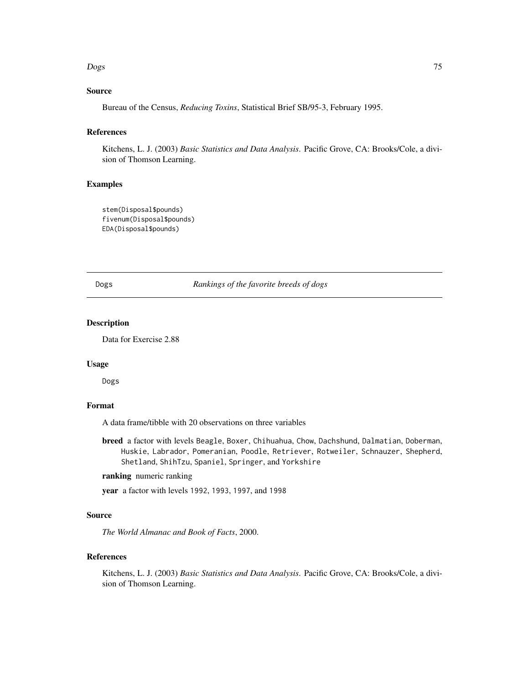#### Dogs 25 and 2012 2013 2014 2015 2016 2017 2022 2023 2024 2025 2020 2021 2022 2023 2024 2022 2023 2024 2022 202

## Source

Bureau of the Census, *Reducing Toxins*, Statistical Brief SB/95-3, February 1995.

#### References

Kitchens, L. J. (2003) *Basic Statistics and Data Analysis*. Pacific Grove, CA: Brooks/Cole, a division of Thomson Learning.

## Examples

```
stem(Disposal$pounds)
fivenum(Disposal$pounds)
EDA(Disposal$pounds)
```
Dogs *Rankings of the favorite breeds of dogs*

## Description

Data for Exercise 2.88

## Usage

Dogs

# Format

A data frame/tibble with 20 observations on three variables

breed a factor with levels Beagle, Boxer, Chihuahua, Chow, Dachshund, Dalmatian, Doberman, Huskie, Labrador, Pomeranian, Poodle, Retriever, Rotweiler, Schnauzer, Shepherd, Shetland, ShihTzu, Spaniel, Springer, and Yorkshire

## ranking numeric ranking

year a factor with levels 1992, 1993, 1997, and 1998

#### Source

*The World Almanac and Book of Facts*, 2000.

# References

Kitchens, L. J. (2003) *Basic Statistics and Data Analysis*. Pacific Grove, CA: Brooks/Cole, a division of Thomson Learning.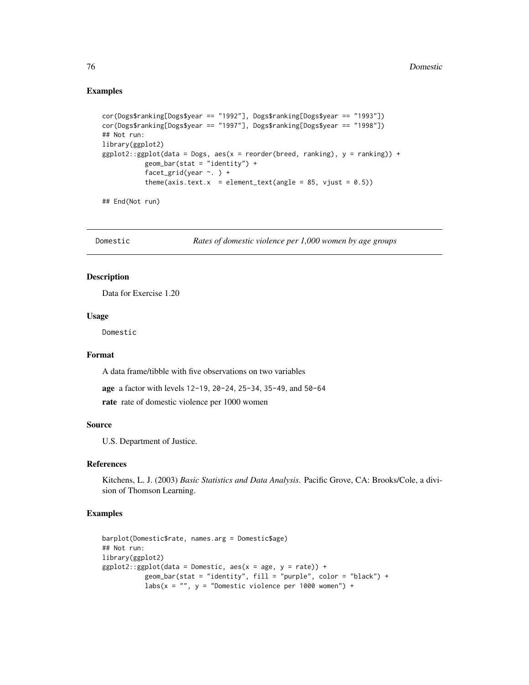## Examples

```
cor(Dogs$ranking[Dogs$year == "1992"], Dogs$ranking[Dogs$year == "1993"])
cor(Dogs$ranking[Dogs$year == "1997"], Dogs$ranking[Dogs$year == "1998"])
## Not run:
library(ggplot2)
ggplot2::ggplot(data = Dogs, aes(x = reorder(breed, ranking), y = ranking)) +geom_bar(stat = "identity") +
           facet_grid(year \sim. ) +
           theme(axis.text.x = element_text(angle = 85, vjust = 0.5))
```
## End(Not run)

Domestic *Rates of domestic violence per 1,000 women by age groups*

## Description

Data for Exercise 1.20

#### Usage

Domestic

# Format

A data frame/tibble with five observations on two variables

age a factor with levels 12-19, 20-24, 25-34, 35-49, and 50-64

rate rate of domestic violence per 1000 women

#### Source

U.S. Department of Justice.

# References

Kitchens, L. J. (2003) *Basic Statistics and Data Analysis*. Pacific Grove, CA: Brooks/Cole, a division of Thomson Learning.

```
barplot(Domestic$rate, names.arg = Domestic$age)
## Not run:
library(ggplot2)
ggplot2::ggplot(data = Domestic, aes(x = age, y = rate)) +geom_bar(stat = "identity", fill = "purple", color = "black") +
          labs(x = "", y = "Domestic violence per 1000 women") +
```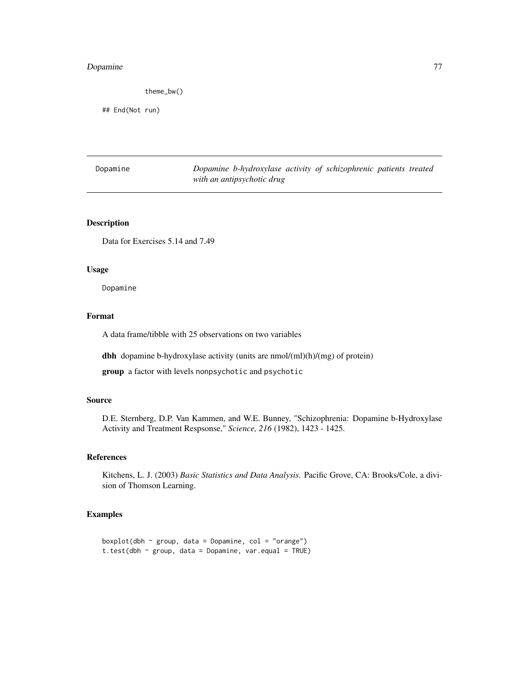# Dopamine 77

theme\_bw()

## End(Not run)

Dopamine *Dopamine b-hydroxylase activity of schizophrenic patients treated with an antipsychotic drug*

## Description

Data for Exercises 5.14 and 7.49

#### Usage

Dopamine

## Format

A data frame/tibble with 25 observations on two variables

dbh dopamine b-hydroxylase activity (units are nmol/(ml)(h)/(mg) of protein)

group a factor with levels nonpsychotic and psychotic

# Source

D.E. Sternberg, D.P. Van Kammen, and W.E. Bunney, "Schizophrenia: Dopamine b-Hydroxylase Activity and Treatment Respsonse," *Science, 216* (1982), 1423 - 1425.

## References

Kitchens, L. J. (2003) *Basic Statistics and Data Analysis*. Pacific Grove, CA: Brooks/Cole, a division of Thomson Learning.

```
boxplot(dbh \sim group, data = Dopamine, col = "orange")
t.test(dbh \sim group, data = Dopamine, var.equal = TRUE)
```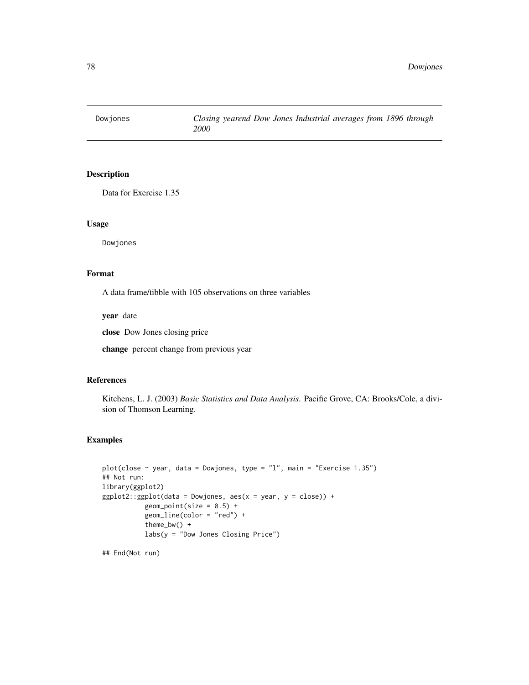Data for Exercise 1.35

# Usage

Dowjones

# Format

A data frame/tibble with 105 observations on three variables

year date

close Dow Jones closing price

change percent change from previous year

# References

Kitchens, L. J. (2003) *Basic Statistics and Data Analysis*. Pacific Grove, CA: Brooks/Cole, a division of Thomson Learning.

#### Examples

```
plot(close \sim year, data = Dowjones, type = "1", main = "Exercise 1.35")
## Not run:
library(ggplot2)
ggplot2::ggplot(data = Dowjones, aes(x = year, y = close)) +geom\_point(size = 0.5) +geom_line(color = "red") +
           theme_bw() +
           labs(y = "Down Jones Classing Price")
```
## End(Not run)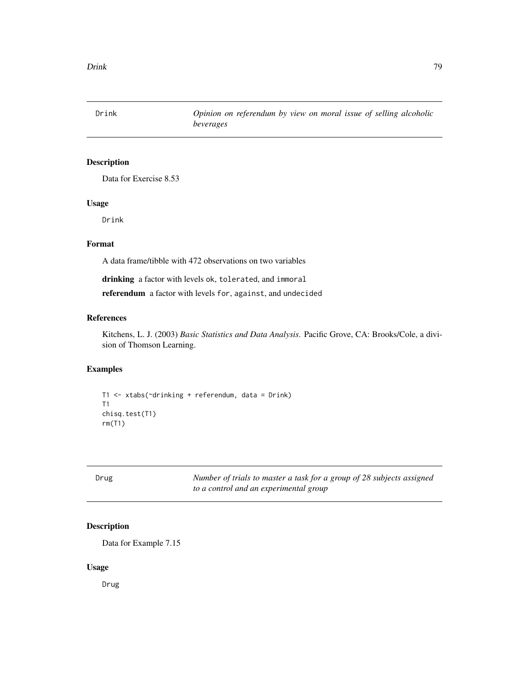Drink *Opinion on referendum by view on moral issue of selling alcoholic beverages*

# Description

Data for Exercise 8.53

## Usage

Drink

## Format

A data frame/tibble with 472 observations on two variables

drinking a factor with levels ok, tolerated, and immoral

referendum a factor with levels for, against, and undecided

#### References

Kitchens, L. J. (2003) *Basic Statistics and Data Analysis*. Pacific Grove, CA: Brooks/Cole, a division of Thomson Learning.

## Examples

```
T1 <- xtabs(~drinking + referendum, data = Drink)
T1
chisq.test(T1)
rm(T1)
```

| ۰.<br>.,<br>×<br>×<br>۰. |
|--------------------------|
|--------------------------|

Number of trials to master a task for a group of 28 subjects assigned *to a control and an experimental group*

## Description

Data for Example 7.15

## Usage

Drug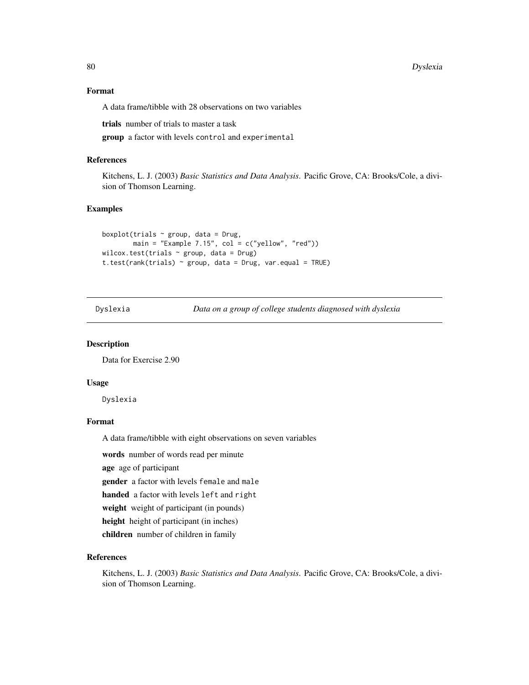80 Dyslexia and the contract of the contract of the contract of the contract of the contract of the contract of the contract of the contract of the contract of the contract of the contract of the contract of the contract o

## Format

A data frame/tibble with 28 observations on two variables

trials number of trials to master a task

group a factor with levels control and experimental

#### References

Kitchens, L. J. (2003) *Basic Statistics and Data Analysis*. Pacific Grove, CA: Brooks/Cole, a division of Thomson Learning.

## Examples

```
boxplot(trials \sim group, data = Drug,
        main = "Example 7.15", col = c("yellow", "red"))wilcox.test(trials \sim group, data = Drug)
t.test(rank(trials) \sim group, data = Drug, var.equal = TRUE)
```
Dyslexia *Data on a group of college students diagnosed with dyslexia*

#### Description

Data for Exercise 2.90

#### Usage

Dyslexia

### Format

A data frame/tibble with eight observations on seven variables

words number of words read per minute

age age of participant

gender a factor with levels female and male

handed a factor with levels left and right

weight weight of participant (in pounds)

height height of participant (in inches)

children number of children in family

## References

Kitchens, L. J. (2003) *Basic Statistics and Data Analysis*. Pacific Grove, CA: Brooks/Cole, a division of Thomson Learning.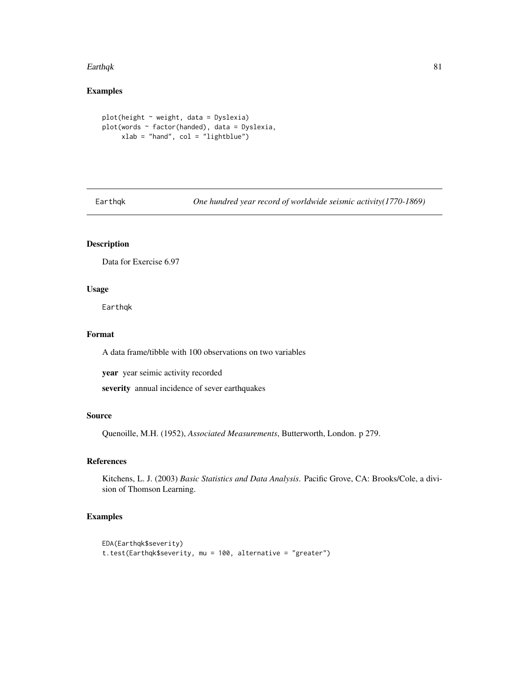#### Earthqk 81

# Examples

```
plot(height ~ weight, data = Dyslexia)
plot(words ~ factor(handed), data = Dyslexia,
     xlab = "hand", col = "lightblue")
```
Earthqk *One hundred year record of worldwide seismic activity(1770-1869)*

# Description

Data for Exercise 6.97

## Usage

Earthqk

# Format

A data frame/tibble with 100 observations on two variables

year year seimic activity recorded

severity annual incidence of sever earthquakes

#### Source

Quenoille, M.H. (1952), *Associated Measurements*, Butterworth, London. p 279.

## References

Kitchens, L. J. (2003) *Basic Statistics and Data Analysis*. Pacific Grove, CA: Brooks/Cole, a division of Thomson Learning.

```
EDA(Earthqk$severity)
t.test(Earthqk$severity, mu = 100, alternative = "greater")
```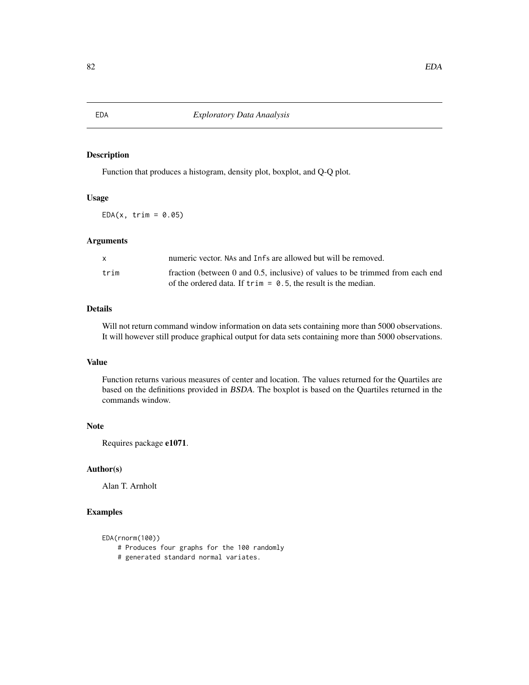Function that produces a histogram, density plot, boxplot, and Q-Q plot.

## Usage

 $EDA(x, trim = 0.05)$ 

#### Arguments

| X    | numeric vector. NAs and Infs are allowed but will be removed.                                                                                            |
|------|----------------------------------------------------------------------------------------------------------------------------------------------------------|
| trim | fraction (between 0 and 0.5, inclusive) of values to be trimmed from each end<br>of the ordered data. If $\text{trim} = 0.5$ , the result is the median. |

# Details

Will not return command window information on data sets containing more than 5000 observations. It will however still produce graphical output for data sets containing more than 5000 observations.

# Value

Function returns various measures of center and location. The values returned for the Quartiles are based on the definitions provided in BSDA. The boxplot is based on the Quartiles returned in the commands window.

## Note

Requires package e1071.

# Author(s)

Alan T. Arnholt

```
EDA(rnorm(100))
```
- # Produces four graphs for the 100 randomly
- # generated standard normal variates.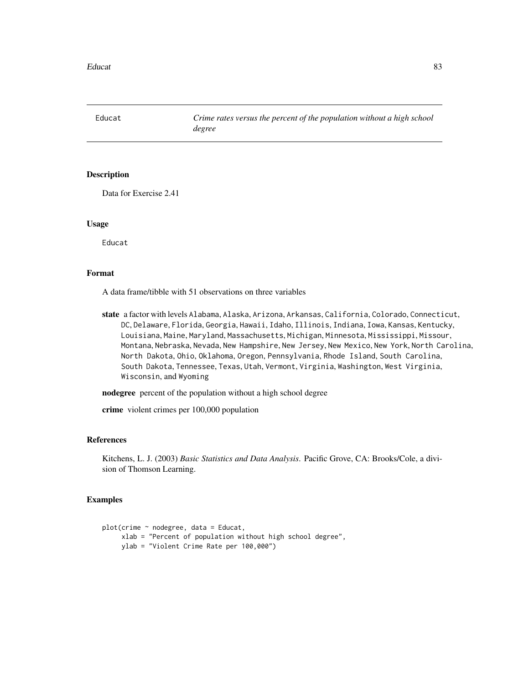Data for Exercise 2.41

### Usage

Educat

# Format

A data frame/tibble with 51 observations on three variables

state a factor with levels Alabama, Alaska, Arizona, Arkansas, California, Colorado, Connecticut, DC, Delaware, Florida, Georgia, Hawaii, Idaho, Illinois, Indiana, Iowa, Kansas, Kentucky, Louisiana, Maine, Maryland, Massachusetts, Michigan, Minnesota, Mississippi, Missour, Montana, Nebraska, Nevada, New Hampshire, New Jersey, New Mexico, New York, North Carolina, North Dakota, Ohio, Oklahoma, Oregon, Pennsylvania, Rhode Island, South Carolina, South Dakota, Tennessee, Texas, Utah, Vermont, Virginia, Washington, West Virginia, Wisconsin, and Wyoming

nodegree percent of the population without a high school degree

crime violent crimes per 100,000 population

## References

Kitchens, L. J. (2003) *Basic Statistics and Data Analysis*. Pacific Grove, CA: Brooks/Cole, a division of Thomson Learning.

```
plot(crime ~ nodegree, data = Educat,
     xlab = "Percent of population without high school degree",
    ylab = "Violent Crime Rate per 100,000")
```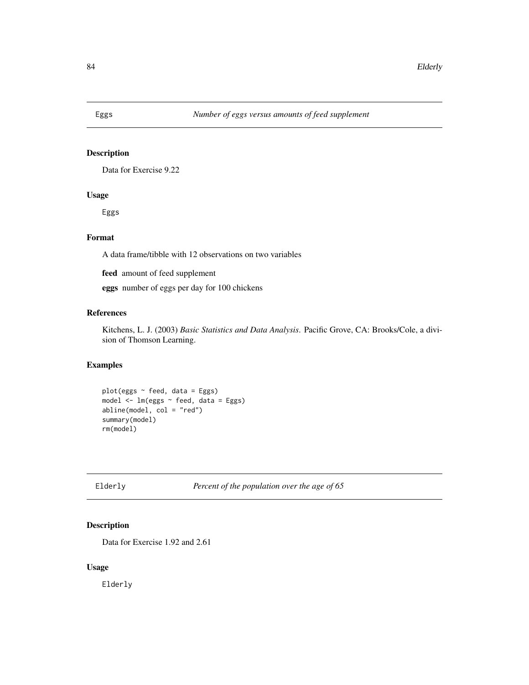Data for Exercise 9.22

# Usage

Eggs

# Format

A data frame/tibble with 12 observations on two variables

feed amount of feed supplement

eggs number of eggs per day for 100 chickens

# References

Kitchens, L. J. (2003) *Basic Statistics and Data Analysis*. Pacific Grove, CA: Brooks/Cole, a division of Thomson Learning.

## Examples

```
plot(eggs ~ feed, data = Eggs)
model <- lm(eggs ~ feed, data = Eggs)
abline(model, col = "red")
summary(model)
rm(model)
```
Elderly *Percent of the population over the age of 65*

## Description

Data for Exercise 1.92 and 2.61

## Usage

Elderly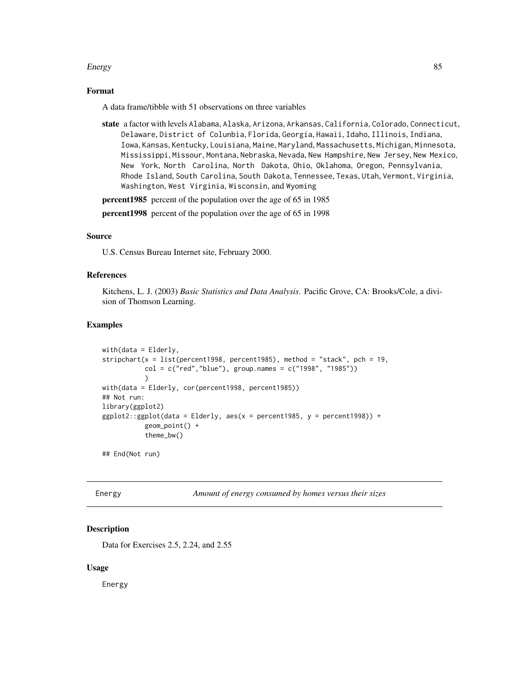#### Energy 85

## Format

A data frame/tibble with 51 observations on three variables

state a factor with levels Alabama, Alaska, Arizona, Arkansas, California, Colorado, Connecticut, Delaware, District of Colunbia, Florida, Georgia, Hawaii, Idaho, Illinois, Indiana, Iowa, Kansas, Kentucky, Louisiana, Maine, Maryland, Massachusetts, Michigan, Minnesota, Mississippi, Missour, Montana, Nebraska, Nevada, New Hampshire, New Jersey, New Mexico, New York, North Carolina, North Dakota, Ohio, Oklahoma, Oregon, Pennsylvania, Rhode Island, South Carolina, South Dakota, Tennessee, Texas, Utah, Vermont, Virginia, Washington, West Virginia, Wisconsin, and Wyoming

**percent1985** percent of the population over the age of 65 in 1985

percent1998 percent of the population over the age of 65 in 1998

#### Source

U.S. Census Bureau Internet site, February 2000.

## References

Kitchens, L. J. (2003) *Basic Statistics and Data Analysis*. Pacific Grove, CA: Brooks/Cole, a division of Thomson Learning.

#### Examples

```
with(data = Elderly,
stripchart(x = list(percent1998, percent1985), method = "stack", pch = 19,col = c("red", "blue"), group.names = c("1998", "1985")))
with(data = Elderly, cor(percent1998, percent1985))
## Not run:
library(ggplot2)
ggplot2::ggplot(data = Elderly, aes(x = percent1985, y = percent1998)) +geom_point() +
           theme_bw()
```
## End(Not run)

Energy *Amount of energy consumed by homes versus their sizes*

## Description

Data for Exercises 2.5, 2.24, and 2.55

#### Usage

Energy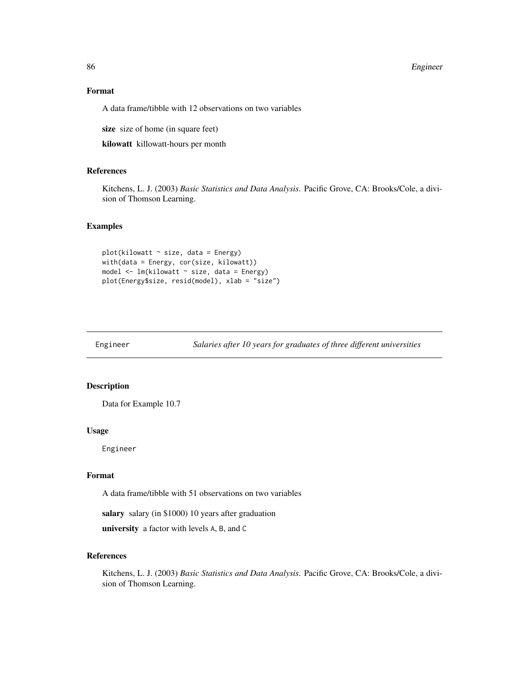#### 86 Engineer and the state of the state of the state of the state of the state of the state of the state of the state of the state of the state of the state of the state of the state of the state of the state of the state o

## Format

A data frame/tibble with 12 observations on two variables

size size of home (in square feet)

kilowatt killowatt-hours per month

# References

Kitchens, L. J. (2003) *Basic Statistics and Data Analysis*. Pacific Grove, CA: Brooks/Cole, a division of Thomson Learning.

#### Examples

```
plot(kilowatt ~ size, data = Energy)with(data = Energy, cor(size, kilowatt))
model <- lm(kilowatt ~ size, data = Energy)
plot(Energy$size, resid(model), xlab = "size")
```
Engineer *Salaries after 10 years for graduates of three different universities*

## Description

Data for Example 10.7

#### Usage

Engineer

## Format

A data frame/tibble with 51 observations on two variables

salary salary (in \$1000) 10 years after graduation

university a factor with levels A, B, and C

## References

Kitchens, L. J. (2003) *Basic Statistics and Data Analysis*. Pacific Grove, CA: Brooks/Cole, a division of Thomson Learning.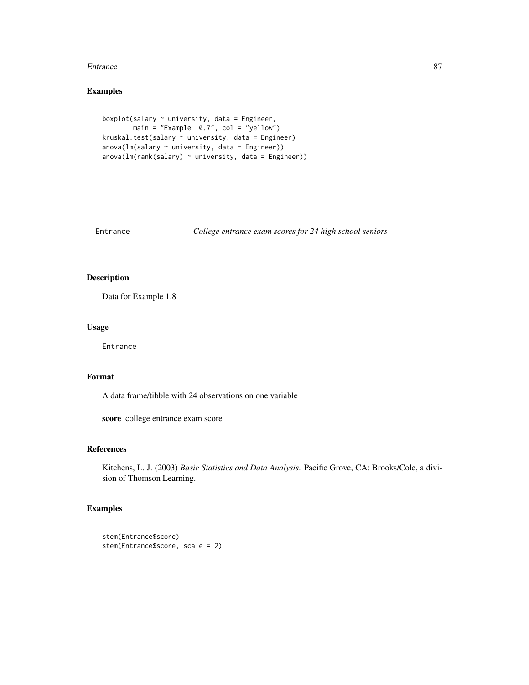#### Entrance 87

# Examples

```
boxplot(salary ~ university, data = Engineer,
        main = "Example 10.7", col = "yellow")
kruskal.test(salary ~ university, data = Engineer)
anova(Im(salary ~ university, data = Engineering))anova(Im(rank(salary) ~< university, data = Engineering))
```
Entrance *College entrance exam scores for 24 high school seniors*

## Description

Data for Example 1.8

## Usage

Entrance

## Format

A data frame/tibble with 24 observations on one variable

score college entrance exam score

## References

Kitchens, L. J. (2003) *Basic Statistics and Data Analysis*. Pacific Grove, CA: Brooks/Cole, a division of Thomson Learning.

```
stem(Entrance$score)
stem(Entrance$score, scale = 2)
```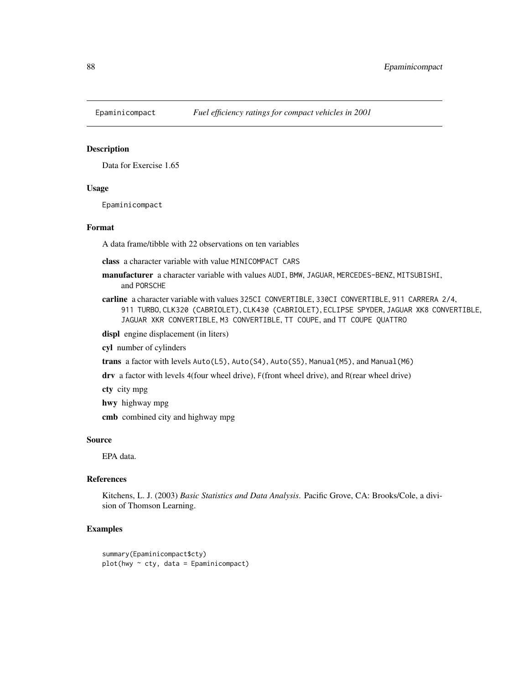Data for Exercise 1.65

#### Usage

Epaminicompact

## Format

A data frame/tibble with 22 observations on ten variables

class a character variable with value MINICOMPACT CARS

- manufacturer a character variable with values AUDI, BMW, JAGUAR, MERCEDES-BENZ, MITSUBISHI, and PORSCHE
- carline a character variable with values 325CI CONVERTIBLE, 330CI CONVERTIBLE, 911 CARRERA 2/4, 911 TURBO, CLK320 (CABRIOLET), CLK430 (CABRIOLET), ECLIPSE SPYDER, JAGUAR XK8 CONVERTIBLE, JAGUAR XKR CONVERTIBLE, M3 CONVERTIBLE, TT COUPE, and TT COUPE QUATTRO
- displ engine displacement (in liters)
- cyl number of cylinders

trans a factor with levels Auto(L5), Auto(S4), Auto(S5), Manual(M5), and Manual(M6)

drv a factor with levels 4(four wheel drive), F(front wheel drive), and R(rear wheel drive)

cty city mpg

hwy highway mpg

cmb combined city and highway mpg

#### Source

EPA data.

## References

Kitchens, L. J. (2003) *Basic Statistics and Data Analysis*. Pacific Grove, CA: Brooks/Cole, a division of Thomson Learning.

```
summary(Epaminicompact$cty)
plot(hwy ~ cty, data = Epaminicompack)
```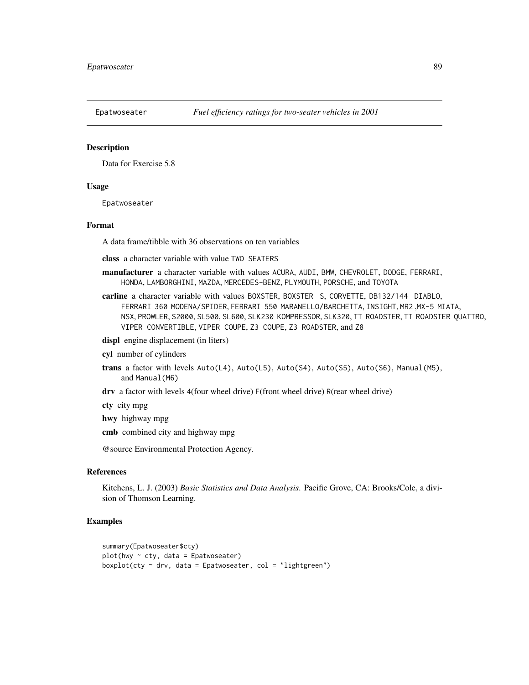Data for Exercise 5.8

#### Usage

Epatwoseater

#### Format

A data frame/tibble with 36 observations on ten variables

class a character variable with value TWO SEATERS

- manufacturer a character variable with values ACURA, AUDI, BMW, CHEVROLET, DODGE, FERRARI, HONDA, LAMBORGHINI, MAZDA, MERCEDES-BENZ, PLYMOUTH, PORSCHE, and TOYOTA
- carline a character variable with values BOXSTER, BOXSTER S, CORVETTE, DB132/144 DIABLO, FERRARI 360 MODENA/SPIDER, FERRARI 550 MARANELLO/BARCHETTA, INSIGHT, MR2 ,MX-5 MIATA, NSX, PROWLER, S2000, SL500, SL600, SLK230 KOMPRESSOR, SLK320, TT ROADSTER, TT ROADSTER QUATTRO, VIPER CONVERTIBLE, VIPER COUPE, Z3 COUPE, Z3 ROADSTER, and Z8

displ engine displacement (in liters)

cyl number of cylinders

- trans a factor with levels Auto(L4), Auto(L5), Auto(S4), Auto(S5), Auto(S6), Manual(M5), and Manual(M6)
- drv a factor with levels 4(four wheel drive) F(front wheel drive) R(rear wheel drive)

cty city mpg

hwy highway mpg

cmb combined city and highway mpg

@source Environmental Protection Agency.

#### References

Kitchens, L. J. (2003) *Basic Statistics and Data Analysis*. Pacific Grove, CA: Brooks/Cole, a division of Thomson Learning.

```
summary(Epatwoseater$cty)
plot(hwy ~ cty, data = Epatwoseater)
boxplot(cty \sim drv, data = Epatwoseater, col = "lightgreen")
```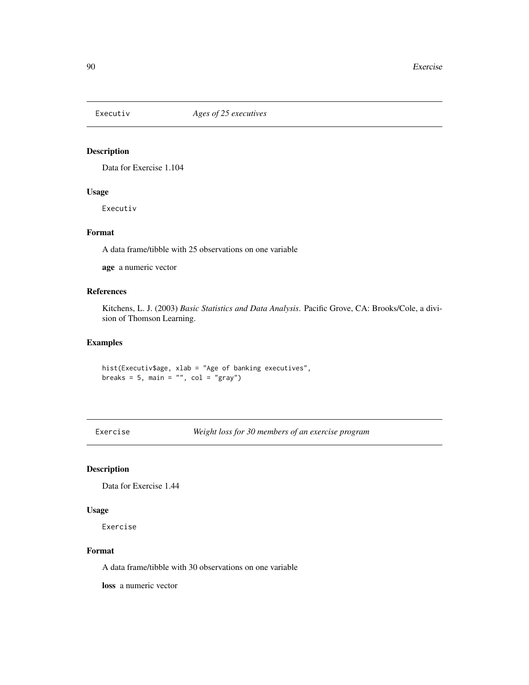Data for Exercise 1.104

## Usage

Executiv

# Format

A data frame/tibble with 25 observations on one variable

age a numeric vector

## References

Kitchens, L. J. (2003) *Basic Statistics and Data Analysis*. Pacific Grove, CA: Brooks/Cole, a division of Thomson Learning.

## Examples

hist(Executiv\$age, xlab = "Age of banking executives", breaks =  $5$ , main = "", col = "gray")

Exercise *Weight loss for 30 members of an exercise program*

## Description

Data for Exercise 1.44

## Usage

Exercise

#### Format

A data frame/tibble with 30 observations on one variable

loss a numeric vector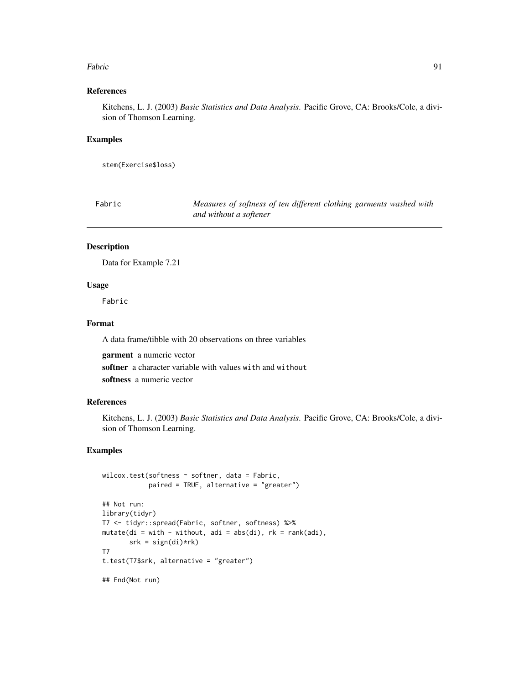#### Fabric 91

# References

Kitchens, L. J. (2003) *Basic Statistics and Data Analysis*. Pacific Grove, CA: Brooks/Cole, a division of Thomson Learning.

#### Examples

stem(Exercise\$loss)

| Fabric | Measures of softness of ten different clothing garments washed with |
|--------|---------------------------------------------------------------------|
|        | and without a softener                                              |

#### Description

Data for Example 7.21

#### Usage

Fabric

# Format

A data frame/tibble with 20 observations on three variables

garment a numeric vector

softner a character variable with values with and without softness a numeric vector

## References

Kitchens, L. J. (2003) *Basic Statistics and Data Analysis*. Pacific Grove, CA: Brooks/Cole, a division of Thomson Learning.

```
wilcox.test(softness ~ softner, data = Fabric,
            paired = TRUE, alternative = "greater")
## Not run:
library(tidyr)
T7 <- tidyr::spread(Fabric, softner, softness) %>%
mutate(di = with - without, adi = abs(di), rk = rank(adi),
       srk = sign(di)*rk)
T7
t.test(T7$srk, alternative = "greater")
## End(Not run)
```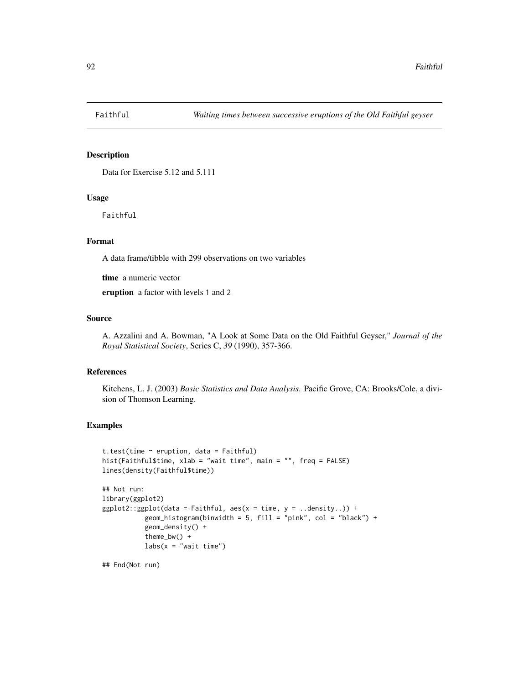Data for Exercise 5.12 and 5.111

## Usage

Faithful

# Format

A data frame/tibble with 299 observations on two variables

time a numeric vector

eruption a factor with levels 1 and 2

# Source

A. Azzalini and A. Bowman, "A Look at Some Data on the Old Faithful Geyser," *Journal of the Royal Statistical Society*, Series C, *39* (1990), 357-366.

## References

Kitchens, L. J. (2003) *Basic Statistics and Data Analysis*. Pacific Grove, CA: Brooks/Cole, a division of Thomson Learning.

## Examples

```
t.test(time ~ eruption, data = Faithful)
hist(Faithful$time, xlab = "wait time", main = "", freq = FALSE)
lines(density(Faithful$time))
## Not run:
library(ggplot2)
ggplot2::ggplot(data = Faithful, aes(x = time, y = ..density.)) +geom_histogram(binwidth = 5, fill = "pink", col = "black") +
          geom_density() +
          theme_bw() +
          labs(x = "wait time")
```
## End(Not run)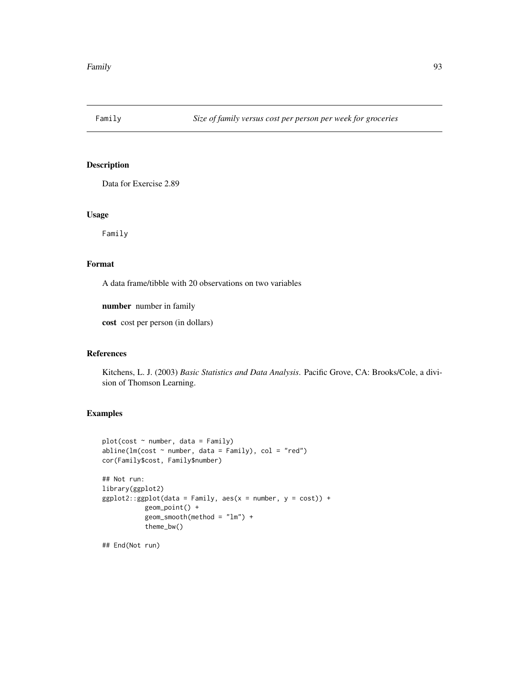Data for Exercise 2.89

## Usage

Family

# Format

A data frame/tibble with 20 observations on two variables

number number in family

cost cost per person (in dollars)

## References

Kitchens, L. J. (2003) *Basic Statistics and Data Analysis*. Pacific Grove, CA: Brooks/Cole, a division of Thomson Learning.

# Examples

```
plot(cost ~ number, data = Family)
abline(lm(cost ~ number, data = Family), col = "red")cor(Family$cost, Family$number)
## Not run:
library(ggplot2)
ggplot2::ggplot(data = Family, aes(x = number, y = cost)) +geom_point() +
          geom_smooth(method = "lm") +
           theme_bw()
```
## End(Not run)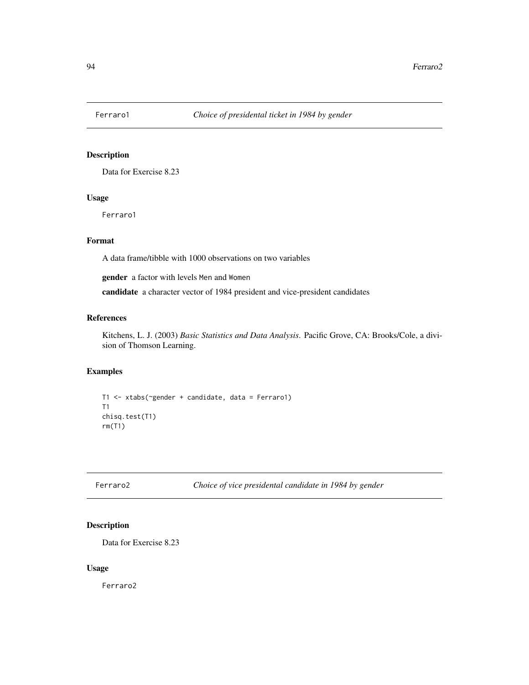Data for Exercise 8.23

# Usage

Ferraro1

# Format

A data frame/tibble with 1000 observations on two variables

gender a factor with levels Men and Women

candidate a character vector of 1984 president and vice-president candidates

## References

Kitchens, L. J. (2003) *Basic Statistics and Data Analysis*. Pacific Grove, CA: Brooks/Cole, a division of Thomson Learning.

# Examples

```
T1 <- xtabs(~gender + candidate, data = Ferraro1)
T1
chisq.test(T1)
rm(T1)
```
Ferraro2 *Choice of vice presidental candidate in 1984 by gender*

## Description

Data for Exercise 8.23

## Usage

Ferraro2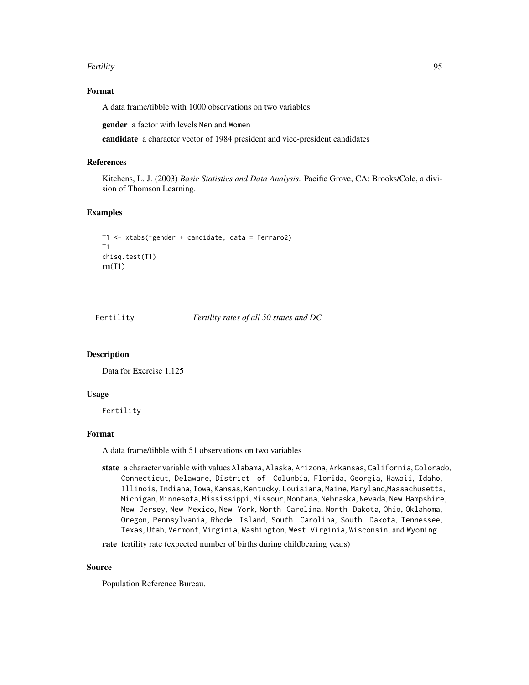#### Fertility 95

# Format

A data frame/tibble with 1000 observations on two variables

gender a factor with levels Men and Women

candidate a character vector of 1984 president and vice-president candidates

#### References

Kitchens, L. J. (2003) *Basic Statistics and Data Analysis*. Pacific Grove, CA: Brooks/Cole, a division of Thomson Learning.

## Examples

```
T1 <- xtabs(~gender + candidate, data = Ferraro2)
T1
chisq.test(T1)
rm(T1)
```
Fertility *Fertility rates of all 50 states and DC*

#### Description

Data for Exercise 1.125

#### Usage

Fertility

## Format

A data frame/tibble with 51 observations on two variables

state a character variable with values Alabama, Alaska, Arizona, Arkansas, California, Colorado, Connecticut, Delaware, District of Colunbia, Florida, Georgia, Hawaii, Idaho, Illinois, Indiana, Iowa, Kansas, Kentucky, Louisiana, Maine, Maryland,Massachusetts, Michigan, Minnesota, Mississippi, Missour, Montana, Nebraska, Nevada, New Hampshire, New Jersey, New Mexico, New York, North Carolina, North Dakota, Ohio, Oklahoma, Oregon, Pennsylvania, Rhode Island, South Carolina, South Dakota, Tennessee, Texas, Utah, Vermont, Virginia, Washington, West Virginia, Wisconsin, and Wyoming

rate fertility rate (expected number of births during childbearing years)

#### Source

Population Reference Bureau.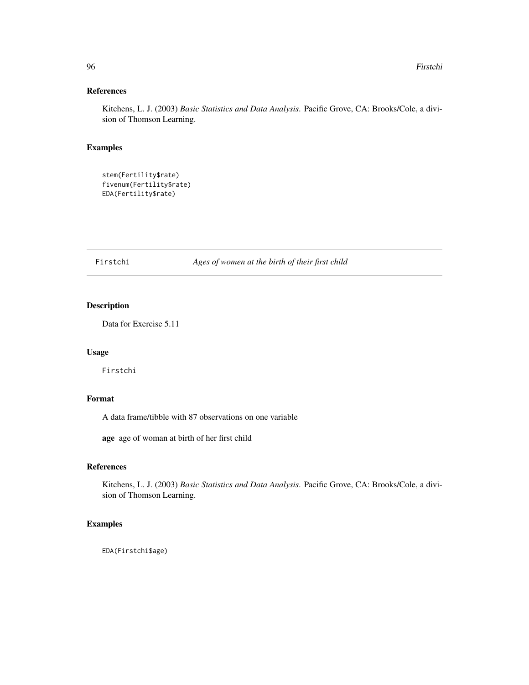## References

Kitchens, L. J. (2003) *Basic Statistics and Data Analysis*. Pacific Grove, CA: Brooks/Cole, a division of Thomson Learning.

# Examples

```
stem(Fertility$rate)
fivenum(Fertility$rate)
EDA(Fertility$rate)
```
Firstchi *Ages of women at the birth of their first child*

# Description

Data for Exercise 5.11

## Usage

Firstchi

# Format

A data frame/tibble with 87 observations on one variable

age age of woman at birth of her first child

# References

Kitchens, L. J. (2003) *Basic Statistics and Data Analysis*. Pacific Grove, CA: Brooks/Cole, a division of Thomson Learning.

# Examples

EDA(Firstchi\$age)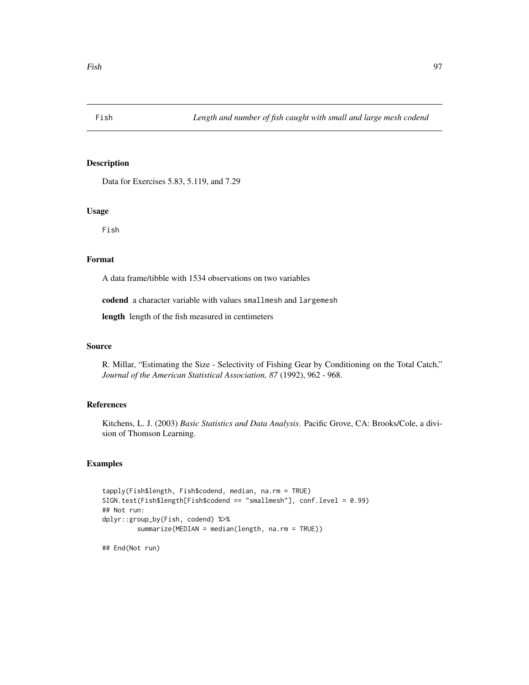Data for Exercises 5.83, 5.119, and 7.29

#### Usage

Fish

# Format

A data frame/tibble with 1534 observations on two variables

codend a character variable with values smallmesh and largemesh

length length of the fish measured in centimeters

## Source

R. Millar, "Estimating the Size - Selectivity of Fishing Gear by Conditioning on the Total Catch," *Journal of the American Statistical Association, 87* (1992), 962 - 968.

# References

Kitchens, L. J. (2003) *Basic Statistics and Data Analysis*. Pacific Grove, CA: Brooks/Cole, a division of Thomson Learning.

## Examples

```
tapply(Fish$length, Fish$codend, median, na.rm = TRUE)
SIGN.test(Fish$length[Fish$codend == "smallmesh"], conf.level = 0.99)
## Not run:
dplyr::group_by(Fish, codend) %>%
         summarize(MEDIAN = median(length, na.rm = TRUE))
```
## End(Not run)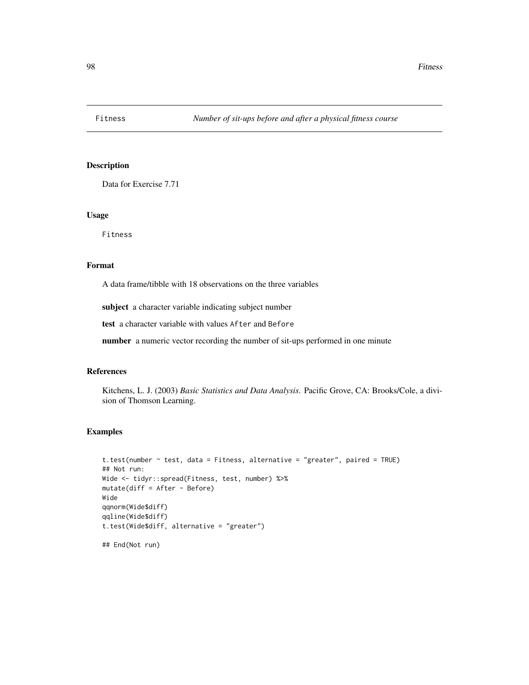Data for Exercise 7.71

## Usage

Fitness

#### Format

A data frame/tibble with 18 observations on the three variables

subject a character variable indicating subject number

test a character variable with values After and Before

number a numeric vector recording the number of sit-ups performed in one minute

# References

Kitchens, L. J. (2003) *Basic Statistics and Data Analysis*. Pacific Grove, CA: Brooks/Cole, a division of Thomson Learning.

#### Examples

## End(Not run)

```
t.test(number ~ test, data = Fitness, alternative = "greater", paired = TRUE)
## Not run:
Wide <- tidyr::spread(Fitness, test, number) %>%
mutate(diff = After - Before)
Wide
qqnorm(Wide$diff)
qqline(Wide$diff)
t.test(Wide$diff, alternative = "greater")
```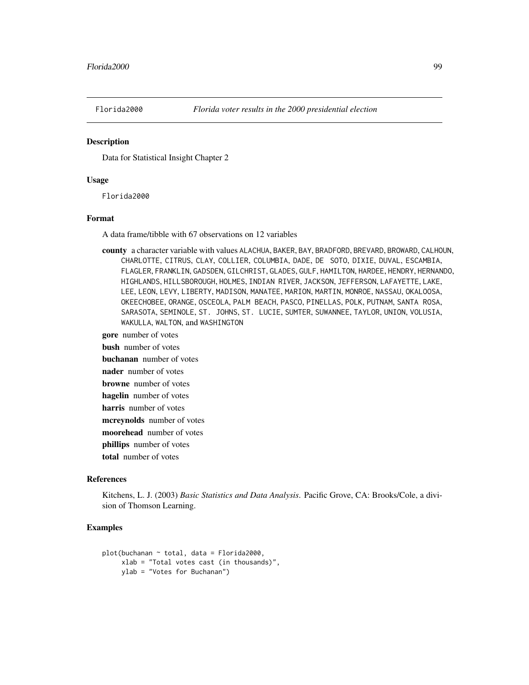Data for Statistical Insight Chapter 2

#### Usage

Florida2000

## Format

A data frame/tibble with 67 observations on 12 variables

county a character variable with values ALACHUA, BAKER, BAY, BRADFORD, BREVARD, BROWARD, CALHOUN, CHARLOTTE, CITRUS, CLAY, COLLIER, COLUMBIA, DADE, DE SOTO, DIXIE, DUVAL, ESCAMBIA, FLAGLER, FRANKLIN, GADSDEN, GILCHRIST, GLADES, GULF, HAMILTON, HARDEE, HENDRY, HERNANDO, HIGHLANDS, HILLSBOROUGH, HOLMES, INDIAN RIVER, JACKSON, JEFFERSON, LAFAYETTE, LAKE, LEE, LEON, LEVY, LIBERTY, MADISON, MANATEE, MARION, MARTIN, MONROE, NASSAU, OKALOOSA, OKEECHOBEE, ORANGE, OSCEOLA, PALM BEACH, PASCO, PINELLAS, POLK, PUTNAM, SANTA ROSA, SARASOTA, SEMINOLE, ST. JOHNS, ST. LUCIE, SUMTER, SUWANNEE, TAYLOR, UNION, VOLUSIA, WAKULLA, WALTON, and WASHINGTON

gore number of votes

bush number of votes

buchanan number of votes

nader number of votes

browne number of votes

hagelin number of votes

harris number of votes

mcreynolds number of votes

moorehead number of votes

phillips number of votes

total number of votes

#### References

Kitchens, L. J. (2003) *Basic Statistics and Data Analysis*. Pacific Grove, CA: Brooks/Cole, a division of Thomson Learning.

```
plot(buchanan ~ total, data = Florida2000,
     xlab = "Total votes cast (in thousands)",
     ylab = "Votes for Buchanan")
```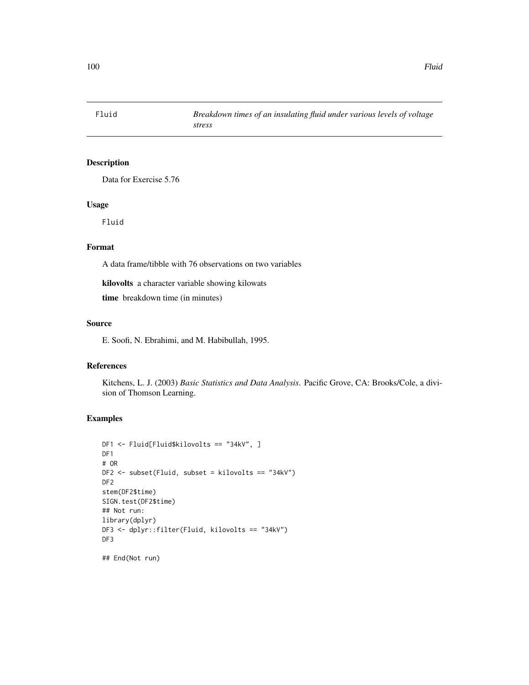Data for Exercise 5.76

# Usage

Fluid

# Format

A data frame/tibble with 76 observations on two variables

kilovolts a character variable showing kilowats

time breakdown time (in minutes)

#### Source

E. Soofi, N. Ebrahimi, and M. Habibullah, 1995.

# References

Kitchens, L. J. (2003) *Basic Statistics and Data Analysis*. Pacific Grove, CA: Brooks/Cole, a division of Thomson Learning.

# Examples

```
DF1 <- Fluid[Fluid$kilovolts == "34kV", ]
DF<sub>1</sub>
# OR
DF2 <- subset(Fluid, subset = kilovolts == "34kV")
DF<sub>2</sub>
stem(DF2$time)
SIGN.test(DF2$time)
## Not run:
library(dplyr)
DF3 <- dplyr::filter(Fluid, kilovolts == "34kV")
DF3
```
## End(Not run)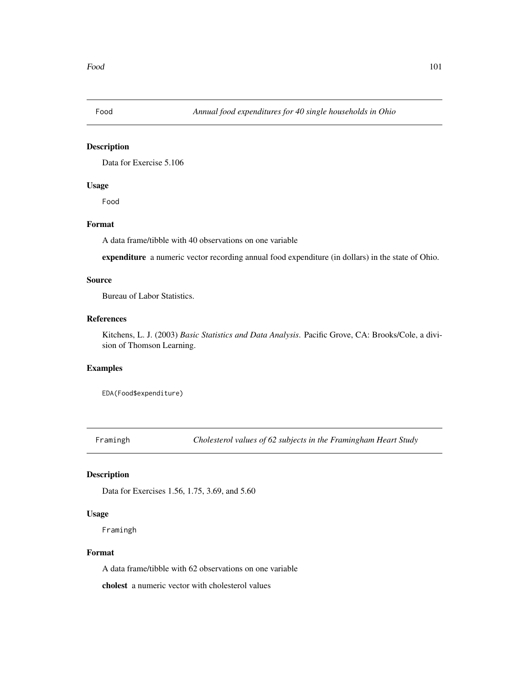Data for Exercise 5.106

# Usage

Food

# Format

A data frame/tibble with 40 observations on one variable

expenditure a numeric vector recording annual food expenditure (in dollars) in the state of Ohio.

## Source

Bureau of Labor Statistics.

# References

Kitchens, L. J. (2003) *Basic Statistics and Data Analysis*. Pacific Grove, CA: Brooks/Cole, a division of Thomson Learning.

# Examples

EDA(Food\$expenditure)

Framingh *Cholesterol values of 62 subjects in the Framingham Heart Study*

## Description

Data for Exercises 1.56, 1.75, 3.69, and 5.60

# Usage

Framingh

## Format

A data frame/tibble with 62 observations on one variable

cholest a numeric vector with cholesterol values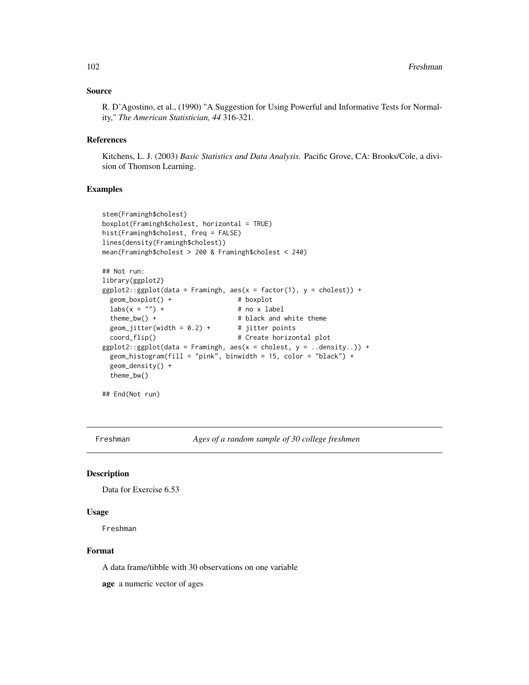## Source

R. D'Agostino, et al., (1990) "A Suggestion for Using Powerful and Informative Tests for Normality," *The American Statistician, 44* 316-321.

#### References

Kitchens, L. J. (2003) *Basic Statistics and Data Analysis*. Pacific Grove, CA: Brooks/Cole, a division of Thomson Learning.

## Examples

```
stem(Framingh$cholest)
boxplot(Framingh$cholest, horizontal = TRUE)
hist(Framingh$cholest, freq = FALSE)
lines(density(Framingh$cholest))
mean(Framingh$cholest > 200 & Framingh$cholest < 240)
## Not run:
library(ggplot2)
ggplot2::ggplot(data = Framingh, aes(x = factor(1), y = cholesterol)) +geom_boxplot() + # boxplot
 \text{labs}(x = "") + # no x label
 theme_bw() + \qquad # black and white theme
 geom_jitter(width = 0.2) + # jitter points
 coord_flip() \qquad # Create horizontal plot
ggplot2::ggplot(data = Framingh, aes(x = cholesterol, y = ..density.)) +geom_histogram(fill = "pink", binwidth = 15, color = "black") +
 geom_density() +
 theme_bw()
```
## End(Not run)

Freshman *Ages of a random sample of 30 college freshmen*

#### Description

Data for Exercise 6.53

#### Usage

Freshman

## Format

A data frame/tibble with 30 observations on one variable

age a numeric vector of ages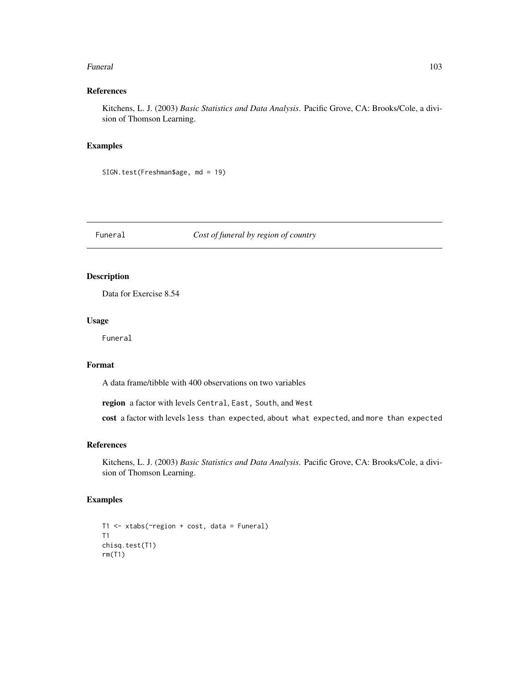#### Funeral 2003 and 2003 and 2003 and 2003 and 2003 and 2003 and 2003 and 2003 and 2003 and 2003 and 2003 and 200

# References

Kitchens, L. J. (2003) *Basic Statistics and Data Analysis*. Pacific Grove, CA: Brooks/Cole, a division of Thomson Learning.

## Examples

SIGN.test(Freshman\$age, md = 19)

#### Funeral *Cost of funeral by region of country*

# Description

Data for Exercise 8.54

## Usage

Funeral

#### Format

A data frame/tibble with 400 observations on two variables

region a factor with levels Central, East, South, and West

cost a factor with levels less than expected, about what expected, and more than expected

#### References

Kitchens, L. J. (2003) *Basic Statistics and Data Analysis*. Pacific Grove, CA: Brooks/Cole, a division of Thomson Learning.

```
T1 <- xtabs(~region + cost, data = Funeral)
T1
chisq.test(T1)
rm(T1)
```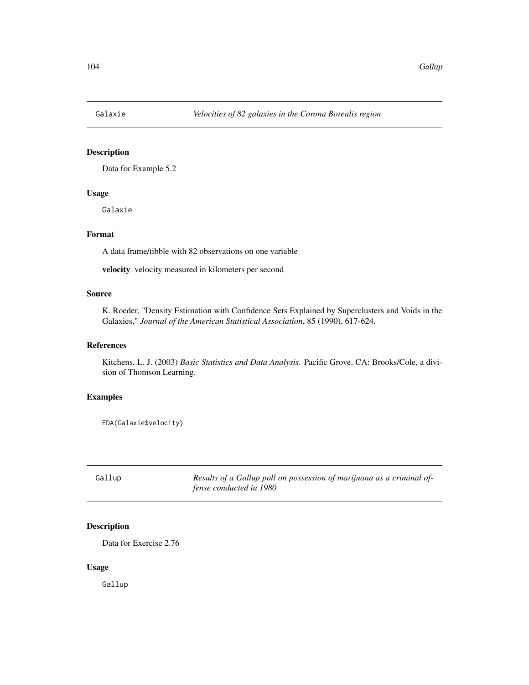Data for Example 5.2

## Usage

Galaxie

# Format

A data frame/tibble with 82 observations on one variable

velocity velocity measured in kilometers per second

# Source

K. Roeder, "Density Estimation with Confidence Sets Explained by Superclusters and Voids in the Galaxies," *Journal of the American Statistical Association*, 85 (1990), 617-624.

## References

Kitchens, L. J. (2003) *Basic Statistics and Data Analysis*. Pacific Grove, CA: Brooks/Cole, a division of Thomson Learning.

#### Examples

EDA(Galaxie\$velocity)

Gallup *Results of a Gallup poll on possession of marijuana as a criminal offense conducted in 1980*

# Description

Data for Exercise 2.76

## Usage

Gallup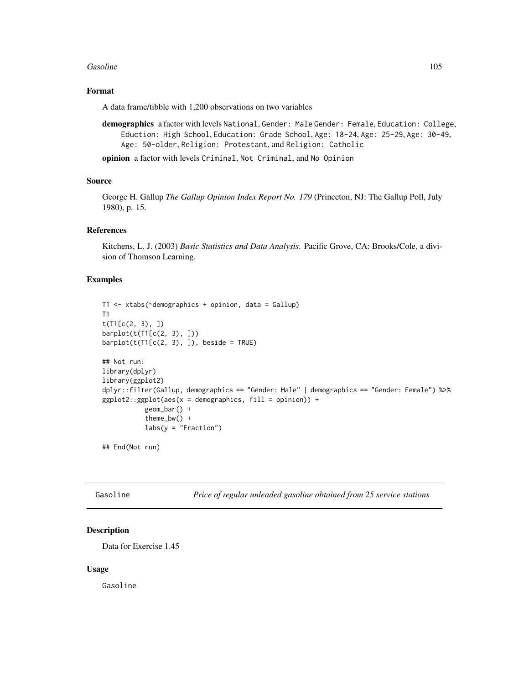#### Gasoline 105

# Format

A data frame/tibble with 1,200 observations on two variables

demographics a factor with levels National, Gender: Male Gender: Female, Education: College, Eduction: High School, Education: Grade School, Age: 18-24, Age: 25-29, Age: 30-49, Age: 50-older, Religion: Protestant, and Religion: Catholic

opinion a factor with levels Criminal, Not Criminal, and No Opinion

## Source

George H. Gallup *The Gallup Opinion Index Report No. 179* (Princeton, NJ: The Gallup Poll, July 1980), p. 15.

#### References

Kitchens, L. J. (2003) *Basic Statistics and Data Analysis*. Pacific Grove, CA: Brooks/Cole, a division of Thomson Learning.

## Examples

```
T1 <- xtabs(~demographics + opinion, data = Gallup)
T1
t(T1[c(2, 3), ])
barplot(t(T1[c(2, 3), ]))barplot(t(T1[C(2, 3), ]), beside = TRUE)
## Not run:
library(dplyr)
library(ggplot2)
dplyr::filter(Gallup, demographics == "Gender: Male" | demographics == "Gender: Female") %>%
ggplot2::ggplot(aes(x = demographies, fill = opinion)) +geom_bar() +
           theme_bw() +
           labs(y = "Fraction")
```
## End(Not run)

Gasoline *Price of regular unleaded gasoline obtained from 25 service stations*

# Description

Data for Exercise 1.45

#### Usage

Gasoline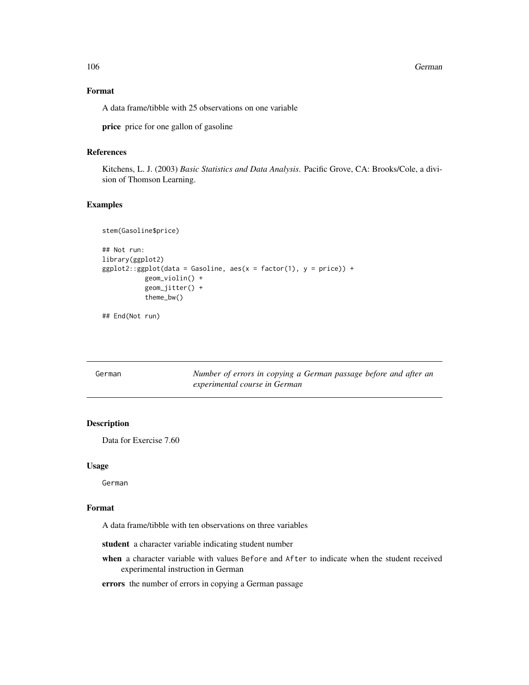106 German German German German German German German German German German German German German German German G

## Format

A data frame/tibble with 25 observations on one variable

price price for one gallon of gasoline

# References

Kitchens, L. J. (2003) *Basic Statistics and Data Analysis*. Pacific Grove, CA: Brooks/Cole, a division of Thomson Learning.

## Examples

```
stem(Gasoline$price)
## Not run:
library(ggplot2)
ggplot2::ggplot(data = Gasoline, aes(x = factor(1), y = price)) +geom_violin() +
           geom_jitter() +
           theme_bw()
```
## End(Not run)

German *Number of errors in copying a German passage before and after an experimental course in German*

# Description

Data for Exercise 7.60

## Usage

German

# Format

A data frame/tibble with ten observations on three variables

student a character variable indicating student number

when a character variable with values Before and After to indicate when the student received experimental instruction in German

errors the number of errors in copying a German passage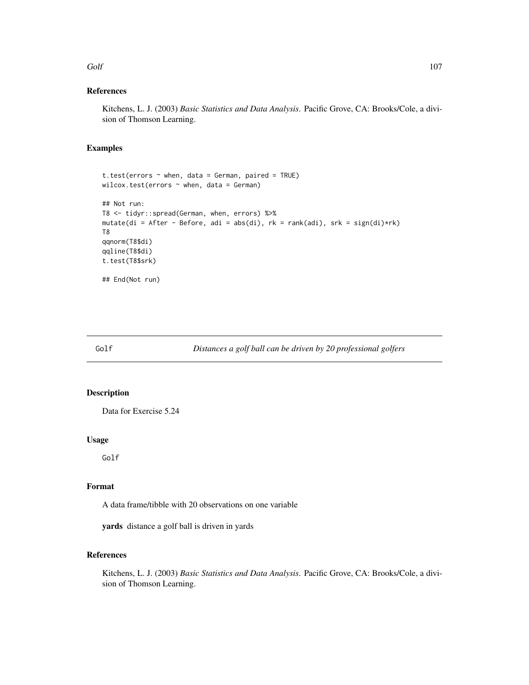#### Golf 107

## References

Kitchens, L. J. (2003) *Basic Statistics and Data Analysis*. Pacific Grove, CA: Brooks/Cole, a division of Thomson Learning.

# Examples

```
t.test(errors \sim when, data = German, paired = TRUE)
wilcox.test(errors \sim when, data = German)
## Not run:
T8 <- tidyr::spread(German, when, errors) %>%
mutate(di = After - Before, adi = abs(di), rk = rank(adi), srk = sign(di)*rk)
T8
qqnorm(T8$di)
qqline(T8$di)
t.test(T8$srk)
## End(Not run)
```
Golf *Distances a golf ball can be driven by 20 professional golfers*

## Description

Data for Exercise 5.24

#### Usage

Golf

# Format

A data frame/tibble with 20 observations on one variable

yards distance a golf ball is driven in yards

#### References

Kitchens, L. J. (2003) *Basic Statistics and Data Analysis*. Pacific Grove, CA: Brooks/Cole, a division of Thomson Learning.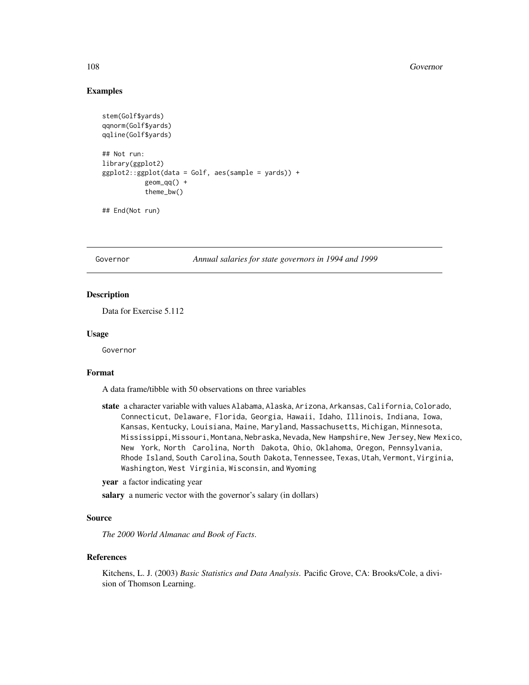#### 108 Governor

## Examples

```
stem(Golf$yards)
qqnorm(Golf$yards)
qqline(Golf$yards)
## Not run:
library(ggplot2)
ggplot2::ggplot(data = Golf, aes(sample = yards)) +geom_qq() +theme_bw()
```

```
## End(Not run)
```
Governor *Annual salaries for state governors in 1994 and 1999*

## Description

Data for Exercise 5.112

#### Usage

Governor

#### Format

A data frame/tibble with 50 observations on three variables

state a character variable with values Alabama, Alaska, Arizona, Arkansas, California, Colorado, Connecticut, Delaware, Florida, Georgia, Hawaii, Idaho, Illinois, Indiana, Iowa, Kansas, Kentucky, Louisiana, Maine, Maryland, Massachusetts, Michigan, Minnesota, Mississippi, Missouri, Montana, Nebraska, Nevada, New Hampshire, New Jersey, New Mexico, New York, North Carolina, North Dakota, Ohio, Oklahoma, Oregon, Pennsylvania, Rhode Island, South Carolina, South Dakota, Tennessee, Texas, Utah, Vermont, Virginia, Washington, West Virginia, Wisconsin, and Wyoming

year a factor indicating year

salary a numeric vector with the governor's salary (in dollars)

#### Source

*The 2000 World Almanac and Book of Facts*.

## References

Kitchens, L. J. (2003) *Basic Statistics and Data Analysis*. Pacific Grove, CA: Brooks/Cole, a division of Thomson Learning.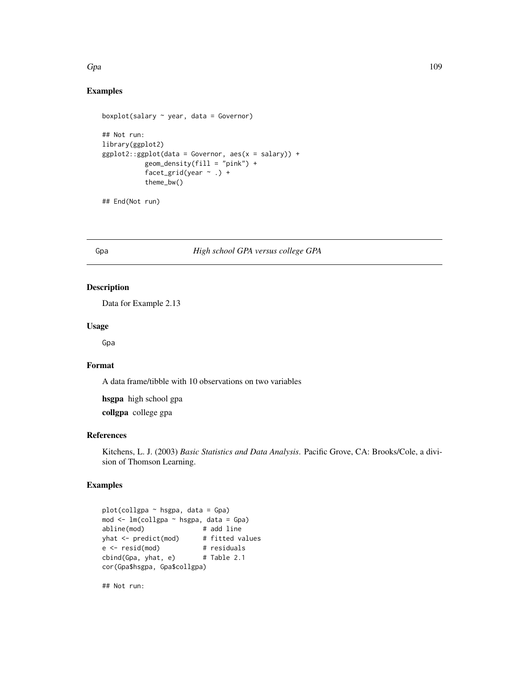## $Gpa$  and the contract of the contract of the contract of the contract of the contract of the contract of the contract of the contract of the contract of the contract of the contract of the contract of the contract of the

# Examples

```
boxplot(salary \sim year, data = Governor)
## Not run:
library(ggplot2)
ggplot2::ggplot(data = Government, aes(x = salary)) +geom_density(fill = "pink") +
           facet_grid(year \sim .) +
           theme_bw()
```
## End(Not run)

# Gpa *High school GPA versus college GPA*

# Description

Data for Example 2.13

## Usage

Gpa

# Format

A data frame/tibble with 10 observations on two variables

hsgpa high school gpa

collgpa college gpa

## References

Kitchens, L. J. (2003) *Basic Statistics and Data Analysis*. Pacific Grove, CA: Brooks/Cole, a division of Thomson Learning.

# Examples

```
plot(collgpa ~ hsgpa, data = Gpa)
mod <- lm(collgpa ~ hsgpa, data = Gpa)
abline(mod) # add line
yhat <- predict(mod) # fitted values
e <- resid(mod) # residuals
cbind(Gpa, yhat, e) # Table 2.1
cor(Gpa$hsgpa, Gpa$collgpa)
```
## Not run: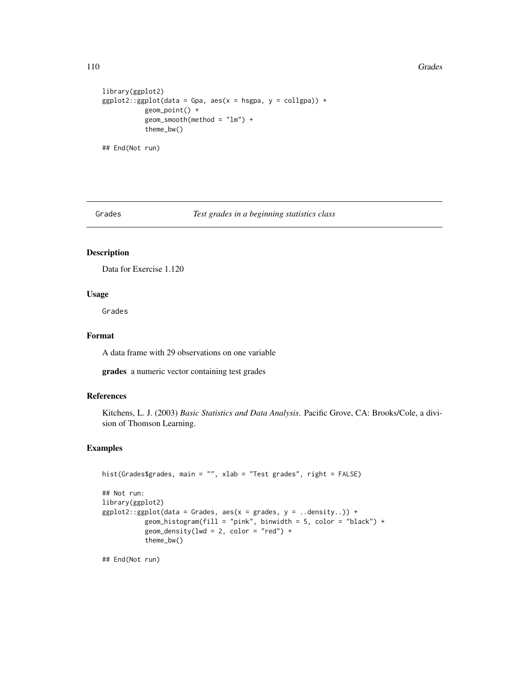#### 110 Grades **Grades** Grades **Grades Grades Grades Grades Grades Grades Grades Grades Grades Grades Grades Grades Grades Grades Grades Grades Grades Grades Grades Grades Grades Grade**

```
library(ggplot2)
ggplot2::ggplot(data = Gpa, aes(x = hsgpa, y = collgpa)) +geom_point() +
           geom\_smooth(method = "lm") +theme_bw()
## End(Not run)
```
#### Grades *Test grades in a beginning statistics class*

# Description

Data for Exercise 1.120

## Usage

Grades

# Format

A data frame with 29 observations on one variable

grades a numeric vector containing test grades

## References

Kitchens, L. J. (2003) *Basic Statistics and Data Analysis*. Pacific Grove, CA: Brooks/Cole, a division of Thomson Learning.

# Examples

```
hist(Grades$grades, main = "", xlab = "Test grades", right = FALSE)
## Not run:
library(ggplot2)
ggplot2::ggplot(data = Grades, aes(x = grades, y = ..density.)) +geom_histogram(fill = "pink", binwidth = 5, color = "black") +
           geom\_density(lwd = 2, color = "red") +theme_bw()
```
## End(Not run)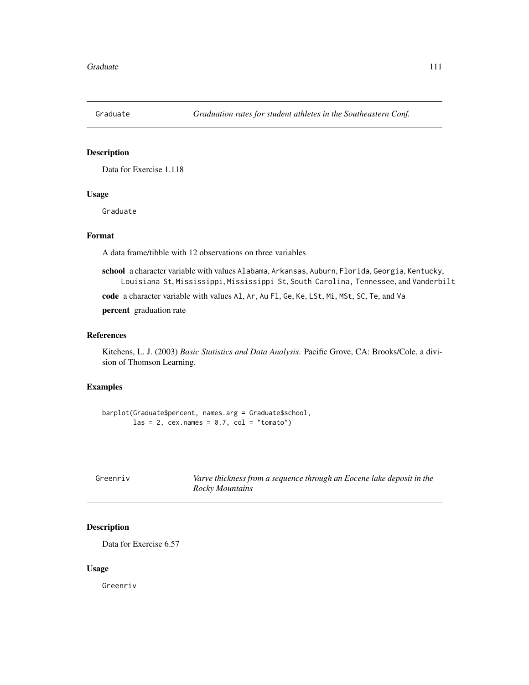Data for Exercise 1.118

## Usage

Graduate

## Format

A data frame/tibble with 12 observations on three variables

school a character variable with values Alabama, Arkansas, Auburn, Florida, Georgia, Kentucky, Louisiana St, Mississippi, Mississippi St, South Carolina, Tennessee, and Vanderbilt

code a character variable with values Al, Ar, Au Fl, Ge, Ke, LSt, Mi, MSt, SC, Te, and Va

percent graduation rate

#### References

Kitchens, L. J. (2003) *Basic Statistics and Data Analysis*. Pacific Grove, CA: Brooks/Cole, a division of Thomson Learning.

## Examples

barplot(Graduate\$percent, names.arg = Graduate\$school, las = 2,  $cex.names = 0.7$ ,  $col = "tomato")$ 

| Greenriv | Varve thickness from a sequence through an Eocene lake deposit in the |
|----------|-----------------------------------------------------------------------|
|          | Rocky Mountains                                                       |

# Description

Data for Exercise 6.57

#### Usage

Greenriv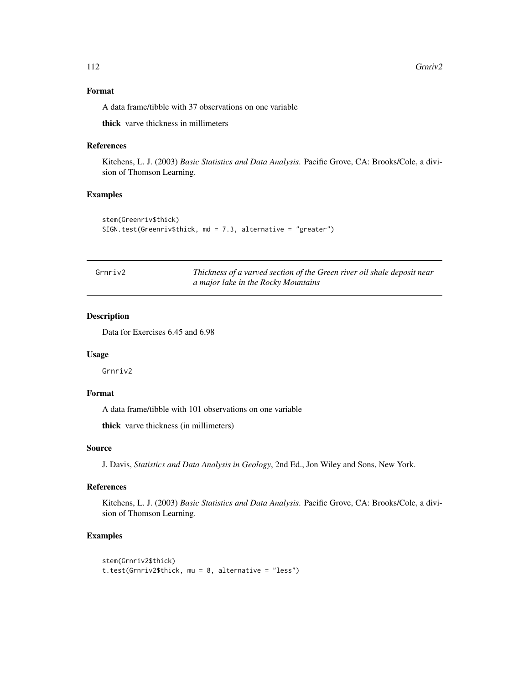## Format

A data frame/tibble with 37 observations on one variable

thick varve thickness in millimeters

#### References

Kitchens, L. J. (2003) *Basic Statistics and Data Analysis*. Pacific Grove, CA: Brooks/Cole, a division of Thomson Learning.

# Examples

```
stem(Greenriv$thick)
SIGN.test(Greenriv$thick, md = 7.3, alternative = "greater")
```

| Grnriv2 | Thickness of a varved section of the Green river oil shale deposit near |
|---------|-------------------------------------------------------------------------|
|         | a major lake in the Rocky Mountains                                     |

# Description

Data for Exercises 6.45 and 6.98

## Usage

Grnriv2

# Format

A data frame/tibble with 101 observations on one variable

thick varve thickness (in millimeters)

# Source

J. Davis, *Statistics and Data Analysis in Geology*, 2nd Ed., Jon Wiley and Sons, New York.

## References

Kitchens, L. J. (2003) *Basic Statistics and Data Analysis*. Pacific Grove, CA: Brooks/Cole, a division of Thomson Learning.

```
stem(Grnriv2$thick)
t.test(Grnriv2$thick, mu = 8, alternative = "less")
```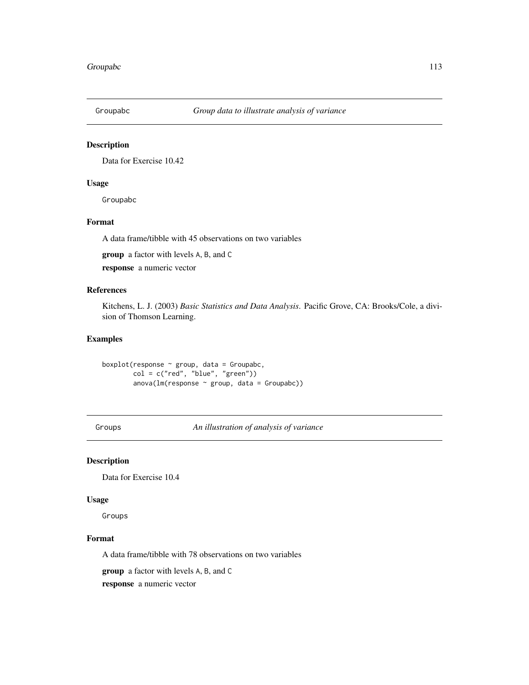Data for Exercise 10.42

#### Usage

Groupabc

# Format

A data frame/tibble with 45 observations on two variables

group a factor with levels A, B, and C

response a numeric vector

# References

Kitchens, L. J. (2003) *Basic Statistics and Data Analysis*. Pacific Grove, CA: Brooks/Cole, a division of Thomson Learning.

# Examples

boxplot(response  $\sim$  group, data = Groupabc,  $col = c("red", "blue", "green")$ anova( $lm(response ~ group, data = Groupabc)$ )

Groups *An illustration of analysis of variance*

## Description

Data for Exercise 10.4

## Usage

Groups

# Format

A data frame/tibble with 78 observations on two variables

group a factor with levels A, B, and C

response a numeric vector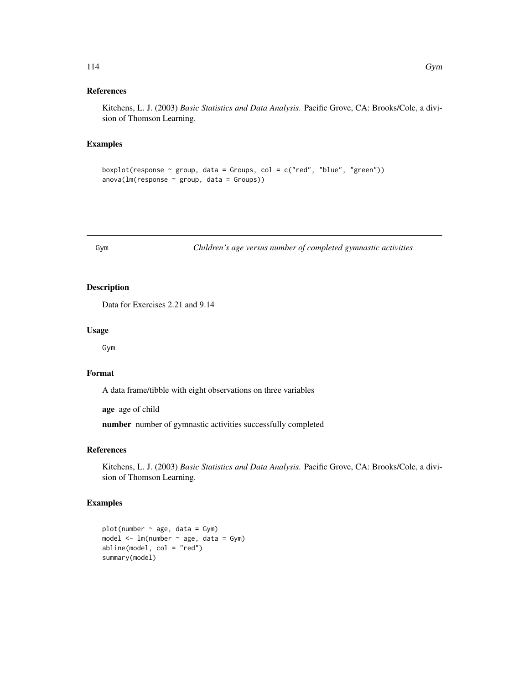# References

Kitchens, L. J. (2003) *Basic Statistics and Data Analysis*. Pacific Grove, CA: Brooks/Cole, a division of Thomson Learning.

#### Examples

```
boxplot(response \sim group, data = Groups, col = c("red", "blue", "green"))
anova(Im(response ~ group, data = Groups))
```
Gym *Children's age versus number of completed gymnastic activities*

# Description

Data for Exercises 2.21 and 9.14

#### Usage

Gym

## Format

A data frame/tibble with eight observations on three variables

age age of child

number number of gymnastic activities successfully completed

## References

Kitchens, L. J. (2003) *Basic Statistics and Data Analysis*. Pacific Grove, CA: Brooks/Cole, a division of Thomson Learning.

```
plot(number \sim age, data = Gym)
model <- lm(number ~ age, data = Gym)
abline(model, col = "red")
summary(model)
```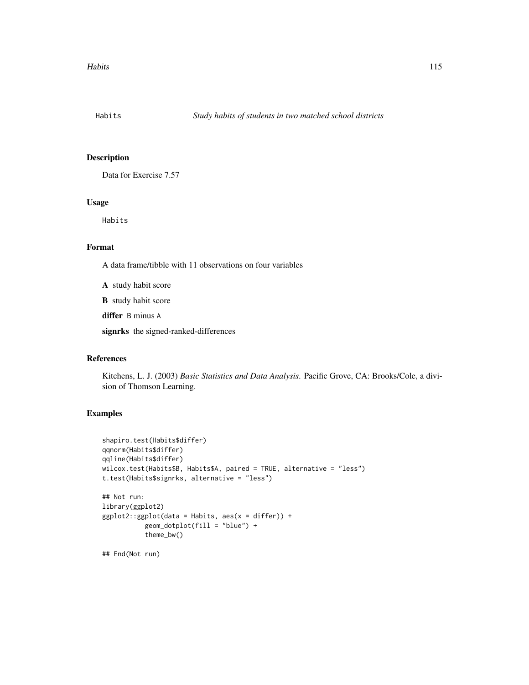Data for Exercise 7.57

## Usage

Habits

# Format

A data frame/tibble with 11 observations on four variables

A study habit score

B study habit score

differ B minus A

signrks the signed-ranked-differences

#### References

Kitchens, L. J. (2003) *Basic Statistics and Data Analysis*. Pacific Grove, CA: Brooks/Cole, a division of Thomson Learning.

```
shapiro.test(Habits$differ)
qqnorm(Habits$differ)
qqline(Habits$differ)
wilcox.test(Habits$B, Habits$A, paired = TRUE, alternative = "less")
t.test(Habits$signrks, alternative = "less")
## Not run:
library(ggplot2)
ggplot2::ggplot(data = Habits, aes(x = differ)) +geom_dotplot(fill = "blue") +
           theme_bw()
## End(Not run)
```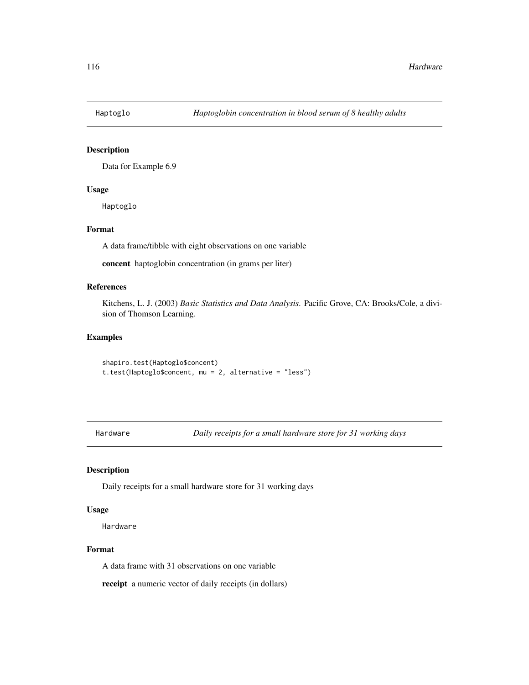Data for Example 6.9

## Usage

Haptoglo

# Format

A data frame/tibble with eight observations on one variable

concent haptoglobin concentration (in grams per liter)

#### References

Kitchens, L. J. (2003) *Basic Statistics and Data Analysis*. Pacific Grove, CA: Brooks/Cole, a division of Thomson Learning.

## Examples

```
shapiro.test(Haptoglo$concent)
t.test(Haptoglo$concent, mu = 2, alternative = "less")
```
Hardware *Daily receipts for a small hardware store for 31 working days*

# Description

Daily receipts for a small hardware store for 31 working days

## Usage

Hardware

#### Format

A data frame with 31 observations on one variable

receipt a numeric vector of daily receipts (in dollars)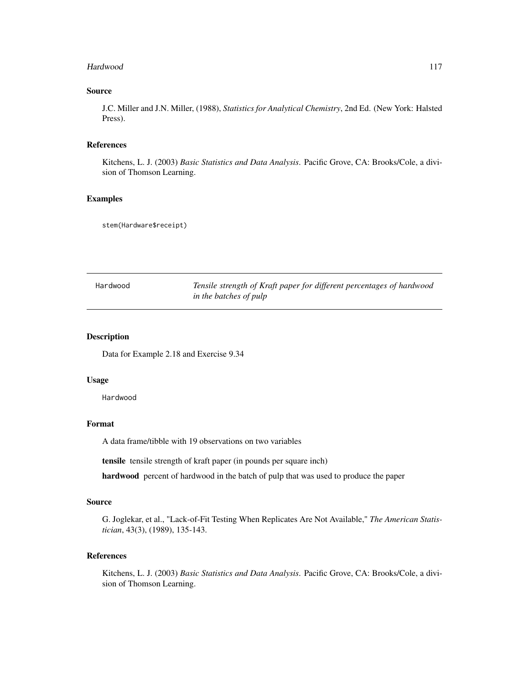#### Hardwood 117

## Source

J.C. Miller and J.N. Miller, (1988), *Statistics for Analytical Chemistry*, 2nd Ed. (New York: Halsted Press).

## References

Kitchens, L. J. (2003) *Basic Statistics and Data Analysis*. Pacific Grove, CA: Brooks/Cole, a division of Thomson Learning.

# Examples

stem(Hardware\$receipt)

| Hardwood | Tensile strength of Kraft paper for different percentages of hardwood |
|----------|-----------------------------------------------------------------------|
|          | in the batches of pulp                                                |

## Description

Data for Example 2.18 and Exercise 9.34

#### Usage

Hardwood

# Format

A data frame/tibble with 19 observations on two variables

tensile tensile strength of kraft paper (in pounds per square inch)

hardwood percent of hardwood in the batch of pulp that was used to produce the paper

#### Source

G. Joglekar, et al., "Lack-of-Fit Testing When Replicates Are Not Available," *The American Statistician*, 43(3), (1989), 135-143.

# References

Kitchens, L. J. (2003) *Basic Statistics and Data Analysis*. Pacific Grove, CA: Brooks/Cole, a division of Thomson Learning.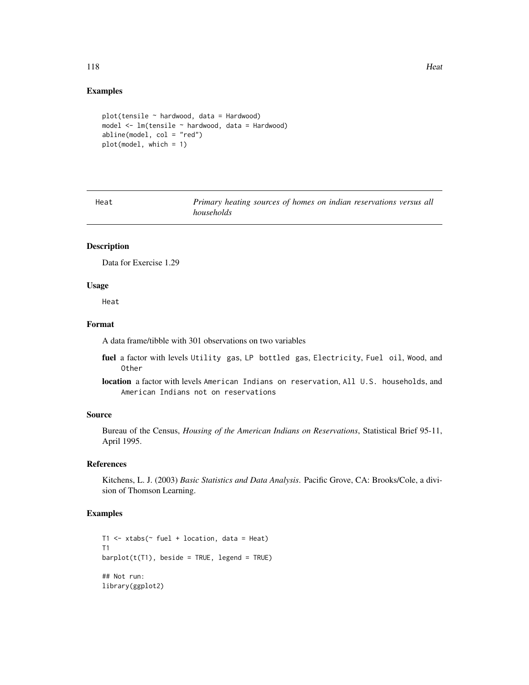#### 118 **Heat**

#### Examples

```
plot(tensile ~ hardwood, data = Hardwood)model \leq 1m(tensile \sim hardwood, data = Hardwood)
abline(model, col = "red")
plot(model, which = 1)
```
Heat *Primary heating sources of homes on indian reservations versus all households*

#### Description

Data for Exercise 1.29

#### Usage

Heat

## Format

A data frame/tibble with 301 observations on two variables

- fuel a factor with levels Utility gas, LP bottled gas, Electricity, Fuel oil, Wood, and Other
- location a factor with levels American Indians on reservation, All U.S. households, and American Indians not on reservations

#### Source

Bureau of the Census, *Housing of the American Indians on Reservations*, Statistical Brief 95-11, April 1995.

# References

Kitchens, L. J. (2003) *Basic Statistics and Data Analysis*. Pacific Grove, CA: Brooks/Cole, a division of Thomson Learning.

```
T1 <- xtabs(\sim fuel + location, data = Heat)
T1
barplot(t(T1), beside = TRUE, legend = TRUE)## Not run:
library(ggplot2)
```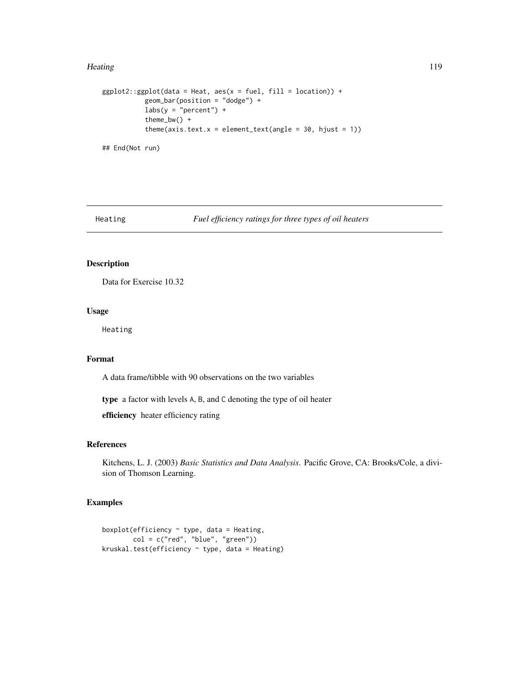#### Heating 2012 **Heating** 2012 **Heating** 2013 **Heating** 2013 **Heating** 2019 **Heating** 2013

```
ggplot2::ggplot(data = Heat, aes(x = fuel, fill = location)) +geom_bar(position = "dodge") +
          labs(y = "percent") +theme_bw() +
          theme(axis.text.x = element_text(angle = 30, hjust = 1))
## End(Not run)
```
Heating *Fuel efficiency ratings for three types of oil heaters*

# Description

Data for Exercise 10.32

# Usage

Heating

## Format

A data frame/tibble with 90 observations on the two variables

type a factor with levels A, B, and C denoting the type of oil heater

efficiency heater efficiency rating

## References

Kitchens, L. J. (2003) *Basic Statistics and Data Analysis*. Pacific Grove, CA: Brooks/Cole, a division of Thomson Learning.

```
boxplot(efficiency \sim type, data = Heating,
       col = c("red", "blue", "green")kruskal.test(efficiency ~ type, data = Heating)
```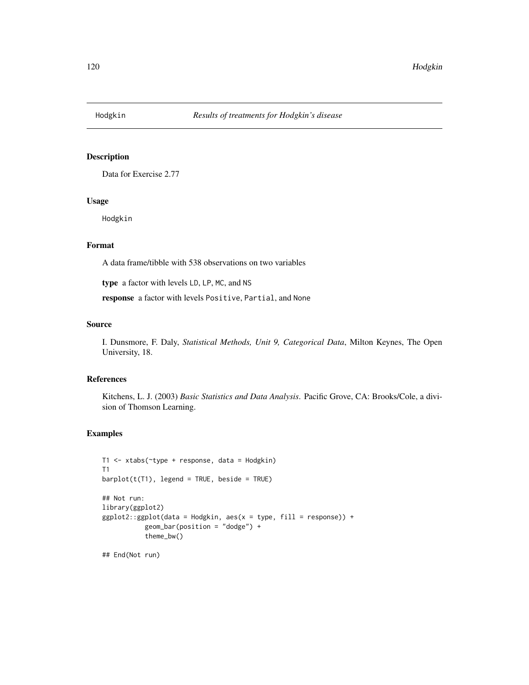Data for Exercise 2.77

#### Usage

Hodgkin

## Format

A data frame/tibble with 538 observations on two variables

type a factor with levels LD, LP, MC, and NS

response a factor with levels Positive, Partial, and None

## Source

I. Dunsmore, F. Daly, *Statistical Methods, Unit 9, Categorical Data*, Milton Keynes, The Open University, 18.

#### References

Kitchens, L. J. (2003) *Basic Statistics and Data Analysis*. Pacific Grove, CA: Brooks/Cole, a division of Thomson Learning.

```
T1 <- xtabs(~type + response, data = Hodgkin)
T1
barplot(t(T1), legend = TRUE, beside = TRUE)## Not run:
library(ggplot2)
ggplot2::ggplot(data = Hodgkin, aes(x = type, fill = response)) +geom_bar(position = "dodge") +
           theme_bw()
## End(Not run)
```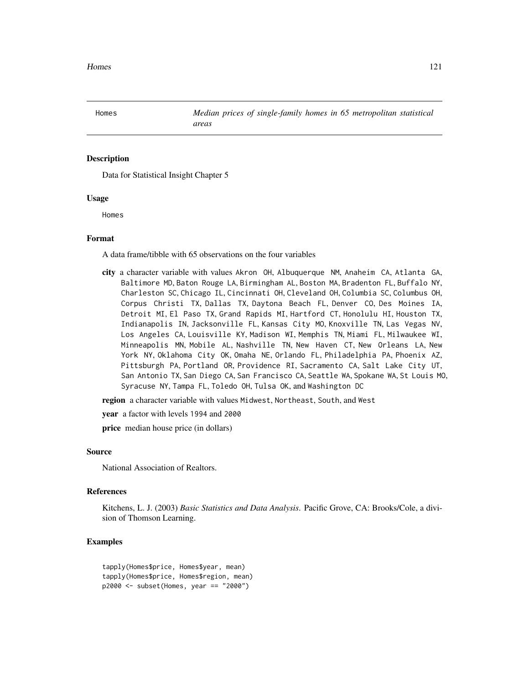Data for Statistical Insight Chapter 5

#### Usage

Homes

# Format

A data frame/tibble with 65 observations on the four variables

city a character variable with values Akron OH, Albuquerque NM, Anaheim CA, Atlanta GA, Baltimore MD, Baton Rouge LA, Birmingham AL, Boston MA, Bradenton FL, Buffalo NY, Charleston SC, Chicago IL, Cincinnati OH, Cleveland OH, Columbia SC, Columbus OH, Corpus Christi TX, Dallas TX, Daytona Beach FL, Denver CO, Des Moines IA, Detroit MI, El Paso TX, Grand Rapids MI, Hartford CT, Honolulu HI, Houston TX, Indianapolis IN, Jacksonville FL, Kansas City MO, Knoxville TN, Las Vegas NV, Los Angeles CA, Louisville KY, Madison WI, Memphis TN, Miami FL, Milwaukee WI, Minneapolis MN, Mobile AL, Nashville TN, New Haven CT, New Orleans LA, New York NY, Oklahoma City OK, Omaha NE, Orlando FL, Philadelphia PA, Phoenix AZ, Pittsburgh PA, Portland OR, Providence RI, Sacramento CA, Salt Lake City UT, San Antonio TX, San Diego CA, San Francisco CA, Seattle WA, Spokane WA, St Louis MO, Syracuse NY, Tampa FL, Toledo OH, Tulsa OK, and Washington DC

region a character variable with values Midwest, Northeast, South, and West

year a factor with levels 1994 and 2000

price median house price (in dollars)

#### Source

National Association of Realtors.

#### References

Kitchens, L. J. (2003) *Basic Statistics and Data Analysis*. Pacific Grove, CA: Brooks/Cole, a division of Thomson Learning.

```
tapply(Homes$price, Homes$year, mean)
tapply(Homes$price, Homes$region, mean)
p2000 <- subset(Homes, year == "2000")
```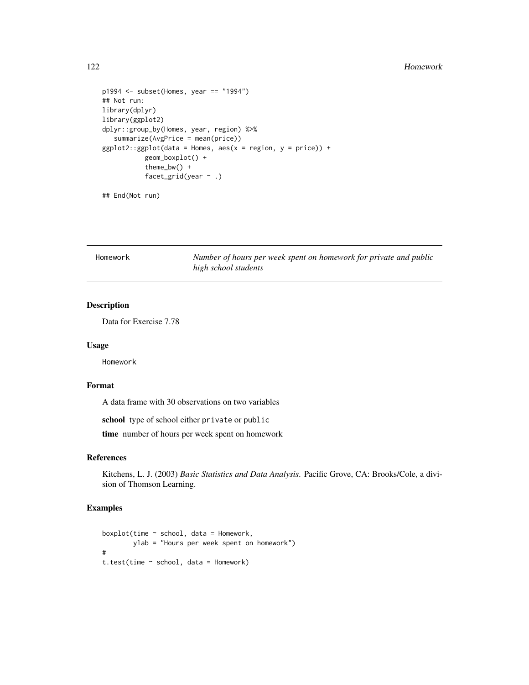#### 122 **Homework**

```
p1994 <- subset(Homes, year == "1994")
## Not run:
library(dplyr)
library(ggplot2)
dplyr::group_by(Homes, year, region) %>%
   summarize(AvgPrice = mean(price))
ggplot2::ggplot(data = Homes, aes(x = region, y = price)) +geom_boxplot() +
           theme_bw() +
           facet_grid(year ~ .)
```
## End(Not run)

Homework *Number of hours per week spent on homework for private and public high school students*

# Description

Data for Exercise 7.78

## Usage

Homework

## Format

A data frame with 30 observations on two variables

school type of school either private or public

time number of hours per week spent on homework

## References

Kitchens, L. J. (2003) *Basic Statistics and Data Analysis*. Pacific Grove, CA: Brooks/Cole, a division of Thomson Learning.

```
boxplot(time \sim school, data = Homework,
        ylab = "Hours per week spent on homework")
#
t.test(time ~ school, data = Homework)
```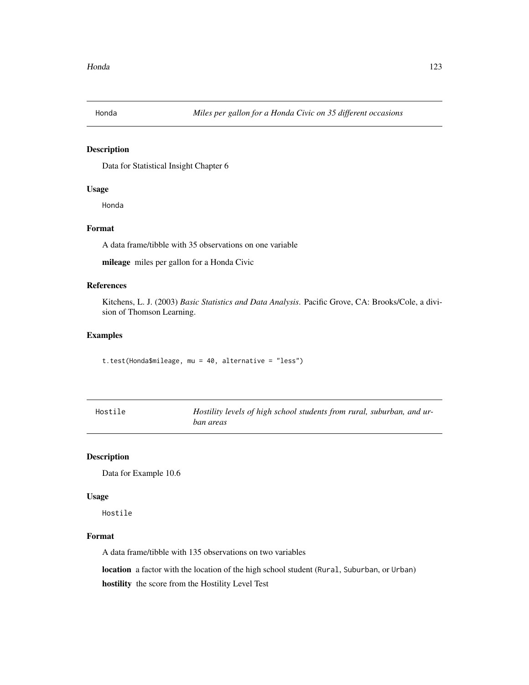Data for Statistical Insight Chapter 6

## Usage

Honda

## Format

A data frame/tibble with 35 observations on one variable

mileage miles per gallon for a Honda Civic

# References

Kitchens, L. J. (2003) *Basic Statistics and Data Analysis*. Pacific Grove, CA: Brooks/Cole, a division of Thomson Learning.

### Examples

t.test(Honda\$mileage, mu = 40, alternative = "less")

| Hostile | Hostility levels of high school students from rural, suburban, and ur- |
|---------|------------------------------------------------------------------------|
|         | ban areas                                                              |

## Description

Data for Example 10.6

## Usage

Hostile

## Format

A data frame/tibble with 135 observations on two variables

location a factor with the location of the high school student (Rural, Suburban, or Urban)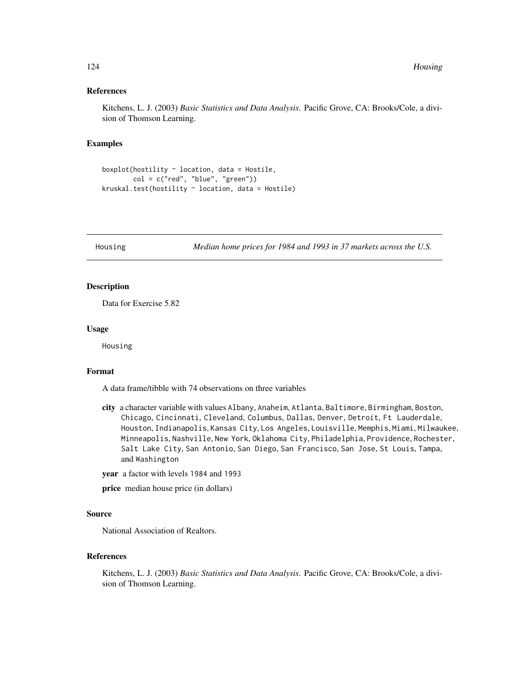#### References

Kitchens, L. J. (2003) *Basic Statistics and Data Analysis*. Pacific Grove, CA: Brooks/Cole, a division of Thomson Learning.

#### Examples

```
boxplot(hostility \sim location, data = Hostile,
        col = c("red", "blue", "green"))
kruskal.test(hostility ~ location, data = Hostile)
```
Housing *Median home prices for 1984 and 1993 in 37 markets across the U.S.*

# Description

Data for Exercise 5.82

#### Usage

Housing

## Format

A data frame/tibble with 74 observations on three variables

- city a character variable with values Albany, Anaheim, Atlanta, Baltimore, Birmingham, Boston, Chicago, Cincinnati, Cleveland, Columbus, Dallas, Denver, Detroit, Ft Lauderdale, Houston, Indianapolis, Kansas City, Los Angeles, Louisville, Memphis, Miami, Milwaukee, Minneapolis, Nashville, New York, Oklahoma City, Philadelphia, Providence, Rochester, Salt Lake City, San Antonio, San Diego, San Francisco, San Jose, St Louis, Tampa, and Washington
- year a factor with levels 1984 and 1993

price median house price (in dollars)

## Source

National Association of Realtors.

#### References

Kitchens, L. J. (2003) *Basic Statistics and Data Analysis*. Pacific Grove, CA: Brooks/Cole, a division of Thomson Learning.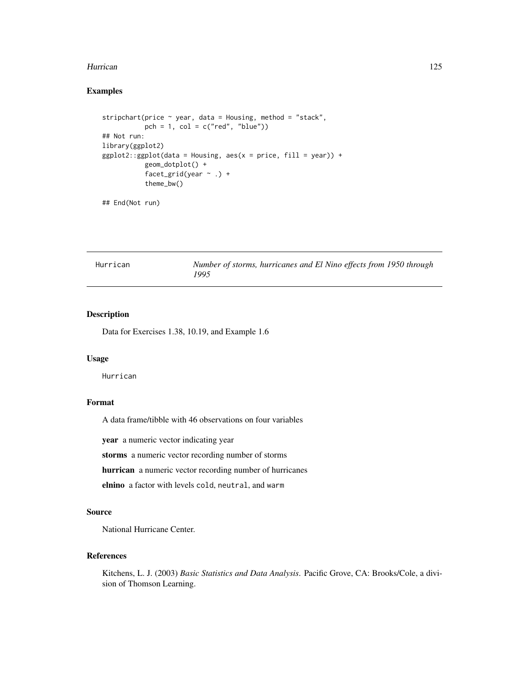#### Hurrican 125

# Examples

```
stripchart(price ~ year, data = Housing, method = "stack",
          pch = 1, col = c("red", "blue")## Not run:
library(ggplot2)
ggplot2::ggplot(data = Housing, aes(x = price, fill = year)) +geom_dotplot() +
           facet_grid(year \sim .) +
          theme_bw()
```
## End(Not run)

| Hurrican | Number of storms, hurricanes and El Nino effects from 1950 through |  |  |
|----------|--------------------------------------------------------------------|--|--|
|          | 1995                                                               |  |  |

# Description

Data for Exercises 1.38, 10.19, and Example 1.6

#### Usage

Hurrican

# Format

A data frame/tibble with 46 observations on four variables

year a numeric vector indicating year

storms a numeric vector recording number of storms

hurrican a numeric vector recording number of hurricanes

elnino a factor with levels cold, neutral, and warm

## Source

National Hurricane Center.

# References

Kitchens, L. J. (2003) *Basic Statistics and Data Analysis*. Pacific Grove, CA: Brooks/Cole, a division of Thomson Learning.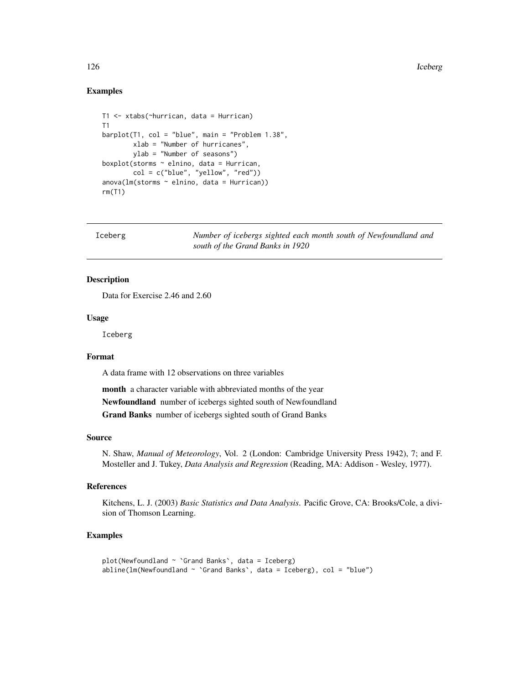## Examples

```
T1 <- xtabs(~hurrican, data = Hurrican)
T1
barplot(T1, col = "blue", main = "Problem 1.38",xlab = "Number of hurricanes",
       ylab = "Number of seasons")
boxplot(storms ~ elnino, data = Hurrican,
        col = c("blue", "yellow", "red"))
anova(lm(storms ~ elnino, data = Hurrican))
rm(T1)
```
Iceberg *Number of icebergs sighted each month south of Newfoundland and south of the Grand Banks in 1920*

## Description

Data for Exercise 2.46 and 2.60

# Usage

Iceberg

# Format

A data frame with 12 observations on three variables

month a character variable with abbreviated months of the year Newfoundland number of icebergs sighted south of Newfoundland Grand Banks number of icebergs sighted south of Grand Banks

#### Source

N. Shaw, *Manual of Meteorology*, Vol. 2 (London: Cambridge University Press 1942), 7; and F. Mosteller and J. Tukey, *Data Analysis and Regression* (Reading, MA: Addison - Wesley, 1977).

#### References

Kitchens, L. J. (2003) *Basic Statistics and Data Analysis*. Pacific Grove, CA: Brooks/Cole, a division of Thomson Learning.

```
plot(Newfoundland ~ `Grand Banks`, data = Iceberg)
abline(lm(Newfoundland ~ `Grand Banks', data = Iceberg), col = "blue")
```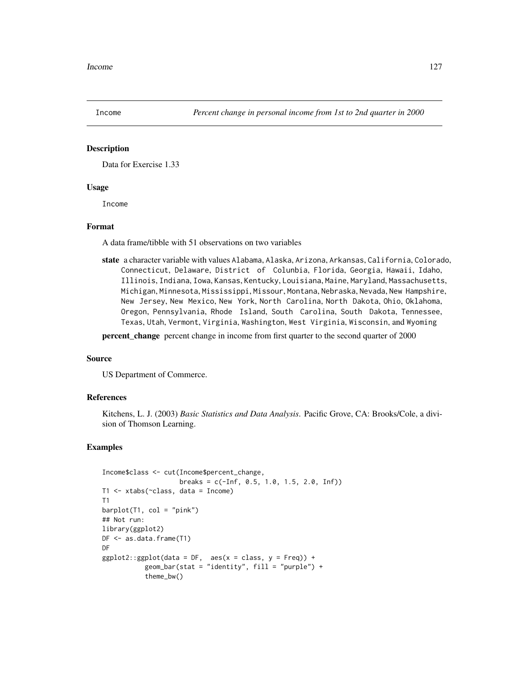Data for Exercise 1.33

#### Usage

Income

#### Format

A data frame/tibble with 51 observations on two variables

state a character variable with values Alabama, Alaska, Arizona, Arkansas, California, Colorado, Connecticut, Delaware, District of Colunbia, Florida, Georgia, Hawaii, Idaho, Illinois, Indiana, Iowa, Kansas, Kentucky, Louisiana, Maine, Maryland, Massachusetts, Michigan, Minnesota, Mississippi, Missour, Montana, Nebraska, Nevada, New Hampshire, New Jersey, New Mexico, New York, North Carolina, North Dakota, Ohio, Oklahoma, Oregon, Pennsylvania, Rhode Island, South Carolina, South Dakota, Tennessee, Texas, Utah, Vermont, Virginia, Washington, West Virginia, Wisconsin, and Wyoming

percent\_change percent change in income from first quarter to the second quarter of 2000

#### Source

US Department of Commerce.

#### References

Kitchens, L. J. (2003) *Basic Statistics and Data Analysis*. Pacific Grove, CA: Brooks/Cole, a division of Thomson Learning.

```
Income$class <- cut(Income$percent_change,
                    breaks = c(-Inf, 0.5, 1.0, 1.5, 2.0, Inf)T1 <- xtabs(~class, data = Income)
T1
barplot(T1, col = "pink")## Not run:
library(ggplot2)
DF <- as.data.frame(T1)
DF
ggplot2::ggplot(data = DF, aes(x = class, y = Freq)) +geom_bar(stat = "identity", fill = "purple") +
           theme_bw()
```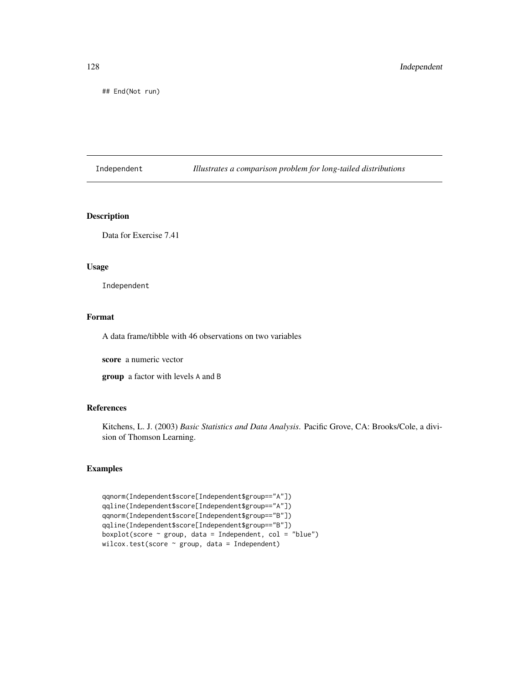## End(Not run)

Independent *Illustrates a comparison problem for long-tailed distributions*

# Description

Data for Exercise 7.41

# Usage

Independent

## Format

A data frame/tibble with 46 observations on two variables

score a numeric vector

group a factor with levels A and B

## References

Kitchens, L. J. (2003) *Basic Statistics and Data Analysis*. Pacific Grove, CA: Brooks/Cole, a division of Thomson Learning.

```
qqnorm(Independent$score[Independent$group=="A"])
qqline(Independent$score[Independent$group=="A"])
qqnorm(Independent$score[Independent$group=="B"])
qqline(Independent$score[Independent$group=="B"])
boxplot(score \sim group, data = Independent, col = "blue")
wilcox.test(score ~ group, data = Independent)
```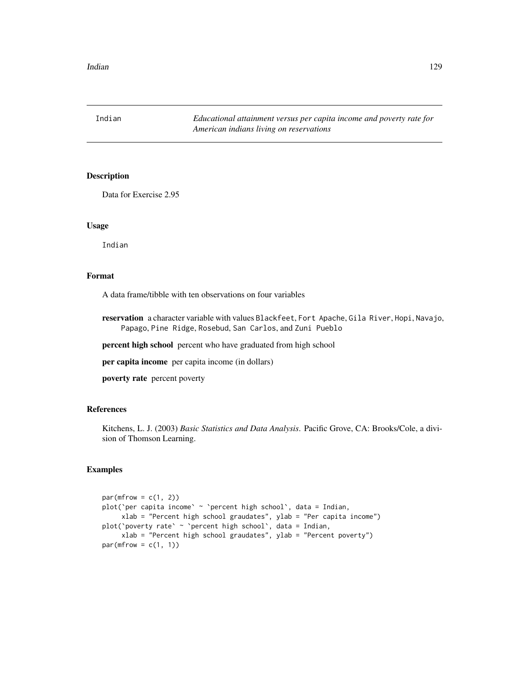Indian *Educational attainment versus per capita income and poverty rate for American indians living on reservations*

# Description

Data for Exercise 2.95

#### Usage

Indian

# Format

A data frame/tibble with ten observations on four variables

reservation a character variable with values Blackfeet, Fort Apache, Gila River, Hopi, Navajo, Papago, Pine Ridge, Rosebud, San Carlos, and Zuni Pueblo

percent high school percent who have graduated from high school

per capita income per capita income (in dollars)

poverty rate percent poverty

# References

Kitchens, L. J. (2003) *Basic Statistics and Data Analysis*. Pacific Grove, CA: Brooks/Cole, a division of Thomson Learning.

```
par(mfrow = c(1, 2))plot('per capita income' \sim 'percent high school', data = Indian,
     xlab = "Percent high school graudates", ylab = "Per capita income")
plot(`poverty rate` ~ `percent high school`, data = Indian,
     xlab = "Percent high school graudates", ylab = "Percent poverty")
par(mfrow = c(1, 1))
```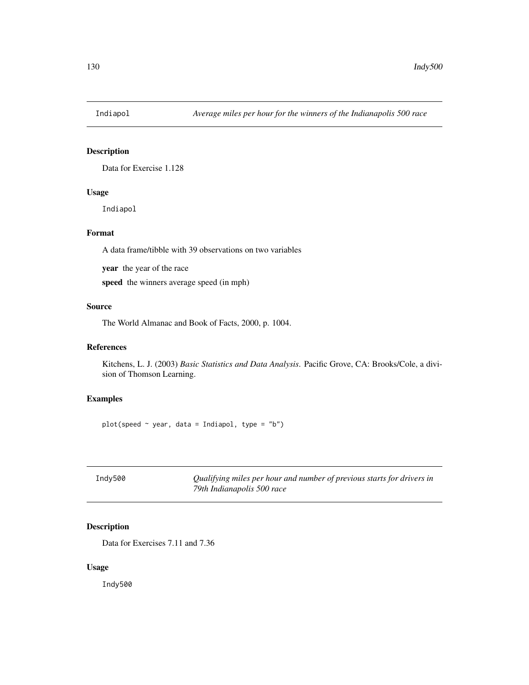Data for Exercise 1.128

## Usage

Indiapol

# Format

A data frame/tibble with 39 observations on two variables

year the year of the race

speed the winners average speed (in mph)

# Source

The World Almanac and Book of Facts, 2000, p. 1004.

# References

Kitchens, L. J. (2003) *Basic Statistics and Data Analysis*. Pacific Grove, CA: Brooks/Cole, a division of Thomson Learning.

# Examples

 $plot(speed ~ vear, data = Indian, type = "b")$ 

| Indy500 | Qualifying miles per hour and number of previous starts for drivers in |
|---------|------------------------------------------------------------------------|
|         | 79th Indianapolis 500 race                                             |

# Description

Data for Exercises 7.11 and 7.36

## Usage

Indy500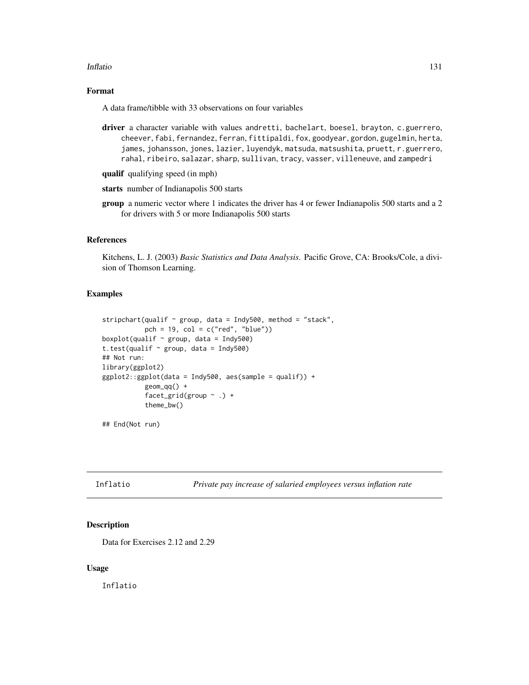#### Inflatio 131

# Format

A data frame/tibble with 33 observations on four variables

- driver a character variable with values andretti, bachelart, boesel, brayton, c.guerrero, cheever, fabi, fernandez, ferran, fittipaldi, fox, goodyear, gordon, gugelmin, herta, james, johansson, jones, lazier, luyendyk, matsuda, matsushita, pruett, r.guerrero, rahal, ribeiro, salazar, sharp, sullivan, tracy, vasser, villeneuve, and zampedri
- qualif qualifying speed (in mph)
- starts number of Indianapolis 500 starts
- group a numeric vector where 1 indicates the driver has 4 or fewer Indianapolis 500 starts and a 2 for drivers with 5 or more Indianapolis 500 starts

#### References

Kitchens, L. J. (2003) *Basic Statistics and Data Analysis*. Pacific Grove, CA: Brooks/Cole, a division of Thomson Learning.

## Examples

```
stripchart(qualif \sim group, data = Indy500, method = "stack",
           pch = 19, col = c("red", "blue"))
boxplot(qualif \sim group, data = Indy500)
t.test(qualif \sim group, data = Indy500)
## Not run:
library(ggplot2)
ggplot2::ggplot(data = Indy500, aes(sample = qualif)) +
           geom_qq() +
           facet_grid(group \sim .) +
           theme_bw()
```
## End(Not run)

Inflatio *Private pay increase of salaried employees versus inflation rate*

#### **Description**

Data for Exercises 2.12 and 2.29

#### Usage

Inflatio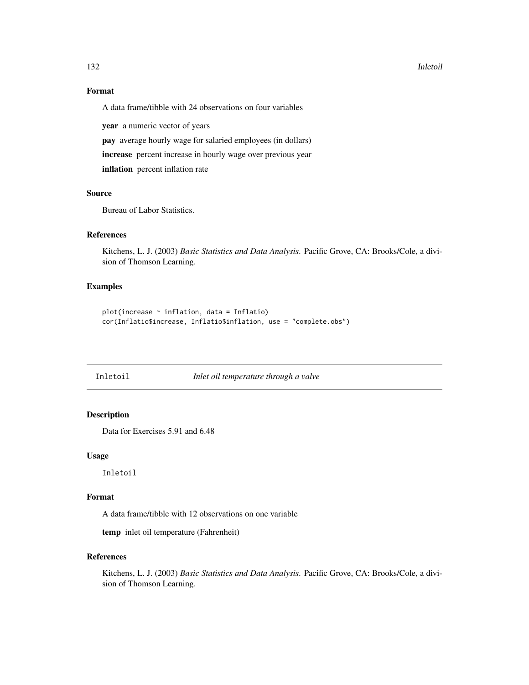#### 132 Inletoil and the contract of the contract of the contract of the contract of the contract of the contract of the contract of the contract of the contract of the contract of the contract of the contract of the contract

# Format

A data frame/tibble with 24 observations on four variables

year a numeric vector of years

pay average hourly wage for salaried employees (in dollars)

increase percent increase in hourly wage over previous year

inflation percent inflation rate

#### Source

Bureau of Labor Statistics.

## References

Kitchens, L. J. (2003) *Basic Statistics and Data Analysis*. Pacific Grove, CA: Brooks/Cole, a division of Thomson Learning.

# Examples

```
plot(increase ~ inflation, data = Inflatio)
cor(Inflatio$increase, Inflatio$inflation, use = "complete.obs")
```

| [nletoil |  |
|----------|--|
|----------|--|

## Inletoil *Inlet oil temperature through a valve*

# Description

Data for Exercises 5.91 and 6.48

# Usage

Inletoil

## Format

A data frame/tibble with 12 observations on one variable

temp inlet oil temperature (Fahrenheit)

## References

Kitchens, L. J. (2003) *Basic Statistics and Data Analysis*. Pacific Grove, CA: Brooks/Cole, a division of Thomson Learning.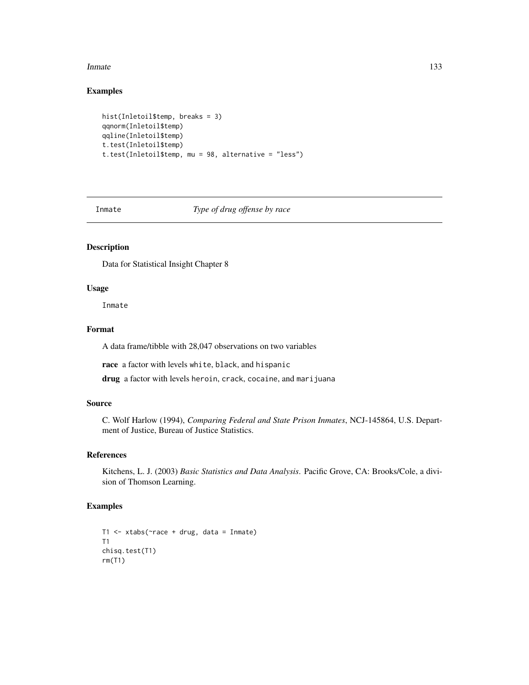#### Inmate 2008 and 2008 and 2008 and 2008 and 2008 and 2008 and 2008 and 2008 and 2008 and 2008 and 2008 and 2008 and 2008 and 2008 and 2008 and 2008 and 2008 and 2008 and 2008 and 2008 and 2008 and 2008 and 2008 and 2008 and

# Examples

```
hist(Inletoil$temp, breaks = 3)
qqnorm(Inletoil$temp)
qqline(Inletoil$temp)
t.test(Inletoil$temp)
t.test(Inletoil$temp, mu = 98, alternative = "less")
```
Inmate *Type of drug offense by race*

# Description

Data for Statistical Insight Chapter 8

## Usage

Inmate

## Format

A data frame/tibble with 28,047 observations on two variables

race a factor with levels white, black, and hispanic

drug a factor with levels heroin, crack, cocaine, and marijuana

## Source

C. Wolf Harlow (1994), *Comparing Federal and State Prison Inmates*, NCJ-145864, U.S. Department of Justice, Bureau of Justice Statistics.

# References

Kitchens, L. J. (2003) *Basic Statistics and Data Analysis*. Pacific Grove, CA: Brooks/Cole, a division of Thomson Learning.

```
T1 <- xtabs(\text{``race + drug, data = Inmate})
T1
chisq.test(T1)
rm(T1)
```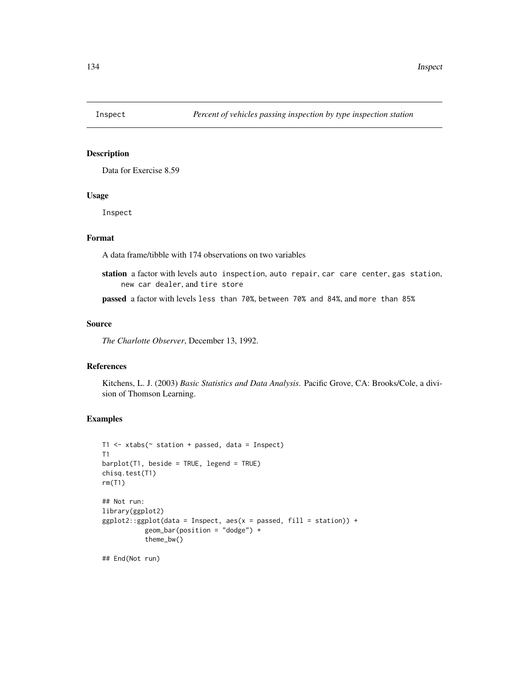Data for Exercise 8.59

#### Usage

Inspect

# Format

A data frame/tibble with 174 observations on two variables

station a factor with levels auto inspection, auto repair, car care center, gas station, new car dealer, and tire store

passed a factor with levels less than 70%, between 70% and 84%, and more than 85%

#### Source

*The Charlotte Observer*, December 13, 1992.

# References

Kitchens, L. J. (2003) *Basic Statistics and Data Analysis*. Pacific Grove, CA: Brooks/Cole, a division of Thomson Learning.

## Examples

```
T1 \le xtabs(\le station + passed, data = Inspect)
T1
barplot(T1, beside = TRUE, legend = TRUE)
chisq.test(T1)
rm(T1)
## Not run:
library(ggplot2)
ggplot2::ggplot(data = Inspect, aes(x = passed, fill = station)) +geom_bar(position = "dodge") +
           theme_bw()
```
## End(Not run)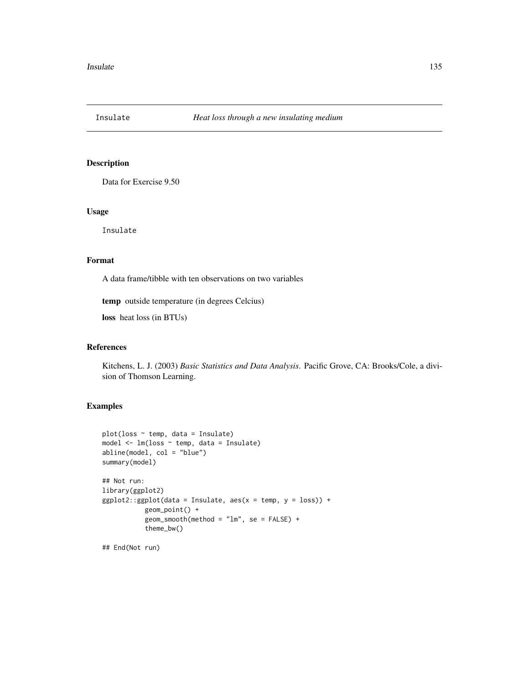Data for Exercise 9.50

## Usage

Insulate

# Format

A data frame/tibble with ten observations on two variables

temp outside temperature (in degrees Celcius)

loss heat loss (in BTUs)

# References

Kitchens, L. J. (2003) *Basic Statistics and Data Analysis*. Pacific Grove, CA: Brooks/Cole, a division of Thomson Learning.

## Examples

```
plot(loss ~ r temp, data = Insulate)
model <- lm(loss ~ temp, data = Insulate)
abline(model, col = "blue")
summary(model)
## Not run:
library(ggplot2)
ggplot2::ggplot(data = Insulate, aes(x = temp, y = loss)) +geom_point() +
           geom\_smooth(method = "lm", se = FALSE) +theme_bw()
```
## End(Not run)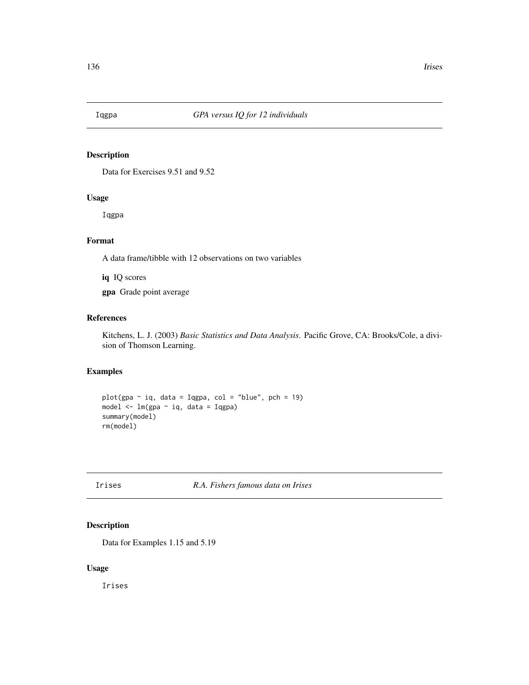Data for Exercises 9.51 and 9.52

# Usage

Iqgpa

# Format

A data frame/tibble with 12 observations on two variables

iq IQ scores

gpa Grade point average

# References

Kitchens, L. J. (2003) *Basic Statistics and Data Analysis*. Pacific Grove, CA: Brooks/Cole, a division of Thomson Learning.

# Examples

```
plot(gpa ~ iq, data = Iqgpa, col = "blue", pch = 19)
model <- lm(gpa ~ iq, data = Iqgpa)
summary(model)
rm(model)
```
# Irises *R.A. Fishers famous data on Irises*

# Description

Data for Examples 1.15 and 5.19

#### Usage

Irises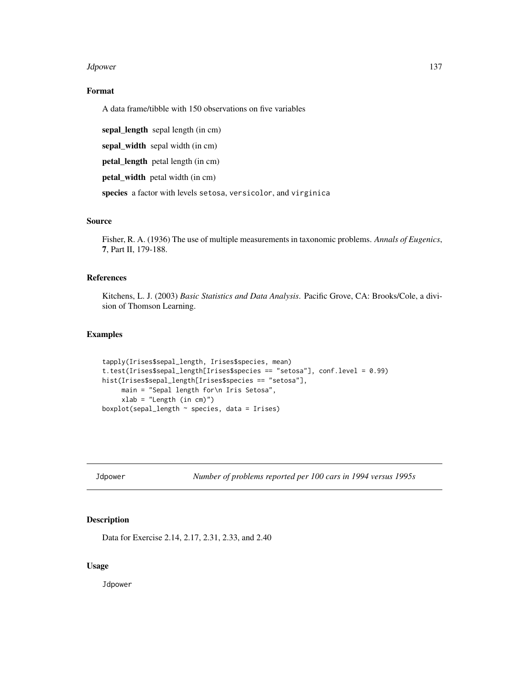#### Jdpower 137

# Format

A data frame/tibble with 150 observations on five variables

sepal\_length sepal length (in cm)

sepal\_width sepal width (in cm)

petal\_length petal length (in cm)

petal\_width petal width (in cm)

species a factor with levels setosa, versicolor, and virginica

#### Source

Fisher, R. A. (1936) The use of multiple measurements in taxonomic problems. *Annals of Eugenics*, 7, Part II, 179-188.

## References

Kitchens, L. J. (2003) *Basic Statistics and Data Analysis*. Pacific Grove, CA: Brooks/Cole, a division of Thomson Learning.

# Examples

```
tapply(Irises$sepal_length, Irises$species, mean)
t.test(Irises$sepal_length[Irises$species == "setosa"], conf.level = 0.99)
hist(Irises$sepal_length[Irises$species == "setosa"],
     main = "Sepal length for\n Iris Setosa",
     xlab = "Length (in cm)")
boxplot(sepal_length ~ species, data = Irises)
```
Jdpower *Number of problems reported per 100 cars in 1994 versus 1995s*

## Description

Data for Exercise 2.14, 2.17, 2.31, 2.33, and 2.40

## Usage

**Jdpower**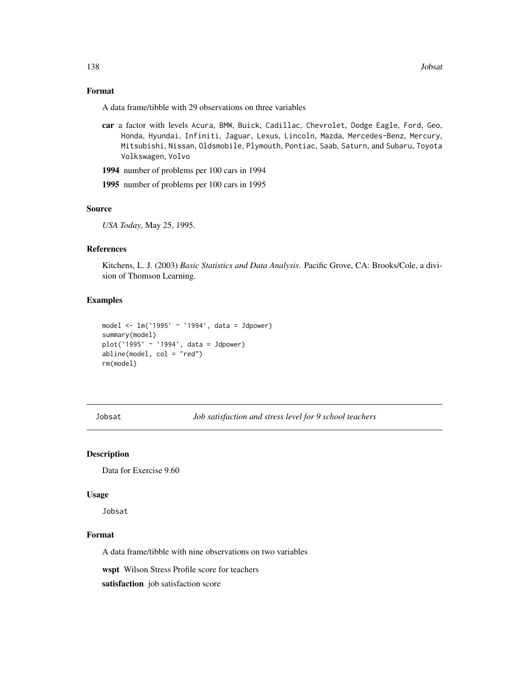# Format

A data frame/tibble with 29 observations on three variables

- car a factor with levels Acura, BMW, Buick, Cadillac, Chevrolet, Dodge Eagle, Ford, Geo, Honda, Hyundai, Infiniti, Jaguar, Lexus, Lincoln, Mazda, Mercedes-Benz, Mercury, Mitsubishi, Nissan, Oldsmobile, Plymouth, Pontiac, Saab, Saturn, and Subaru, Toyota Volkswagen, Volvo
- 1994 number of problems per 100 cars in 1994
- 1995 number of problems per 100 cars in 1995

# Source

*USA Today*, May 25, 1995.

## References

Kitchens, L. J. (2003) *Basic Statistics and Data Analysis*. Pacific Grove, CA: Brooks/Cole, a division of Thomson Learning.

# Examples

```
model <- lm(`1995` ~ `1994`, data = Jdpower)
summary(model)
plot('1995' \sim '1994', data = Jdpower)abline(model, col = "red")
rm(model)
```
Jobsat *Job satisfaction and stress level for 9 school teachers*

#### Description

Data for Exercise 9.60

#### Usage

Jobsat

## Format

A data frame/tibble with nine observations on two variables

wspt Wilson Stress Profile score for teachers

satisfaction job satisfaction score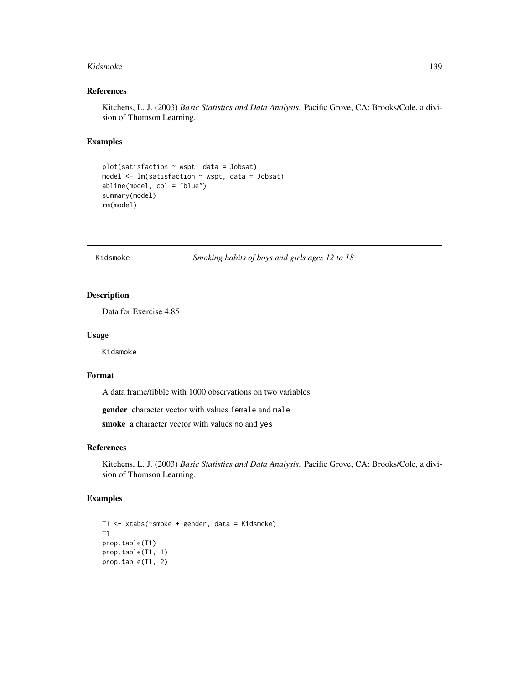#### Kidsmoke 139

## References

Kitchens, L. J. (2003) *Basic Statistics and Data Analysis*. Pacific Grove, CA: Brooks/Cole, a division of Thomson Learning.

## Examples

```
plot(satisfaction ~ wspt, data = Jobsat)
model <- lm(satisfaction ~ wspt, data = Jobsat)
abline(model, col = "blue")
summary(model)
rm(model)
```
Kidsmoke *Smoking habits of boys and girls ages 12 to 18*

# Description

Data for Exercise 4.85

#### Usage

Kidsmoke

#### Format

A data frame/tibble with 1000 observations on two variables

gender character vector with values female and male

smoke a character vector with values no and yes

## References

Kitchens, L. J. (2003) *Basic Statistics and Data Analysis*. Pacific Grove, CA: Brooks/Cole, a division of Thomson Learning.

```
T1 <- xtabs(~smoke + gender, data = Kidsmoke)
T1
prop.table(T1)
prop.table(T1, 1)
prop.table(T1, 2)
```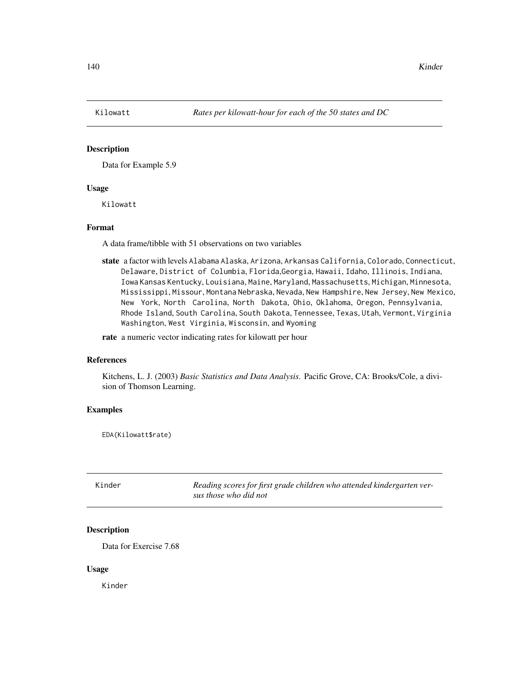Data for Example 5.9

## Usage

Kilowatt

## Format

A data frame/tibble with 51 observations on two variables

state a factor with levels Alabama Alaska, Arizona, Arkansas California, Colorado, Connecticut, Delaware, District of Columbia, Florida,Georgia, Hawaii, Idaho, Illinois, Indiana, Iowa Kansas Kentucky, Louisiana, Maine, Maryland, Massachusetts, Michigan, Minnesota, Mississippi, Missour, Montana Nebraska, Nevada, New Hampshire, New Jersey, New Mexico, New York, North Carolina, North Dakota, Ohio, Oklahoma, Oregon, Pennsylvania, Rhode Island, South Carolina, South Dakota, Tennessee, Texas, Utah, Vermont, Virginia Washington, West Virginia, Wisconsin, and Wyoming

rate a numeric vector indicating rates for kilowatt per hour

## References

Kitchens, L. J. (2003) *Basic Statistics and Data Analysis*. Pacific Grove, CA: Brooks/Cole, a division of Thomson Learning.

# Examples

EDA(Kilowatt\$rate)

| Kinder | Reading scores for first grade children who attended kindergarten ver- |
|--------|------------------------------------------------------------------------|
|        | sus those who did not                                                  |

## Description

Data for Exercise 7.68

#### Usage

Kinder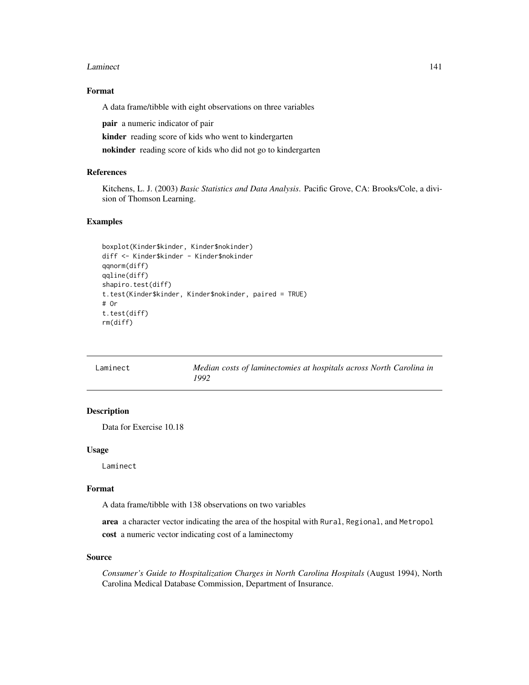#### Laminect 141

## Format

A data frame/tibble with eight observations on three variables

pair a numeric indicator of pair

kinder reading score of kids who went to kindergarten

nokinder reading score of kids who did not go to kindergarten

# References

Kitchens, L. J. (2003) *Basic Statistics and Data Analysis*. Pacific Grove, CA: Brooks/Cole, a division of Thomson Learning.

## Examples

```
boxplot(Kinder$kinder, Kinder$nokinder)
diff <- Kinder$kinder - Kinder$nokinder
qqnorm(diff)
qqline(diff)
shapiro.test(diff)
t.test(Kinder$kinder, Kinder$nokinder, paired = TRUE)
# Or
t.test(diff)
rm(diff)
```

| Laminect | Median costs of laminectomies at hospitals across North Carolina in |
|----------|---------------------------------------------------------------------|
|          | 1992                                                                |

# Description

Data for Exercise 10.18

#### Usage

Laminect

#### Format

A data frame/tibble with 138 observations on two variables

area a character vector indicating the area of the hospital with Rural, Regional, and Metropol

cost a numeric vector indicating cost of a laminectomy

#### Source

*Consumer's Guide to Hospitalization Charges in North Carolina Hospitals* (August 1994), North Carolina Medical Database Commission, Department of Insurance.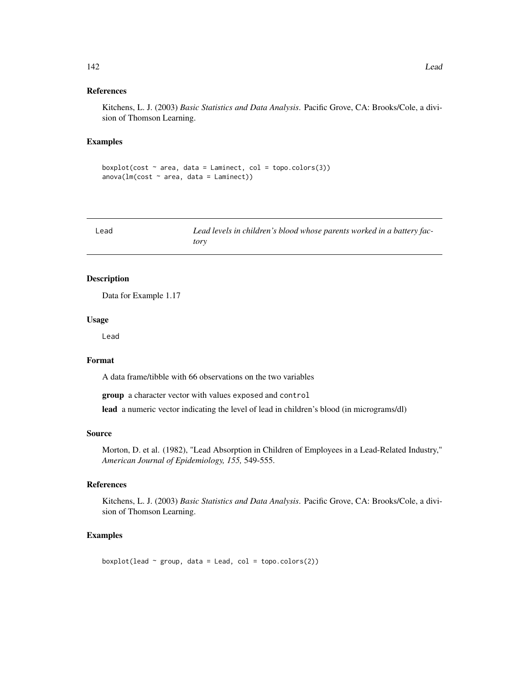#### References

Kitchens, L. J. (2003) *Basic Statistics and Data Analysis*. Pacific Grove, CA: Brooks/Cole, a division of Thomson Learning.

# Examples

```
boxplot(cost ~ ~ area, data = Lamipect, col = topo.colors(3))anova(Im(cost ~ area, data = Lamipect))
```

| Lead | Lead levels in children's blood whose parents worked in a battery fac- |
|------|------------------------------------------------------------------------|
|      | tory                                                                   |

## Description

Data for Example 1.17

## Usage

Lead

## Format

A data frame/tibble with 66 observations on the two variables

group a character vector with values exposed and control

lead a numeric vector indicating the level of lead in children's blood (in micrograms/dl)

## Source

Morton, D. et al. (1982), "Lead Absorption in Children of Employees in a Lead-Related Industry," *American Journal of Epidemiology, 155,* 549-555.

## References

Kitchens, L. J. (2003) *Basic Statistics and Data Analysis*. Pacific Grove, CA: Brooks/Cole, a division of Thomson Learning.

## Examples

boxplot(lead  $\sim$  group, data = Lead, col = topo.colors(2))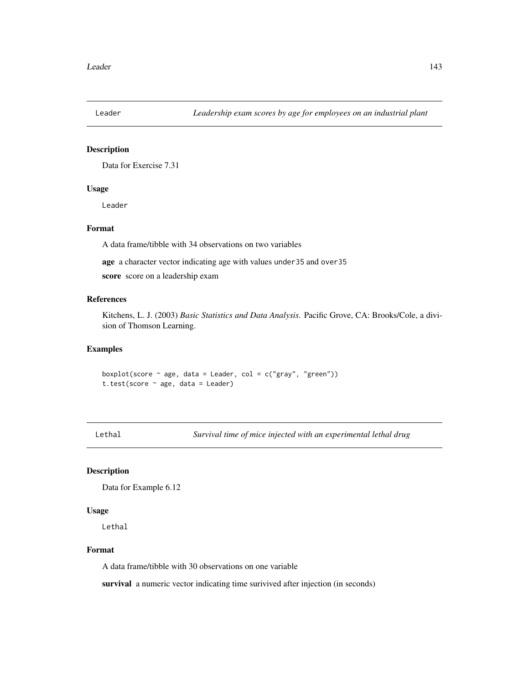Data for Exercise 7.31

## Usage

Leader

## Format

A data frame/tibble with 34 observations on two variables

age a character vector indicating age with values under35 and over35

score score on a leadership exam

## References

Kitchens, L. J. (2003) *Basic Statistics and Data Analysis*. Pacific Grove, CA: Brooks/Cole, a division of Thomson Learning.

#### Examples

boxplot(score  $\sim$  age, data = Leader, col = c("gray", "green")) t.test(score  $\sim$  age, data = Leader)

Lethal *Survival time of mice injected with an experimental lethal drug*

# Description

Data for Example 6.12

## Usage

Lethal

#### Format

A data frame/tibble with 30 observations on one variable

survival a numeric vector indicating time surivived after injection (in seconds)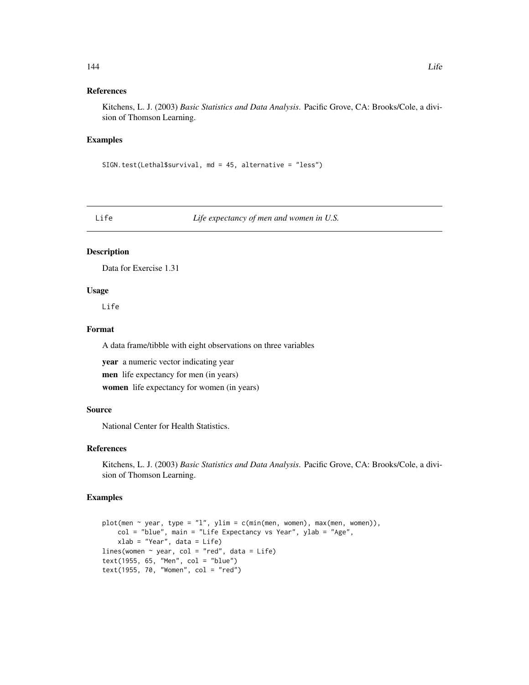# References

Kitchens, L. J. (2003) *Basic Statistics and Data Analysis*. Pacific Grove, CA: Brooks/Cole, a division of Thomson Learning.

## Examples

SIGN.test(Lethal\$survival, md = 45, alternative = "less")

Life *Life expectancy of men and women in U.S.*

# Description

Data for Exercise 1.31

# Usage

Life

# Format

A data frame/tibble with eight observations on three variables

year a numeric vector indicating year men life expectancy for men (in years) women life expectancy for women (in years)

# Source

National Center for Health Statistics.

# References

Kitchens, L. J. (2003) *Basic Statistics and Data Analysis*. Pacific Grove, CA: Brooks/Cole, a division of Thomson Learning.

```
plot(men \sim year, type = "1", ylim = c(min(men, women), max(men, women)),
   col = "blue", main = "Life Expectancy vs Year", ylab = "Age",xlab = "Year", data = Life)
lines(women ~ year, col = "red", data = Life)
text(1955, 65, "Men", col = "blue")
text(1955, 70, "Women", col = "red")
```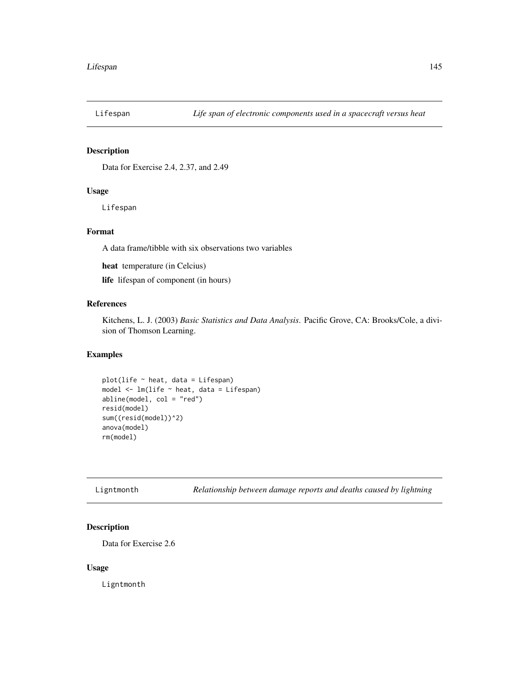Data for Exercise 2.4, 2.37, and 2.49

## Usage

Lifespan

## Format

A data frame/tibble with six observations two variables

heat temperature (in Celcius)

life lifespan of component (in hours)

## References

Kitchens, L. J. (2003) *Basic Statistics and Data Analysis*. Pacific Grove, CA: Brooks/Cole, a division of Thomson Learning.

## Examples

```
plot(life ~ heat, data = Lifespan)
model <- lm(life ~ heat, data = Lifespan)
abline(model, col = "red")
resid(model)
sum((resid(model))^2)
anova(model)
rm(model)
```
Ligntmonth *Relationship between damage reports and deaths caused by lightning*

#### Description

Data for Exercise 2.6

#### Usage

Ligntmonth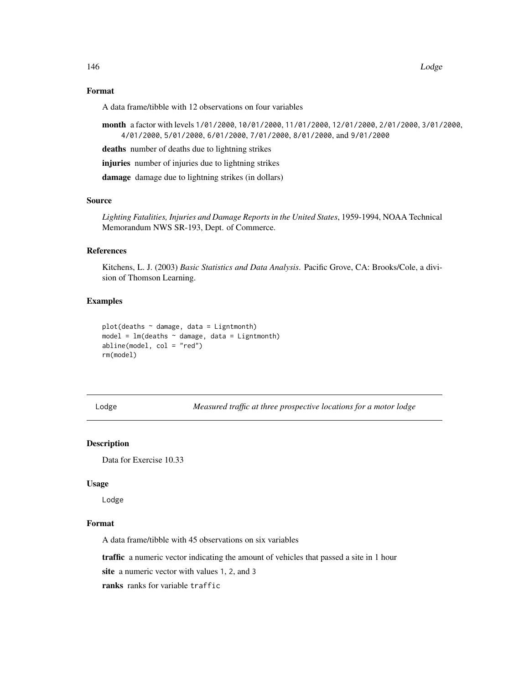## Format

A data frame/tibble with 12 observations on four variables

month a factor with levels 1/01/2000, 10/01/2000, 11/01/2000, 12/01/2000, 2/01/2000, 3/01/2000, 4/01/2000, 5/01/2000, 6/01/2000, 7/01/2000, 8/01/2000, and 9/01/2000

deaths number of deaths due to lightning strikes

injuries number of injuries due to lightning strikes

damage damage due to lightning strikes (in dollars)

#### Source

*Lighting Fatalities, Injuries and Damage Reports in the United States*, 1959-1994, NOAA Technical Memorandum NWS SR-193, Dept. of Commerce.

#### References

Kitchens, L. J. (2003) *Basic Statistics and Data Analysis*. Pacific Grove, CA: Brooks/Cole, a division of Thomson Learning.

#### Examples

```
plot(deaths ~ damage, data = Lightmonth)model = lm(deaths ~ damage, data = Ligntmonth)abline(model, col = "red")
rm(model)
```
Lodge *Measured traffic at three prospective locations for a motor lodge*

#### Description

Data for Exercise 10.33

#### Usage

Lodge

#### Format

A data frame/tibble with 45 observations on six variables

traffic a numeric vector indicating the amount of vehicles that passed a site in 1 hour

site a numeric vector with values 1, 2, and 3

ranks ranks for variable traffic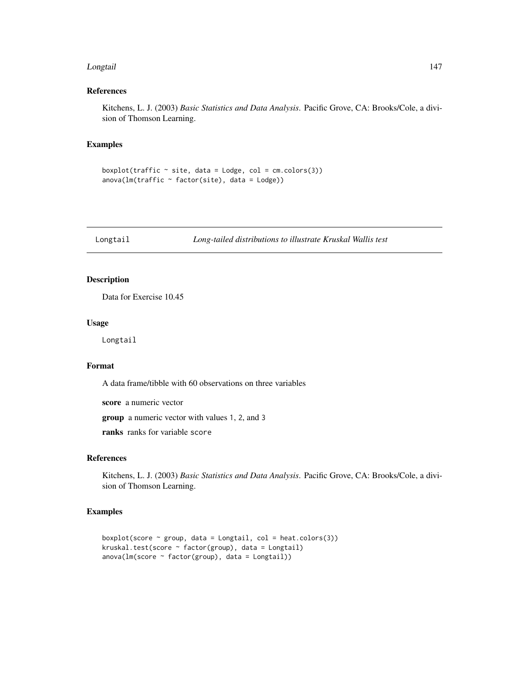#### Longtail 147

## References

Kitchens, L. J. (2003) *Basic Statistics and Data Analysis*. Pacific Grove, CA: Brooks/Cole, a division of Thomson Learning.

#### Examples

boxplot(traffic  $\sim$  site, data = Lodge, col = cm.colors(3))  $anova(Im(traffic ~ factor(site), data = Lodge))$ 

Longtail *Long-tailed distributions to illustrate Kruskal Wallis test*

## Description

Data for Exercise 10.45

#### Usage

Longtail

# Format

A data frame/tibble with 60 observations on three variables

score a numeric vector

group a numeric vector with values 1, 2, and 3

ranks ranks for variable score

#### References

Kitchens, L. J. (2003) *Basic Statistics and Data Analysis*. Pacific Grove, CA: Brooks/Cole, a division of Thomson Learning.

```
boxplot(score ~ group, data = Longtail, col = heat.colors(3))kruskal.test(score ~ factor(group), data = Longtail)
anova(Im(score ~ factor(group), data = Longtail))
```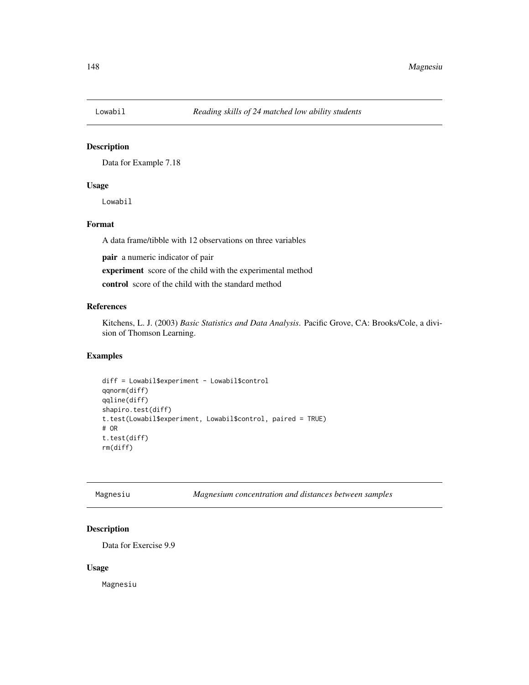Data for Example 7.18

## Usage

Lowabil

## Format

A data frame/tibble with 12 observations on three variables

pair a numeric indicator of pair

experiment score of the child with the experimental method

control score of the child with the standard method

# References

Kitchens, L. J. (2003) *Basic Statistics and Data Analysis*. Pacific Grove, CA: Brooks/Cole, a division of Thomson Learning.

## Examples

```
diff = Lowabil$experiment - Lowabil$control
qqnorm(diff)
qqline(diff)
shapiro.test(diff)
t.test(Lowabil$experiment, Lowabil$control, paired = TRUE)
# OR
t.test(diff)
rm(diff)
```
Magnesiu *Magnesium concentration and distances between samples*

# Description

Data for Exercise 9.9

#### Usage

Magnesiu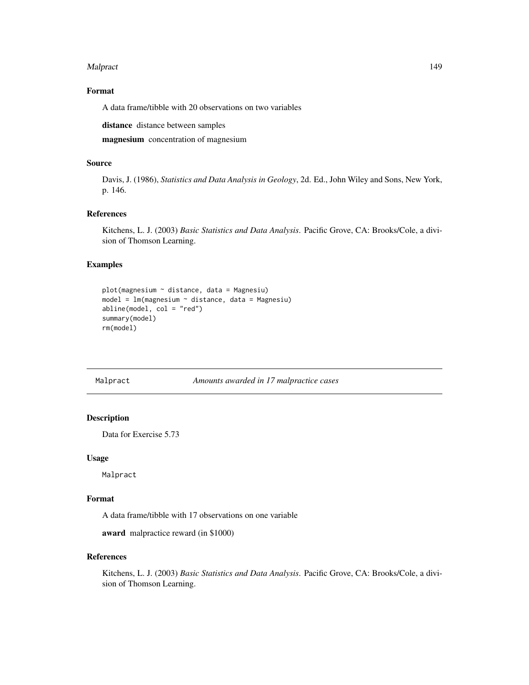#### Malpract 2008 and 2008 and 2008 and 2008 and 2008 and 2008 and 2008 and 2008 and 2008 and 2008 and 2008 and 20

## Format

A data frame/tibble with 20 observations on two variables

distance distance between samples

magnesium concentration of magnesium

## Source

Davis, J. (1986), *Statistics and Data Analysis in Geology*, 2d. Ed., John Wiley and Sons, New York, p. 146.

## References

Kitchens, L. J. (2003) *Basic Statistics and Data Analysis*. Pacific Grove, CA: Brooks/Cole, a division of Thomson Learning.

#### Examples

```
plot(magnesium ~ distance, data = Magnesiu)
model = lm(magnesium ~ distance, data = Magnesiu)abline(model, col = "red")
summary(model)
rm(model)
```
#### Malpract *Amounts awarded in 17 malpractice cases*

#### Description

Data for Exercise 5.73

#### Usage

Malpract

## Format

A data frame/tibble with 17 observations on one variable

award malpractice reward (in \$1000)

#### References

Kitchens, L. J. (2003) *Basic Statistics and Data Analysis*. Pacific Grove, CA: Brooks/Cole, a division of Thomson Learning.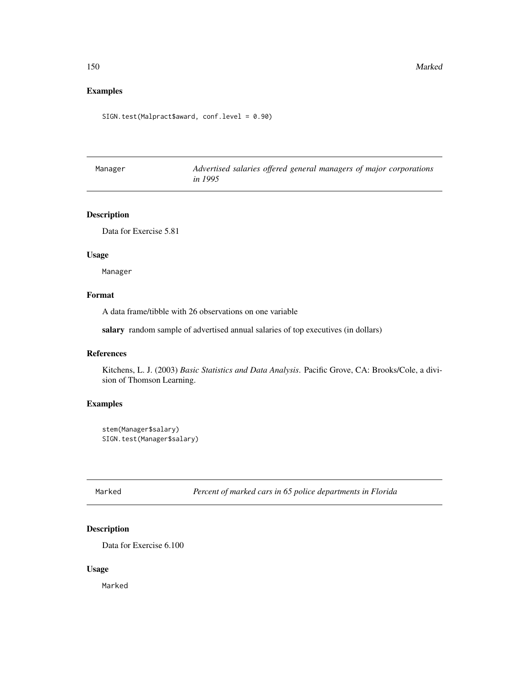## Examples

SIGN.test(Malpract\$award, conf.level = 0.90)

| Manager | Advertised salaries offered general managers of major corporations |
|---------|--------------------------------------------------------------------|
|         | <i>in 1995</i>                                                     |

# Description

Data for Exercise 5.81

#### Usage

Manager

# Format

A data frame/tibble with 26 observations on one variable

salary random sample of advertised annual salaries of top executives (in dollars)

## References

Kitchens, L. J. (2003) *Basic Statistics and Data Analysis*. Pacific Grove, CA: Brooks/Cole, a division of Thomson Learning.

## Examples

```
stem(Manager$salary)
SIGN.test(Manager$salary)
```
Marked *Percent of marked cars in 65 police departments in Florida*

## Description

Data for Exercise 6.100

#### Usage

Marked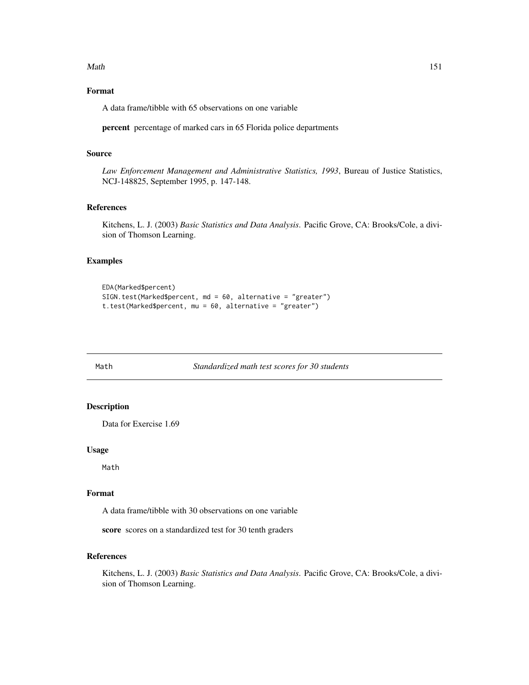#### Math 151

# Format

A data frame/tibble with 65 observations on one variable

percent percentage of marked cars in 65 Florida police departments

## Source

*Law Enforcement Management and Administrative Statistics, 1993*, Bureau of Justice Statistics, NCJ-148825, September 1995, p. 147-148.

#### References

Kitchens, L. J. (2003) *Basic Statistics and Data Analysis*. Pacific Grove, CA: Brooks/Cole, a division of Thomson Learning.

# Examples

```
EDA(Marked$percent)
SIGN.test(Marked$percent, md = 60, alternative = "greater")
t.test(Marked$percent, mu = 60, alternative = "greater")
```
Math *Standardized math test scores for 30 students*

# Description

Data for Exercise 1.69

#### Usage

Math

#### Format

A data frame/tibble with 30 observations on one variable

score scores on a standardized test for 30 tenth graders

## References

Kitchens, L. J. (2003) *Basic Statistics and Data Analysis*. Pacific Grove, CA: Brooks/Cole, a division of Thomson Learning.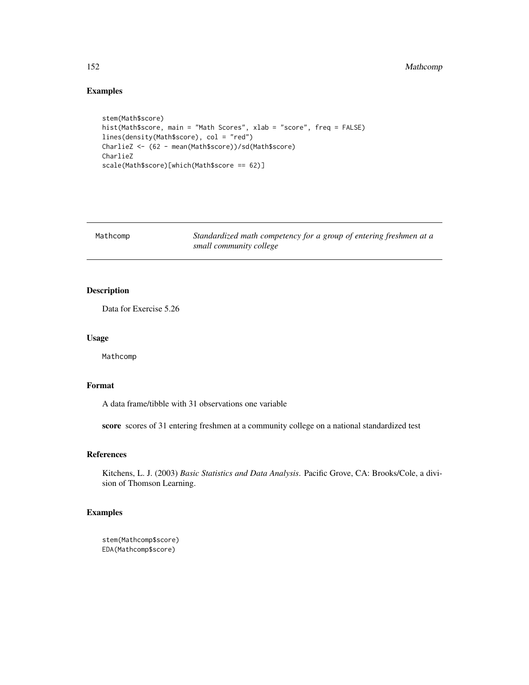# Examples

```
stem(Math$score)
hist(Math$score, main = "Math Scores", xlab = "score", freq = FALSE)
lines(density(Math$score), col = "red")
CharlieZ <- (62 - mean(Math$score))/sd(Math$score)
CharlieZ
scale(Math$score)[which(Math$score == 62)]
```

| Mathcomp | Standardized math competency for a group of entering freshmen at a |
|----------|--------------------------------------------------------------------|
|          | small community college                                            |

## Description

Data for Exercise 5.26

# Usage

Mathcomp

## Format

A data frame/tibble with 31 observations one variable

score scores of 31 entering freshmen at a community college on a national standardized test

## References

Kitchens, L. J. (2003) *Basic Statistics and Data Analysis*. Pacific Grove, CA: Brooks/Cole, a division of Thomson Learning.

```
stem(Mathcomp$score)
EDA(Mathcomp$score)
```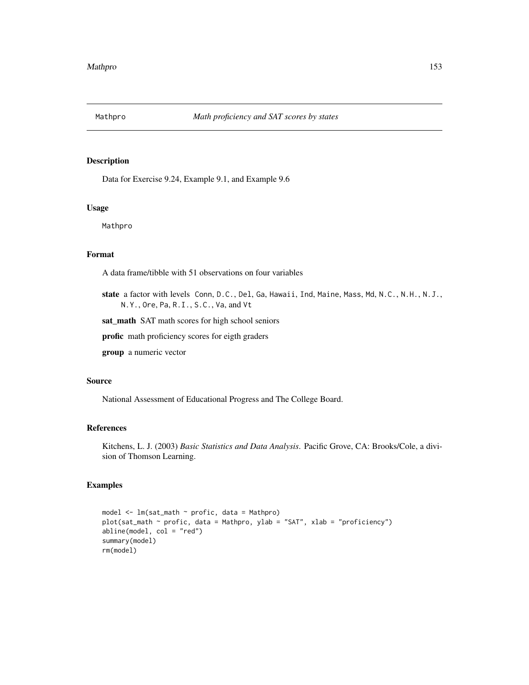Data for Exercise 9.24, Example 9.1, and Example 9.6

#### Usage

Mathpro

## Format

A data frame/tibble with 51 observations on four variables

state a factor with levels Conn, D.C., Del, Ga, Hawaii, Ind, Maine, Mass, Md, N.C., N.H., N.J., N.Y., Ore, Pa, R.I., S.C., Va, and Vt

sat\_math SAT math scores for high school seniors

profic math proficiency scores for eigth graders

group a numeric vector

#### Source

National Assessment of Educational Progress and The College Board.

# References

Kitchens, L. J. (2003) *Basic Statistics and Data Analysis*. Pacific Grove, CA: Brooks/Cole, a division of Thomson Learning.

```
model <- lm(sat_math ~ profic, data = Mathpro)
plot(sat_math ~ profic, data = Mathpro, ylab = "SAT", xlab = "proficiency")
abline(model, col = "red")
summary(model)
rm(model)
```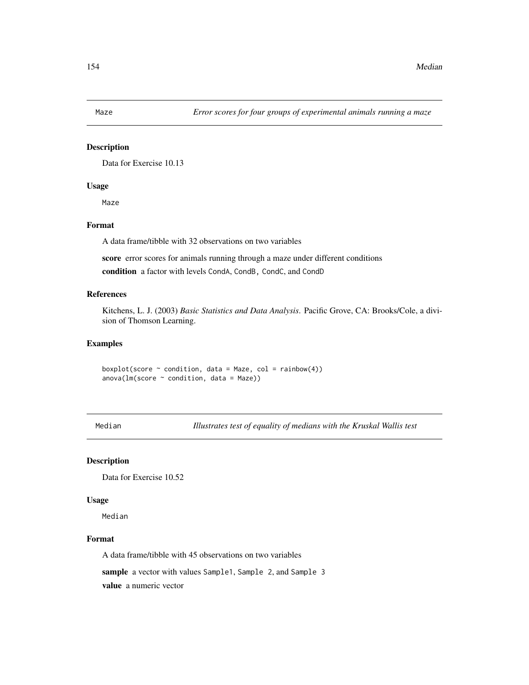Data for Exercise 10.13

# Usage

Maze

# Format

A data frame/tibble with 32 observations on two variables

score error scores for animals running through a maze under different conditions

condition a factor with levels CondA, CondB, CondC, and CondD

## References

Kitchens, L. J. (2003) *Basic Statistics and Data Analysis*. Pacific Grove, CA: Brooks/Cole, a division of Thomson Learning.

#### Examples

boxplot(score  $\sim$  condition, data = Maze, col = rainbow(4))  $anova(Im(score ~ condition, data = Maxe))$ 

Median *Illustrates test of equality of medians with the Kruskal Wallis test*

#### Description

Data for Exercise 10.52

#### Usage

Median

## Format

A data frame/tibble with 45 observations on two variables

sample a vector with values Sample1, Sample 2, and Sample 3

value a numeric vector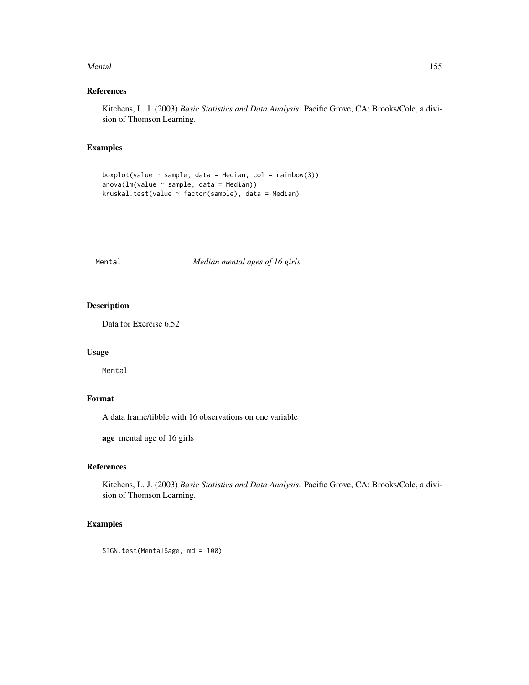#### Mental 155

## References

Kitchens, L. J. (2003) *Basic Statistics and Data Analysis*. Pacific Grove, CA: Brooks/Cole, a division of Thomson Learning.

## Examples

```
boxplot(value \sim sample, data = Median, col = rainbow(3))
anova(Im(value \sim sample, data = Median))kruskal.test(value ~ factor(sample), data = Median)
```
# Mental *Median mental ages of 16 girls*

## Description

Data for Exercise 6.52

## Usage

Mental

# Format

A data frame/tibble with 16 observations on one variable

age mental age of 16 girls

## References

Kitchens, L. J. (2003) *Basic Statistics and Data Analysis*. Pacific Grove, CA: Brooks/Cole, a division of Thomson Learning.

# Examples

SIGN.test(Mental\$age, md = 100)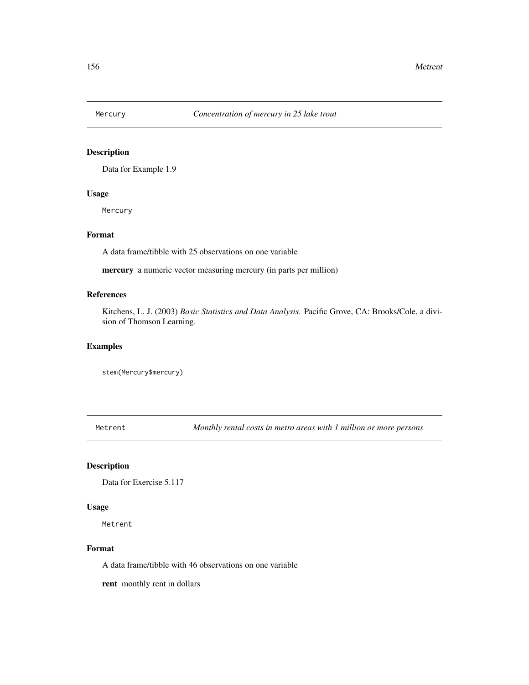Data for Example 1.9

#### Usage

Mercury

## Format

A data frame/tibble with 25 observations on one variable

mercury a numeric vector measuring mercury (in parts per million)

## References

Kitchens, L. J. (2003) *Basic Statistics and Data Analysis*. Pacific Grove, CA: Brooks/Cole, a division of Thomson Learning.

#### Examples

stem(Mercury\$mercury)

Metrent *Monthly rental costs in metro areas with 1 million or more persons*

## Description

Data for Exercise 5.117

#### Usage

Metrent

#### Format

A data frame/tibble with 46 observations on one variable

rent monthly rent in dollars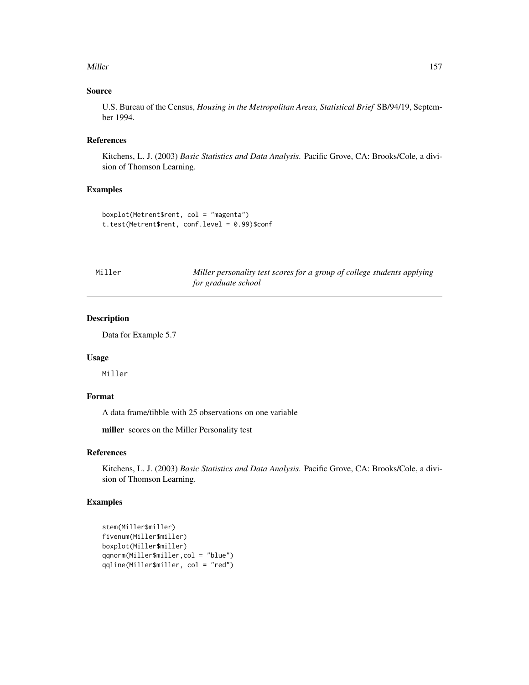#### Miller 2008 and 2009 and 2009 and 2009 and 2009 and 2009 and 2009 and 2009 and 2009 and 2009 and 2009 and 2009

## Source

U.S. Bureau of the Census, *Housing in the Metropolitan Areas, Statistical Brief* SB/94/19, September 1994.

## References

Kitchens, L. J. (2003) *Basic Statistics and Data Analysis*. Pacific Grove, CA: Brooks/Cole, a division of Thomson Learning.

## Examples

```
boxplot(Metrent$rent, col = "magenta")
t.test(Metrent$rent, conf.level = 0.99)$conf
```

| Miller | Miller personality test scores for a group of college students applying |
|--------|-------------------------------------------------------------------------|
|        | for graduate school                                                     |

## Description

Data for Example 5.7

#### Usage

Miller

#### Format

A data frame/tibble with 25 observations on one variable

miller scores on the Miller Personality test

## References

Kitchens, L. J. (2003) *Basic Statistics and Data Analysis*. Pacific Grove, CA: Brooks/Cole, a division of Thomson Learning.

```
stem(Miller$miller)
fivenum(Miller$miller)
boxplot(Miller$miller)
qqnorm(Miller$miller,col = "blue")
qqline(Miller$miller, col = "red")
```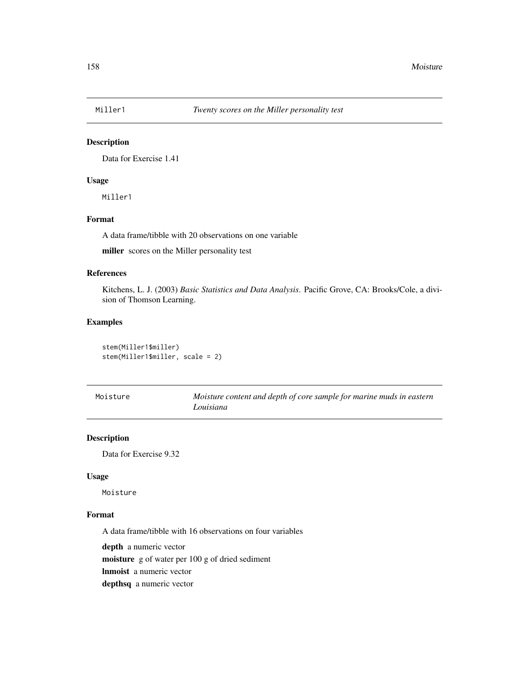Data for Exercise 1.41

# Usage

Miller1

# Format

A data frame/tibble with 20 observations on one variable

miller scores on the Miller personality test

#### References

Kitchens, L. J. (2003) *Basic Statistics and Data Analysis*. Pacific Grove, CA: Brooks/Cole, a division of Thomson Learning.

#### Examples

stem(Miller1\$miller) stem(Miller1\$miller, scale = 2)

| Moisture | Moisture content and depth of core sample for marine muds in eastern |
|----------|----------------------------------------------------------------------|
|          | Louisiana                                                            |

#### Description

Data for Exercise 9.32

## Usage

Moisture

# Format

A data frame/tibble with 16 observations on four variables

depth a numeric vector moisture g of water per 100 g of dried sediment

lnmoist a numeric vector

depthsq a numeric vector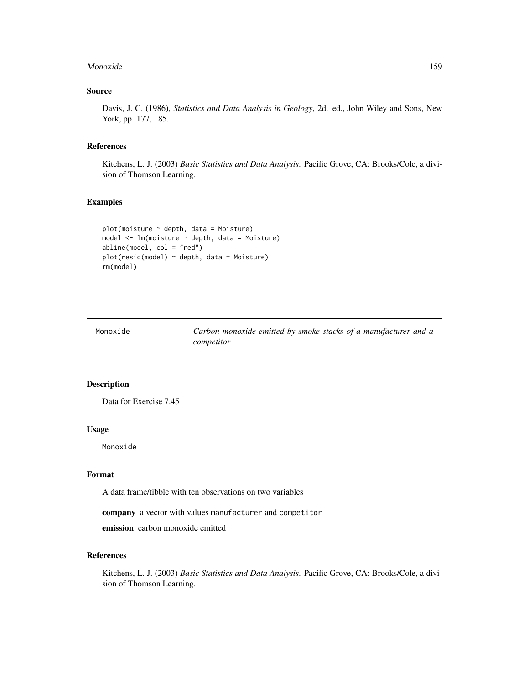#### Monoxide 2012 159 and 2012 159 and 2012 159 and 2012 159 and 2012 159 and 2012 159 and 2012 159 and 2013 159 and 2013 159 and 2013 159 and 2013 159 and 2013 159 and 2013 159 and 2013 159 and 2013 159 and 2013 159 and 2013

## Source

Davis, J. C. (1986), *Statistics and Data Analysis in Geology*, 2d. ed., John Wiley and Sons, New York, pp. 177, 185.

#### References

Kitchens, L. J. (2003) *Basic Statistics and Data Analysis*. Pacific Grove, CA: Brooks/Cole, a division of Thomson Learning.

#### Examples

```
plot(moisture ~ depth, data = Moisture)
model <- lm(moisture ~ depth, data = Moisture)
abline(model, col = "red")
plot(resid(model) ~ depth, data = Moisture)
rm(model)
```

| Monoxide | Carbon monoxide emitted by smoke stacks of a manufacturer and a |  |
|----------|-----------------------------------------------------------------|--|
|          | competitor                                                      |  |

#### Description

Data for Exercise 7.45

#### Usage

Monoxide

#### Format

A data frame/tibble with ten observations on two variables

company a vector with values manufacturer and competitor

emission carbon monoxide emitted

## References

Kitchens, L. J. (2003) *Basic Statistics and Data Analysis*. Pacific Grove, CA: Brooks/Cole, a division of Thomson Learning.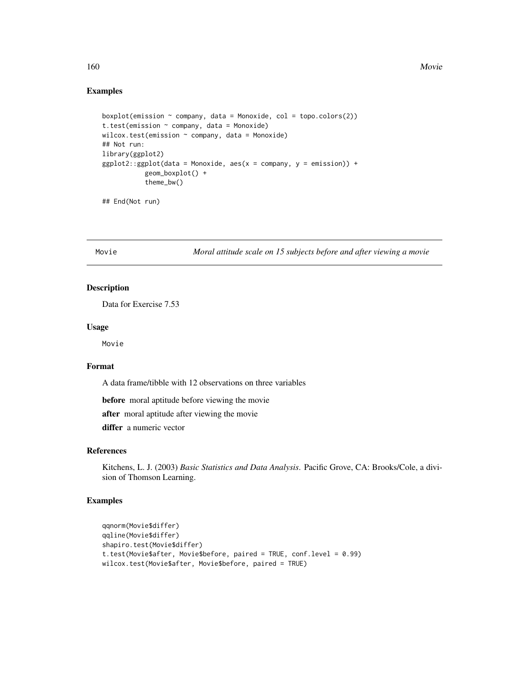#### Examples

```
boxplot(emission ~amp; company, data = Monoxide, col = topo.colors(2))t.test(emission \sim company, data = Monoxide)
wilcox.test(emission ~ company, data = Monoxide)
## Not run:
library(ggplot2)
ggplot2::ggplot(data = Monoxide, aes(x = company, y = emission)) +geom_boxplot() +
           theme_bw()
```
## End(Not run)

Movie *Moral attitude scale on 15 subjects before and after viewing a movie*

#### Description

Data for Exercise 7.53

## Usage

Movie

# Format

A data frame/tibble with 12 observations on three variables

before moral aptitude before viewing the movie

after moral aptitude after viewing the movie

differ a numeric vector

#### References

Kitchens, L. J. (2003) *Basic Statistics and Data Analysis*. Pacific Grove, CA: Brooks/Cole, a division of Thomson Learning.

```
qqnorm(Movie$differ)
qqline(Movie$differ)
shapiro.test(Movie$differ)
t.test(Movie$after, Movie$before, paired = TRUE, conf.level = 0.99)
wilcox.test(Movie$after, Movie$before, paired = TRUE)
```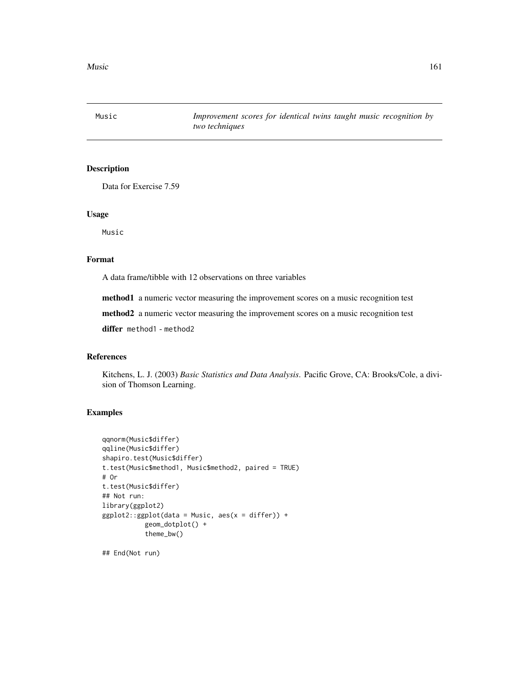Music *Improvement scores for identical twins taught music recognition by two techniques*

## Description

Data for Exercise 7.59

#### Usage

Music

#### Format

A data frame/tibble with 12 observations on three variables

method1 a numeric vector measuring the improvement scores on a music recognition test

method2 a numeric vector measuring the improvement scores on a music recognition test

differ method1 - method2

## References

Kitchens, L. J. (2003) *Basic Statistics and Data Analysis*. Pacific Grove, CA: Brooks/Cole, a division of Thomson Learning.

#### Examples

```
qqnorm(Music$differ)
qqline(Music$differ)
shapiro.test(Music$differ)
t.test(Music$method1, Music$method2, paired = TRUE)
# Or
t.test(Music$differ)
## Not run:
library(ggplot2)
ggplot2::ggplot(data = Music, aes(x = differ)) +geom_dotplot() +
           theme_bw()
```
## End(Not run)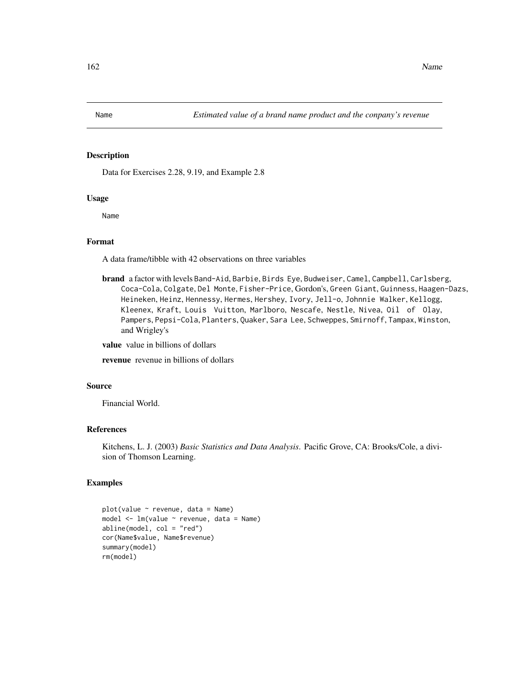Data for Exercises 2.28, 9.19, and Example 2.8

#### Usage

Name

## Format

A data frame/tibble with 42 observations on three variables

brand a factor with levels Band-Aid, Barbie, Birds Eye, Budweiser, Camel, Campbell, Carlsberg, Coca-Cola, Colgate, Del Monte, Fisher-Price, Gordon's, Green Giant, Guinness, Haagen-Dazs, Heineken, Heinz, Hennessy, Hermes, Hershey, Ivory, Jell-o, Johnnie Walker, Kellogg, Kleenex, Kraft, Louis Vuitton, Marlboro, Nescafe, Nestle, Nivea, Oil of Olay, Pampers, Pepsi-Cola, Planters, Quaker, Sara Lee, Schweppes, Smirnoff, Tampax, Winston, and Wrigley's

value value in billions of dollars

revenue revenue in billions of dollars

## Source

Financial World.

#### References

Kitchens, L. J. (2003) *Basic Statistics and Data Analysis*. Pacific Grove, CA: Brooks/Cole, a division of Thomson Learning.

```
plot(value ~ revenue, data = Name)model \leq 1m(value \leq revenue, data = Name)
abline(model, col = "red")
cor(Name$value, Name$revenue)
summary(model)
rm(model)
```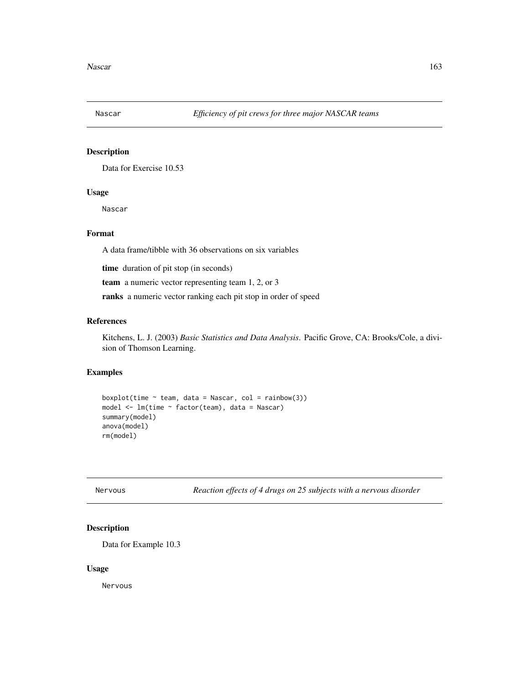Data for Exercise 10.53

## Usage

Nascar

## Format

A data frame/tibble with 36 observations on six variables

time duration of pit stop (in seconds)

team a numeric vector representing team 1, 2, or 3

ranks a numeric vector ranking each pit stop in order of speed

## References

Kitchens, L. J. (2003) *Basic Statistics and Data Analysis*. Pacific Grove, CA: Brooks/Cole, a division of Thomson Learning.

#### Examples

```
boxplot(time \sim team, data = Nascar, col = rainbow(3))
model <- lm(time ~ factor(team), data = Nascar)
summary(model)
anova(model)
rm(model)
```
Reaction effects of 4 drugs on 25 subjects with a nervous disorder

## Description

Data for Example 10.3

#### Usage

Nervous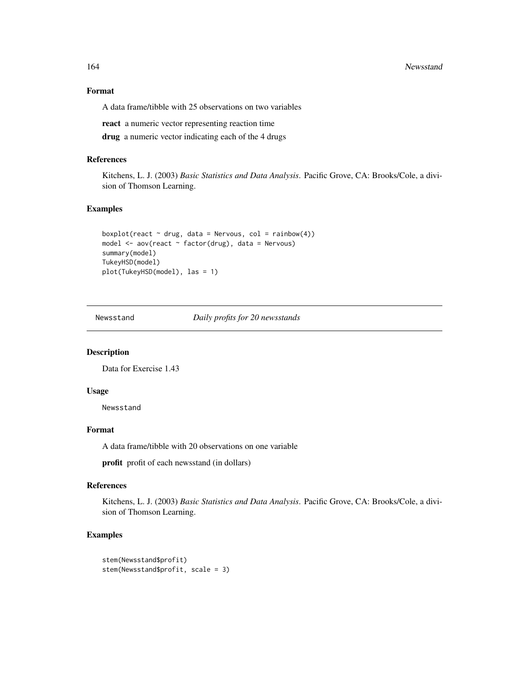164 Newsstand

## Format

A data frame/tibble with 25 observations on two variables

react a numeric vector representing reaction time

drug a numeric vector indicating each of the 4 drugs

#### References

Kitchens, L. J. (2003) *Basic Statistics and Data Analysis*. Pacific Grove, CA: Brooks/Cole, a division of Thomson Learning.

## Examples

```
boxplot(react \sim drug, data = Nervous, col = rainbow(4))
model <- aov(react ~ factor(drug), data = Nervous)
summary(model)
TukeyHSD(model)
plot(TukeyHSD(model), las = 1)
```
Newsstand *Daily profits for 20 newsstands*

## Description

Data for Exercise 1.43

## Usage

Newsstand

## Format

A data frame/tibble with 20 observations on one variable

profit profit of each newsstand (in dollars)

#### References

Kitchens, L. J. (2003) *Basic Statistics and Data Analysis*. Pacific Grove, CA: Brooks/Cole, a division of Thomson Learning.

```
stem(Newsstand$profit)
stem(Newsstand$profit, scale = 3)
```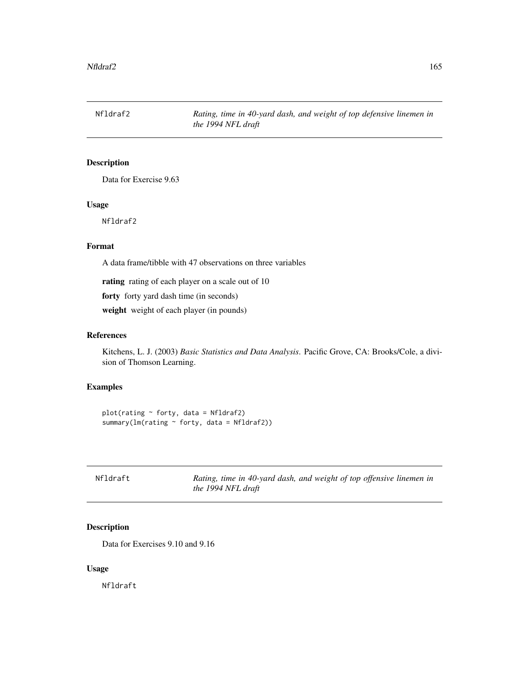Nfldraf2 *Rating, time in 40-yard dash, and weight of top defensive linemen in the 1994 NFL draft*

## Description

Data for Exercise 9.63

## Usage

Nfldraf2

## Format

A data frame/tibble with 47 observations on three variables

rating rating of each player on a scale out of 10

forty forty yard dash time (in seconds)

weight weight of each player (in pounds)

## References

Kitchens, L. J. (2003) *Basic Statistics and Data Analysis*. Pacific Grove, CA: Brooks/Cole, a division of Thomson Learning.

## Examples

```
plot(rating ~ forty, data = Nfldraf2)summary(lm(rating ~ forty, data = Nfldraf2))
```

| Nfldraft | Rating, time in 40-yard dash, and weight of top offensive linemen in |  |
|----------|----------------------------------------------------------------------|--|
|          | the 1994 NFL draft                                                   |  |

# Description

Data for Exercises 9.10 and 9.16

#### Usage

Nfldraft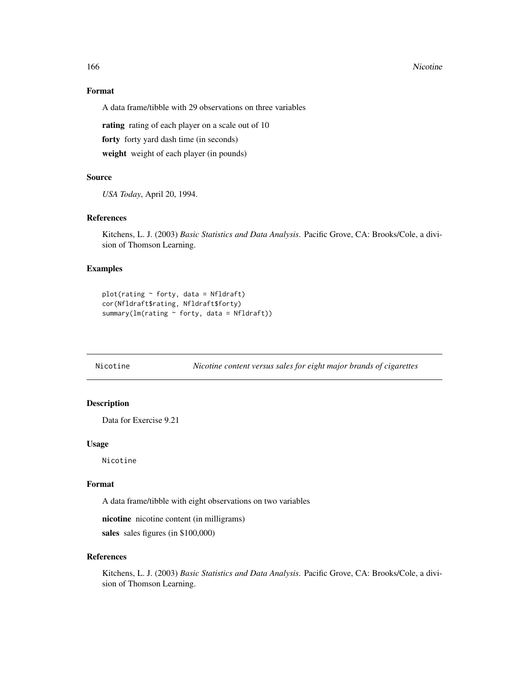#### 166 Nicotine 2016 Nicotine 2016 Nicotine 2016 Nicotine 2016 Nicotine 2016 Nicotine 2016 Nicotine 2016 Nicotine 2016 Nicotine 2016 Nicotine 2016 Nicotine 2016 Nicotine 2016 Nicotine 2016 Nicotine 2016 Nicotine 2016 Nicotine

## Format

A data frame/tibble with 29 observations on three variables

rating rating of each player on a scale out of 10

forty forty yard dash time (in seconds)

weight weight of each player (in pounds)

#### Source

*USA Today*, April 20, 1994.

#### References

Kitchens, L. J. (2003) *Basic Statistics and Data Analysis*. Pacific Grove, CA: Brooks/Cole, a division of Thomson Learning.

#### Examples

```
plot(rating ~ forty, data = Nfldraff)cor(Nfldraft$rating, Nfldraft$forty)
summary(lm(rating ~ forty, data = Nfldraff))
```
Nicotine *Nicotine content versus sales for eight major brands of cigarettes*

#### Description

Data for Exercise 9.21

# Usage

Nicotine

#### Format

A data frame/tibble with eight observations on two variables

nicotine nicotine content (in milligrams)

sales sales figures (in \$100,000)

#### References

Kitchens, L. J. (2003) *Basic Statistics and Data Analysis*. Pacific Grove, CA: Brooks/Cole, a division of Thomson Learning.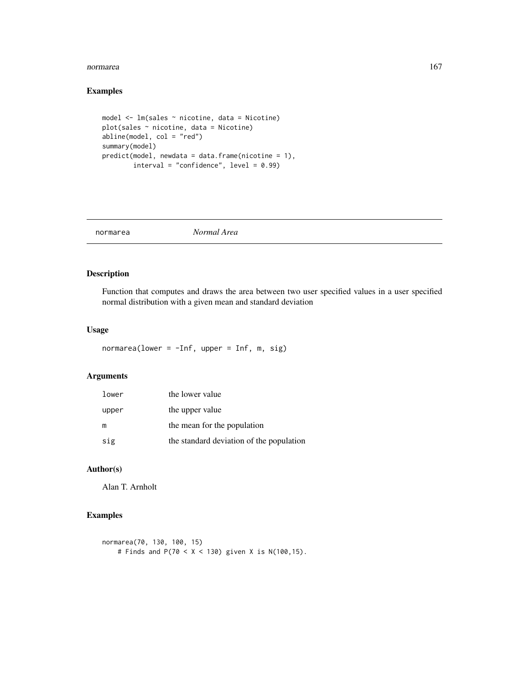#### normarea  $167$

## Examples

```
model <- lm(sales ~ nicotine, data = Nicotine)
plot(sales ~ nicotine, data = Nicotine)
abline(model, col = "red")
summary(model)
predict(model, newdata = data.frame(nicotine = 1),
       interval = "confidence", level = 0.99)
```
normarea *Normal Area*

## Description

Function that computes and draws the area between two user specified values in a user specified normal distribution with a given mean and standard deviation

#### Usage

```
normarea(lower = -Inf, upper = Inf, m, sig)
```
# Arguments

| lower | the lower value                          |
|-------|------------------------------------------|
| upper | the upper value                          |
| m     | the mean for the population              |
| sig   | the standard deviation of the population |

# Author(s)

Alan T. Arnholt

```
normarea(70, 130, 100, 15)
    # Finds and P(70 < X < 130) given X is N(100,15).
```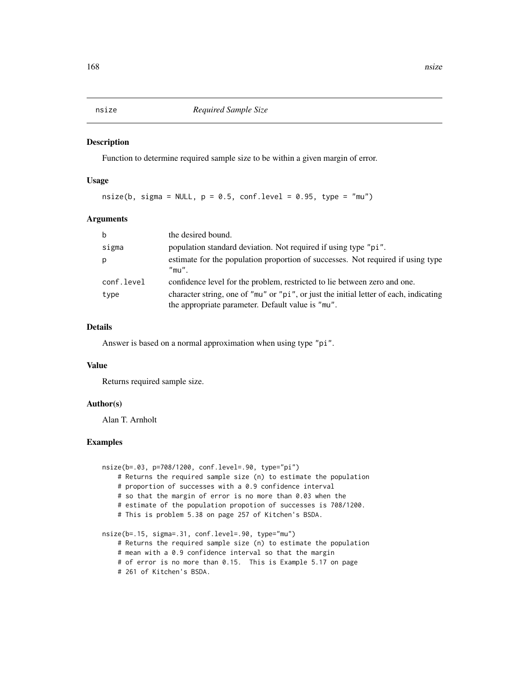Function to determine required sample size to be within a given margin of error.

#### Usage

 $nsize(b, sigma = NULL, p = 0.5, conf.level = 0.95, type = "mu")$ 

#### Arguments

| $\mathbf b$ | the desired bound.                                                                                                                         |
|-------------|--------------------------------------------------------------------------------------------------------------------------------------------|
| sigma       | population standard deviation. Not required if using type "pi".                                                                            |
| p           | estimate for the population proportion of successes. Not required if using type<br>$"$ mu $"$ .                                            |
| conf.level  | confidence level for the problem, restricted to lie between zero and one.                                                                  |
| type        | character string, one of "mu" or "pi", or just the initial letter of each, indicating<br>the appropriate parameter. Default value is "mu". |

#### Details

Answer is based on a normal approximation when using type "pi".

#### Value

Returns required sample size.

## Author(s)

Alan T. Arnholt

```
nsize(b=.03, p=708/1200, conf.level=.90, type="pi")
   # Returns the required sample size (n) to estimate the population
   # proportion of successes with a 0.9 confidence interval
   # so that the margin of error is no more than 0.03 when the
   # estimate of the population propotion of successes is 708/1200.
   # This is problem 5.38 on page 257 of Kitchen's BSDA.
nsize(b=.15, sigma=.31, conf.level=.90, type="mu")
    # Returns the required sample size (n) to estimate the population
   # mean with a 0.9 confidence interval so that the margin
   # of error is no more than 0.15. This is Example 5.17 on page
    # 261 of Kitchen's BSDA.
```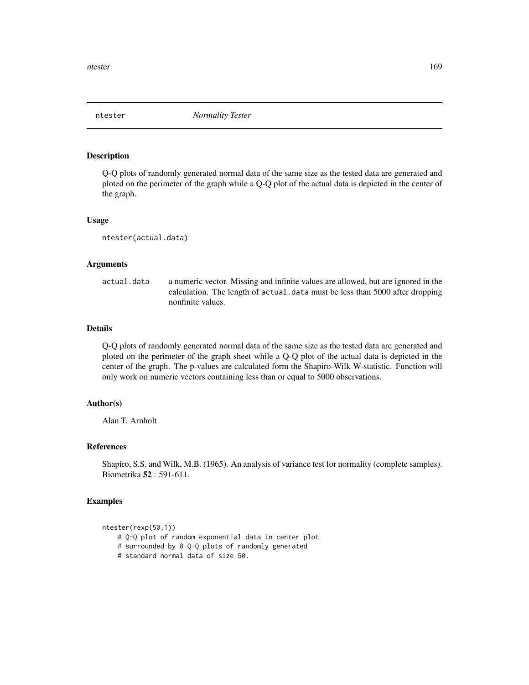Q-Q plots of randomly generated normal data of the same size as the tested data are generated and ploted on the perimeter of the graph while a Q-Q plot of the actual data is depicted in the center of the graph.

#### Usage

ntester(actual.data)

#### Arguments

actual.data a numeric vector. Missing and infinite values are allowed, but are ignored in the calculation. The length of actual.data must be less than 5000 after dropping nonfinite values.

## Details

Q-Q plots of randomly generated normal data of the same size as the tested data are generated and ploted on the perimeter of the graph sheet while a Q-Q plot of the actual data is depicted in the center of the graph. The p-values are calculated form the Shapiro-Wilk W-statistic. Function will only work on numeric vectors containing less than or equal to 5000 observations.

#### Author(s)

Alan T. Arnholt

## References

Shapiro, S.S. and Wilk, M.B. (1965). An analysis of variance test for normality (complete samples). Biometrika 52 : 591-611.

```
ntester(rexp(50,1))
```
- # Q-Q plot of random exponential data in center plot
- # surrounded by 8 Q-Q plots of randomly generated
- # standard normal data of size 50.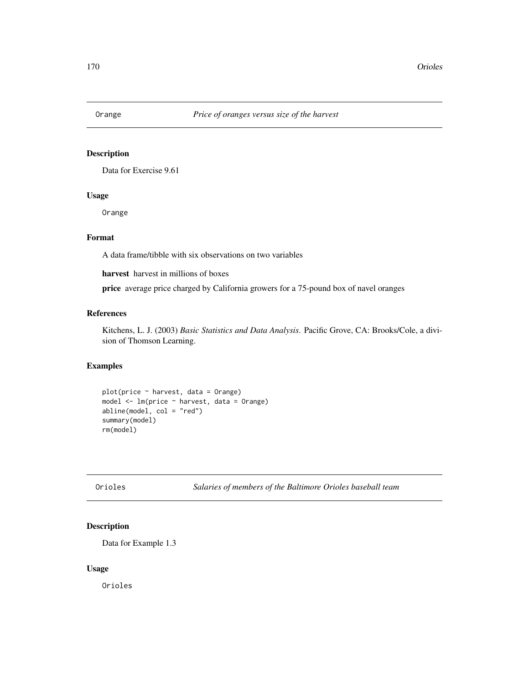Data for Exercise 9.61

## Usage

Orange

## Format

A data frame/tibble with six observations on two variables

harvest harvest in millions of boxes

price average price charged by California growers for a 75-pound box of navel oranges

# References

Kitchens, L. J. (2003) *Basic Statistics and Data Analysis*. Pacific Grove, CA: Brooks/Cole, a division of Thomson Learning.

# Examples

```
plot(price ~ harvest, data = Orange)
model <- lm(price ~ harvest, data = Orange)
abline(model, col = "red")
summary(model)
rm(model)
```
Orioles *Salaries of members of the Baltimore Orioles baseball team*

## Description

Data for Example 1.3

#### Usage

Orioles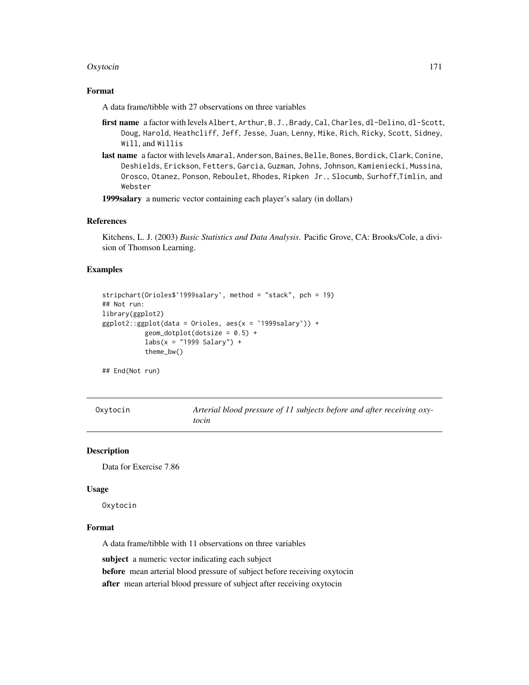#### Oxytocin 171

## Format

A data frame/tibble with 27 observations on three variables

- first name a factor with levels Albert, Arthur, B.J., Brady, Cal, Charles, dl-Delino, dl-Scott, Doug, Harold, Heathcliff, Jeff, Jesse, Juan, Lenny, Mike, Rich, Ricky, Scott, Sidney, Will, and Willis
- last name a factor with levels Amaral, Anderson, Baines, Belle, Bones, Bordick, Clark, Conine, Deshields, Erickson, Fetters, Garcia, Guzman, Johns, Johnson, Kamieniecki, Mussina, Orosco, Otanez, Ponson, Reboulet, Rhodes, Ripken Jr., Slocumb, Surhoff,Timlin, and Webster

1999salary a numeric vector containing each player's salary (in dollars)

#### References

Kitchens, L. J. (2003) *Basic Statistics and Data Analysis*. Pacific Grove, CA: Brooks/Cole, a division of Thomson Learning.

#### Examples

```
stripchart(Orioles$`1999salary`, method = "stack", pch = 19)
## Not run:
library(ggplot2)
ggplot2::ggplot(data = Orioles, aes(x = `1999salary`)) +
            geom_dotplot(dotsize = 0.5) +
           \text{labs}(x = "1999 \text{ Salary}') +
            theme_bw()
```
## End(Not run)

Oxytocin *Arterial blood pressure of 11 subjects before and after receiving oxytocin*

#### Description

Data for Exercise 7.86

#### Usage

Oxytocin

## Format

A data frame/tibble with 11 observations on three variables

subject a numeric vector indicating each subject

before mean arterial blood pressure of subject before receiving oxytocin

after mean arterial blood pressure of subject after receiving oxytocin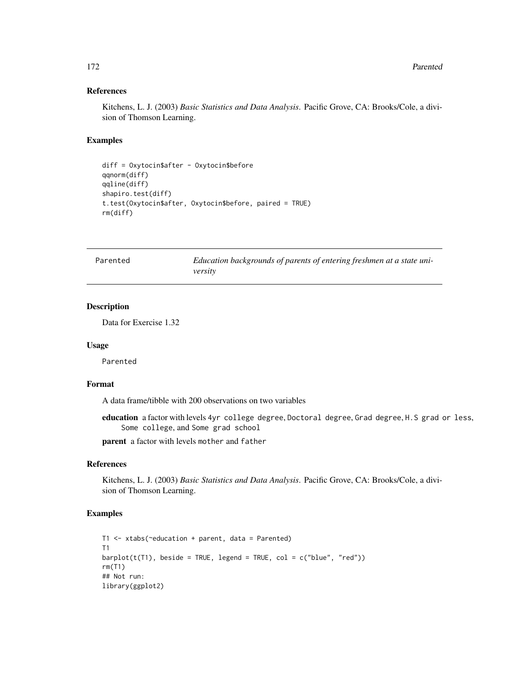# References

Kitchens, L. J. (2003) *Basic Statistics and Data Analysis*. Pacific Grove, CA: Brooks/Cole, a division of Thomson Learning.

#### Examples

```
diff = Oxytocin$after - Oxytocin$before
qqnorm(diff)
qqline(diff)
shapiro.test(diff)
t.test(Oxytocin$after, Oxytocin$before, paired = TRUE)
rm(diff)
```

| Parented | Education backgrounds of parents of entering freshmen at a state uni- |
|----------|-----------------------------------------------------------------------|
|          | versitv                                                               |

# Description

Data for Exercise 1.32

#### Usage

Parented

## Format

A data frame/tibble with 200 observations on two variables

education a factor with levels 4yr college degree, Doctoral degree, Grad degree, H.S grad or less, Some college, and Some grad school

parent a factor with levels mother and father

# References

Kitchens, L. J. (2003) *Basic Statistics and Data Analysis*. Pacific Grove, CA: Brooks/Cole, a division of Thomson Learning.

```
T1 <- xtabs(~education + parent, data = Parented)
T1
barplot(t(T1), beside = TRUE, legend = TRUE, col = c("blue", "red"))rm(T1)
## Not run:
library(ggplot2)
```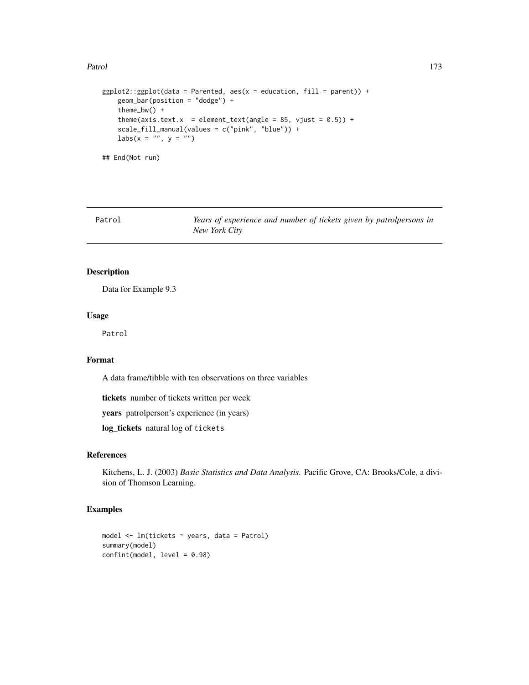#### Patrol 273

```
ggplot2::ggplot(data = Parented, aes(x = education, fill = parent)) +geom_bar(position = "dodge") +
    theme_bw() +
    theme(axis.text.x = element_text(angle = 85, vjust = (0.5)) +
    scale_fill_manual(values = c("pink", "blue")) +
    \text{labs}(x = \text{""}, y = \text{""})## End(Not run)
```
Patrol *Years of experience and number of tickets given by patrolpersons in New York City*

## Description

Data for Example 9.3

#### Usage

Patrol

#### Format

A data frame/tibble with ten observations on three variables

tickets number of tickets written per week

years patrolperson's experience (in years)

log\_tickets natural log of tickets

## References

Kitchens, L. J. (2003) *Basic Statistics and Data Analysis*. Pacific Grove, CA: Brooks/Cole, a division of Thomson Learning.

```
model <- lm(tickets ~ years, data = Patrol)
summary(model)
confint(model, level = 0.98)
```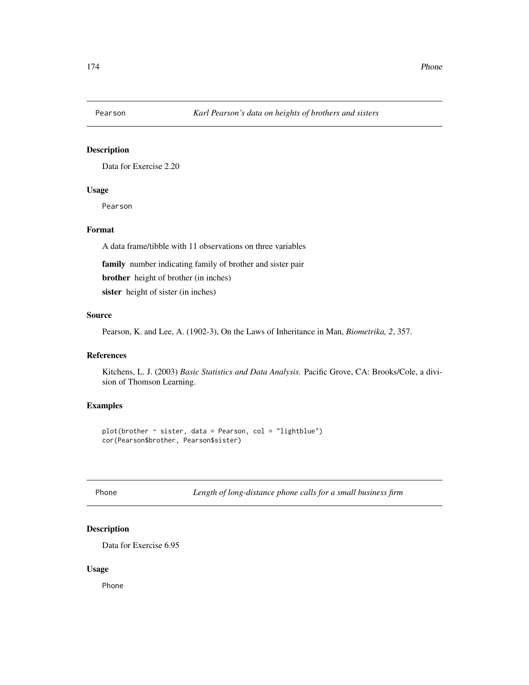Data for Exercise 2.20

## Usage

Pearson

#### Format

A data frame/tibble with 11 observations on three variables

family number indicating family of brother and sister pair

brother height of brother (in inches)

sister height of sister (in inches)

## Source

Pearson, K. and Lee, A. (1902-3), On the Laws of Inheritance in Man, *Biometrika, 2*, 357.

## References

Kitchens, L. J. (2003) *Basic Statistics and Data Analysis*. Pacific Grove, CA: Brooks/Cole, a division of Thomson Learning.

#### Examples

 $plot(brother ~ sister, data = Pearson, col = "lightblue")$ cor(Pearson\$brother, Pearson\$sister)

Phone *Length of long-distance phone calls for a small business firm*

## Description

Data for Exercise 6.95

#### Usage

Phone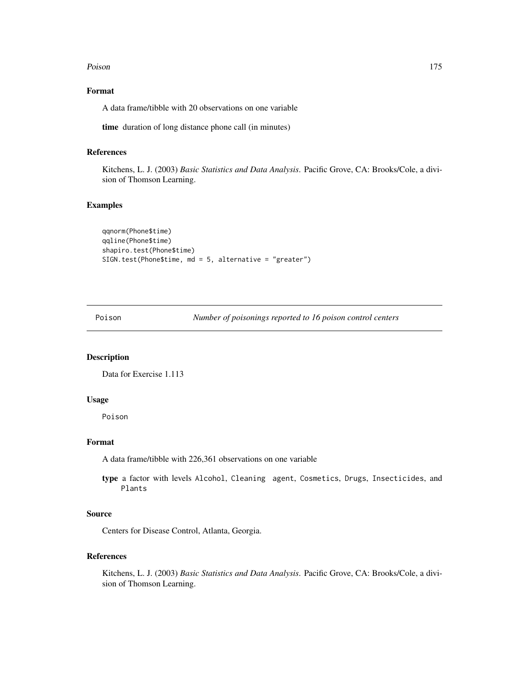#### Poison and the contract of the contract of the contract of the contract of the contract of the contract of the contract of the contract of the contract of the contract of the contract of the contract of the contract of the

## Format

A data frame/tibble with 20 observations on one variable

time duration of long distance phone call (in minutes)

## References

Kitchens, L. J. (2003) *Basic Statistics and Data Analysis*. Pacific Grove, CA: Brooks/Cole, a division of Thomson Learning.

## Examples

```
qqnorm(Phone$time)
qqline(Phone$time)
shapiro.test(Phone$time)
SIGN.test(Phone$time, md = 5, alternative = "greater")
```
Poison *Number of poisonings reported to 16 poison control centers*

## Description

Data for Exercise 1.113

#### Usage

Poison

## Format

A data frame/tibble with 226,361 observations on one variable

type a factor with levels Alcohol, Cleaning agent, Cosmetics, Drugs, Insecticides, and Plants

## Source

Centers for Disease Control, Atlanta, Georgia.

## References

Kitchens, L. J. (2003) *Basic Statistics and Data Analysis*. Pacific Grove, CA: Brooks/Cole, a division of Thomson Learning.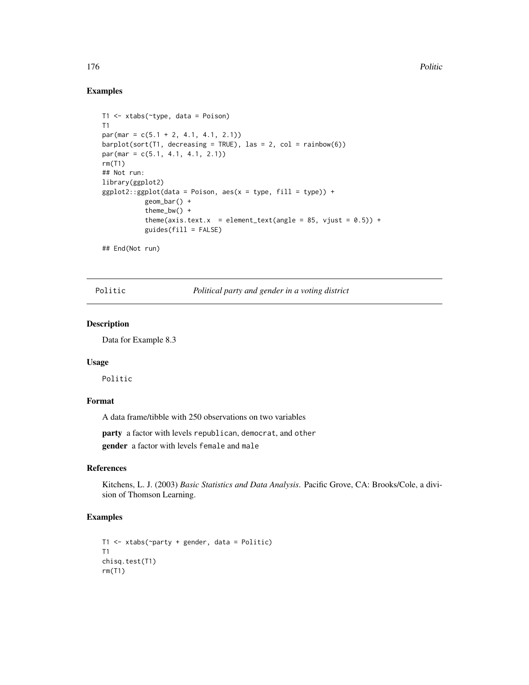#### Examples

```
T1 <- xtabs(~type, data = Poison)
T1
par(max = c(5.1 + 2, 4.1, 4.1, 2.1))barplot(sort(T1, decreasing = TRUE), las = 2, col = rainbow(6))par(max = c(5.1, 4.1, 4.1, 2.1))rm(T1)
## Not run:
library(ggplot2)
ggplot2::ggplot(data = Poison, aes(x = type, fill = type)) +geom_bar() +
           theme_bw() +
           theme(axis.text.x = element_text(angle = 85, vjust = (0.5)) +
           guides(fill = FALSE)
```
## End(Not run)

Politic *Political party and gender in a voting district*

## Description

Data for Example 8.3

#### Usage

Politic

## Format

A data frame/tibble with 250 observations on two variables

party a factor with levels republican, democrat, and other

gender a factor with levels female and male

#### References

Kitchens, L. J. (2003) *Basic Statistics and Data Analysis*. Pacific Grove, CA: Brooks/Cole, a division of Thomson Learning.

```
T1 <- xtabs(~party + gender, data = Politic)
T1
chisq.test(T1)
rm(T1)
```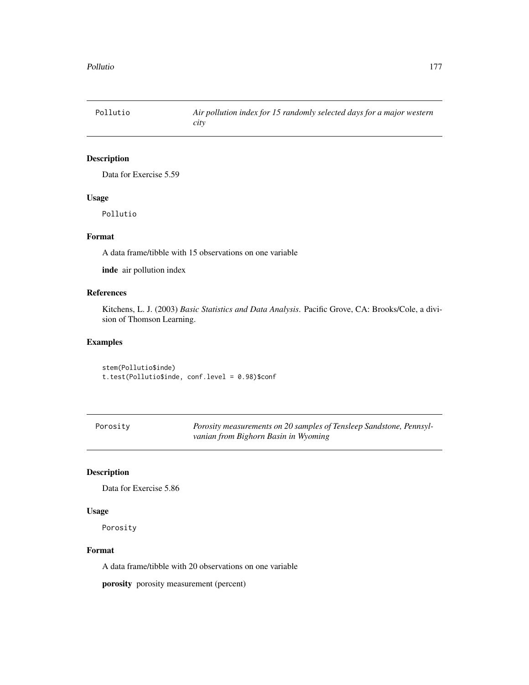Data for Exercise 5.59

## Usage

Pollutio

## Format

A data frame/tibble with 15 observations on one variable

inde air pollution index

# References

Kitchens, L. J. (2003) *Basic Statistics and Data Analysis*. Pacific Grove, CA: Brooks/Cole, a division of Thomson Learning.

## Examples

stem(Pollutio\$inde) t.test(Pollutio\$inde, conf.level = 0.98)\$conf

Porosity *Porosity measurements on 20 samples of Tensleep Sandstone, Pennsylvanian from Bighorn Basin in Wyoming*

## Description

Data for Exercise 5.86

#### Usage

Porosity

#### Format

A data frame/tibble with 20 observations on one variable

porosity porosity measurement (percent)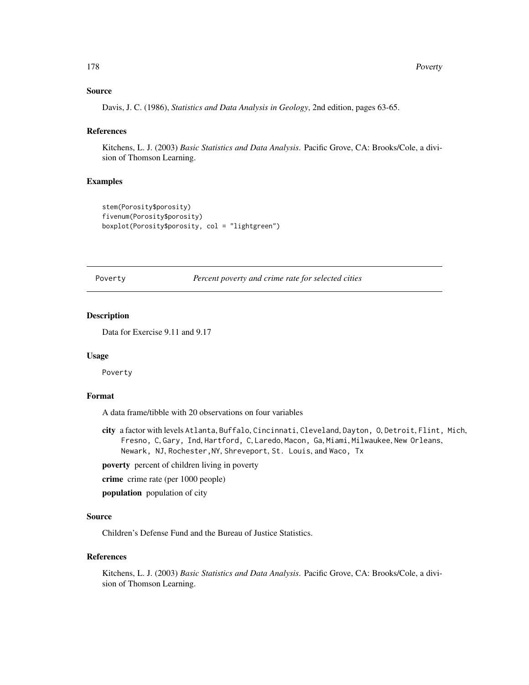#### Source

Davis, J. C. (1986), *Statistics and Data Analysis in Geology*, 2nd edition, pages 63-65.

#### **References**

Kitchens, L. J. (2003) *Basic Statistics and Data Analysis*. Pacific Grove, CA: Brooks/Cole, a division of Thomson Learning.

#### Examples

```
stem(Porosity$porosity)
fivenum(Porosity$porosity)
boxplot(Porosity$porosity, col = "lightgreen")
```
Poverty *Percent poverty and crime rate for selected cities*

#### Description

Data for Exercise 9.11 and 9.17

#### Usage

Poverty

# Format

A data frame/tibble with 20 observations on four variables

city a factor with levels Atlanta, Buffalo, Cincinnati, Cleveland, Dayton, O, Detroit, Flint, Mich, Fresno, C, Gary, Ind, Hartford, C, Laredo, Macon, Ga, Miami, Milwaukee, New Orleans, Newark, NJ, Rochester,NY, Shreveport, St. Louis, and Waco, Tx

poverty percent of children living in poverty

crime crime rate (per 1000 people)

population population of city

#### Source

Children's Defense Fund and the Bureau of Justice Statistics.

#### References

Kitchens, L. J. (2003) *Basic Statistics and Data Analysis*. Pacific Grove, CA: Brooks/Cole, a division of Thomson Learning.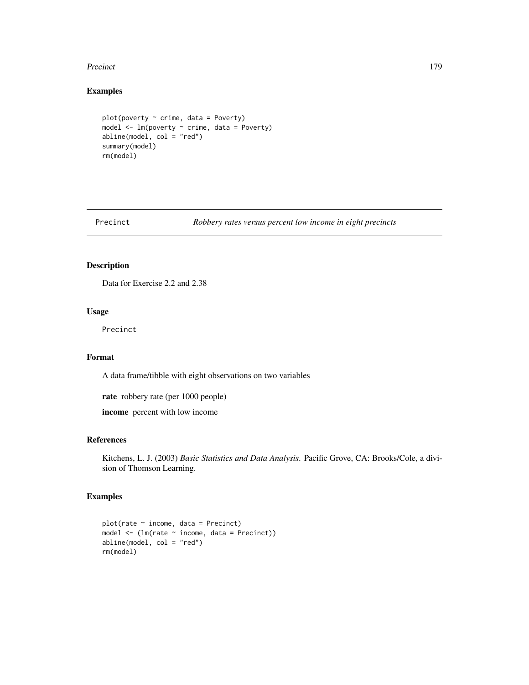#### Precinct 279

## Examples

```
plot(poverty \sim crime, data = Powerty)model <- lm(poverty ~ crime, data = Poverty)
abline(model, col = "red")
summary(model)
rm(model)
```
Precinct *Robbery rates versus percent low income in eight precincts*

## Description

Data for Exercise 2.2 and 2.38

## Usage

Precinct

## Format

A data frame/tibble with eight observations on two variables

rate robbery rate (per 1000 people)

income percent with low income

#### References

Kitchens, L. J. (2003) *Basic Statistics and Data Analysis*. Pacific Grove, CA: Brooks/Cole, a division of Thomson Learning.

```
plot(rate ~ income, data = Precinct)
model <- (lm(rate ~ income, data = Precinct))
abline(model, col = "red")
rm(model)
```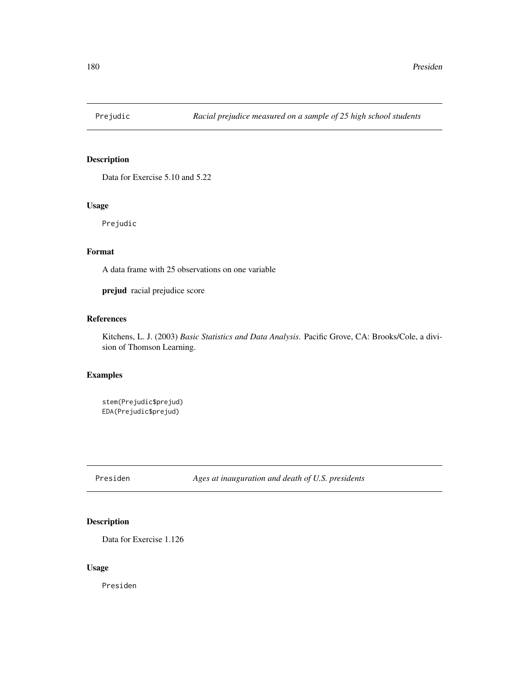Data for Exercise 5.10 and 5.22

## Usage

Prejudic

## Format

A data frame with 25 observations on one variable

prejud racial prejudice score

# References

Kitchens, L. J. (2003) *Basic Statistics and Data Analysis*. Pacific Grove, CA: Brooks/Cole, a division of Thomson Learning.

## Examples

stem(Prejudic\$prejud) EDA(Prejudic\$prejud)

Presiden *Ages at inauguration and death of U.S. presidents*

## Description

Data for Exercise 1.126

## Usage

Presiden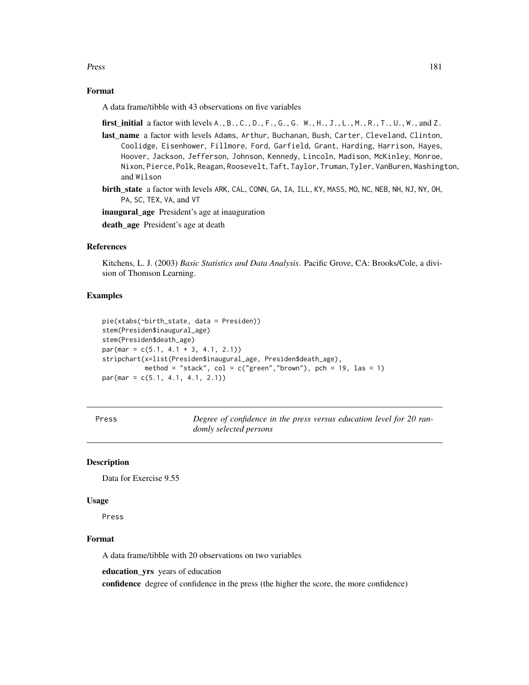Press 2008 and 2009 and 2009 and 2009 and 2009 and 2009 and 2009 and 2009 and 2009 and 2009 and 2009 and 2009 and 2009 and 2009 and 2009 and 2009 and 2009 and 2009 and 2009 and 2009 and 2009 and 2009 and 2009 and 2009 and

## Format

A data frame/tibble with 43 observations on five variables

- first\_initial a factor with levels  $A_1, B_2, C_1, D_1, F_2, G_3, G_4, H_1, J_2, L_1, M_1, R_2, T_1, U_1, W_2, and Z.$
- last\_name a factor with levels Adams, Arthur, Buchanan, Bush, Carter, Cleveland, Clinton, Coolidge, Eisenhower, Fillmore, Ford, Garfield, Grant, Harding, Harrison, Hayes, Hoover, Jackson, Jefferson, Johnson, Kennedy, Lincoln, Madison, McKinley, Monroe, Nixon, Pierce, Polk, Reagan, Roosevelt, Taft, Taylor, Truman, Tyler, VanBuren, Washington, and Wilson
- birth\_state a factor with levels ARK, CAL, CONN, GA, IA, ILL, KY, MASS, MO, NC, NEB, NH, NJ, NY, OH, PA, SC, TEX, VA, and VT

inaugural\_age President's age at inauguration

death\_age President's age at death

# References

Kitchens, L. J. (2003) *Basic Statistics and Data Analysis*. Pacific Grove, CA: Brooks/Cole, a division of Thomson Learning.

# Examples

```
pie(xtabs(~birth_state, data = Presiden))
stem(Presiden$inaugural_age)
stem(Presiden$death_age)
par(max = c(5.1, 4.1 + 3, 4.1, 2.1))stripchart(x=list(Presiden$inaugural_age, Presiden$death_age),
           method = "stack", col = c("green", "brown"), pch = 19, las = 1)par(mar = c(5.1, 4.1, 4.1, 2.1))
```

| ٠ |
|---|
|---|

Degree of confidence in the press versus education level for 20 ran*domly selected persons*

# **Description**

Data for Exercise 9.55

#### Usage

Press

## Format

A data frame/tibble with 20 observations on two variables

education\_yrs years of education

confidence degree of confidence in the press (the higher the score, the more confidence)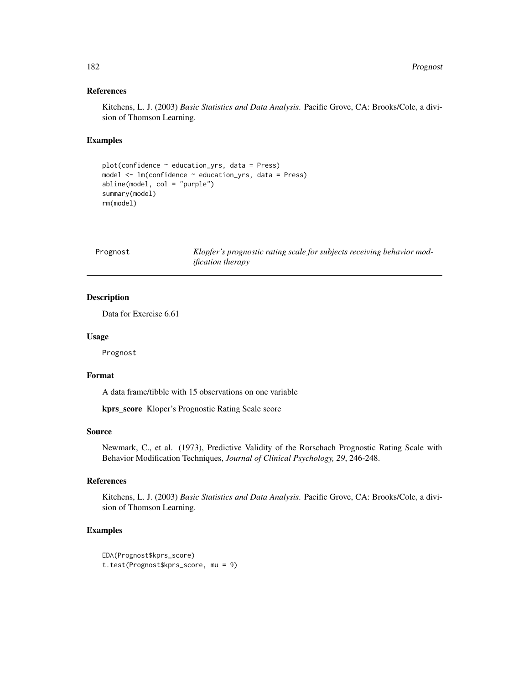behavior mod-

# References

Kitchens, L. J. (2003) *Basic Statistics and Data Analysis*. Pacific Grove, CA: Brooks/Cole, a division of Thomson Learning.

## Examples

```
plot(confidence ~ education_yrs, data = Press)
model <- lm(confidence ~ education_yrs, data = Press)
abline(model, col = "purple")
summary(model)
rm(model)
```

| Prognost | Klopfer's prognostic rating scale for subjects receiving |
|----------|----------------------------------------------------------|
|          | <i>ification therapy</i>                                 |

# Description

Data for Exercise 6.61

#### Usage

Prognost

# Format

A data frame/tibble with 15 observations on one variable

kprs\_score Kloper's Prognostic Rating Scale score

#### Source

Newmark, C., et al. (1973), Predictive Validity of the Rorschach Prognostic Rating Scale with Behavior Modification Techniques, *Journal of Clinical Psychology, 29*, 246-248.

# References

Kitchens, L. J. (2003) *Basic Statistics and Data Analysis*. Pacific Grove, CA: Brooks/Cole, a division of Thomson Learning.

```
EDA(Prognost$kprs_score)
t.test(Prognost$kprs_score, mu = 9)
```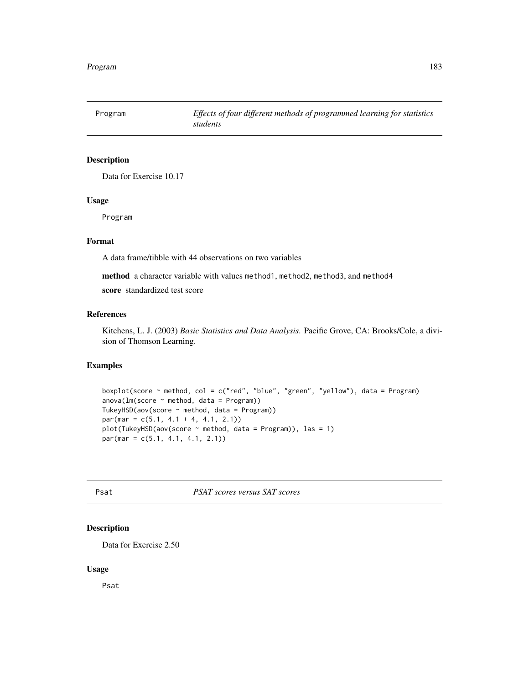Data for Exercise 10.17

#### Usage

Program

# Format

A data frame/tibble with 44 observations on two variables

method a character variable with values method1, method2, method3, and method4

score standardized test score

## References

Kitchens, L. J. (2003) *Basic Statistics and Data Analysis*. Pacific Grove, CA: Brooks/Cole, a division of Thomson Learning.

# Examples

```
boxplot(score ~ method, col = c("red", "blue", "green", "yellow"), data = Program)
anova(Im(score ~ method, data = Program))TukeyHSD(aov(score ~ method, data = Program))
par(max = c(5.1, 4.1 + 4, 4.1, 2.1))plot(TukeyHSD(aov(score ~ method, data = Program)), las = 1)
par(mar = c(5.1, 4.1, 4.1, 2.1))
```
Psat *PSAT scores versus SAT scores*

# Description

Data for Exercise 2.50

#### Usage

Psat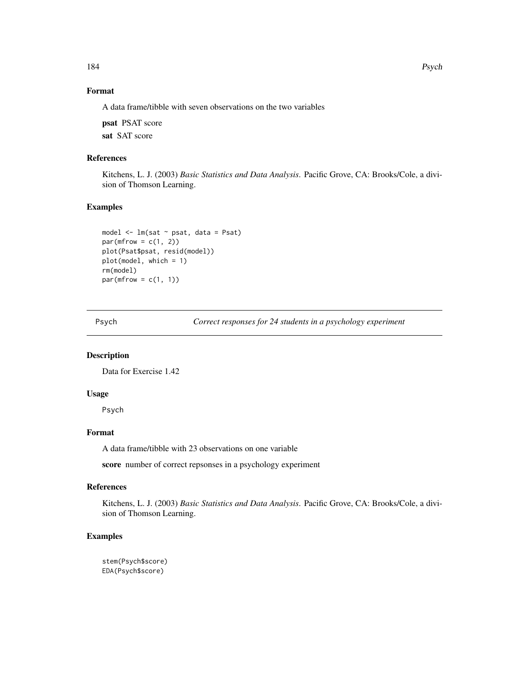# Format

A data frame/tibble with seven observations on the two variables

psat PSAT score

sat SAT score

# References

Kitchens, L. J. (2003) *Basic Statistics and Data Analysis*. Pacific Grove, CA: Brooks/Cole, a division of Thomson Learning.

#### Examples

```
model <- lm(sat ~ psat, data = Psat)
par(mfrow = c(1, 2))plot(Psat$psat, resid(model))
plot(model, which = 1)
rm(model)
par(mfrow = c(1, 1))
```
Psych *Correct responses for 24 students in a psychology experiment*

# Description

Data for Exercise 1.42

#### Usage

Psych

# Format

A data frame/tibble with 23 observations on one variable

score number of correct repsonses in a psychology experiment

## References

Kitchens, L. J. (2003) *Basic Statistics and Data Analysis*. Pacific Grove, CA: Brooks/Cole, a division of Thomson Learning.

#### Examples

stem(Psych\$score) EDA(Psych\$score)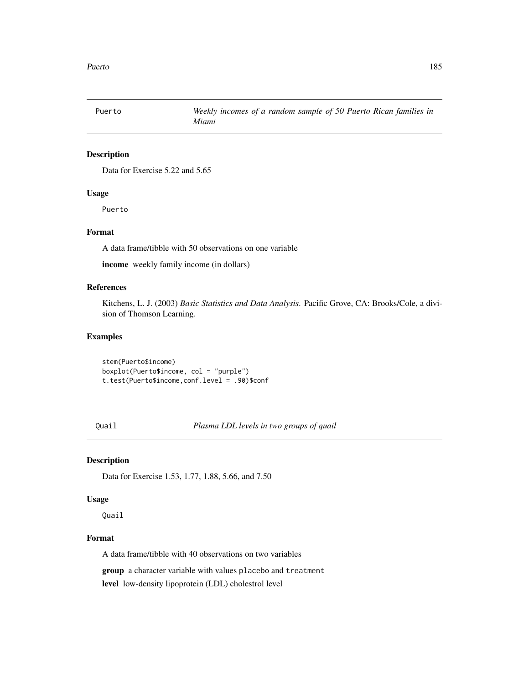Data for Exercise 5.22 and 5.65

## Usage

Puerto

## Format

A data frame/tibble with 50 observations on one variable

income weekly family income (in dollars)

## References

Kitchens, L. J. (2003) *Basic Statistics and Data Analysis*. Pacific Grove, CA: Brooks/Cole, a division of Thomson Learning.

## Examples

stem(Puerto\$income) boxplot(Puerto\$income, col = "purple") t.test(Puerto\$income,conf.level = .90)\$conf

Quail *Plasma LDL levels in two groups of quail*

#### Description

Data for Exercise 1.53, 1.77, 1.88, 5.66, and 7.50

## Usage

Quail

# Format

A data frame/tibble with 40 observations on two variables

group a character variable with values placebo and treatment

level low-density lipoprotein (LDL) cholestrol level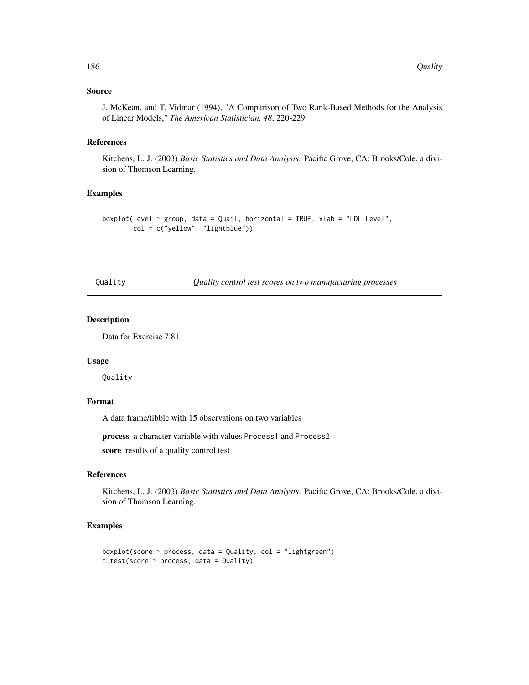# Source

J. McKean, and T. Vidmar (1994), "A Comparison of Two Rank-Based Methods for the Analysis of Linear Models," *The American Statistician, 48*, 220-229.

## References

Kitchens, L. J. (2003) *Basic Statistics and Data Analysis*. Pacific Grove, CA: Brooks/Cole, a division of Thomson Learning.

#### Examples

```
boxplot(level \sim group, data = Quail, horizontal = TRUE, xlab = "LDL Level",
        col = c("yellow", "lightblue"))
```
Quality *Quality control test scores on two manufacturing processes*

## Description

Data for Exercise 7.81

## Usage

Quality

## Format

A data frame/tibble with 15 observations on two variables

process a character variable with values Process1 and Process2

score results of a quality control test

#### References

Kitchens, L. J. (2003) *Basic Statistics and Data Analysis*. Pacific Grove, CA: Brooks/Cole, a division of Thomson Learning.

```
boxplot(score \sim process, data = Quality, col = "lightgreen")
t.test(score ~ process, data = Quality)
```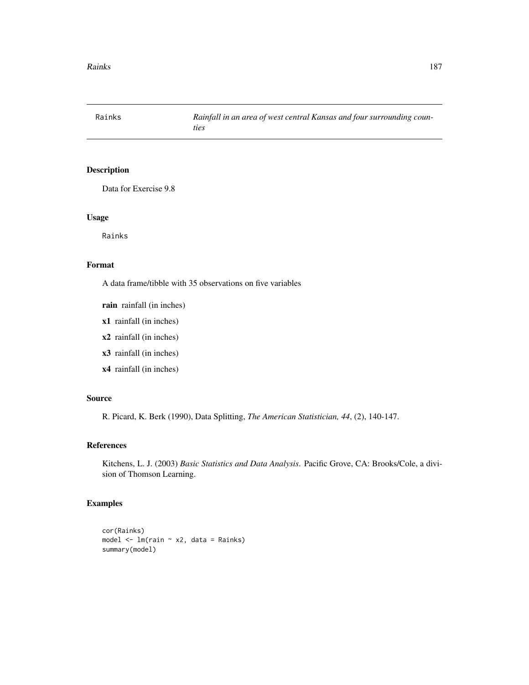Data for Exercise 9.8

# Usage

Rainks

#### Format

A data frame/tibble with 35 observations on five variables

rain rainfall (in inches)

- x1 rainfall (in inches)
- x2 rainfall (in inches)
- x3 rainfall (in inches)
- x4 rainfall (in inches)

# Source

R. Picard, K. Berk (1990), Data Splitting, *The American Statistician, 44*, (2), 140-147.

## References

Kitchens, L. J. (2003) *Basic Statistics and Data Analysis*. Pacific Grove, CA: Brooks/Cole, a division of Thomson Learning.

```
cor(Rainks)
model <- lm(rain ~ x2, data = Rainks)
summary(model)
```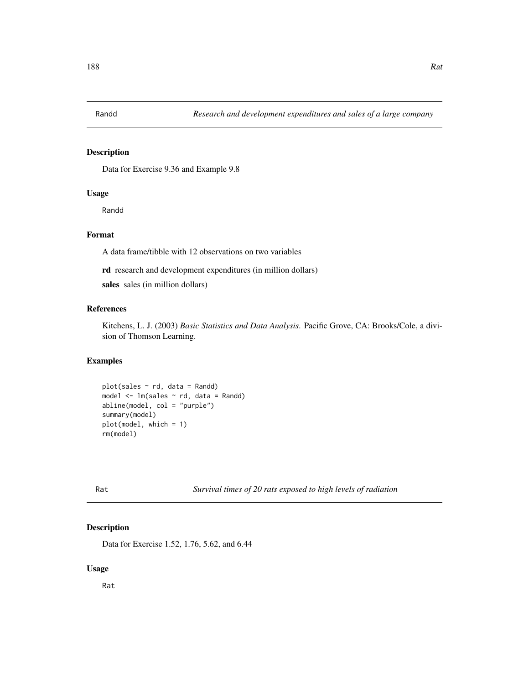Data for Exercise 9.36 and Example 9.8

#### Usage

Randd

# Format

A data frame/tibble with 12 observations on two variables

rd research and development expenditures (in million dollars)

sales sales (in million dollars)

# References

Kitchens, L. J. (2003) *Basic Statistics and Data Analysis*. Pacific Grove, CA: Brooks/Cole, a division of Thomson Learning.

# Examples

 $plot(sales ~ rd, data = Rand)$ model  $\leq$  1m(sales  $\sim$  rd, data = Randd) abline(model, col = "purple") summary(model) plot(model, which = 1) rm(model)

Rat *Survival times of 20 rats exposed to high levels of radiation*

## Description

Data for Exercise 1.52, 1.76, 5.62, and 6.44

#### Usage

Rat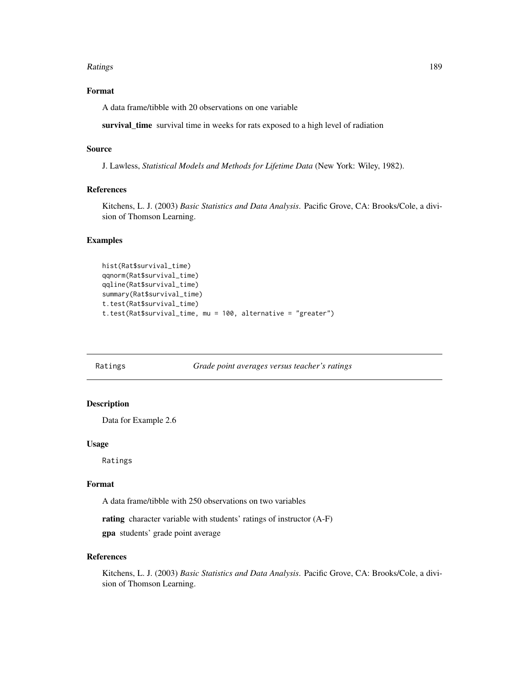#### Ratings 2012 **Ratings** 2013 **Ratings** 2013 **Ratings** 2018 **PM**

# Format

A data frame/tibble with 20 observations on one variable

survival\_time survival time in weeks for rats exposed to a high level of radiation

# Source

J. Lawless, *Statistical Models and Methods for Lifetime Data* (New York: Wiley, 1982).

# References

Kitchens, L. J. (2003) *Basic Statistics and Data Analysis*. Pacific Grove, CA: Brooks/Cole, a division of Thomson Learning.

## Examples

```
hist(Rat$survival_time)
qqnorm(Rat$survival_time)
qqline(Rat$survival_time)
summary(Rat$survival_time)
t.test(Rat$survival_time)
t.test(Rat$survival_time, mu = 100, alternative = "greater")
```
Ratings *Grade point averages versus teacher's ratings*

# Description

Data for Example 2.6

#### Usage

Ratings

# Format

A data frame/tibble with 250 observations on two variables

rating character variable with students' ratings of instructor (A-F)

gpa students' grade point average

# References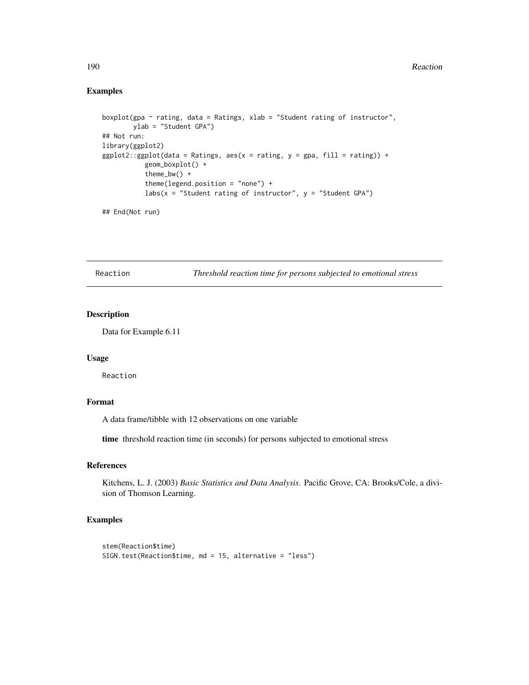# Examples

```
boxplot(gpa ~ rating, data = Ratings, xlab = "Student rating of instructor",
       ylab = "Student GPA")
## Not run:
library(ggplot2)
ggplot2::ggplot(data = Ratings, aes(x = rating, y = gpa, fill = rating)) +geom_boxplot() +
          theme_bw() +
          theme(legend.position = "none") +
          labs(x = "Student rating of instructor", y = "Student GPA")
```
## End(Not run)

Reaction *Threshold reaction time for persons subjected to emotional stress*

# Description

Data for Example 6.11

#### Usage

Reaction

## Format

A data frame/tibble with 12 observations on one variable

time threshold reaction time (in seconds) for persons subjected to emotional stress

# References

Kitchens, L. J. (2003) *Basic Statistics and Data Analysis*. Pacific Grove, CA: Brooks/Cole, a division of Thomson Learning.

```
stem(Reaction$time)
SIGN.test(Reaction$time, md = 15, alternative = "less")
```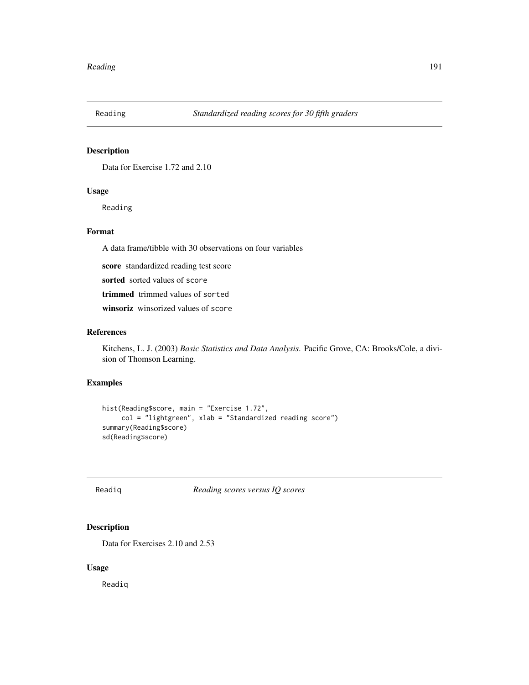Data for Exercise 1.72 and 2.10

# Usage

Reading

# Format

A data frame/tibble with 30 observations on four variables

score standardized reading test score

sorted sorted values of score

trimmed trimmed values of sorted

winsoriz winsorized values of score

# References

Kitchens, L. J. (2003) *Basic Statistics and Data Analysis*. Pacific Grove, CA: Brooks/Cole, a division of Thomson Learning.

## Examples

```
hist(Reading$score, main = "Exercise 1.72",
     col = "lightgreen", xlab = "Standardized reading score")
summary(Reading$score)
sd(Reading$score)
```
# Readiq *Reading scores versus IQ scores*

# Description

Data for Exercises 2.10 and 2.53

# Usage

Readiq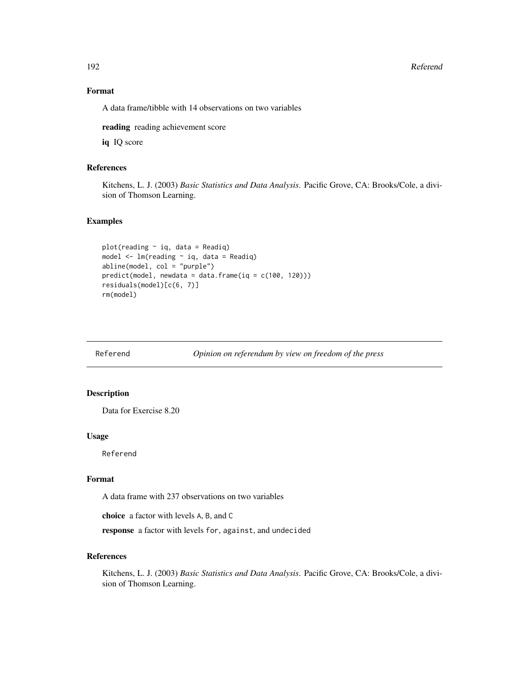192 Referend

# Format

A data frame/tibble with 14 observations on two variables

reading reading achievement score

iq IQ score

# References

Kitchens, L. J. (2003) *Basic Statistics and Data Analysis*. Pacific Grove, CA: Brooks/Cole, a division of Thomson Learning.

## Examples

```
plot(reading ~ iq, data = Readiq)
model <- lm(reading ~ iq, data = Readiq)
abline(model, col = "purple")
predict(model, newdata = data.frame(iq = c(100, 120)))
residuals(model)[c(6, 7)]
rm(model)
```
Referend *Opinion on referendum by view on freedom of the press*

## Description

Data for Exercise 8.20

#### Usage

Referend

#### Format

A data frame with 237 observations on two variables

choice a factor with levels A, B, and C

response a factor with levels for, against, and undecided

# References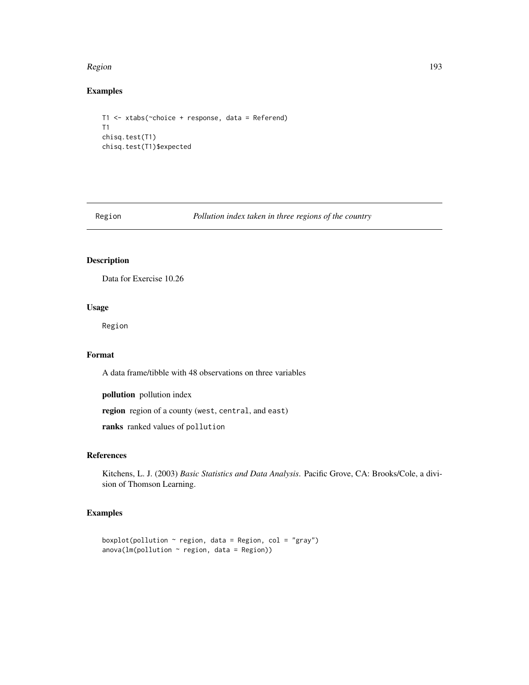#### Region and the set of the set of the set of the set of the set of the set of the set of the set of the set of the set of the set of the set of the set of the set of the set of the set of the set of the set of the set of th

# Examples

```
T1 <- xtabs(~choice + response, data = Referend)
T1
chisq.test(T1)
chisq.test(T1)$expected
```
Region *Pollution index taken in three regions of the country*

# Description

Data for Exercise 10.26

# Usage

Region

# Format

A data frame/tibble with 48 observations on three variables

pollution pollution index

region region of a county (west, central, and east)

ranks ranked values of pollution

## References

Kitchens, L. J. (2003) *Basic Statistics and Data Analysis*. Pacific Grove, CA: Brooks/Cole, a division of Thomson Learning.

```
boxplot(pollution \sim region, data = Region, col = "gray")
anova(Im(pollution ~ region, data = Region))
```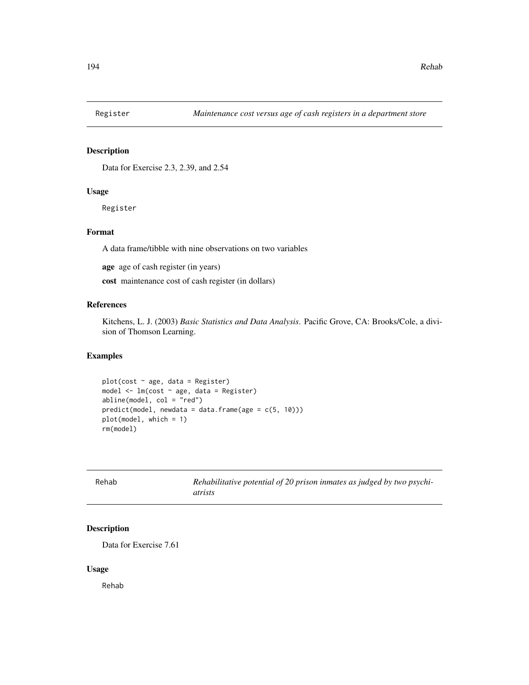Data for Exercise 2.3, 2.39, and 2.54

#### Usage

Register

## Format

A data frame/tibble with nine observations on two variables

age age of cash register (in years)

cost maintenance cost of cash register (in dollars)

# References

Kitchens, L. J. (2003) *Basic Statistics and Data Analysis*. Pacific Grove, CA: Brooks/Cole, a division of Thomson Learning.

# Examples

```
plot(cost ~ age, data = Register)model \leq \ln(\text{cost} \leq \text{age}, \text{data} = \text{register})abline(model, col = "red")
predict(model, newdata = data-frame(age = c(5, 10)))plot(model, which = 1)
rm(model)
```

| Rehab | Rehabilitative potential of 20 prison inmates as judged by two psychi- |
|-------|------------------------------------------------------------------------|
|       | atrists                                                                |

# Description

Data for Exercise 7.61

#### Usage

Rehab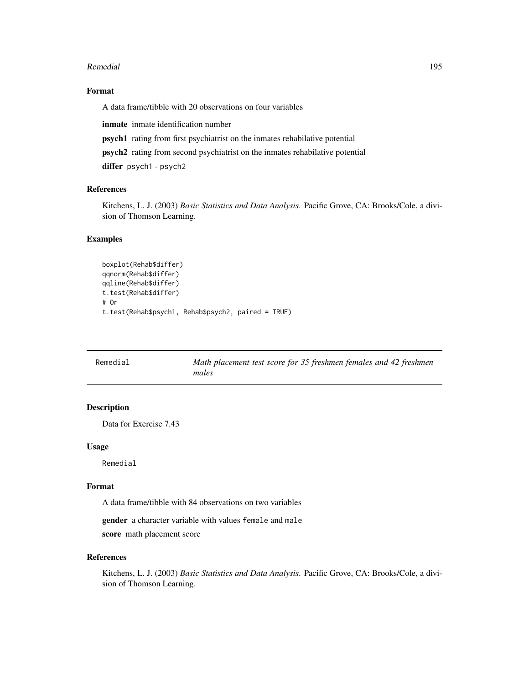#### Remedial and the set of the set of the set of the set of the set of the set of the set of the set of the set of the set of the set of the set of the set of the set of the set of the set of the set of the set of the set of

## Format

A data frame/tibble with 20 observations on four variables

inmate inmate identification number

psych1 rating from first psychiatrist on the inmates rehabilative potential

psych2 rating from second psychiatrist on the inmates rehabilative potential

differ psych1 - psych2

## References

Kitchens, L. J. (2003) *Basic Statistics and Data Analysis*. Pacific Grove, CA: Brooks/Cole, a division of Thomson Learning.

#### Examples

```
boxplot(Rehab$differ)
qqnorm(Rehab$differ)
qqline(Rehab$differ)
t.test(Rehab$differ)
# Or
t.test(Rehab$psych1, Rehab$psych2, paired = TRUE)
```

| Remedial | Math placement test score for 35 freshmen females and 42 freshmen |
|----------|-------------------------------------------------------------------|
|          | males                                                             |

# Description

Data for Exercise 7.43

## Usage

Remedial

#### Format

A data frame/tibble with 84 observations on two variables

gender a character variable with values female and male score math placement score

## References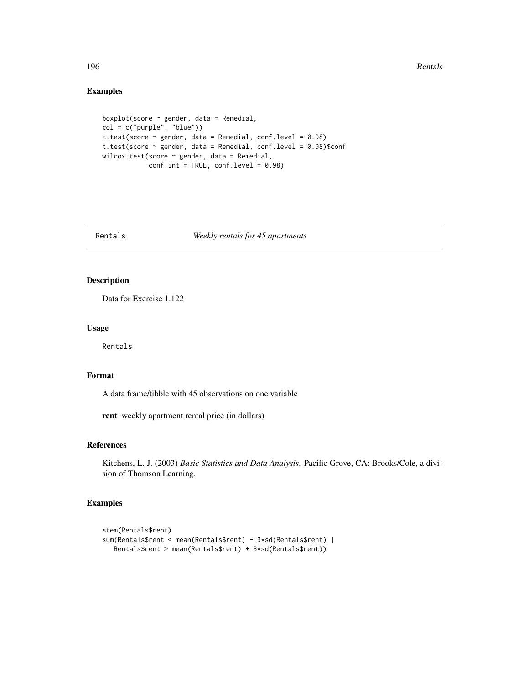# Examples

```
boxplot(score ~ gender, data = Remedial,
col = c("purple", "blue"))
t.test(score ~ gender, data = Remedial, conf.level = 0.98)
t.test(score ~ gender, data = Remedial, conf.level = 0.98)$conf
wilcox.test(score ~ gender, data = Remedial,
           conf.int = TRUE, conf.level = 0.98)
```
## Rentals *Weekly rentals for 45 apartments*

# Description

Data for Exercise 1.122

## Usage

Rentals

## Format

A data frame/tibble with 45 observations on one variable

rent weekly apartment rental price (in dollars)

#### References

Kitchens, L. J. (2003) *Basic Statistics and Data Analysis*. Pacific Grove, CA: Brooks/Cole, a division of Thomson Learning.

```
stem(Rentals$rent)
sum(Rentals$rent < mean(Rentals$rent) - 3*sd(Rentals$rent) |
  Rentals$rent > mean(Rentals$rent) + 3*sd(Rentals$rent))
```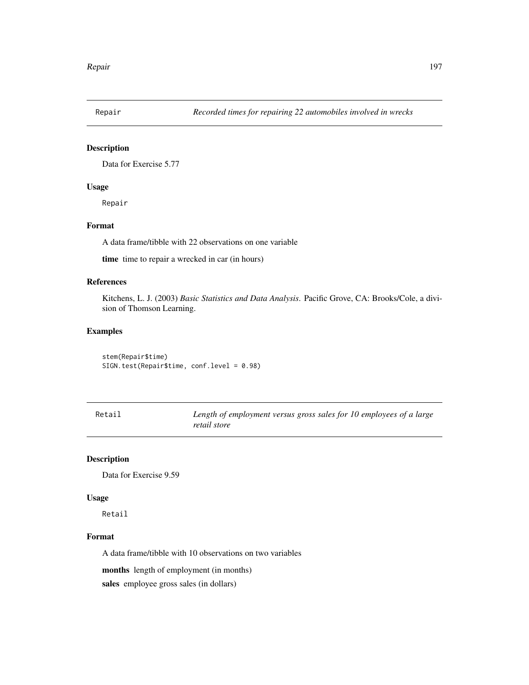Data for Exercise 5.77

# Usage

Repair

# Format

A data frame/tibble with 22 observations on one variable

time time to repair a wrecked in car (in hours)

# References

Kitchens, L. J. (2003) *Basic Statistics and Data Analysis*. Pacific Grove, CA: Brooks/Cole, a division of Thomson Learning.

# Examples

stem(Repair\$time) SIGN.test(Repair\$time, conf.level = 0.98)

| Retail | Length of employment versus gross sales for 10 employees of a large |
|--------|---------------------------------------------------------------------|
|        | retail store                                                        |

# Description

Data for Exercise 9.59

#### Usage

Retail

## Format

A data frame/tibble with 10 observations on two variables

months length of employment (in months)

sales employee gross sales (in dollars)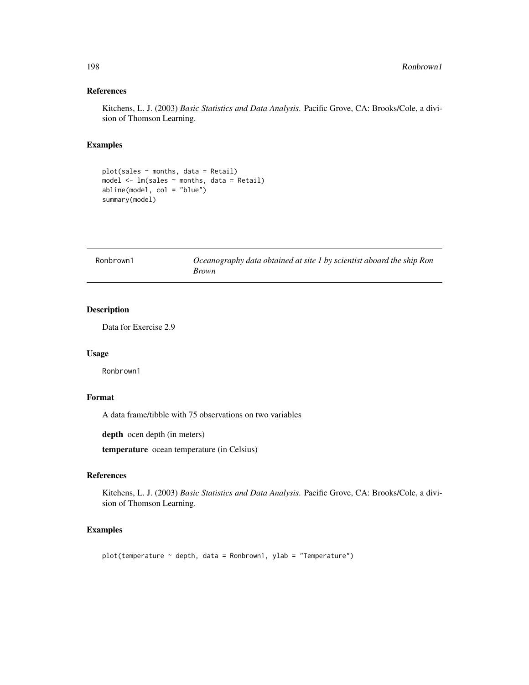## References

Kitchens, L. J. (2003) *Basic Statistics and Data Analysis*. Pacific Grove, CA: Brooks/Cole, a division of Thomson Learning.

# Examples

```
plot(sales ~ months, data = Retail)
model \leq 1m(sales \sim months, data = Retail)
abline(model, col = "blue")
summary(model)
```

| Ronbrown1 | Oceanography data obtained at site 1 by scientist aboard the ship Ron |
|-----------|-----------------------------------------------------------------------|
|           | <i>Brown</i>                                                          |

# Description

Data for Exercise 2.9

## Usage

Ronbrown1

# Format

A data frame/tibble with 75 observations on two variables

depth ocen depth (in meters)

temperature ocean temperature (in Celsius)

# References

Kitchens, L. J. (2003) *Basic Statistics and Data Analysis*. Pacific Grove, CA: Brooks/Cole, a division of Thomson Learning.

# Examples

plot(temperature ~ depth, data = Ronbrown1, ylab = "Temperature")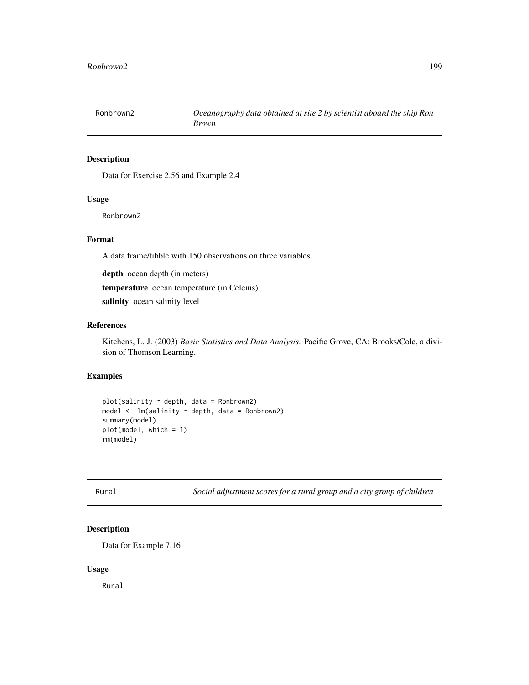Data for Exercise 2.56 and Example 2.4

## Usage

Ronbrown2

# Format

A data frame/tibble with 150 observations on three variables

depth ocean depth (in meters)

temperature ocean temperature (in Celcius)

salinity ocean salinity level

## References

Kitchens, L. J. (2003) *Basic Statistics and Data Analysis*. Pacific Grove, CA: Brooks/Cole, a division of Thomson Learning.

# Examples

```
plot(salinity ~ depth, data = Ronbrown2)model \leq lm(salinity \sim depth, data = Ronbrown2)
summary(model)
plot(model, which = 1)
rm(model)
```
Rural *Social adjustment scores for a rural group and a city group of children*

# Description

Data for Example 7.16

#### Usage

Rural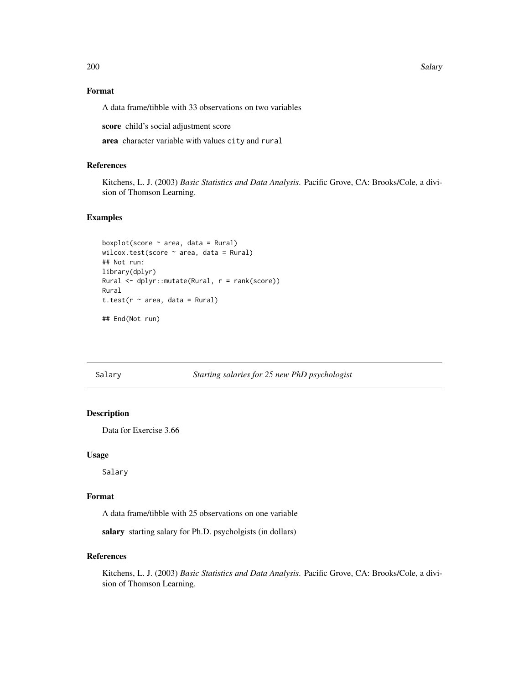200 Salary 3. Salary 3. Salary 3. Salary 3. Salary 3. Salary 3. Salary 3. Salary 3. Salary 3. Salary 3. Salary

# Format

A data frame/tibble with 33 observations on two variables

score child's social adjustment score

area character variable with values city and rural

# References

Kitchens, L. J. (2003) *Basic Statistics and Data Analysis*. Pacific Grove, CA: Brooks/Cole, a division of Thomson Learning.

## Examples

```
boxplot(score ~ area, data = Rural)wilcox.test(score ~ area, data = Rural)
## Not run:
library(dplyr)
Rural <- dplyr::mutate(Rural, r = rank(score))
Rural
t.test(r \sim area, data = Rural)
## End(Not run)
```
## Salary *Starting salaries for 25 new PhD psychologist*

## Description

Data for Exercise 3.66

#### Usage

Salary

## Format

A data frame/tibble with 25 observations on one variable

salary starting salary for Ph.D. psycholgists (in dollars)

# References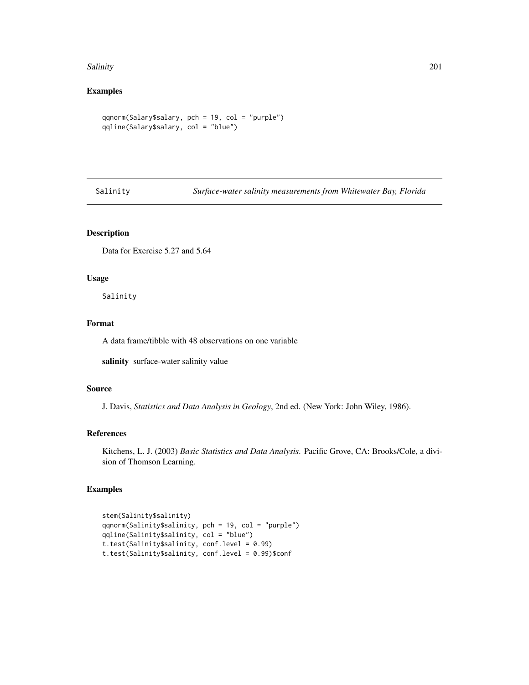#### Salinity 201

# Examples

```
qqnorm(Salary$salary, pch = 19, col = "purple")
qqline(Salary$salary, col = "blue")
```
Salinity *Surface-water salinity measurements from Whitewater Bay, Florida*

# Description

Data for Exercise 5.27 and 5.64

#### Usage

Salinity

# Format

A data frame/tibble with 48 observations on one variable

salinity surface-water salinity value

## Source

J. Davis, *Statistics and Data Analysis in Geology*, 2nd ed. (New York: John Wiley, 1986).

# References

Kitchens, L. J. (2003) *Basic Statistics and Data Analysis*. Pacific Grove, CA: Brooks/Cole, a division of Thomson Learning.

```
stem(Salinity$salinity)
qqnorm(Salinity$salinity, pch = 19, col = "purple")
qqline(Salinity$salinity, col = "blue")
t.test(Salinity$salinity, conf.level = 0.99)
t.test(Salinity$salinity, conf.level = 0.99)$conf
```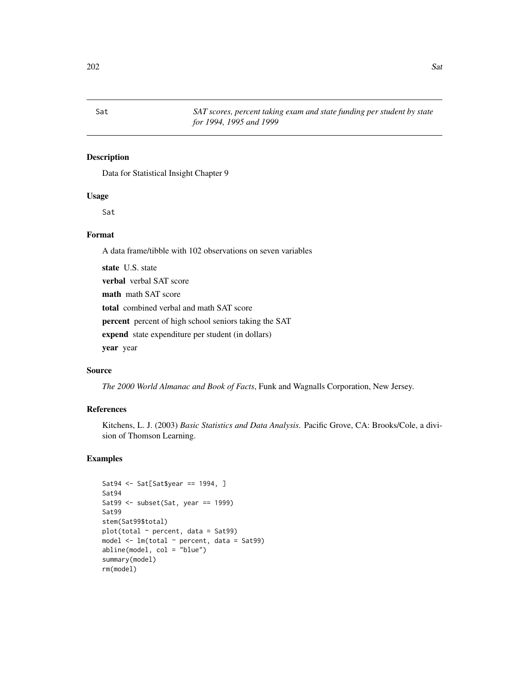Data for Statistical Insight Chapter 9

## Usage

Sat

# Format

A data frame/tibble with 102 observations on seven variables

state U.S. state verbal verbal SAT score math math SAT score total combined verbal and math SAT score percent percent of high school seniors taking the SAT expend state expenditure per student (in dollars) year year

# Source

*The 2000 World Almanac and Book of Facts*, Funk and Wagnalls Corporation, New Jersey.

# References

Kitchens, L. J. (2003) *Basic Statistics and Data Analysis*. Pacific Grove, CA: Brooks/Cole, a division of Thomson Learning.

```
Sat94 <- Sat[Sat$year == 1994, ]
Sat94
Sat99 <- subset(Sat, year == 1999)
Sat99
stem(Sat99$total)
plot(total ~ < percent, data = Sat99)model \leq lm(total \sim percent, data = Sat99)
abline(model, col = "blue")
summary(model)
rm(model)
```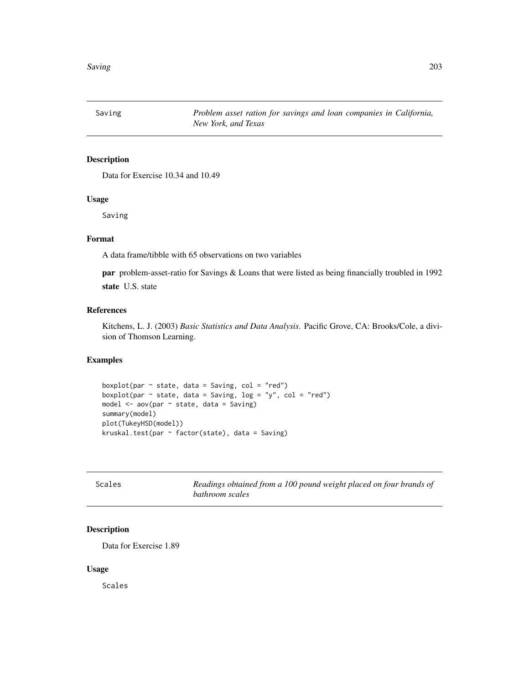Saving *Problem asset ration for savings and loan companies in California, New York, and Texas*

# Description

Data for Exercise 10.34 and 10.49

# Usage

Saving

# Format

A data frame/tibble with 65 observations on two variables

par problem-asset-ratio for Savings & Loans that were listed as being financially troubled in 1992 state U.S. state

# References

Kitchens, L. J. (2003) *Basic Statistics and Data Analysis*. Pacific Grove, CA: Brooks/Cole, a division of Thomson Learning.

## Examples

boxplot(par  $\sim$  state, data = Saving, col = "red") boxplot(par  $\sim$  state, data = Saving, log = "y", col = "red") model <- aov(par ~ state, data = Saving) summary(model) plot(TukeyHSD(model)) kruskal.test(par ~ factor(state), data = Saving)

| Scales | Readings obtained from a 100 pound weight placed on four brands of |
|--------|--------------------------------------------------------------------|
|        | bathroom scales                                                    |

# Description

Data for Exercise 1.89

#### Usage

Scales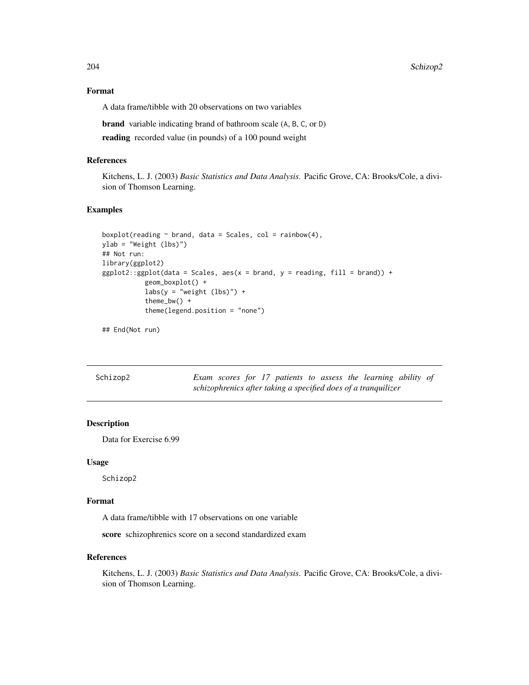204 Schizop2

## Format

A data frame/tibble with 20 observations on two variables

brand variable indicating brand of bathroom scale (A, B, C, or D)

reading recorded value (in pounds) of a 100 pound weight

#### References

Kitchens, L. J. (2003) *Basic Statistics and Data Analysis*. Pacific Grove, CA: Brooks/Cole, a division of Thomson Learning.

## Examples

```
boxplot(reading \sim brand, data = Scales, col = rainbow(4),
ylab = "Weight (lbs)")
## Not run:
library(ggplot2)
ggplot2::ggplot(data = Scales, aes(x = brand, y = reading, fill = brand)) +geom_boxplot() +
           \text{labs}(y = \text{"weight (lbs)"} +
           theme_bw() +
           theme(legend.position = "none")
```
## End(Not run)

| Schizop2 |  |  |  |  | Exam scores for 17 patients to assess the learning ability of  |  |
|----------|--|--|--|--|----------------------------------------------------------------|--|
|          |  |  |  |  | schizophrenics after taking a specified does of a tranquilizer |  |

# Description

Data for Exercise 6.99

# Usage

Schizop2

# Format

A data frame/tibble with 17 observations on one variable

score schizophrenics score on a second standardized exam

## References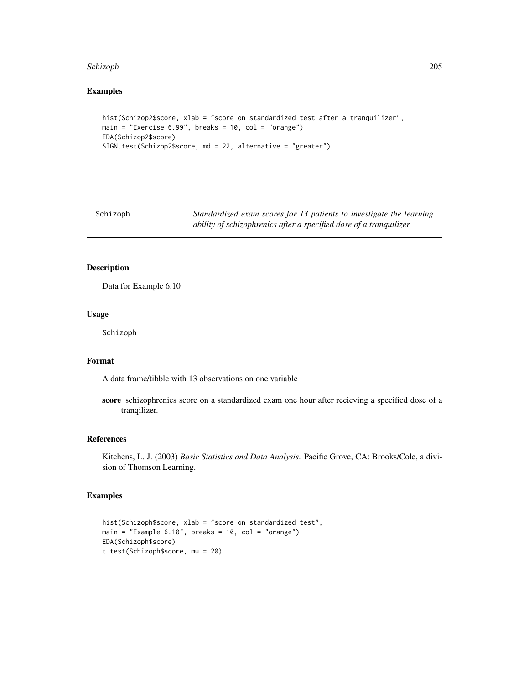#### Schizoph 205

# Examples

```
hist(Schizop2$score, xlab = "score on standardized test after a tranquilizer",
main = "Exercise 6.99", breaks = 10, col = "orange")EDA(Schizop2$score)
SIGN.test(Schizop2$score, md = 22, alternative = "greater")
```
Schizoph *Standardized exam scores for 13 patients to investigate the learning ability of schizophrenics after a specified dose of a tranquilizer*

# Description

Data for Example 6.10

## Usage

Schizoph

## Format

A data frame/tibble with 13 observations on one variable

score schizophrenics score on a standardized exam one hour after recieving a specified dose of a tranqilizer.

## References

Kitchens, L. J. (2003) *Basic Statistics and Data Analysis*. Pacific Grove, CA: Brooks/Cole, a division of Thomson Learning.

```
hist(Schizoph$score, xlab = "score on standardized test",
main = "Example 6.10", breaks = 10, col = "orange")
EDA(Schizoph$score)
t.test(Schizoph$score, mu = 20)
```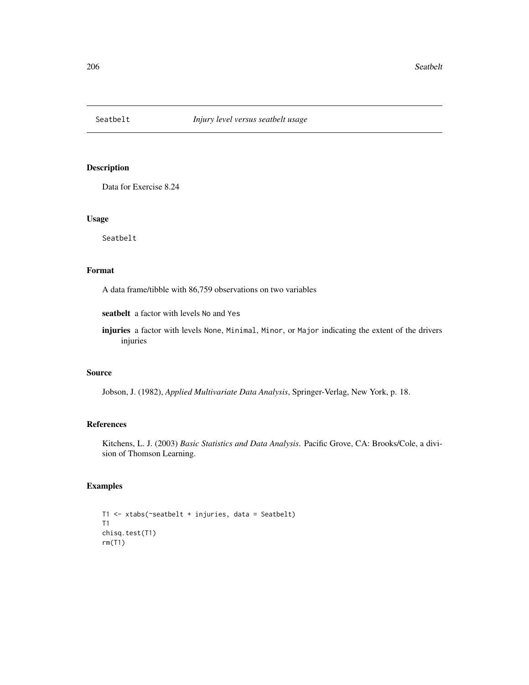Data for Exercise 8.24

# Usage

Seatbelt

# Format

A data frame/tibble with 86,759 observations on two variables

seatbelt a factor with levels No and Yes

injuries a factor with levels None, Minimal, Minor, or Major indicating the extent of the drivers injuries

# Source

Jobson, J. (1982), *Applied Multivariate Data Analysis*, Springer-Verlag, New York, p. 18.

# References

Kitchens, L. J. (2003) *Basic Statistics and Data Analysis*. Pacific Grove, CA: Brooks/Cole, a division of Thomson Learning.

```
T1 <- xtabs(~seatbelt + injuries, data = Seatbelt)
T1
chisq.test(T1)
rm(T1)
```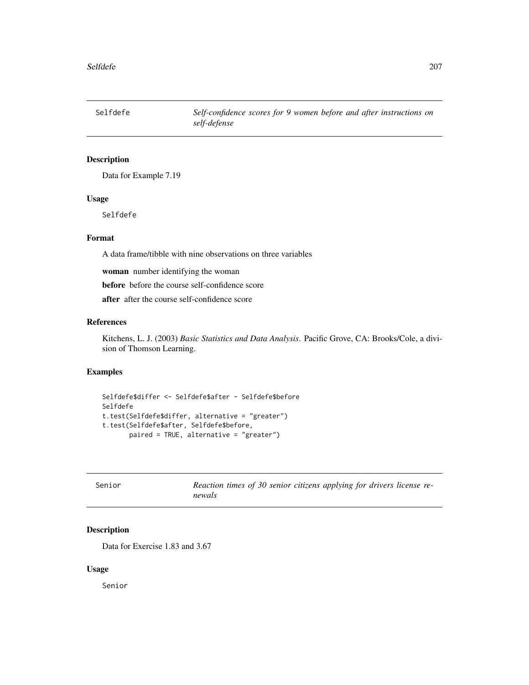Selfdefe *Self-confidence scores for 9 women before and after instructions on self-defense*

# Description

Data for Example 7.19

## Usage

Selfdefe

# Format

A data frame/tibble with nine observations on three variables

woman number identifying the woman

before before the course self-confidence score

after after the course self-confidence score

#### References

Kitchens, L. J. (2003) *Basic Statistics and Data Analysis*. Pacific Grove, CA: Brooks/Cole, a division of Thomson Learning.

# Examples

```
Selfdefe$differ <- Selfdefe$after - Selfdefe$before
Selfdefe
t.test(Selfdefe$differ, alternative = "greater")
t.test(Selfdefe$after, Selfdefe$before,
       paired = TRUE, alternative = "greater")
```

| Senior | Reaction times of 30 senior citizens applying for drivers license re- |  |  |  |  |  |
|--------|-----------------------------------------------------------------------|--|--|--|--|--|
|        | newals                                                                |  |  |  |  |  |

# Description

Data for Exercise 1.83 and 3.67

#### Usage

Senior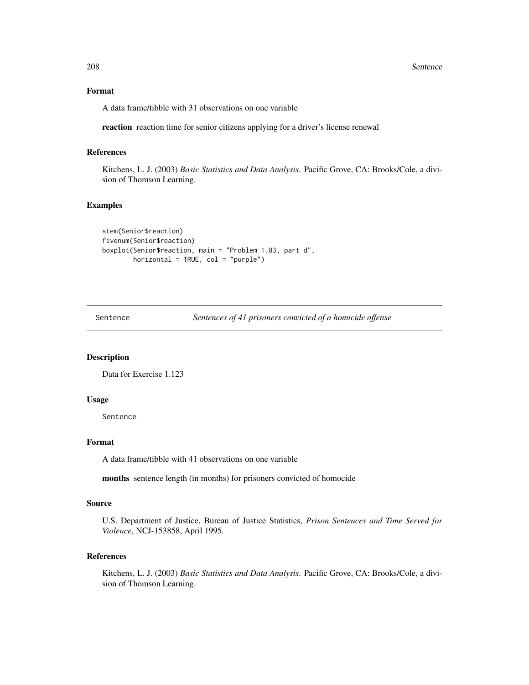208 Sentence

# Format

A data frame/tibble with 31 observations on one variable

reaction reaction time for senior citizens applying for a driver's license renewal

# References

Kitchens, L. J. (2003) *Basic Statistics and Data Analysis*. Pacific Grove, CA: Brooks/Cole, a division of Thomson Learning.

#### Examples

```
stem(Senior$reaction)
fivenum(Senior$reaction)
boxplot(Senior$reaction, main = "Problem 1.83, part d",
       horizontal = TRUE, col = "purple")
```
Sentence *Sentences of 41 prisoners convicted of a homicide offense*

# Description

Data for Exercise 1.123

### Usage

Sentence

# Format

A data frame/tibble with 41 observations on one variable

months sentence length (in months) for prisoners convicted of homocide

#### Source

U.S. Department of Justice, Bureau of Justice Statistics, *Prison Sentences and Time Served for Violence*, NCJ-153858, April 1995.

# References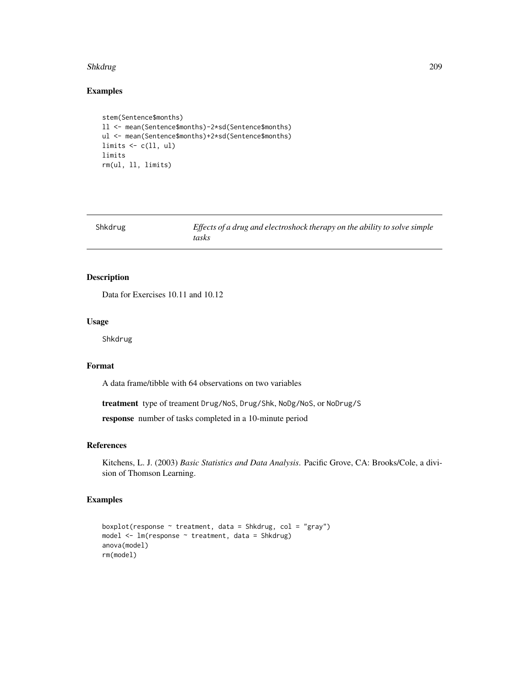#### Shkdrug 209

# Examples

```
stem(Sentence$months)
ll <- mean(Sentence$months)-2*sd(Sentence$months)
ul <- mean(Sentence$months)+2*sd(Sentence$months)
limits \leq c(11, ul)limits
rm(ul, ll, limits)
```

| Shkdrug | Effects of a drug and electroshock therapy on the ability to solve simple |
|---------|---------------------------------------------------------------------------|
|         | tasks                                                                     |

# Description

Data for Exercises 10.11 and 10.12

#### Usage

Shkdrug

# Format

A data frame/tibble with 64 observations on two variables

treatment type of treament Drug/NoS, Drug/Shk, NoDg/NoS, or NoDrug/S

response number of tasks completed in a 10-minute period

## References

Kitchens, L. J. (2003) *Basic Statistics and Data Analysis*. Pacific Grove, CA: Brooks/Cole, a division of Thomson Learning.

```
boxplot(response \sim treatment, data = Shkdrug, col = "gray")
model \leq lm(response \sim treatment, data = Shkdrug)
anova(model)
rm(model)
```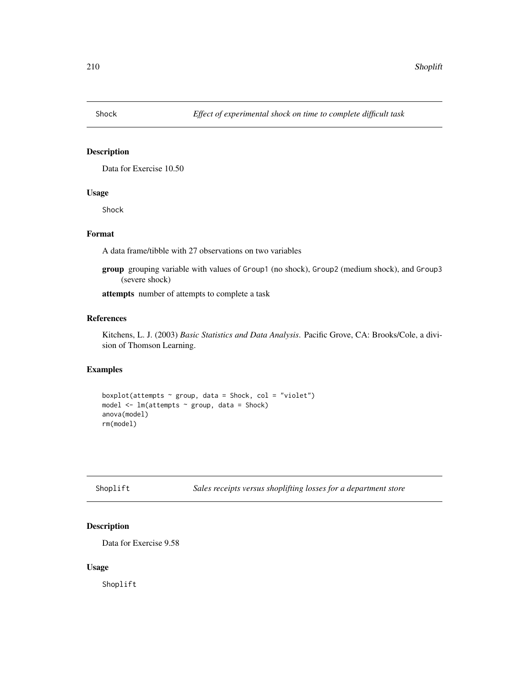Data for Exercise 10.50

# Usage

Shock

# Format

A data frame/tibble with 27 observations on two variables

group grouping variable with values of Group1 (no shock), Group2 (medium shock), and Group3 (severe shock)

attempts number of attempts to complete a task

# References

Kitchens, L. J. (2003) *Basic Statistics and Data Analysis*. Pacific Grove, CA: Brooks/Cole, a division of Thomson Learning.

## Examples

boxplot(attempts  $\sim$  group, data = Shock, col = "violet") model <- lm(attempts ~ group, data = Shock) anova(model) rm(model)

| Shoplift | Sales receipts versus shoplifting losses for a department store |
|----------|-----------------------------------------------------------------|
|----------|-----------------------------------------------------------------|

# Description

Data for Exercise 9.58

# Usage

Shoplift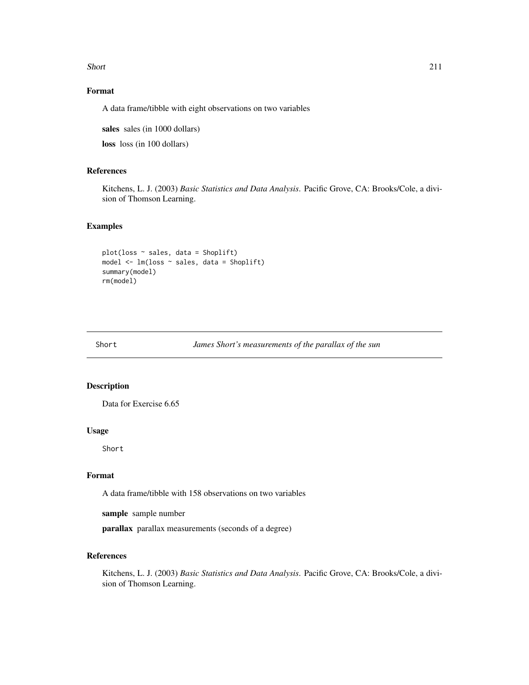Short 211

# Format

A data frame/tibble with eight observations on two variables

sales sales (in 1000 dollars)

loss loss (in 100 dollars)

# References

Kitchens, L. J. (2003) *Basic Statistics and Data Analysis*. Pacific Grove, CA: Brooks/Cole, a division of Thomson Learning.

#### Examples

```
plot(loss ~ sales, data = Shoplift)
model <- lm(loss ~ sales, data = Shoplift)
summary(model)
rm(model)
```
Short *James Short's measurements of the parallax of the sun*

# Description

Data for Exercise 6.65

#### Usage

Short

# Format

A data frame/tibble with 158 observations on two variables

sample sample number

parallax parallax measurements (seconds of a degree)

## References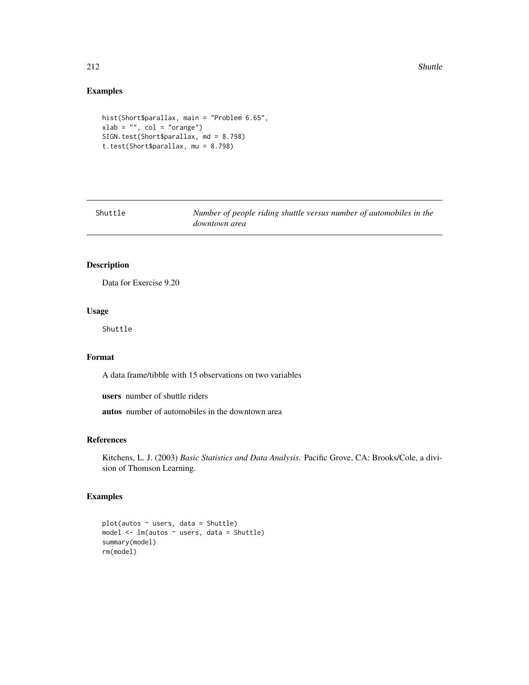# Examples

```
hist(Short$parallax, main = "Problem 6.65",
xlab = "", col = "orange")SIGN.test(Short$parallax, md = 8.798)
t.test(Short$parallax, mu = 8.798)
```

| Shuttle | Number of people riding shuttle versus number of automobiles in the |
|---------|---------------------------------------------------------------------|
|         | downtown area                                                       |

# Description

Data for Exercise 9.20

# Usage

Shuttle

# Format

A data frame/tibble with 15 observations on two variables

users number of shuttle riders

autos number of automobiles in the downtown area

# References

Kitchens, L. J. (2003) *Basic Statistics and Data Analysis*. Pacific Grove, CA: Brooks/Cole, a division of Thomson Learning.

```
plot(autos ~ users, data = Shuttle)
model <- lm(autos ~ users, data = Shuttle)
summary(model)
rm(model)
```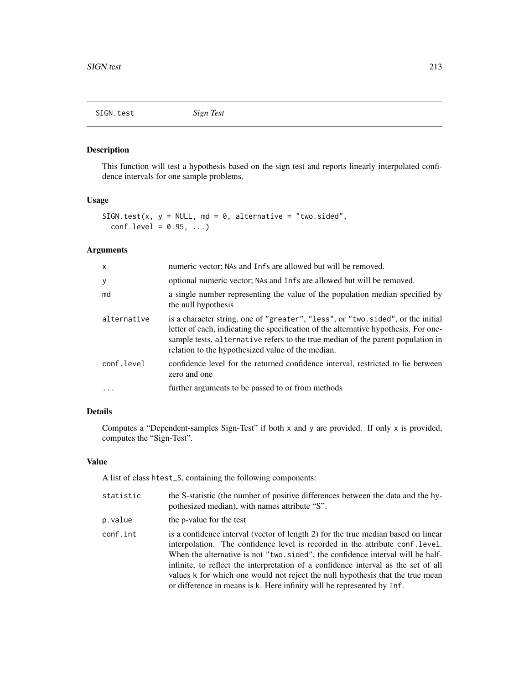SIGN.test *Sign Test*

# Description

This function will test a hypothesis based on the sign test and reports linearly interpolated confidence intervals for one sample problems.

# Usage

```
SIGN.test(x, y = NULL, md = 0, alternative = "two.sided",
 conf. level = 0.95, ...
```
# Arguments

| $\mathsf{x}$ | numeric vector; NAs and Infs are allowed but will be removed.                                                                                                                                                                                                                                                   |
|--------------|-----------------------------------------------------------------------------------------------------------------------------------------------------------------------------------------------------------------------------------------------------------------------------------------------------------------|
| y            | optional numeric vector; NAs and Infs are allowed but will be removed.                                                                                                                                                                                                                                          |
| md           | a single number representing the value of the population median specified by<br>the null hypothesis                                                                                                                                                                                                             |
| alternative  | is a character string, one of "greater", "less", or "two.sided", or the initial<br>letter of each, indicating the specification of the alternative hypothesis. For one-<br>sample tests, alternative refers to the true median of the parent population in<br>relation to the hypothesized value of the median. |
| conf.level   | confidence level for the returned confidence interval, restricted to lie between<br>zero and one                                                                                                                                                                                                                |
| $\cdot$      | further arguments to be passed to or from methods                                                                                                                                                                                                                                                               |

# Details

Computes a "Dependent-samples Sign-Test" if both x and y are provided. If only x is provided, computes the "Sign-Test".

## Value

A list of class htest\_S, containing the following components:

| statistic | the S-statistic (the number of positive differences between the data and the hy-<br>pothesized median), with names attribute "S".                                                                                                                                                                                                                                                                                                                                                                      |
|-----------|--------------------------------------------------------------------------------------------------------------------------------------------------------------------------------------------------------------------------------------------------------------------------------------------------------------------------------------------------------------------------------------------------------------------------------------------------------------------------------------------------------|
| p.value   | the p-value for the test                                                                                                                                                                                                                                                                                                                                                                                                                                                                               |
| conf.int  | is a confidence interval (vector of length 2) for the true median based on linear<br>interpolation. The confidence level is recorded in the attribute conf.level.<br>When the alternative is not "two, sided", the confidence interval will be half-<br>infinite, to reflect the interpretation of a confidence interval as the set of all<br>values k for which one would not reject the null hypothesis that the true mean<br>or difference in means is k. Here infinity will be represented by Inf. |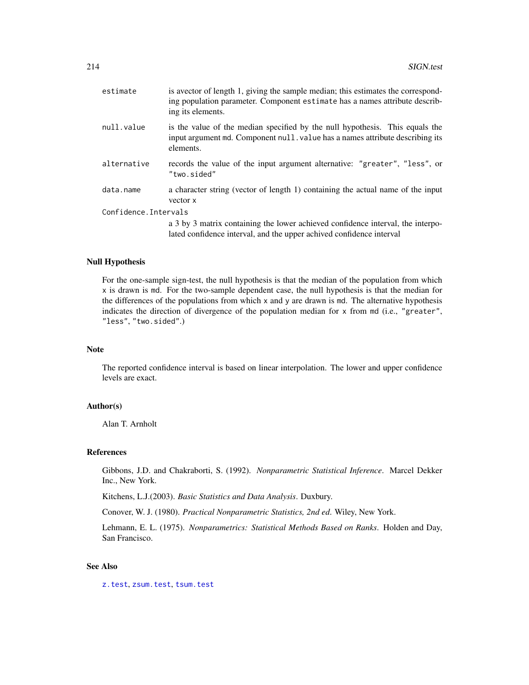| estimate              | is avector of length 1, giving the sample median; this estimates the correspond-<br>ing population parameter. Component estimate has a names attribute describ-<br>ing its elements. |  |
|-----------------------|--------------------------------------------------------------------------------------------------------------------------------------------------------------------------------------|--|
| null.value            | is the value of the median specified by the null hypothesis. This equals the<br>input argument md. Component null value has a names attribute describing its<br>elements.            |  |
| alternative           | records the value of the input argument alternative: "greater", "less", or<br>"two.sided"                                                                                            |  |
| data.name             | a character string (vector of length 1) containing the actual name of the input<br>vector x                                                                                          |  |
| Confidence. Intervals |                                                                                                                                                                                      |  |
|                       | a 3 by 3 matrix containing the lower achieved confidence interval, the interpo-<br>lated confidence interval, and the upper achived confidence interval                              |  |

# Null Hypothesis

For the one-sample sign-test, the null hypothesis is that the median of the population from which x is drawn is md. For the two-sample dependent case, the null hypothesis is that the median for the differences of the populations from which  $x$  and  $y$  are drawn is md. The alternative hypothesis indicates the direction of divergence of the population median for x from md (i.e., "greater", "less", "two.sided".)

#### Note

The reported confidence interval is based on linear interpolation. The lower and upper confidence levels are exact.

#### Author(s)

Alan T. Arnholt

## References

Gibbons, J.D. and Chakraborti, S. (1992). *Nonparametric Statistical Inference*. Marcel Dekker Inc., New York.

Kitchens, L.J.(2003). *Basic Statistics and Data Analysis*. Duxbury.

Conover, W. J. (1980). *Practical Nonparametric Statistics, 2nd ed*. Wiley, New York.

Lehmann, E. L. (1975). *Nonparametrics: Statistical Methods Based on Ranks*. Holden and Day, San Francisco.

## See Also

[z.test](#page-269-0), [zsum.test](#page-272-0), [tsum.test](#page-251-0)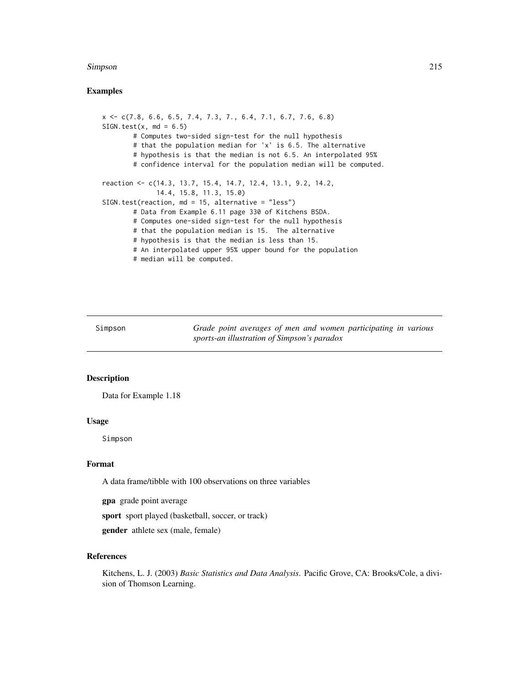#### Simpson 215

# Examples

x <- c(7.8, 6.6, 6.5, 7.4, 7.3, 7., 6.4, 7.1, 6.7, 7.6, 6.8)  $SIGN.test(x, md = 6.5)$ # Computes two-sided sign-test for the null hypothesis # that the population median for 'x' is 6.5. The alternative # hypothesis is that the median is not 6.5. An interpolated 95% # confidence interval for the population median will be computed. reaction <- c(14.3, 13.7, 15.4, 14.7, 12.4, 13.1, 9.2, 14.2, 14.4, 15.8, 11.3, 15.0) SIGN.test(reaction, md = 15, alternative = "less") # Data from Example 6.11 page 330 of Kitchens BSDA. # Computes one-sided sign-test for the null hypothesis # that the population median is 15. The alternative # hypothesis is that the median is less than 15. # An interpolated upper 95% upper bound for the population # median will be computed.

Simpson *Grade point averages of men and women participating in various sports-an illustration of Simpson's paradox*

## Description

Data for Example 1.18

#### Usage

Simpson

## Format

A data frame/tibble with 100 observations on three variables

gpa grade point average

sport sport played (basketball, soccer, or track)

gender athlete sex (male, female)

# References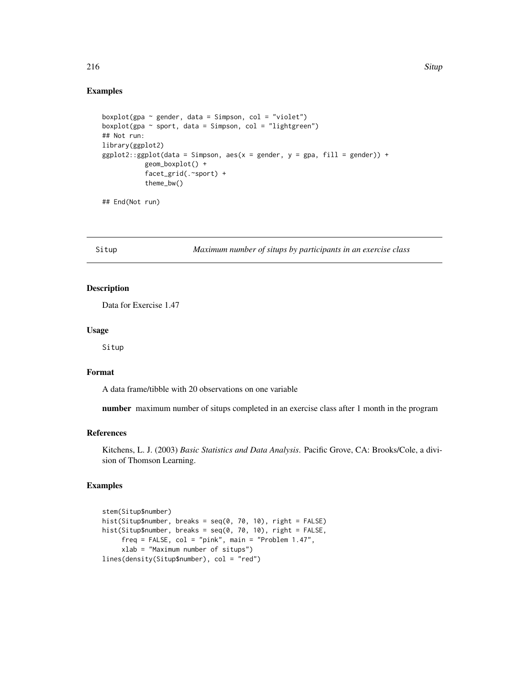#### 216 Situp Section 2016 Situp Section 2016 Situp Section 2016 Situp Section 2016 Situp Section 2016 Situp Section 2016

## Examples

```
boxplot(gpa \sim gender, data = Simpson, col = "violet")
boxplot(gpa \sim sport, data = Simpson, col = "lightgreen")
## Not run:
library(ggplot2)
ggplot2::ggplot(data = Simpson, aes(x = gender, y = gpa, fill = gender)) +geom_boxplot() +
           facet_grid(.~sport) +
           theme_bw()
```

```
## End(Not run)
```
Situp *Maximum number of situps by participants in an exercise class*

# Description

Data for Exercise 1.47

#### Usage

Situp

## Format

A data frame/tibble with 20 observations on one variable

number maximum number of situps completed in an exercise class after 1 month in the program

## References

Kitchens, L. J. (2003) *Basic Statistics and Data Analysis*. Pacific Grove, CA: Brooks/Cole, a division of Thomson Learning.

```
stem(Situp$number)
hist(Situp$number, breaks = seq(0, 70, 10), right = FALSE)
hist(Situp$number, breaks = seq(0, 70, 10), right = FALSE,
     freq = FALSE, col = "pink", main = "Problem 1.47",
     xlab = "Maximum number of situps")
lines(density(Situp$number), col = "red")
```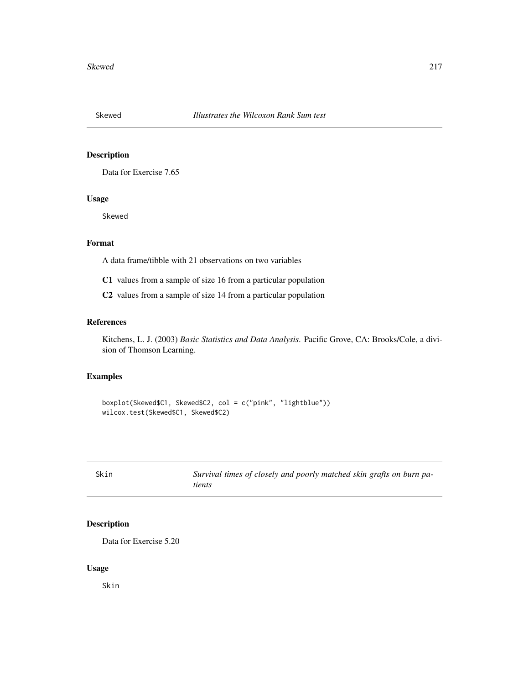Data for Exercise 7.65

# Usage

Skewed

# Format

A data frame/tibble with 21 observations on two variables

C1 values from a sample of size 16 from a particular population

C2 values from a sample of size 14 from a particular population

#### References

Kitchens, L. J. (2003) *Basic Statistics and Data Analysis*. Pacific Grove, CA: Brooks/Cole, a division of Thomson Learning.

# Examples

```
boxplot(Skewed$C1, Skewed$C2, col = c("pink", "lightblue"))
wilcox.test(Skewed$C1, Skewed$C2)
```

| Skin | Survival times of closely and poorly matched skin grafts on burn pa- |
|------|----------------------------------------------------------------------|
|      | tients                                                               |

# Description

Data for Exercise 5.20

#### Usage

Skin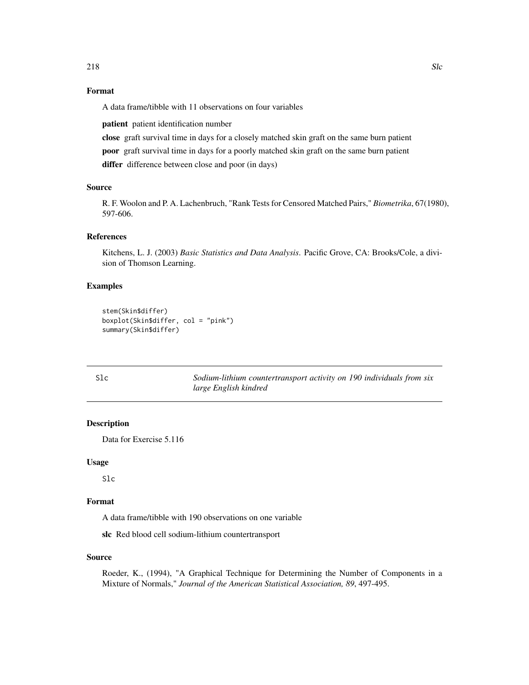# Format

A data frame/tibble with 11 observations on four variables

patient patient identification number

close graft survival time in days for a closely matched skin graft on the same burn patient poor graft survival time in days for a poorly matched skin graft on the same burn patient differ difference between close and poor (in days)

#### Source

R. F. Woolon and P. A. Lachenbruch, "Rank Tests for Censored Matched Pairs," *Biometrika*, 67(1980), 597-606.

#### References

Kitchens, L. J. (2003) *Basic Statistics and Data Analysis*. Pacific Grove, CA: Brooks/Cole, a division of Thomson Learning.

## Examples

```
stem(Skin$differ)
boxplot(Skin$differ, col = "pink")
summary(Skin$differ)
```

| Slc | Sodium-lithium countertransport activity on 190 individuals from six |
|-----|----------------------------------------------------------------------|
|     | large English kindred                                                |

## Description

Data for Exercise 5.116

## Usage

Slc

# Format

A data frame/tibble with 190 observations on one variable

slc Red blood cell sodium-lithium countertransport

# Source

Roeder, K., (1994), "A Graphical Technique for Determining the Number of Components in a Mixture of Normals," *Journal of the American Statistical Association, 89*, 497-495.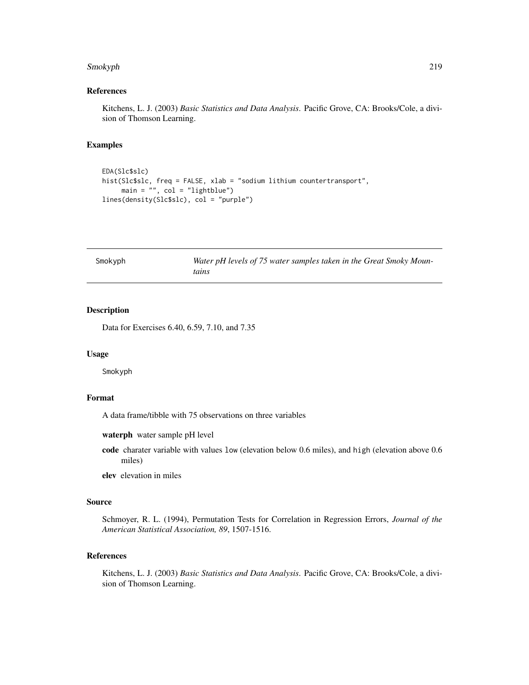#### Smokyph 219

## References

Kitchens, L. J. (2003) *Basic Statistics and Data Analysis*. Pacific Grove, CA: Brooks/Cole, a division of Thomson Learning.

#### Examples

```
EDA(Slc$slc)
hist(Slc$slc, freq = FALSE, xlab = "sodium lithium countertransport",
    main = "", col = "lightblue")
lines(density(Slc$slc), col = "purple")
```

| Smokyph |
|---------|
|---------|

Water pH levels of 75 water samples taken in the Great Smoky Moun*tains*

#### Description

Data for Exercises 6.40, 6.59, 7.10, and 7.35

#### Usage

Smokyph

#### Format

A data frame/tibble with 75 observations on three variables

waterph water sample pH level

code charater variable with values low (elevation below 0.6 miles), and high (elevation above 0.6 miles)

elev elevation in miles

#### Source

Schmoyer, R. L. (1994), Permutation Tests for Correlation in Regression Errors, *Journal of the American Statistical Association, 89*, 1507-1516.

# References

Kitchens, L. J. (2003) *Basic Statistics and Data Analysis*. Pacific Grove, CA: Brooks/Cole, a division of Thomson Learning.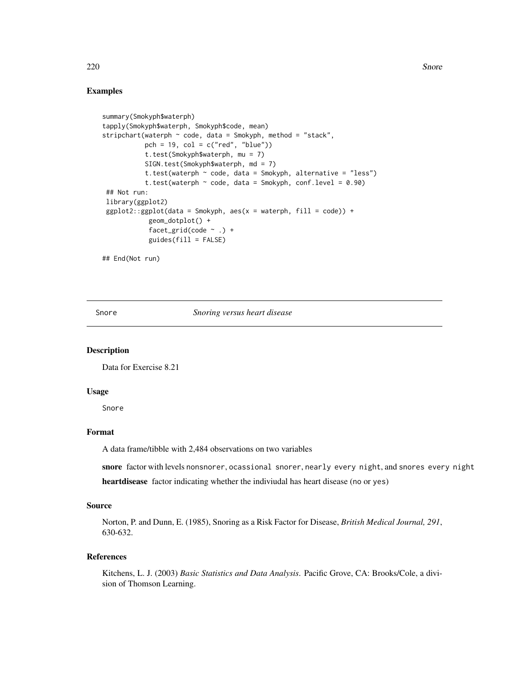## Examples

```
summary(Smokyph$waterph)
tapply(Smokyph$waterph, Smokyph$code, mean)
stripchart(waterph ~ code, data = Smokyph, method = "stack",
           pch = 19, col = c("red", "blue")t.test(Smokyph$waterph, mu = 7)
           SIGN.test(Smokyph$waterph, md = 7)
           t.test(waterph \sim code, data = Smokyph, alternative = "less")
           t.test(waterph ~ code, data = Smokyph, conf.level = 0.90)
 ## Not run:
library(ggplot2)
 ggplot2::ggplot(data = Smokyph, aes(x = waterph, fill = code)) +geom_dotplot() +
            facet_grid(code \sim .) +
            guides(fill = FALSE)## End(Not run)
```
Snore *Snoring versus heart disease*

#### Description

Data for Exercise 8.21

#### Usage

Snore

## Format

A data frame/tibble with 2,484 observations on two variables

snore factor with levels nonsnorer, ocassional snorer, nearly every night, and snores every night

heartdisease factor indicating whether the indiviudal has heart disease (no or yes)

#### Source

Norton, P. and Dunn, E. (1985), Snoring as a Risk Factor for Disease, *British Medical Journal, 291*, 630-632.

#### References

Kitchens, L. J. (2003) *Basic Statistics and Data Analysis*. Pacific Grove, CA: Brooks/Cole, a division of Thomson Learning.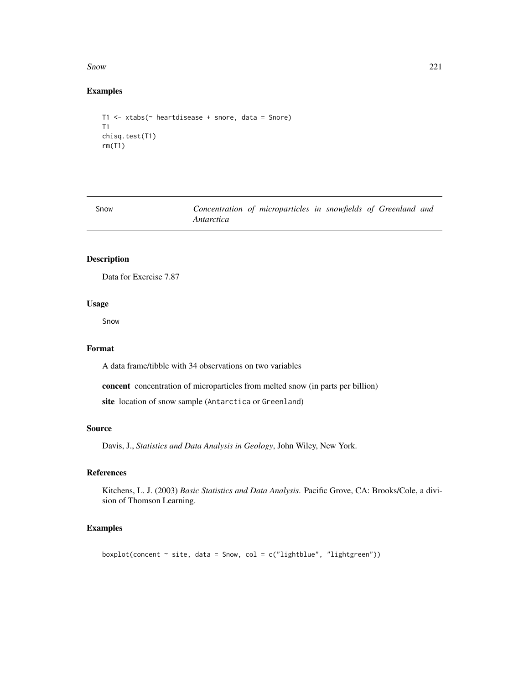$S<sub>now</sub>$  221

# Examples

```
T1 <- xtabs(~ heartdisease + snore, data = Snore)
T1
chisq.test(T1)
rm(T1)
```
Snow *Concentration of microparticles in snowfields of Greenland and Antarctica*

## Description

Data for Exercise 7.87

# Usage

Snow

# Format

A data frame/tibble with 34 observations on two variables

concent concentration of microparticles from melted snow (in parts per billion)

site location of snow sample (Antarctica or Greenland)

#### Source

Davis, J., *Statistics and Data Analysis in Geology*, John Wiley, New York.

#### References

Kitchens, L. J. (2003) *Basic Statistics and Data Analysis*. Pacific Grove, CA: Brooks/Cole, a division of Thomson Learning.

## Examples

boxplot(concent  $\sim$  site, data = Snow, col = c("lightblue", "lightgreen"))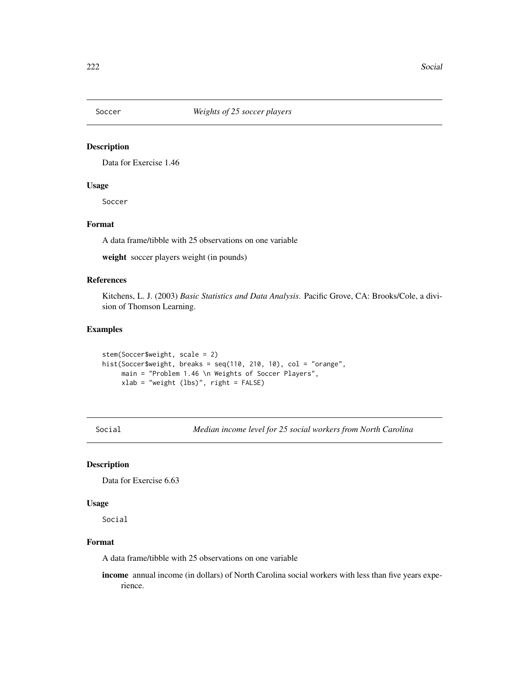Data for Exercise 1.46

# Usage

Soccer

# Format

A data frame/tibble with 25 observations on one variable

weight soccer players weight (in pounds)

# References

Kitchens, L. J. (2003) *Basic Statistics and Data Analysis*. Pacific Grove, CA: Brooks/Cole, a division of Thomson Learning.

# Examples

```
stem(Soccer$weight, scale = 2)
hist(Soccer$weight, breaks = seq(110, 210, 10), col = "orange",
    main = "Problem 1.46 \n Weights of Soccer Players",
    xlab = "weight (lbs)", right = FALSE)
```
Social *Median income level for 25 social workers from North Carolina*

## Description

Data for Exercise 6.63

#### Usage

Social

# Format

A data frame/tibble with 25 observations on one variable

income annual income (in dollars) of North Carolina social workers with less than five years experience.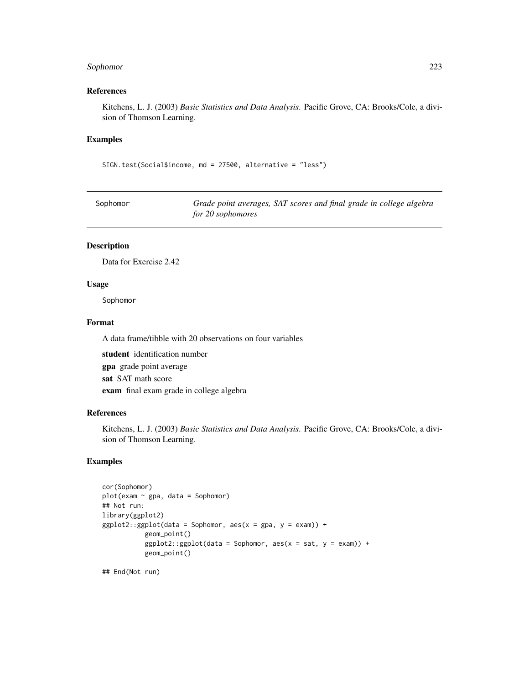## Sophomor 223

## References

Kitchens, L. J. (2003) *Basic Statistics and Data Analysis*. Pacific Grove, CA: Brooks/Cole, a division of Thomson Learning.

## Examples

SIGN.test(Social\$income, md = 27500, alternative = "less")

| Sophomor | Grade point averages, SAT scores and final grade in college algebra |
|----------|---------------------------------------------------------------------|
|          | for 20 sophomores                                                   |

## Description

Data for Exercise 2.42

#### Usage

Sophomor

#### Format

A data frame/tibble with 20 observations on four variables

student identification number gpa grade point average sat SAT math score exam final exam grade in college algebra

#### References

Kitchens, L. J. (2003) *Basic Statistics and Data Analysis*. Pacific Grove, CA: Brooks/Cole, a division of Thomson Learning.

## Examples

```
cor(Sophomor)
plot(exam ~ gpa, data = Sophomor)
## Not run:
library(ggplot2)
ggplot2::ggplot(data = Sophomor, aes(x = gpa, y = exam)) +geom_point()
           ggplot2::ggplot(data = Sophomor, aes(x = sat, y = exam)) +geom_point()
```
## End(Not run)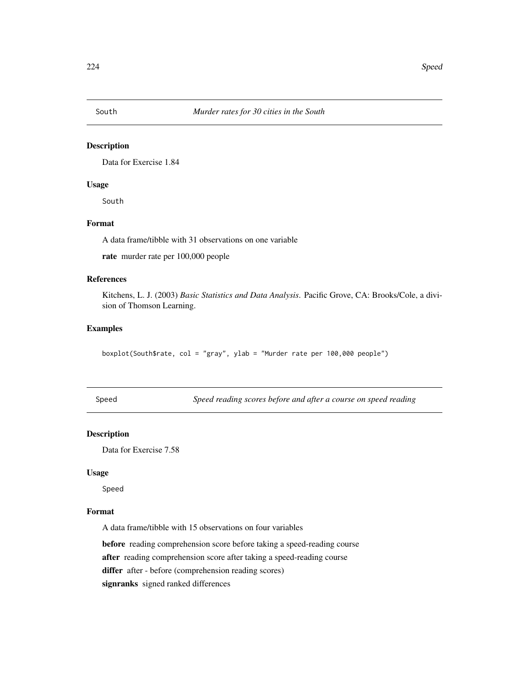Data for Exercise 1.84

## Usage

South

# Format

A data frame/tibble with 31 observations on one variable

rate murder rate per 100,000 people

# References

Kitchens, L. J. (2003) *Basic Statistics and Data Analysis*. Pacific Grove, CA: Brooks/Cole, a division of Thomson Learning.

#### Examples

boxplot(South\$rate, col = "gray", ylab = "Murder rate per 100,000 people")

Speed *Speed reading scores before and after a course on speed reading*

#### Description

Data for Exercise 7.58

#### Usage

Speed

## Format

A data frame/tibble with 15 observations on four variables

before reading comprehension score before taking a speed-reading course

after reading comprehension score after taking a speed-reading course

differ after - before (comprehension reading scores)

signranks signed ranked differences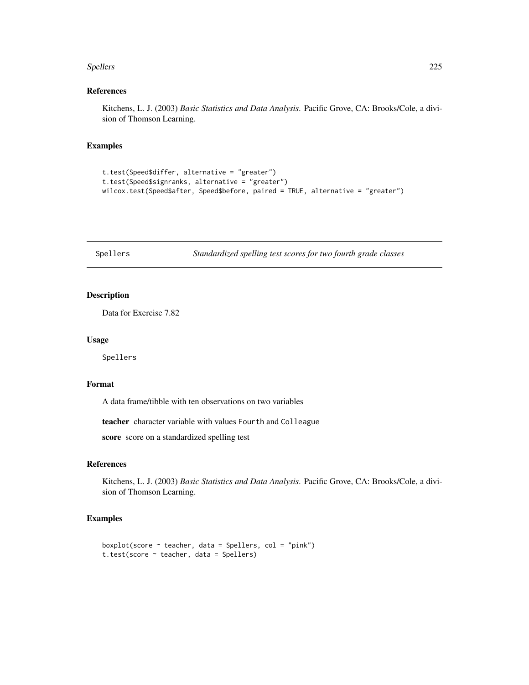#### Spellers 225

## References

Kitchens, L. J. (2003) *Basic Statistics and Data Analysis*. Pacific Grove, CA: Brooks/Cole, a division of Thomson Learning.

#### Examples

```
t.test(Speed$differ, alternative = "greater")
t.test(Speed$signranks, alternative = "greater")
wilcox.test(Speed$after, Speed$before, paired = TRUE, alternative = "greater")
```
Spellers *Standardized spelling test scores for two fourth grade classes*

## Description

Data for Exercise 7.82

#### Usage

Spellers

## Format

A data frame/tibble with ten observations on two variables

teacher character variable with values Fourth and Colleague

score score on a standardized spelling test

## References

Kitchens, L. J. (2003) *Basic Statistics and Data Analysis*. Pacific Grove, CA: Brooks/Cole, a division of Thomson Learning.

```
boxplot(score \sim teacher, data = Spellers, col = "pink")
t.test(score ~ teacher, data = Spellers)
```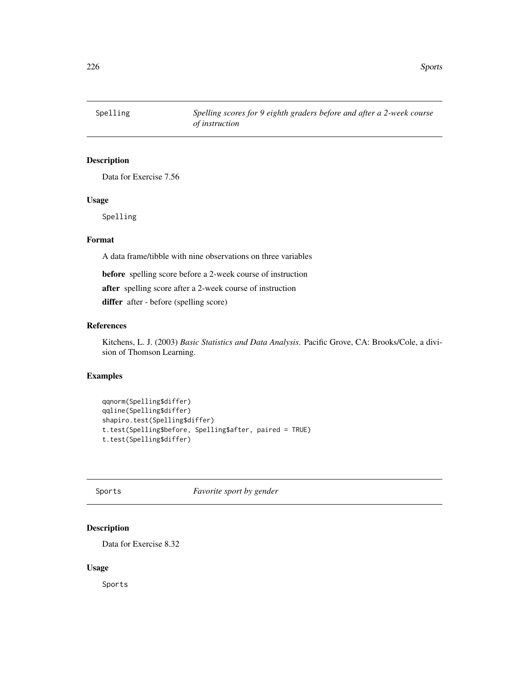Data for Exercise 7.56

## Usage

Spelling

# Format

A data frame/tibble with nine observations on three variables

before spelling score before a 2-week course of instruction

after spelling score after a 2-week course of instruction

differ after - before (spelling score)

#### References

Kitchens, L. J. (2003) *Basic Statistics and Data Analysis*. Pacific Grove, CA: Brooks/Cole, a division of Thomson Learning.

## Examples

```
qqnorm(Spelling$differ)
qqline(Spelling$differ)
shapiro.test(Spelling$differ)
t.test(Spelling$before, Spelling$after, paired = TRUE)
t.test(Spelling$differ)
```
Sports *Favorite sport by gender*

## Description

Data for Exercise 8.32

#### Usage

Sports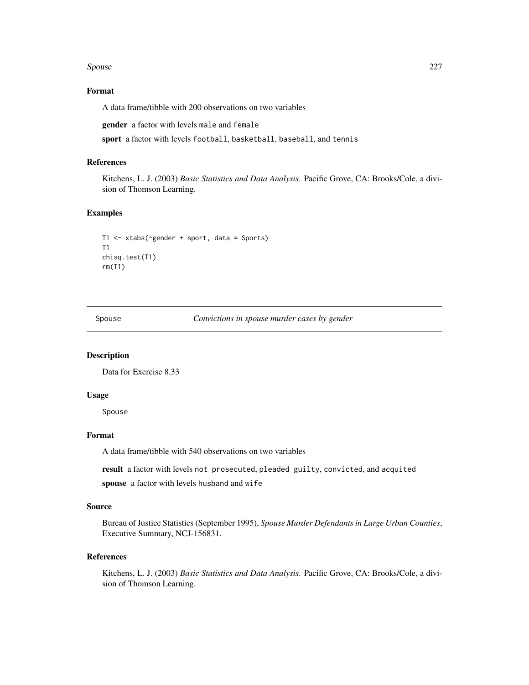#### Spouse 227

## Format

A data frame/tibble with 200 observations on two variables

gender a factor with levels male and female

sport a factor with levels football, basketball, baseball, and tennis

## References

Kitchens, L. J. (2003) *Basic Statistics and Data Analysis*. Pacific Grove, CA: Brooks/Cole, a division of Thomson Learning.

#### Examples

```
T1 <- xtabs(~gender + sport, data = Sports)
T1
chisq.test(T1)
rm(T1)
```
Spouse *Convictions in spouse murder cases by gender*

#### Description

Data for Exercise 8.33

#### Usage

Spouse

## Format

A data frame/tibble with 540 observations on two variables

result a factor with levels not prosecuted, pleaded guilty, convicted, and acquited spouse a factor with levels husband and wife

#### Source

Bureau of Justice Statistics (September 1995), *Spouse Murder Defendants in Large Urban Counties*, Executive Summary, NCJ-156831.

## References

Kitchens, L. J. (2003) *Basic Statistics and Data Analysis*. Pacific Grove, CA: Brooks/Cole, a division of Thomson Learning.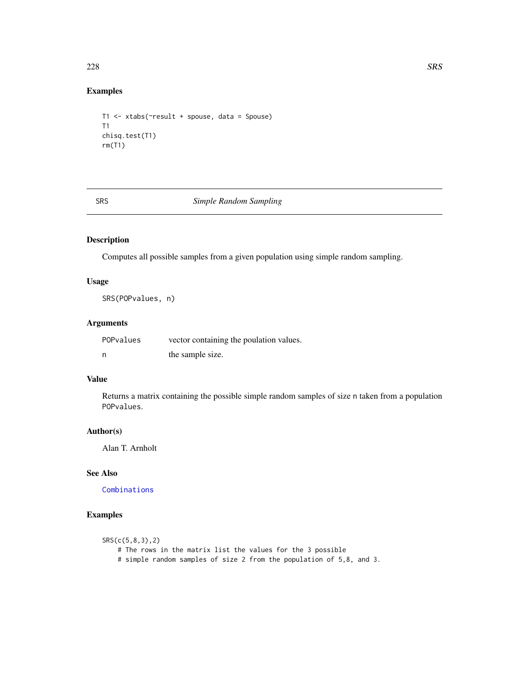# Examples

```
T1 <- xtabs(~result + spouse, data = Spouse)
T1
chisq.test(T1)
rm(T1)
```
SRS *Simple Random Sampling*

# Description

Computes all possible samples from a given population using simple random sampling.

## Usage

SRS(POPvalues, n)

# Arguments

| POPvalues | vector containing the poulation values. |  |  |  |  |
|-----------|-----------------------------------------|--|--|--|--|
| - n       | the sample size.                        |  |  |  |  |

#### Value

Returns a matrix containing the possible simple random samples of size n taken from a population POPvalues.

# Author(s)

Alan T. Arnholt

#### See Also

[Combinations](#page-57-0)

# Examples

```
SRS(c(5,8,3),2)
   # The rows in the matrix list the values for the 3 possible
   # simple random samples of size 2 from the population of 5,8, and 3.
```
228 SRS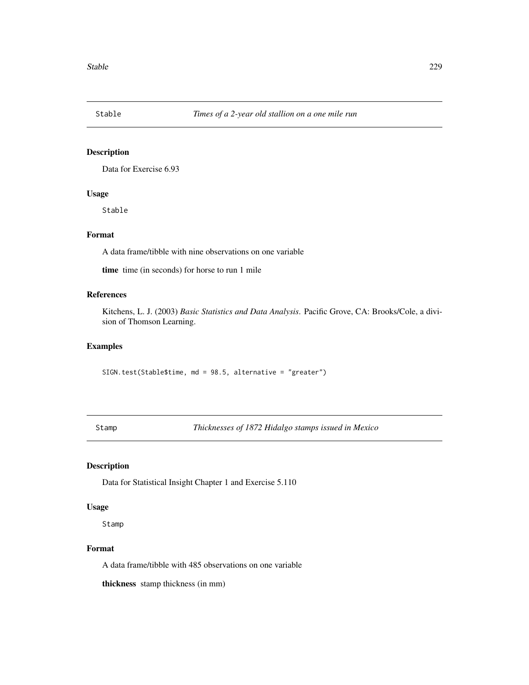Data for Exercise 6.93

#### Usage

Stable

# Format

A data frame/tibble with nine observations on one variable

time time (in seconds) for horse to run 1 mile

## References

Kitchens, L. J. (2003) *Basic Statistics and Data Analysis*. Pacific Grove, CA: Brooks/Cole, a division of Thomson Learning.

#### Examples

SIGN.test(Stable\$time, md = 98.5, alternative = "greater")

Stamp *Thicknesses of 1872 Hidalgo stamps issued in Mexico*

## Description

Data for Statistical Insight Chapter 1 and Exercise 5.110

#### Usage

Stamp

#### Format

A data frame/tibble with 485 observations on one variable

thickness stamp thickness (in mm)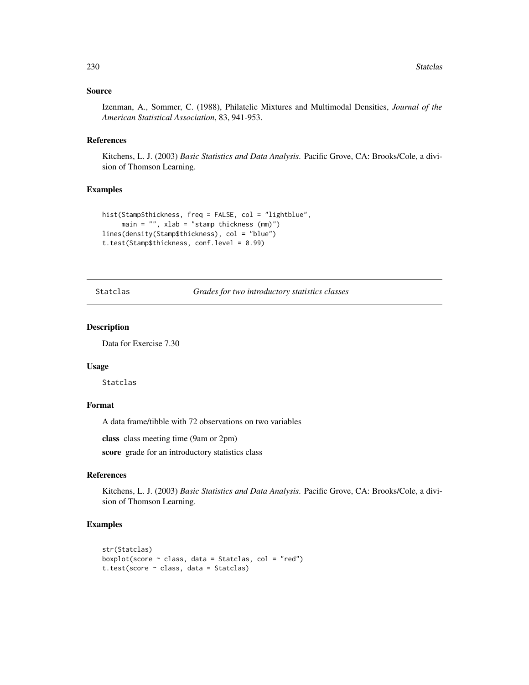#### Source

Izenman, A., Sommer, C. (1988), Philatelic Mixtures and Multimodal Densities, *Journal of the American Statistical Association*, 83, 941-953.

#### References

Kitchens, L. J. (2003) *Basic Statistics and Data Analysis*. Pacific Grove, CA: Brooks/Cole, a division of Thomson Learning.

## Examples

```
hist(Stamp$thickness, freq = FALSE, col = "lightblue",
     main = "", xlab = "stamp thickness (mm)")lines(density(Stamp$thickness), col = "blue")
t.test(Stamp$thickness, conf.level = 0.99)
```
Statclas *Grades for two introductory statistics classes*

#### Description

Data for Exercise 7.30

#### Usage

Statclas

# Format

A data frame/tibble with 72 observations on two variables

class class meeting time (9am or 2pm)

score grade for an introductory statistics class

#### References

Kitchens, L. J. (2003) *Basic Statistics and Data Analysis*. Pacific Grove, CA: Brooks/Cole, a division of Thomson Learning.

```
str(Statclas)
boxplot(score \sim class, data = Statclas, col = "red")
t.test(score ~ class, data = Statclas)
```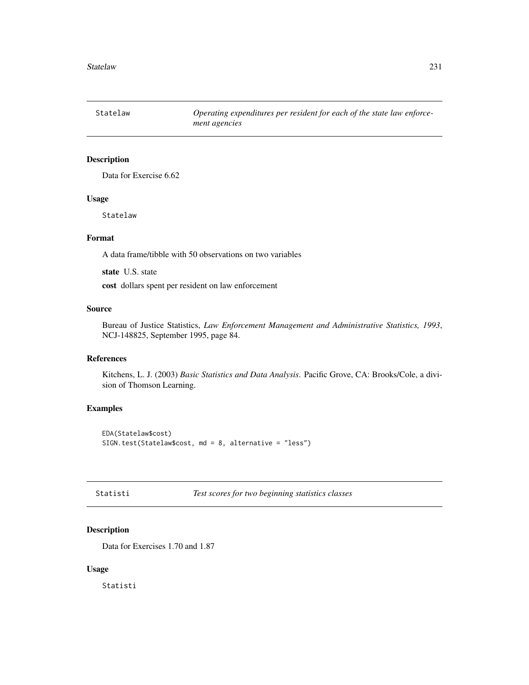Statelaw *Operating expenditures per resident for each of the state law enforcement agencies*

## Description

Data for Exercise 6.62

#### Usage

Statelaw

# Format

A data frame/tibble with 50 observations on two variables

state U.S. state

cost dollars spent per resident on law enforcement

# Source

Bureau of Justice Statistics, *Law Enforcement Management and Administrative Statistics, 1993*, NCJ-148825, September 1995, page 84.

#### References

Kitchens, L. J. (2003) *Basic Statistics and Data Analysis*. Pacific Grove, CA: Brooks/Cole, a division of Thomson Learning.

## Examples

EDA(Statelaw\$cost) SIGN.test(Statelaw\$cost, md = 8, alternative = "less")

Statisti *Test scores for two beginning statistics classes*

# Description

Data for Exercises 1.70 and 1.87

#### Usage

Statisti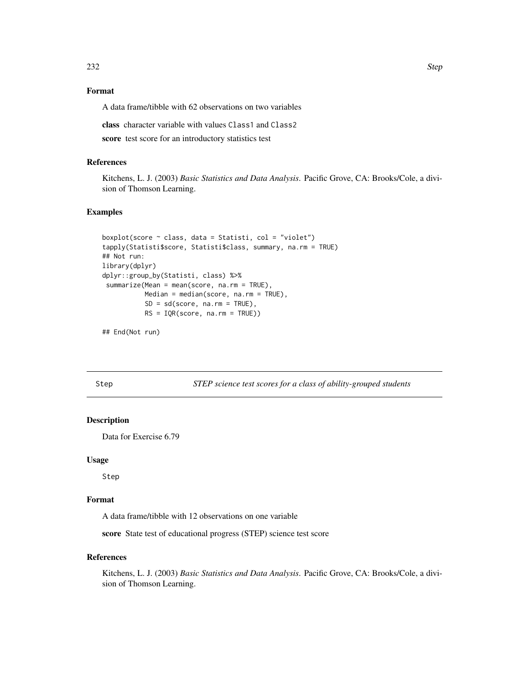# Format

A data frame/tibble with 62 observations on two variables

class character variable with values Class1 and Class2

score test score for an introductory statistics test

#### References

Kitchens, L. J. (2003) *Basic Statistics and Data Analysis*. Pacific Grove, CA: Brooks/Cole, a division of Thomson Learning.

#### Examples

```
boxplot(score \sim class, data = Statisti, col = "violet")
tapply(Statisti$score, Statisti$class, summary, na.rm = TRUE)
## Not run:
library(dplyr)
dplyr::group_by(Statisti, class) %>%
summarize(Mean = mean(score, na.rm = TRUE),
          Median = median(score, na.rm = TRUE),
           SD = sd(score, na.rm = TRUE),RS = IQR(score, na.rm = TRUE))
```
## End(Not run)

Step *STEP science test scores for a class of ability-grouped students*

#### Description

Data for Exercise 6.79

#### Usage

Step

## Format

A data frame/tibble with 12 observations on one variable

score State test of educational progress (STEP) science test score

#### References

Kitchens, L. J. (2003) *Basic Statistics and Data Analysis*. Pacific Grove, CA: Brooks/Cole, a division of Thomson Learning.

232 Step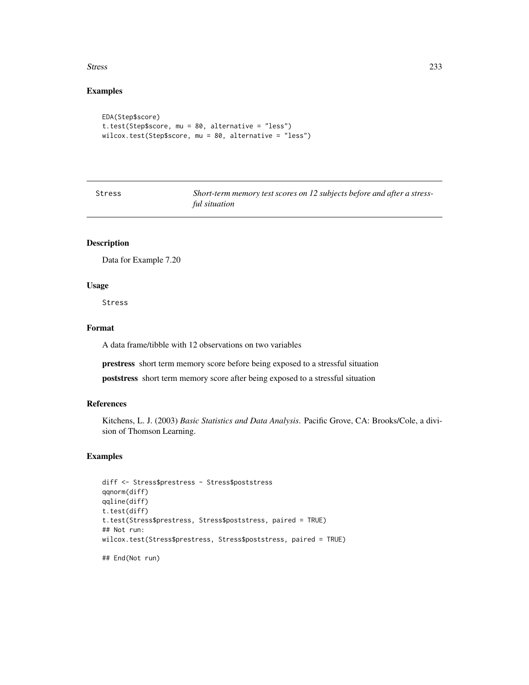#### Stress 233

# Examples

```
EDA(Step$score)
t.test(Step$score, mu = 80, alternative = "less")
wilcox.test(Step$score, mu = 80, alternative = "less")
```

| ×<br>×<br>۰.<br>۰.<br>×<br>×<br>٧<br>w<br>۰.<br>×<br>۰, |
|---------------------------------------------------------|
|---------------------------------------------------------|

Short-term memory test scores on 12 subjects before and after a stress*ful situation*

# Description

Data for Example 7.20

## Usage

Stress

## Format

A data frame/tibble with 12 observations on two variables

prestress short term memory score before being exposed to a stressful situation

poststress short term memory score after being exposed to a stressful situation

## References

Kitchens, L. J. (2003) *Basic Statistics and Data Analysis*. Pacific Grove, CA: Brooks/Cole, a division of Thomson Learning.

## Examples

```
diff <- Stress$prestress - Stress$poststress
qqnorm(diff)
qqline(diff)
t.test(diff)
t.test(Stress$prestress, Stress$poststress, paired = TRUE)
## Not run:
wilcox.test(Stress$prestress, Stress$poststress, paired = TRUE)
```
## End(Not run)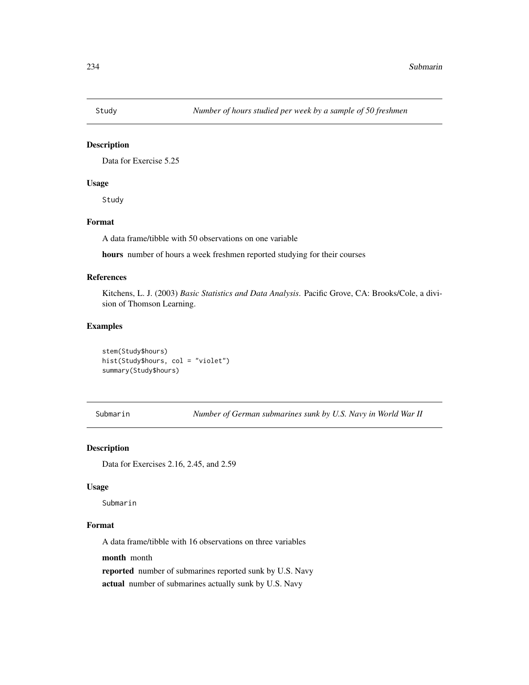Data for Exercise 5.25

#### Usage

Study

# Format

A data frame/tibble with 50 observations on one variable

hours number of hours a week freshmen reported studying for their courses

#### References

Kitchens, L. J. (2003) *Basic Statistics and Data Analysis*. Pacific Grove, CA: Brooks/Cole, a division of Thomson Learning.

#### Examples

stem(Study\$hours) hist(Study\$hours, col = "violet") summary(Study\$hours)

Submarin *Number of German submarines sunk by U.S. Navy in World War II*

## Description

Data for Exercises 2.16, 2.45, and 2.59

#### Usage

Submarin

#### Format

A data frame/tibble with 16 observations on three variables

month month

reported number of submarines reported sunk by U.S. Navy

actual number of submarines actually sunk by U.S. Navy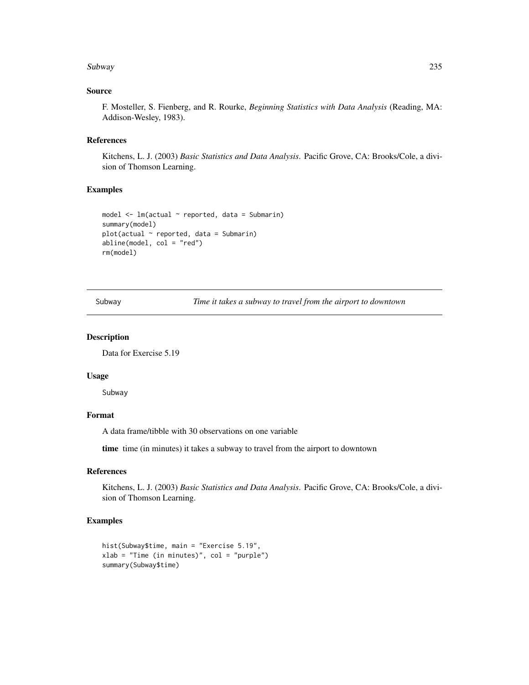#### Subway 235

#### Source

F. Mosteller, S. Fienberg, and R. Rourke, *Beginning Statistics with Data Analysis* (Reading, MA: Addison-Wesley, 1983).

#### References

Kitchens, L. J. (2003) *Basic Statistics and Data Analysis*. Pacific Grove, CA: Brooks/Cole, a division of Thomson Learning.

## Examples

```
model \leq lm(actual \sim reported, data = Submarin)
summary(model)
plot(actual ~ reported, data = Submarin)
abline(model, col = "red")
rm(model)
```
Subway *Time it takes a subway to travel from the airport to downtown*

#### Description

Data for Exercise 5.19

#### Usage

Subway

#### Format

A data frame/tibble with 30 observations on one variable

time time (in minutes) it takes a subway to travel from the airport to downtown

#### References

Kitchens, L. J. (2003) *Basic Statistics and Data Analysis*. Pacific Grove, CA: Brooks/Cole, a division of Thomson Learning.

```
hist(Subway$time, main = "Exercise 5.19",
xlab = "Time (in minutes)", col = "purple")
summary(Subway$time)
```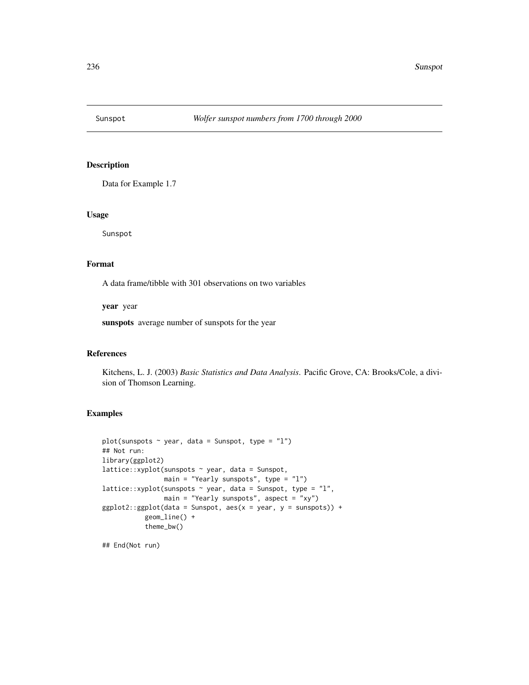Data for Example 1.7

## Usage

Sunspot

## Format

A data frame/tibble with 301 observations on two variables

year year

sunspots average number of sunspots for the year

#### References

Kitchens, L. J. (2003) *Basic Statistics and Data Analysis*. Pacific Grove, CA: Brooks/Cole, a division of Thomson Learning.

## Examples

```
plot(sunspots \sim year, data = Sunspot, type = "l")
## Not run:
library(ggplot2)
lattice::xyplot(sunspots ~ year, data = Sunspot,
                main = "Yearly sunspots", type = "l")
lattice::xyplot(sunspots \sim year, data = Sunspot, type = "l",
                main = "Yearly sunspots", aspect = "xy")
ggplot2::ggplot(data = Sunspot, aes(x = year, y = sunspots)) +geom_line() +
           theme_bw()
```
## End(Not run)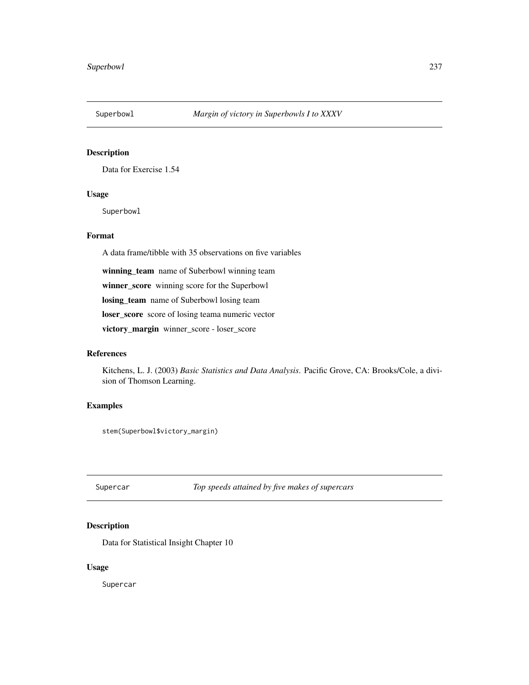Data for Exercise 1.54

## Usage

Superbowl

# Format

A data frame/tibble with 35 observations on five variables

winning\_team name of Suberbowl winning team

winner\_score winning score for the Superbowl

losing\_team name of Suberbowl losing team

loser\_score score of losing teama numeric vector

victory\_margin winner\_score - loser\_score

#### References

Kitchens, L. J. (2003) *Basic Statistics and Data Analysis*. Pacific Grove, CA: Brooks/Cole, a division of Thomson Learning.

# Examples

stem(Superbowl\$victory\_margin)

Supercar *Top speeds attained by five makes of supercars*

## Description

Data for Statistical Insight Chapter 10

## Usage

Supercar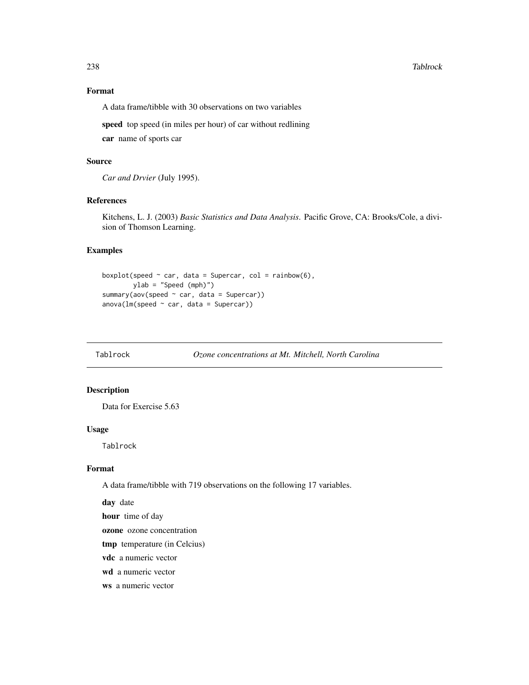#### 238 Tablrock and the contract of the contract of the contract of the contract of the contract of the contract of the contract of the contract of the contract of the contract of the contract of the contract of the contract

## Format

A data frame/tibble with 30 observations on two variables

speed top speed (in miles per hour) of car without redlining car name of sports car

#### Source

*Car and Drvier* (July 1995).

#### References

Kitchens, L. J. (2003) *Basic Statistics and Data Analysis*. Pacific Grove, CA: Brooks/Cole, a division of Thomson Learning.

#### Examples

```
boxplot(speed \sim car, data = Supercar, col = rainbow(6),
        ylab = "Speed (mph)")
summary(aov(speed ~ car, data = Supercar))
anova(lm(speed \sim car, data = Supercar))
```
Tablrock *Ozone concentrations at Mt. Mitchell, North Carolina*

## Description

Data for Exercise 5.63

#### Usage

Tablrock

#### Format

A data frame/tibble with 719 observations on the following 17 variables.

day date

hour time of day

ozone ozone concentration

tmp temperature (in Celcius)

vdc a numeric vector

wd a numeric vector

ws a numeric vector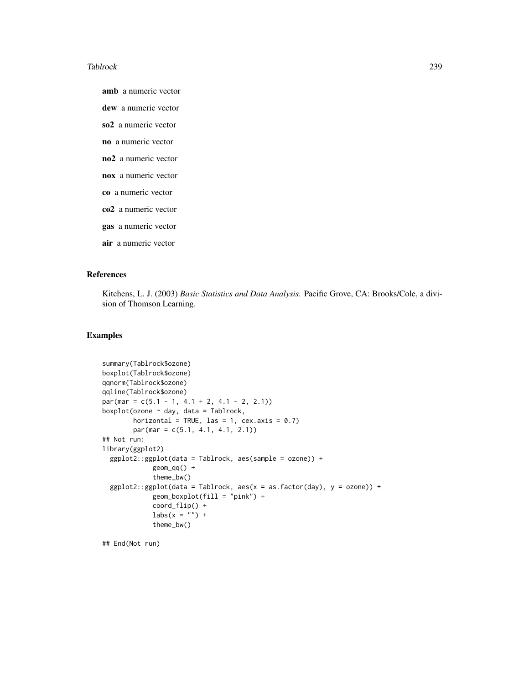#### Tablrock 239

amb a numeric vector

dew a numeric vector

so2 a numeric vector

no a numeric vector

- no2 a numeric vector
- nox a numeric vector
- co a numeric vector
- co2 a numeric vector
- gas a numeric vector
- air a numeric vector

#### References

Kitchens, L. J. (2003) *Basic Statistics and Data Analysis*. Pacific Grove, CA: Brooks/Cole, a division of Thomson Learning.

#### Examples

```
summary(Tablrock$ozone)
boxplot(Tablrock$ozone)
qqnorm(Tablrock$ozone)
qqline(Tablrock$ozone)
par(max = c(5.1 - 1, 4.1 + 2, 4.1 - 2, 2.1))boxplot(ozone ~ day, data = Tablrock,
        horizontal = TRUE, las = 1, cex.axis = 0.7)
        par(mar = c(5.1, 4.1, 4.1, 2.1))
## Not run:
library(ggplot2)
 ggplot2::ggplot(data = Tablrock, aes(sample = ozone)) +geom_qq() +theme_bw()
 ggplot2::ggplot(data = Tablrock, aes(x = as.factor(day), y = ozone)) +geom_boxplot(fill = "pink") +
             coord_flip() +
             \text{labs}(x = \text{""}) +
             theme_bw()
```
## End(Not run)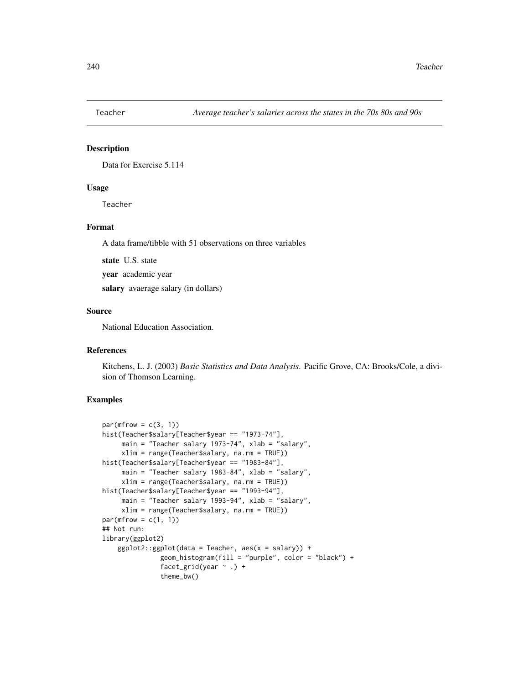Data for Exercise 5.114

#### Usage

Teacher

# Format

A data frame/tibble with 51 observations on three variables

state U.S. state

year academic year

salary avaerage salary (in dollars)

#### Source

National Education Association.

## References

Kitchens, L. J. (2003) *Basic Statistics and Data Analysis*. Pacific Grove, CA: Brooks/Cole, a division of Thomson Learning.

```
par(mfrow = c(3, 1))hist(Teacher$salary[Teacher$year == "1973-74"],
     main = "Teacher salary 1973-74", xlab = "salary",
     xlim = range(Teacher$salary, na.rm = TRUE))
hist(Teacher$salary[Teacher$year == "1983-84"],
     main = "Teacher salary 1983-84", xlab = "salary",
     xlim = range(Teacher$salary, na.rm = TRUE))
hist(Teacher$salary[Teacher$year == "1993-94"],
     main = "Teacher salary 1993-94", xlab = "salary",
     xlim = range(Teacher$salary, na.rm = TRUE))
par(mfrow = c(1, 1))## Not run:
library(ggplot2)
    ggplot2::ggplot(data = Teacher, aes(x = salary)) +geom_histogram(fill = "purple", color = "black") +
               facet_grid(year \sim .) +
               theme_bw()
```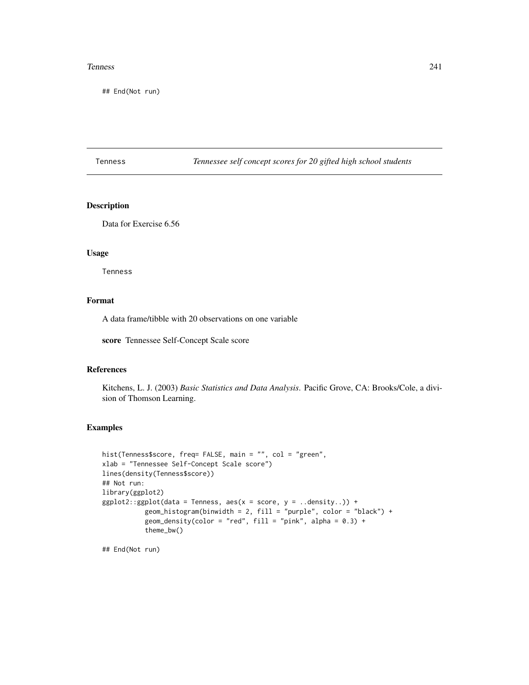#### Tenness 241

## End(Not run)

Tenness *Tennessee self concept scores for 20 gifted high school students*

## Description

Data for Exercise 6.56

## Usage

Tenness

## Format

A data frame/tibble with 20 observations on one variable

score Tennessee Self-Concept Scale score

#### References

Kitchens, L. J. (2003) *Basic Statistics and Data Analysis*. Pacific Grove, CA: Brooks/Cole, a division of Thomson Learning.

## Examples

```
hist(Tenness$score, freq= FALSE, main = "", col = "green",
xlab = "Tennessee Self-Concept Scale score")
lines(density(Tenness$score))
## Not run:
library(ggplot2)
ggplot2::ggplot(data = Tennessee, aes(x = score, y = ..density.)) +geom_histogram(binwidth = 2, fill = "purple", color = "black") +
           geom_density(color = "red", fill = "pink", alpha = 0.3) +
           theme_bw()
```
## End(Not run)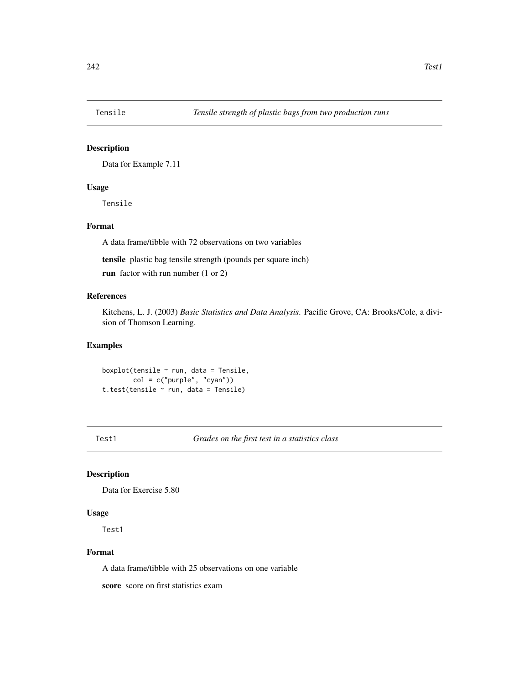Data for Example 7.11

#### Usage

Tensile

## Format

A data frame/tibble with 72 observations on two variables

tensile plastic bag tensile strength (pounds per square inch)

run factor with run number (1 or 2)

## References

Kitchens, L. J. (2003) *Basic Statistics and Data Analysis*. Pacific Grove, CA: Brooks/Cole, a division of Thomson Learning.

# Examples

boxplot(tensile  $\sim$  run, data = Tensile, col = c("purple", "cyan")) t.test(tensile ~ run, data = Tensile)

Test1 *Grades on the first test in a statistics class*

# Description

Data for Exercise 5.80

#### Usage

Test1

#### Format

A data frame/tibble with 25 observations on one variable

score score on first statistics exam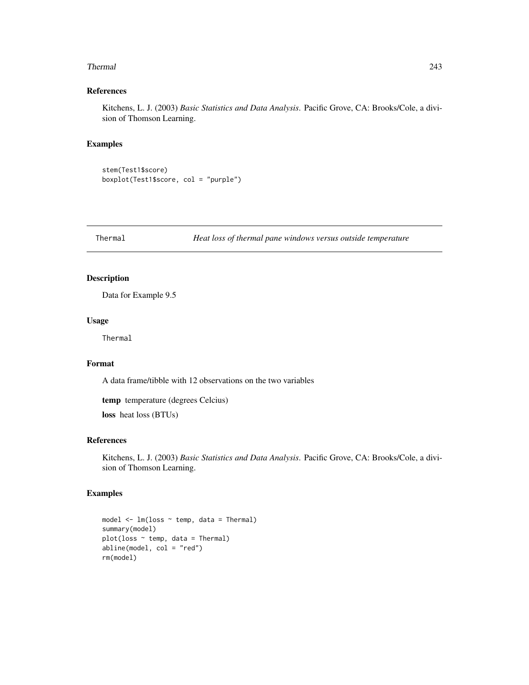#### Thermal 243

## References

Kitchens, L. J. (2003) *Basic Statistics and Data Analysis*. Pacific Grove, CA: Brooks/Cole, a division of Thomson Learning.

## Examples

stem(Test1\$score) boxplot(Test1\$score, col = "purple")

Thermal *Heat loss of thermal pane windows versus outside temperature*

#### Description

Data for Example 9.5

## Usage

Thermal

# Format

A data frame/tibble with 12 observations on the two variables

temp temperature (degrees Celcius)

loss heat loss (BTUs)

#### References

Kitchens, L. J. (2003) *Basic Statistics and Data Analysis*. Pacific Grove, CA: Brooks/Cole, a division of Thomson Learning.

```
model \leq lm(loss \sim temp, data = Thermal)
summary(model)
plot(loss ~ r temp, data = Thermal)
abline(model, col = "red")
rm(model)
```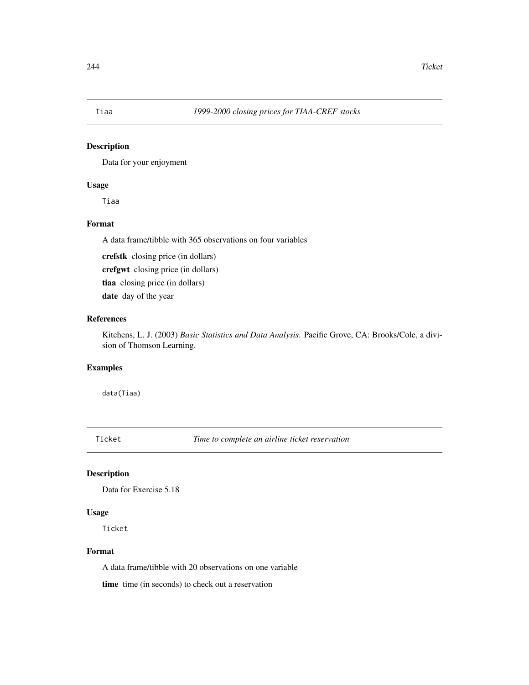Data for your enjoyment

## Usage

Tiaa

# Format

A data frame/tibble with 365 observations on four variables

crefstk closing price (in dollars)

crefgwt closing price (in dollars)

tiaa closing price (in dollars)

date day of the year

# References

Kitchens, L. J. (2003) *Basic Statistics and Data Analysis*. Pacific Grove, CA: Brooks/Cole, a division of Thomson Learning.

# Examples

data(Tiaa)

Ticket *Time to complete an airline ticket reservation*

## Description

Data for Exercise 5.18

#### Usage

Ticket

#### Format

A data frame/tibble with 20 observations on one variable

time time (in seconds) to check out a reservation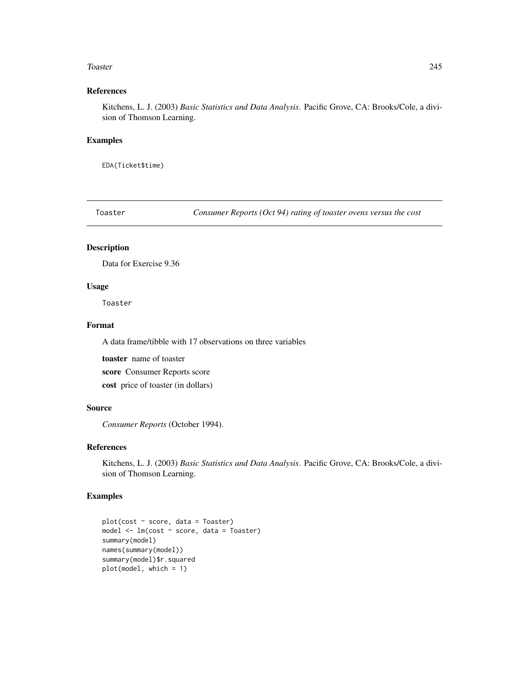#### Toaster 245

## References

Kitchens, L. J. (2003) *Basic Statistics and Data Analysis*. Pacific Grove, CA: Brooks/Cole, a division of Thomson Learning.

#### Examples

EDA(Ticket\$time)

Toaster *Consumer Reports (Oct 94) rating of toaster ovens versus the cost*

# Description

Data for Exercise 9.36

# Usage

Toaster

## Format

A data frame/tibble with 17 observations on three variables

toaster name of toaster score Consumer Reports score cost price of toaster (in dollars)

#### Source

*Consumer Reports* (October 1994).

## References

Kitchens, L. J. (2003) *Basic Statistics and Data Analysis*. Pacific Grove, CA: Brooks/Cole, a division of Thomson Learning.

```
plot(cost ~ score, data = Toaster)
model <- lm(cost ~ score, data = Toaster)
summary(model)
names(summary(model))
summary(model)$r.squared
plot(model, which = 1)
```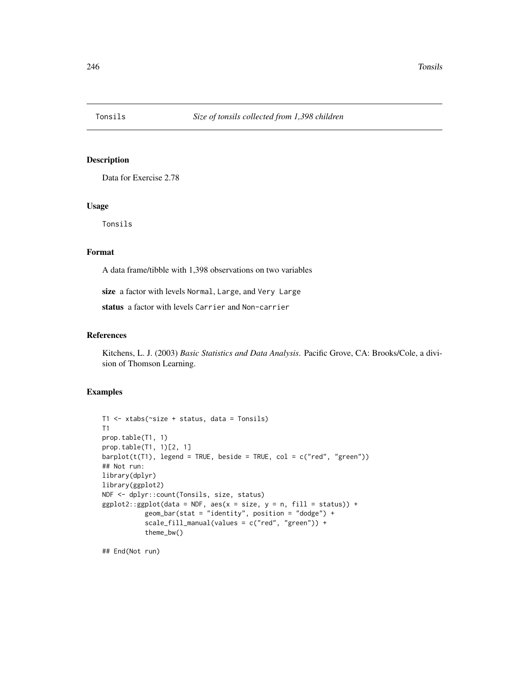Data for Exercise 2.78

#### Usage

Tonsils

# Format

A data frame/tibble with 1,398 observations on two variables

size a factor with levels Normal, Large, and Very Large

status a factor with levels Carrier and Non-carrier

#### References

Kitchens, L. J. (2003) *Basic Statistics and Data Analysis*. Pacific Grove, CA: Brooks/Cole, a division of Thomson Learning.

## Examples

```
T1 <- xtabs(~size + status, data = Tonsils)
T1
prop.table(T1, 1)
prop.table(T1, 1)[2, 1]
barplot(t(T1), legend = TRUE, beside = TRUE, col = c("red", "green"))## Not run:
library(dplyr)
library(ggplot2)
NDF <- dplyr::count(Tonsils, size, status)
ggplot2::ggplot(data = NDF, aes(x = size, y = n, fill = status)) +geom_bar(stat = "identity", position = "dodge") +
           scale_fill_manual(values = c("red", "green")) +
           theme_bw()
```
## End(Not run)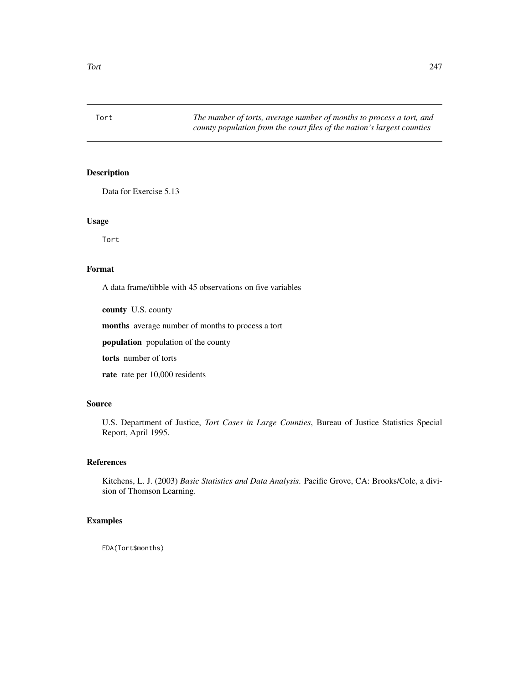Data for Exercise 5.13

#### Usage

Tort

## Format

A data frame/tibble with 45 observations on five variables

county U.S. county

months average number of months to process a tort

population population of the county

torts number of torts

rate rate per 10,000 residents

## Source

U.S. Department of Justice, *Tort Cases in Large Counties*, Bureau of Justice Statistics Special Report, April 1995.

# References

Kitchens, L. J. (2003) *Basic Statistics and Data Analysis*. Pacific Grove, CA: Brooks/Cole, a division of Thomson Learning.

## Examples

EDA(Tort\$months)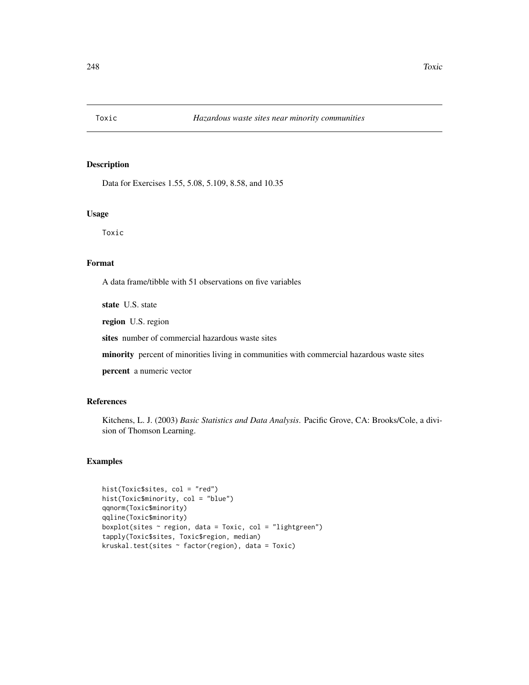Data for Exercises 1.55, 5.08, 5.109, 8.58, and 10.35

#### Usage

Toxic

## Format

A data frame/tibble with 51 observations on five variables

state U.S. state

region U.S. region

sites number of commercial hazardous waste sites

minority percent of minorities living in communities with commercial hazardous waste sites

percent a numeric vector

#### References

Kitchens, L. J. (2003) *Basic Statistics and Data Analysis*. Pacific Grove, CA: Brooks/Cole, a division of Thomson Learning.

```
hist(Toxic$sites, col = "red")
hist(Toxic$minority, col = "blue")
qqnorm(Toxic$minority)
qqline(Toxic$minority)
boxplot(sites \sim region, data = Toxic, col = "lightgreen")
tapply(Toxic$sites, Toxic$region, median)
kruskal.test(sites ~ factor(region), data = Toxic)
```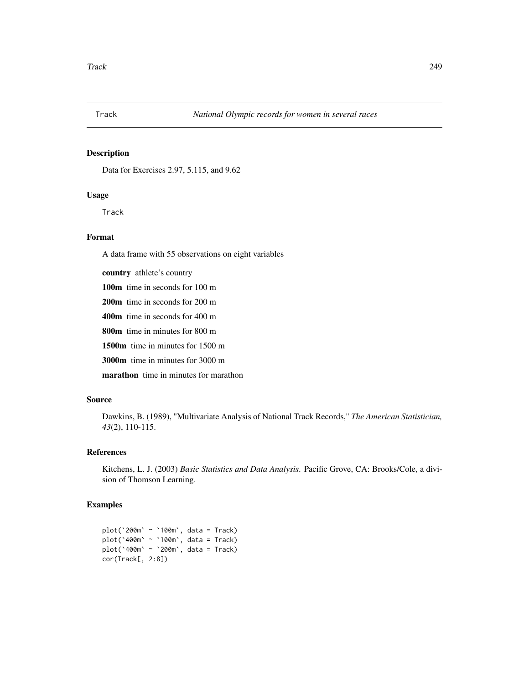Data for Exercises 2.97, 5.115, and 9.62

## Usage

Track

## Format

A data frame with 55 observations on eight variables

country athlete's country 100m time in seconds for 100 m 200m time in seconds for 200 m 400m time in seconds for 400 m 800m time in minutes for 800 m 1500m time in minutes for 1500 m 3000m time in minutes for 3000 m marathon time in minutes for marathon

# Source

Dawkins, B. (1989), "Multivariate Analysis of National Track Records," *The American Statistician, 43*(2), 110-115.

## References

Kitchens, L. J. (2003) *Basic Statistics and Data Analysis*. Pacific Grove, CA: Brooks/Cole, a division of Thomson Learning.

# Examples

plot(`200m` ~ `100m`, data = Track) plot(`400m` ~ `100m`, data = Track) plot(`400m` ~ `200m`, data = Track) cor(Track[, 2:8])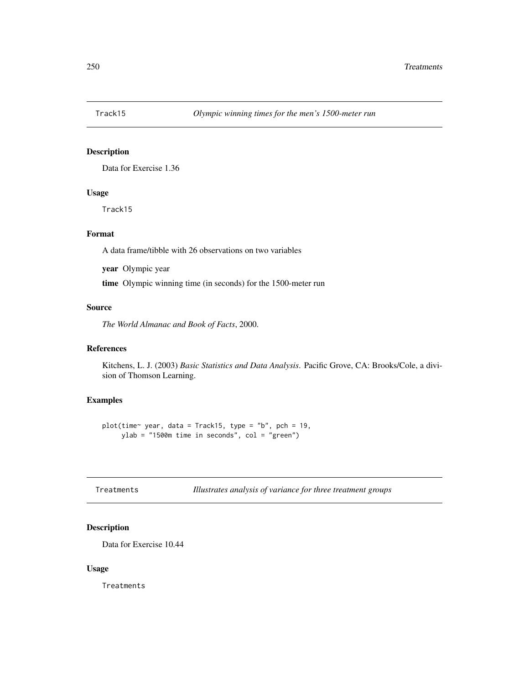Data for Exercise 1.36

## Usage

Track15

# Format

A data frame/tibble with 26 observations on two variables

year Olympic year

time Olympic winning time (in seconds) for the 1500-meter run

## Source

*The World Almanac and Book of Facts*, 2000.

#### References

Kitchens, L. J. (2003) *Basic Statistics and Data Analysis*. Pacific Grove, CA: Brooks/Cole, a division of Thomson Learning.

## Examples

plot(time~ year, data = Track15, type = "b", pch = 19, ylab = "1500m time in seconds", col = "green")

| Treatments |  |  | Illustrates analysis of variance for three treatment groups |  |  |  |
|------------|--|--|-------------------------------------------------------------|--|--|--|
|------------|--|--|-------------------------------------------------------------|--|--|--|

## Description

Data for Exercise 10.44

#### Usage

Treatments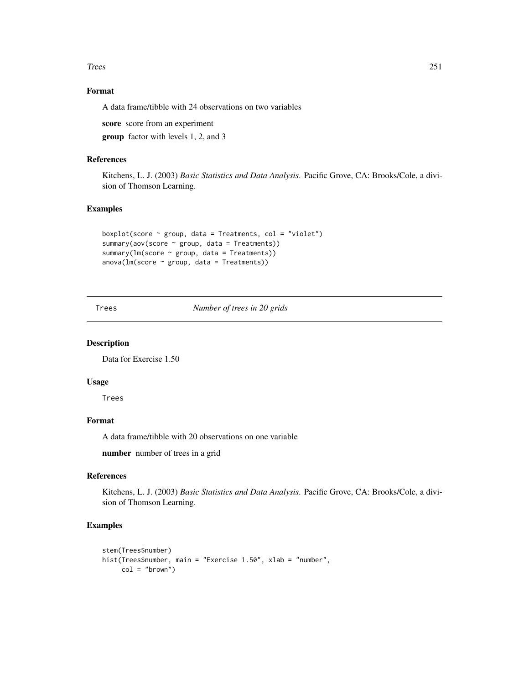Trees 251

# Format

A data frame/tibble with 24 observations on two variables

score score from an experiment

group factor with levels 1, 2, and 3

#### References

Kitchens, L. J. (2003) *Basic Statistics and Data Analysis*. Pacific Grove, CA: Brooks/Cole, a division of Thomson Learning.

#### Examples

```
boxplot(score \sim group, data = Treatments, col = "violet")
summary(aov(score ~ group, data = Treatments))
summary(lm(score \sim group, data = Treatments))
anova(Im(score ~ group, data = Treatments))
```
Trees *Number of trees in 20 grids*

## Description

Data for Exercise 1.50

## Usage

Trees

# Format

A data frame/tibble with 20 observations on one variable

number number of trees in a grid

## References

Kitchens, L. J. (2003) *Basic Statistics and Data Analysis*. Pacific Grove, CA: Brooks/Cole, a division of Thomson Learning.

```
stem(Trees$number)
hist(Trees$number, main = "Exercise 1.50", xlab = "number",
     col = "brown")
```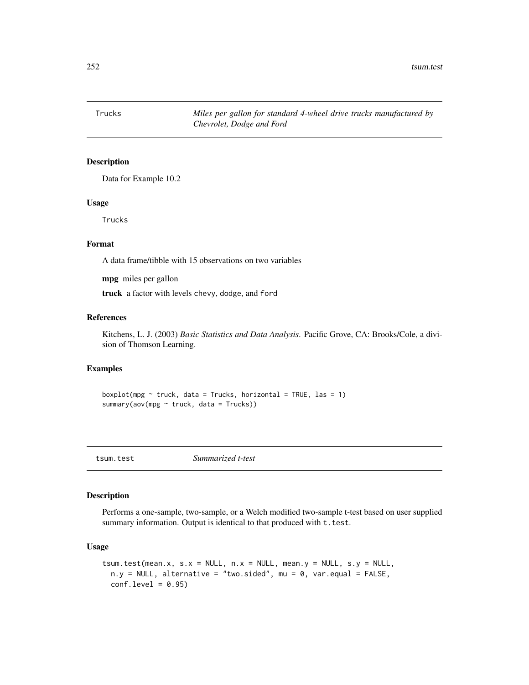$252$  tsum.test

Trucks *Miles per gallon for standard 4-wheel drive trucks manufactured by Chevrolet, Dodge and Ford*

## Description

Data for Example 10.2

#### Usage

Trucks

#### Format

A data frame/tibble with 15 observations on two variables

mpg miles per gallon

truck a factor with levels chevy, dodge, and ford

#### References

Kitchens, L. J. (2003) *Basic Statistics and Data Analysis*. Pacific Grove, CA: Brooks/Cole, a division of Thomson Learning.

#### Examples

boxplot(mpg  $\sim$  truck, data = Trucks, horizontal = TRUE, las = 1) summary(aov(mpg ~ truck, data = Trucks))

tsum.test *Summarized t-test*

#### Description

Performs a one-sample, two-sample, or a Welch modified two-sample t-test based on user supplied summary information. Output is identical to that produced with  $t.$  test.

## Usage

```
tsum.test(mean.x, s.x = NULL, n.x = NULL, mean.y = NULL, s.y = NULL,n.y = NULL, alternative = "two.sided", mu = 0, var.equal = FALSE,
 conf.level = 0.95
```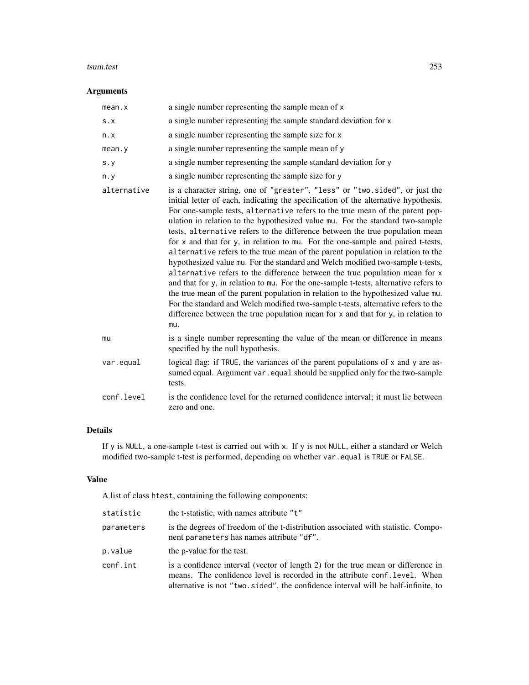#### tsum.test 253

# Arguments

| mean.x      | a single number representing the sample mean of x                                                                                                                                                                                                                                                                                                                                                                                                                                                                                                                                                                                                                                                                                                                                                                                                                                                                                                                                                                                                                                                                      |
|-------------|------------------------------------------------------------------------------------------------------------------------------------------------------------------------------------------------------------------------------------------------------------------------------------------------------------------------------------------------------------------------------------------------------------------------------------------------------------------------------------------------------------------------------------------------------------------------------------------------------------------------------------------------------------------------------------------------------------------------------------------------------------------------------------------------------------------------------------------------------------------------------------------------------------------------------------------------------------------------------------------------------------------------------------------------------------------------------------------------------------------------|
| S.X         | a single number representing the sample standard deviation for x                                                                                                                                                                                                                                                                                                                                                                                                                                                                                                                                                                                                                                                                                                                                                                                                                                                                                                                                                                                                                                                       |
| n.x         | a single number representing the sample size for x                                                                                                                                                                                                                                                                                                                                                                                                                                                                                                                                                                                                                                                                                                                                                                                                                                                                                                                                                                                                                                                                     |
| mean.y      | a single number representing the sample mean of y                                                                                                                                                                                                                                                                                                                                                                                                                                                                                                                                                                                                                                                                                                                                                                                                                                                                                                                                                                                                                                                                      |
| s. y        | a single number representing the sample standard deviation for y                                                                                                                                                                                                                                                                                                                                                                                                                                                                                                                                                                                                                                                                                                                                                                                                                                                                                                                                                                                                                                                       |
| n.y         | a single number representing the sample size for y                                                                                                                                                                                                                                                                                                                                                                                                                                                                                                                                                                                                                                                                                                                                                                                                                                                                                                                                                                                                                                                                     |
| alternative | is a character string, one of "greater", "less" or "two.sided", or just the<br>initial letter of each, indicating the specification of the alternative hypothesis.<br>For one-sample tests, alternative refers to the true mean of the parent pop-<br>ulation in relation to the hypothesized value mu. For the standard two-sample<br>tests, alternative refers to the difference between the true population mean<br>for x and that for y, in relation to mu. For the one-sample and paired t-tests,<br>alternative refers to the true mean of the parent population in relation to the<br>hypothesized value mu. For the standard and Welch modified two-sample t-tests,<br>alternative refers to the difference between the true population mean for x<br>and that for y, in relation to mu. For the one-sample t-tests, alternative refers to<br>the true mean of the parent population in relation to the hypothesized value mu.<br>For the standard and Welch modified two-sample t-tests, alternative refers to the<br>difference between the true population mean for x and that for y, in relation to<br>mu. |
| mu          | is a single number representing the value of the mean or difference in means<br>specified by the null hypothesis.                                                                                                                                                                                                                                                                                                                                                                                                                                                                                                                                                                                                                                                                                                                                                                                                                                                                                                                                                                                                      |
| var.equal   | logical flag: if TRUE, the variances of the parent populations of x and y are as-<br>sumed equal. Argument var . equal should be supplied only for the two-sample<br>tests.                                                                                                                                                                                                                                                                                                                                                                                                                                                                                                                                                                                                                                                                                                                                                                                                                                                                                                                                            |
| conf.level  | is the confidence level for the returned confidence interval; it must lie between<br>zero and one.                                                                                                                                                                                                                                                                                                                                                                                                                                                                                                                                                                                                                                                                                                                                                                                                                                                                                                                                                                                                                     |

# Details

If y is NULL, a one-sample t-test is carried out with x. If y is not NULL, either a standard or Welch modified two-sample t-test is performed, depending on whether var.equal is TRUE or FALSE.

# Value

A list of class htest, containing the following components:

| statistic  | the t-statistic, with names attribute "t"                                                                                                                      |
|------------|----------------------------------------------------------------------------------------------------------------------------------------------------------------|
| parameters | is the degrees of freedom of the t-distribution associated with statistic. Compo-<br>nent parameters has names attribute "df".                                 |
| p.value    | the p-value for the test.                                                                                                                                      |
| conf.int   | is a confidence interval (vector of length 2) for the true mean or difference in<br>means. The confidence level is recorded in the attribute conf. level. When |
|            | alternative is not "two.sided", the confidence interval will be half-infinite, to                                                                              |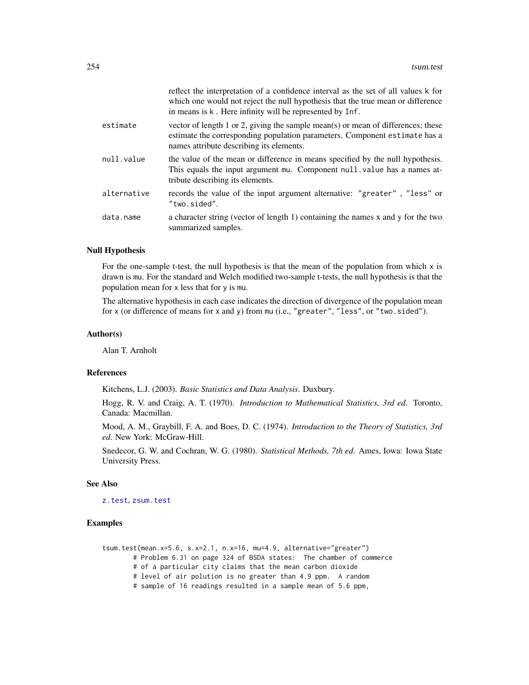<span id="page-253-0"></span>

|             | reflect the interpretation of a confidence interval as the set of all values k for<br>which one would not reject the null hypothesis that the true mean or difference<br>in means is k. Here infinity will be represented by Inf. |
|-------------|-----------------------------------------------------------------------------------------------------------------------------------------------------------------------------------------------------------------------------------|
| estimate    | vector of length 1 or 2, giving the sample mean(s) or mean of differences; these<br>estimate the corresponding population parameters. Component estimate has a<br>names attribute describing its elements.                        |
| null.value  | the value of the mean or difference in means specified by the null hypothesis.<br>This equals the input argument mu. Component null value has a names at-<br>tribute describing its elements.                                     |
| alternative | records the value of the input argument alternative: "greater", "less" or<br>"two.sided".                                                                                                                                         |
| data.name   | a character string (vector of length 1) containing the names x and y for the two<br>summarized samples.                                                                                                                           |

### Null Hypothesis

For the one-sample t-test, the null hypothesis is that the mean of the population from which  $x$  is drawn is mu. For the standard and Welch modified two-sample t-tests, the null hypothesis is that the population mean for x less that for y is mu.

The alternative hypothesis in each case indicates the direction of divergence of the population mean for x (or difference of means for x and y) from mu (i.e., "greater", "less", or "two.sided").

# Author(s)

Alan T. Arnholt

# References

Kitchens, L.J. (2003). *Basic Statistics and Data Analysis*. Duxbury.

Hogg, R. V. and Craig, A. T. (1970). *Introduction to Mathematical Statistics, 3rd ed*. Toronto, Canada: Macmillan.

Mood, A. M., Graybill, F. A. and Boes, D. C. (1974). *Introduction to the Theory of Statistics, 3rd ed*. New York: McGraw-Hill.

Snedecor, G. W. and Cochran, W. G. (1980). *Statistical Methods, 7th ed*. Ames, Iowa: Iowa State University Press.

# See Also

[z.test](#page-269-0), [zsum.test](#page-272-0)

#### Examples

tsum.test(mean.x=5.6, s.x=2.1, n.x=16, mu=4.9, alternative="greater") # Problem 6.31 on page 324 of BSDA states: The chamber of commerce # of a particular city claims that the mean carbon dioxide # level of air polution is no greater than 4.9 ppm. A random # sample of 16 readings resulted in a sample mean of 5.6 ppm,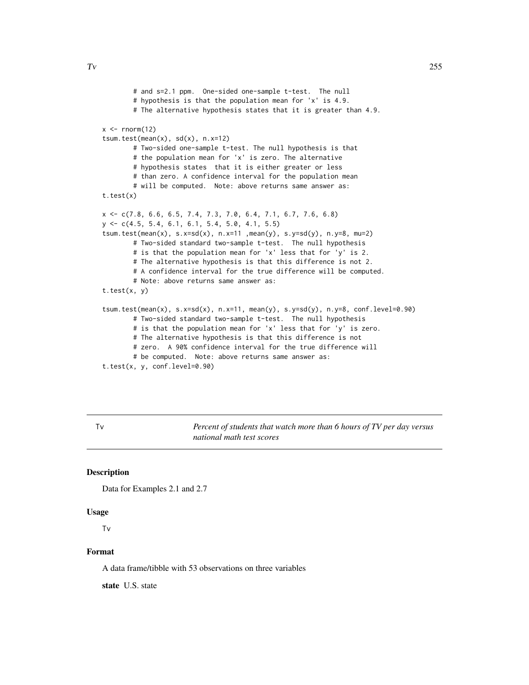```
# and s=2.1 ppm. One-sided one-sample t-test. The null
       # hypothesis is that the population mean for 'x' is 4.9.
       # The alternative hypothesis states that it is greater than 4.9.
x \le - rnorm(12)
tsum.test(mean(x), sd(x), n.x=12)
       # Two-sided one-sample t-test. The null hypothesis is that
       # the population mean for 'x' is zero. The alternative
       # hypothesis states that it is either greater or less
       # than zero. A confidence interval for the population mean
        # will be computed. Note: above returns same answer as:
t.test(x)
x <- c(7.8, 6.6, 6.5, 7.4, 7.3, 7.0, 6.4, 7.1, 6.7, 7.6, 6.8)
y <- c(4.5, 5.4, 6.1, 6.1, 5.4, 5.0, 4.1, 5.5)
tsum.test(mean(x), s.x=sd(x), n.x=11 ,mean(y), s.y=sd(y), n.y=8, mu=2)
        # Two-sided standard two-sample t-test. The null hypothesis
       # is that the population mean for 'x' less that for 'y' is 2.
       # The alternative hypothesis is that this difference is not 2.
        # A confidence interval for the true difference will be computed.
       # Note: above returns same answer as:
t.test(x, y)
tsum.test(mean(x), s.x=sd(x), n.x=11, mean(y), s.y=sd(y), n.y=8, conf.level=0.90)
       # Two-sided standard two-sample t-test. The null hypothesis
       # is that the population mean for 'x' less that for 'y' is zero.
       # The alternative hypothesis is that this difference is not
       # zero. A 90% confidence interval for the true difference will
       # be computed. Note: above returns same answer as:
t.test(x, y, conf.level=0.90)
```
Tv *Percent of students that watch more than 6 hours of TV per day versus national math test scores*

#### **Description**

Data for Examples 2.1 and 2.7

#### Usage

Tv

# Format

A data frame/tibble with 53 observations on three variables

state U.S. state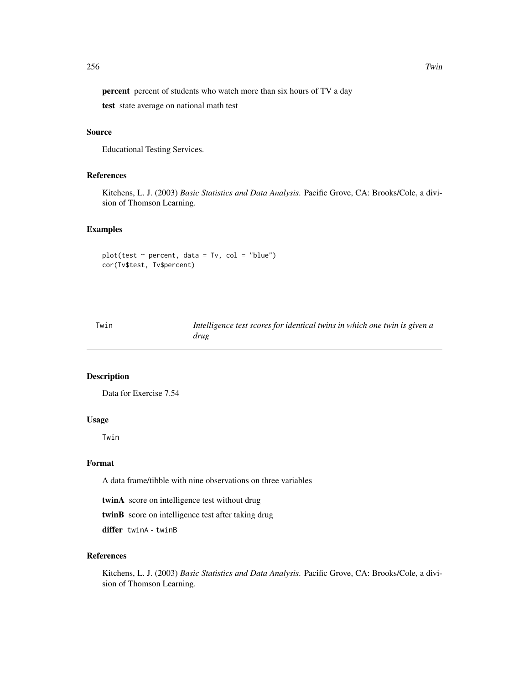<span id="page-255-0"></span>percent percent of students who watch more than six hours of TV a day

test state average on national math test

### Source

Educational Testing Services.

# References

Kitchens, L. J. (2003) *Basic Statistics and Data Analysis*. Pacific Grove, CA: Brooks/Cole, a division of Thomson Learning.

# Examples

```
plot(test ~ percent, data = Tv, col = "blue")
cor(Tv$test, Tv$percent)
```
Twin *Intelligence test scores for identical twins in which one twin is given a drug*

# Description

Data for Exercise 7.54

# Usage

Twin

#### Format

A data frame/tibble with nine observations on three variables

twinA score on intelligence test without drug

twinB score on intelligence test after taking drug

differ twinA - twinB

# References

Kitchens, L. J. (2003) *Basic Statistics and Data Analysis*. Pacific Grove, CA: Brooks/Cole, a division of Thomson Learning.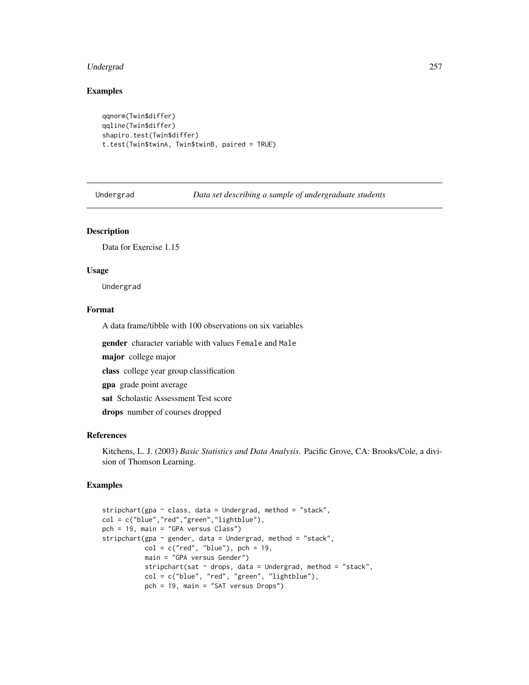#### <span id="page-256-0"></span>Undergrad 257

# Examples

```
qqnorm(Twin$differ)
qqline(Twin$differ)
shapiro.test(Twin$differ)
t.test(Twin$twinA, Twin$twinB, paired = TRUE)
```
Undergrad *Data set describing a sample of undergraduate students*

#### Description

Data for Exercise 1.15

# Usage

Undergrad

# Format

A data frame/tibble with 100 observations on six variables

gender character variable with values Female and Male

major college major

class college year group classification

gpa grade point average

sat Scholastic Assessment Test score

drops number of courses dropped

# References

Kitchens, L. J. (2003) *Basic Statistics and Data Analysis*. Pacific Grove, CA: Brooks/Cole, a division of Thomson Learning.

# Examples

```
stripchart(gpa \sim class, data = Undergrad, method = "stack",
col = c("blue","red","green","lightblue"),
pch = 19, main = "GPA versus Class")
stripchart(gpa ~ gender, data = Undergrad, method = "stack",
           col = c("red", "blue"), \text{ pch} = 19,main = "GPA versus Gender")
           stripchart(sat ~ drops, data = Undergrad, method = "stack",
           col = c("blue", "red", "green", "lightblue"),
           pch = 19, main = "SAT versus Drops")
```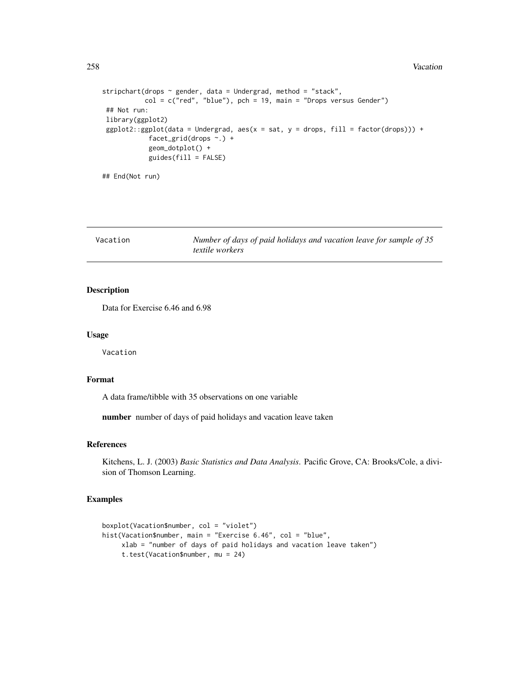```
stripchart(drops \sim gender, data = Undergrad, method = "stack",
           col = c("red", "blue"), pch = 19, main = "Drops versus Gender")## Not run:
library(ggplot2)
 ggplot2::ggplot(data = Undergrad, aes(x = sat, y = drops, fill = factor(drops))) +facet_grid(drops ~.) +
            geom_dotplot() +
            guides(fill = FALSE)
```
## End(Not run)

Vacation *Number of days of paid holidays and vacation leave for sample of 35 textile workers*

# Description

Data for Exercise 6.46 and 6.98

### Usage

Vacation

#### Format

A data frame/tibble with 35 observations on one variable

number number of days of paid holidays and vacation leave taken

# References

Kitchens, L. J. (2003) *Basic Statistics and Data Analysis*. Pacific Grove, CA: Brooks/Cole, a division of Thomson Learning.

# Examples

```
boxplot(Vacation$number, col = "violet")
hist(Vacation$number, main = "Exercise 6.46", col = "blue",
     xlab = "number of days of paid holidays and vacation leave taken")
     t.test(Vacation$number, mu = 24)
```
<span id="page-257-0"></span>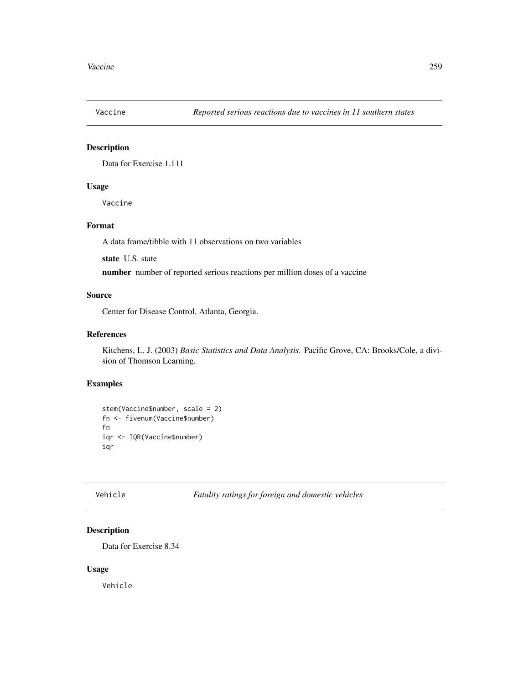<span id="page-258-0"></span>

# Description

Data for Exercise 1.111

# Usage

Vaccine

# Format

A data frame/tibble with 11 observations on two variables

state U.S. state

number number of reported serious reactions per million doses of a vaccine

# Source

Center for Disease Control, Atlanta, Georgia.

# References

Kitchens, L. J. (2003) *Basic Statistics and Data Analysis*. Pacific Grove, CA: Brooks/Cole, a division of Thomson Learning.

# Examples

```
stem(Vaccine$number, scale = 2)
fn <- fivenum(Vaccine$number)
fn
iqr <- IQR(Vaccine$number)
iqr
```
# Description

Data for Exercise 8.34

# Usage

Vehicle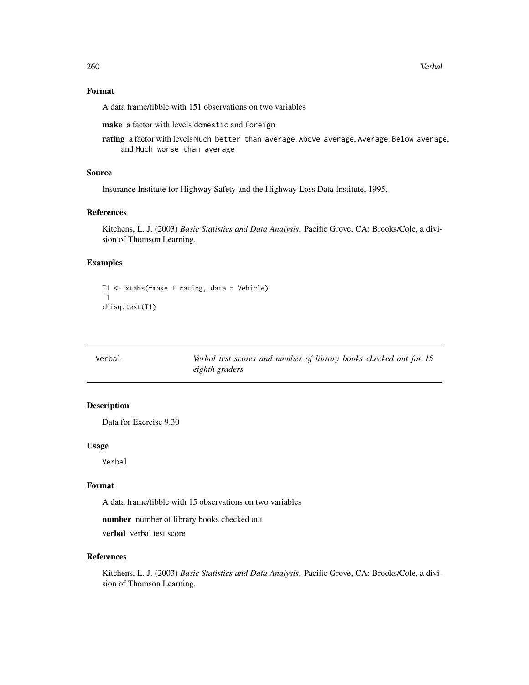# <span id="page-259-0"></span>Format

A data frame/tibble with 151 observations on two variables

make a factor with levels domestic and foreign

rating a factor with levels Much better than average, Above average, Average, Below average, and Much worse than average

#### Source

Insurance Institute for Highway Safety and the Highway Loss Data Institute, 1995.

### References

Kitchens, L. J. (2003) *Basic Statistics and Data Analysis*. Pacific Grove, CA: Brooks/Cole, a division of Thomson Learning.

# Examples

```
T1 <- xtabs(~make + rating, data = Vehicle)
T1
chisq.test(T1)
```

| Verbal | Verbal test scores and number of library books checked out for 15 |
|--------|-------------------------------------------------------------------|
|        | eighth graders                                                    |

# Description

Data for Exercise 9.30

#### Usage

Verbal

### Format

A data frame/tibble with 15 observations on two variables

number number of library books checked out

verbal verbal test score

# References

Kitchens, L. J. (2003) *Basic Statistics and Data Analysis*. Pacific Grove, CA: Brooks/Cole, a division of Thomson Learning.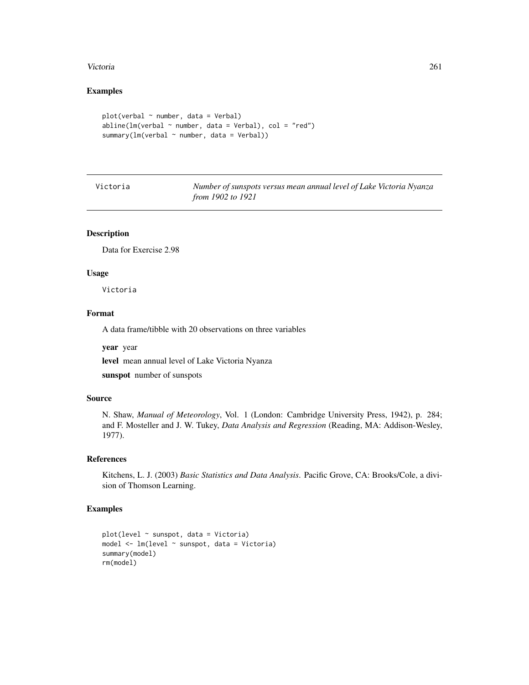#### <span id="page-260-0"></span>Victoria 261

# Examples

```
plot(verbal ~ " number, data = Verbal)abline(lm(verbal ~ mumber, data = Verbal), col = "red")summary(lm(verbal ~ "number, data = Verbal))
```

| Victoria | Number of sunspots versus mean annual level of Lake Victoria Nyanza |  |
|----------|---------------------------------------------------------------------|--|
|          | from 1902 to 1921                                                   |  |

# Description

Data for Exercise 2.98

#### Usage

Victoria

# Format

A data frame/tibble with 20 observations on three variables

year year

level mean annual level of Lake Victoria Nyanza

sunspot number of sunspots

# Source

N. Shaw, *Manual of Meteorology*, Vol. 1 (London: Cambridge University Press, 1942), p. 284; and F. Mosteller and J. W. Tukey, *Data Analysis and Regression* (Reading, MA: Addison-Wesley, 1977).

#### References

Kitchens, L. J. (2003) *Basic Statistics and Data Analysis*. Pacific Grove, CA: Brooks/Cole, a division of Thomson Learning.

# Examples

```
plot(level ~ sunspot, data = Victoria)
model <- lm(level ~ sunspot, data = Victoria)
summary(model)
rm(model)
```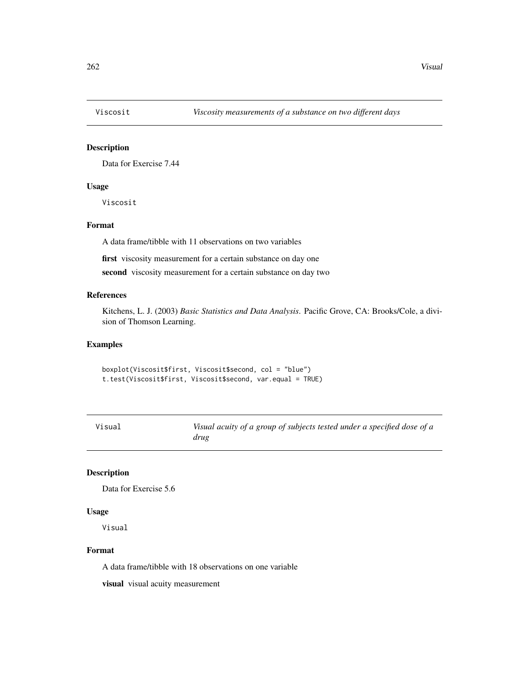<span id="page-261-0"></span>

# Description

Data for Exercise 7.44

# Usage

Viscosit

# Format

A data frame/tibble with 11 observations on two variables

first viscosity measurement for a certain substance on day one

second viscosity measurement for a certain substance on day two

# References

Kitchens, L. J. (2003) *Basic Statistics and Data Analysis*. Pacific Grove, CA: Brooks/Cole, a division of Thomson Learning.

#### Examples

boxplot(Viscosit\$first, Viscosit\$second, col = "blue") t.test(Viscosit\$first, Viscosit\$second, var.equal = TRUE)

| Visual | Visual acuity of a group of subjects tested under a specified dose of a |
|--------|-------------------------------------------------------------------------|
|        | drug                                                                    |

# Description

Data for Exercise 5.6

#### Usage

Visual

#### Format

A data frame/tibble with 18 observations on one variable

visual visual acuity measurement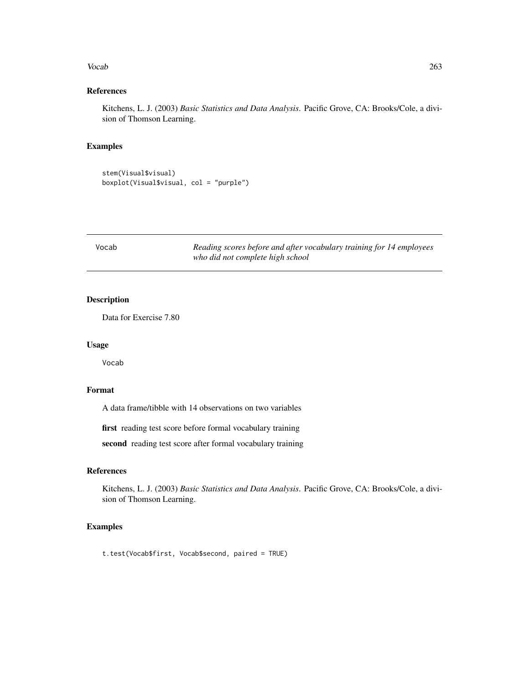#### <span id="page-262-0"></span>Vocab 263

# References

Kitchens, L. J. (2003) *Basic Statistics and Data Analysis*. Pacific Grove, CA: Brooks/Cole, a division of Thomson Learning.

# Examples

stem(Visual\$visual) boxplot(Visual\$visual, col = "purple")

| Vocab | Reading scores before and after vocabulary training for 14 employees |
|-------|----------------------------------------------------------------------|
|       | who did not complete high school                                     |

# Description

Data for Exercise 7.80

#### Usage

Vocab

# Format

A data frame/tibble with 14 observations on two variables

first reading test score before formal vocabulary training

second reading test score after formal vocabulary training

# References

Kitchens, L. J. (2003) *Basic Statistics and Data Analysis*. Pacific Grove, CA: Brooks/Cole, a division of Thomson Learning.

# Examples

t.test(Vocab\$first, Vocab\$second, paired = TRUE)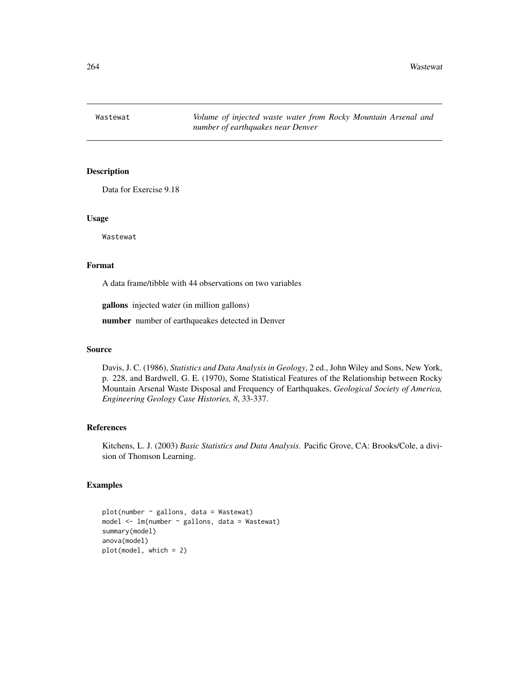<span id="page-263-0"></span>Wastewat *Volume of injected waste water from Rocky Mountain Arsenal and number of earthquakes near Denver*

# Description

Data for Exercise 9.18

# Usage

Wastewat

#### Format

A data frame/tibble with 44 observations on two variables

gallons injected water (in million gallons)

number number of earthqueakes detected in Denver

# Source

Davis, J. C. (1986), *Statistics and Data Analysis in Geology*, 2 ed., John Wiley and Sons, New York, p. 228, and Bardwell, G. E. (1970), Some Statistical Features of the Relationship between Rocky Mountain Arsenal Waste Disposal and Frequency of Earthquakes, *Geological Society of America, Engineering Geology Case Histories, 8*, 33-337.

# References

Kitchens, L. J. (2003) *Basic Statistics and Data Analysis*. Pacific Grove, CA: Brooks/Cole, a division of Thomson Learning.

# Examples

```
plot(number ~ gallons, data = Wastewat)
model <- lm(number ~ gallons, data = Wastewat)
summary(model)
anova(model)
plot(model, which = 2)
```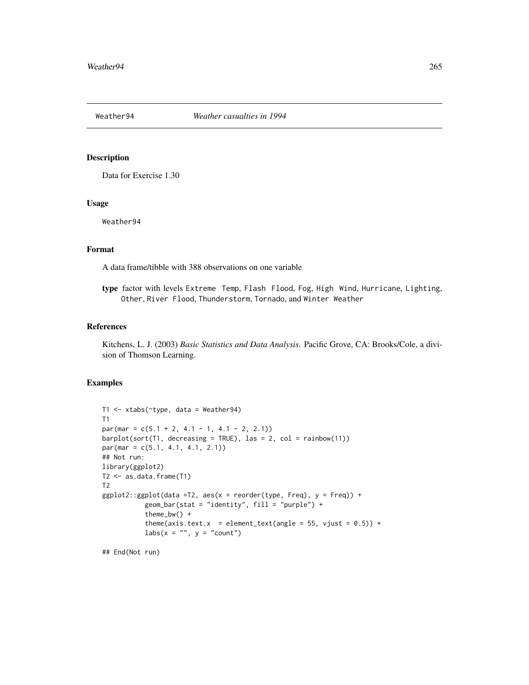<span id="page-264-0"></span>

# Description

Data for Exercise 1.30

#### Usage

Weather94

# Format

A data frame/tibble with 388 observations on one variable

type factor with levels Extreme Temp, Flash Flood, Fog, High Wind, Hurricane, Lighting, Other, River Flood, Thunderstorm, Tornado, and Winter Weather

#### References

Kitchens, L. J. (2003) *Basic Statistics and Data Analysis*. Pacific Grove, CA: Brooks/Cole, a division of Thomson Learning.

#### Examples

```
T1 <- xtabs(~type, data = Weather94)
T1
par(max = c(5.1 + 2, 4.1 - 1, 4.1 - 2, 2.1))barplot(sort(T1, decreasing = TRUE), las = 2, col = rainbow(11))par(max = c(5.1, 4.1, 4.1, 2.1))## Not run:
library(ggplot2)
T2 <- as.data.frame(T1)
T2
ggplot2::ggplot(data = T2, aes(x = reorder(type, Freq), y = Freq)) +geom_bar(stat = "identity", fill = "purple") +
           theme_bw() +
           theme(axis.text.x = element_text(angle = 55, vjust = 0.5)) +
           \text{labs}(x = \text{""}, y = \text{``count''})
```
## End(Not run)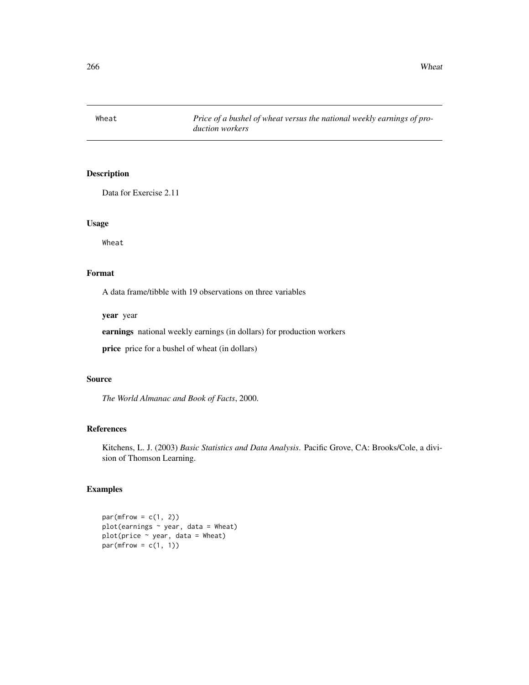<span id="page-265-0"></span>Wheat *Price of a bushel of wheat versus the national weekly earnings of production workers*

# Description

Data for Exercise 2.11

# Usage

Wheat

# Format

A data frame/tibble with 19 observations on three variables

year year

earnings national weekly earnings (in dollars) for production workers

price price for a bushel of wheat (in dollars)

# Source

*The World Almanac and Book of Facts*, 2000.

#### References

Kitchens, L. J. (2003) *Basic Statistics and Data Analysis*. Pacific Grove, CA: Brooks/Cole, a division of Thomson Learning.

# Examples

 $par(mfrow = c(1, 2))$ plot(earnings  $\sim$  year, data = Wheat)  $plot(price ~ year, data = Wheat)$  $par(mfrow = c(1, 1))$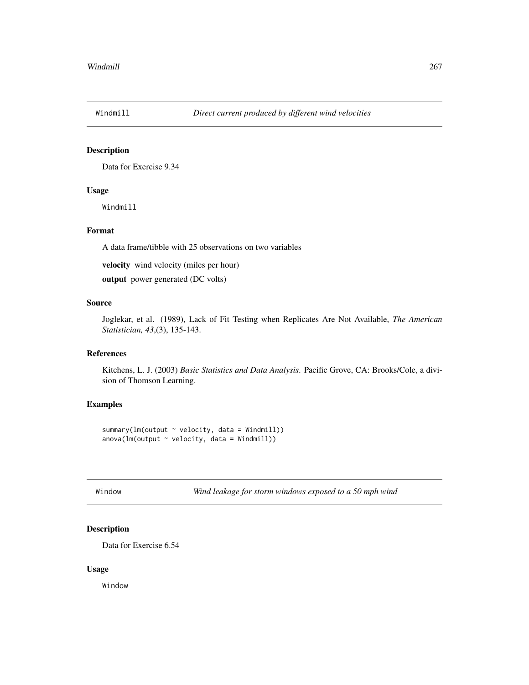<span id="page-266-0"></span>

# Description

Data for Exercise 9.34

# Usage

Windmill

# Format

A data frame/tibble with 25 observations on two variables

velocity wind velocity (miles per hour)

output power generated (DC volts)

# Source

Joglekar, et al. (1989), Lack of Fit Testing when Replicates Are Not Available, *The American Statistician, 43*,(3), 135-143.

# References

Kitchens, L. J. (2003) *Basic Statistics and Data Analysis*. Pacific Grove, CA: Brooks/Cole, a division of Thomson Learning.

# Examples

```
summary(lm(output ~ velocity, data = Windmill))
anova(lm(output \sim velocity, data = Windmill))
```
Window *Wind leakage for storm windows exposed to a 50 mph wind*

# Description

Data for Exercise 6.54

#### Usage

Window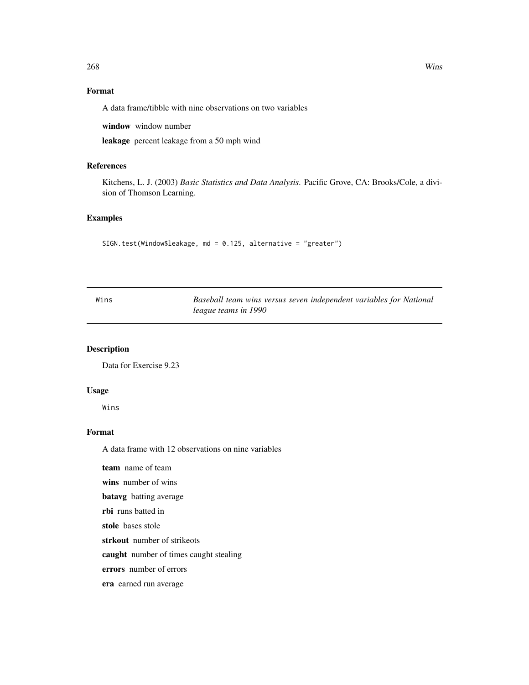# <span id="page-267-0"></span>Format

A data frame/tibble with nine observations on two variables

window window number

leakage percent leakage from a 50 mph wind

# References

Kitchens, L. J. (2003) *Basic Statistics and Data Analysis*. Pacific Grove, CA: Brooks/Cole, a division of Thomson Learning.

# Examples

SIGN.test(Window\$leakage, md = 0.125, alternative = "greater")

| Wins | Baseball team wins versus seven independent variables for National |  |
|------|--------------------------------------------------------------------|--|
|      | league teams in 1990                                               |  |

# Description

Data for Exercise 9.23

# Usage

Wins

# Format

A data frame with 12 observations on nine variables

team name of team

wins number of wins

batavg batting average

rbi runs batted in

stole bases stole

strkout number of strikeots

caught number of times caught stealing

errors number of errors

era earned run average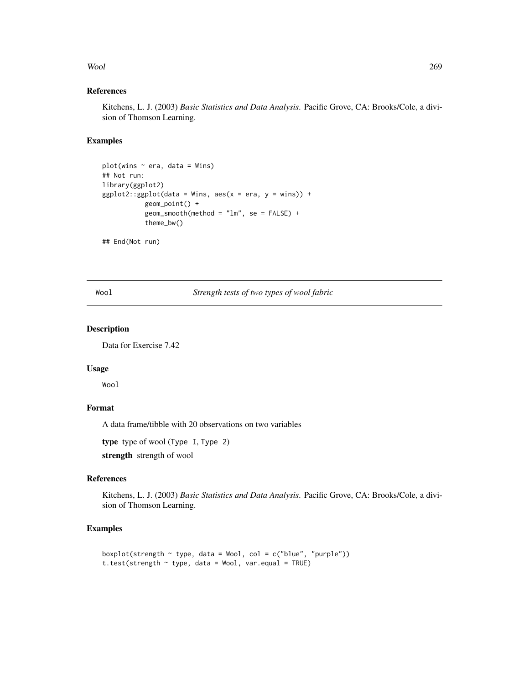#### <span id="page-268-0"></span>Wool 269

# References

Kitchens, L. J. (2003) *Basic Statistics and Data Analysis*. Pacific Grove, CA: Brooks/Cole, a division of Thomson Learning.

# Examples

```
plot(wins ~< era, data = Wins)## Not run:
library(ggplot2)
ggplot2::ggplot(data = Wins, aes(x = era, y = wins)) +geom_point() +
           geom_smooth(method = "lm", se = FALSE) +
           theme_bw()
```
## End(Not run)

Wool *Strength tests of two types of wool fabric*

# Description

Data for Exercise 7.42

# Usage

Wool

# Format

A data frame/tibble with 20 observations on two variables

type type of wool (Type I, Type 2)

strength strength of wool

# References

Kitchens, L. J. (2003) *Basic Statistics and Data Analysis*. Pacific Grove, CA: Brooks/Cole, a division of Thomson Learning.

# Examples

```
boxplot(strength \sim type, data = Wool, col = c("blue", "purple"))
t.test(strength \sim type, data = Wool, var.equal = TRUE)
```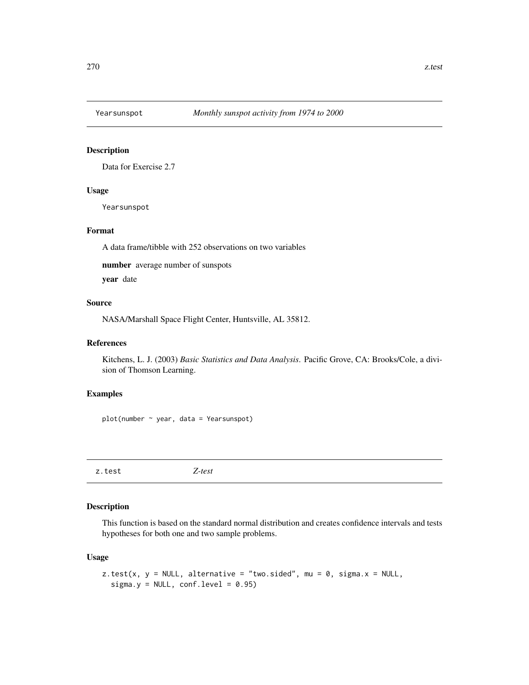<span id="page-269-1"></span>

# Description

Data for Exercise 2.7

# Usage

Yearsunspot

#### Format

A data frame/tibble with 252 observations on two variables

number average number of sunspots

year date

# Source

NASA/Marshall Space Flight Center, Huntsville, AL 35812.

# References

Kitchens, L. J. (2003) *Basic Statistics and Data Analysis*. Pacific Grove, CA: Brooks/Cole, a division of Thomson Learning.

# Examples

plot(number ~ year, data = Yearsunspot)

<span id="page-269-0"></span>z.test *Z-test*

# Description

This function is based on the standard normal distribution and creates confidence intervals and tests hypotheses for both one and two sample problems.

# Usage

```
z.test(x, y = NULL, alternative = "two.sided", mu = 0, sigma.x = NULL,
  sigma.y = NULL, conf.level = 0.95)
```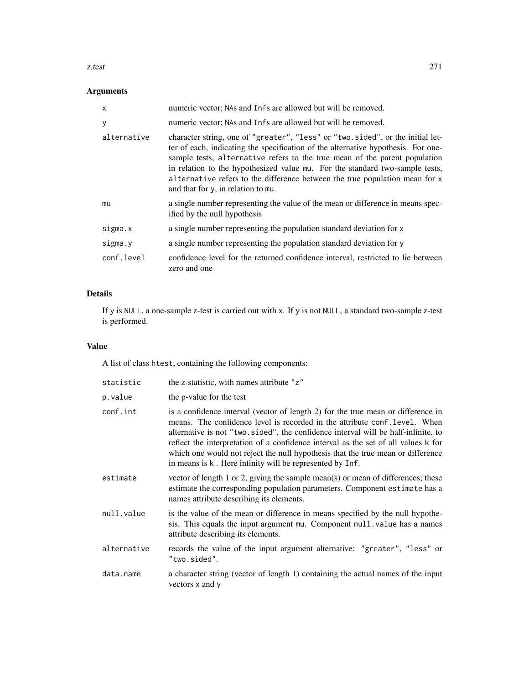#### z.test 271

# Arguments

| $\mathsf{x}$ | numeric vector; NAs and Infs are allowed but will be removed.                                                                                                                                                                                                                                                                                                                                                                                          |
|--------------|--------------------------------------------------------------------------------------------------------------------------------------------------------------------------------------------------------------------------------------------------------------------------------------------------------------------------------------------------------------------------------------------------------------------------------------------------------|
| у            | numeric vector; NAs and Infs are allowed but will be removed.                                                                                                                                                                                                                                                                                                                                                                                          |
| alternative  | character string, one of "greater", "less" or "two.sided", or the initial let-<br>ter of each, indicating the specification of the alternative hypothesis. For one-<br>sample tests, alternative refers to the true mean of the parent population<br>in relation to the hypothesized value mu. For the standard two-sample tests,<br>alternative refers to the difference between the true population mean for x<br>and that for y, in relation to mu. |
| mu           | a single number representing the value of the mean or difference in means spec-<br>ified by the null hypothesis                                                                                                                                                                                                                                                                                                                                        |
| sigma.x      | a single number representing the population standard deviation for x                                                                                                                                                                                                                                                                                                                                                                                   |
| sigma.y      | a single number representing the population standard deviation for y                                                                                                                                                                                                                                                                                                                                                                                   |
| conf.level   | confidence level for the returned confidence interval, restricted to lie between<br>zero and one                                                                                                                                                                                                                                                                                                                                                       |

# Details

If y is NULL, a one-sample z-test is carried out with x. If y is not NULL, a standard two-sample z-test is performed.

# Value

A list of class htest, containing the following components:

| statistic   | the z-statistic, with names attribute "z"                                                                                                                                                                                                                                                                                                                                                                                                                                                |
|-------------|------------------------------------------------------------------------------------------------------------------------------------------------------------------------------------------------------------------------------------------------------------------------------------------------------------------------------------------------------------------------------------------------------------------------------------------------------------------------------------------|
| p.value     | the p-value for the test                                                                                                                                                                                                                                                                                                                                                                                                                                                                 |
| conf.int    | is a confidence interval (vector of length 2) for the true mean or difference in<br>means. The confidence level is recorded in the attribute conf. level. When<br>alternative is not "two.sided", the confidence interval will be half-infinite, to<br>reflect the interpretation of a confidence interval as the set of all values k for<br>which one would not reject the null hypothesis that the true mean or difference<br>in means is k. Here infinity will be represented by Inf. |
| estimate    | vector of length 1 or 2, giving the sample mean(s) or mean of differences; these<br>estimate the corresponding population parameters. Component estimate has a<br>names attribute describing its elements.                                                                                                                                                                                                                                                                               |
| null.value  | is the value of the mean or difference in means specified by the null hypothe-<br>sis. This equals the input argument mu. Component null value has a names<br>attribute describing its elements.                                                                                                                                                                                                                                                                                         |
| alternative | records the value of the input argument alternative: "greater", "less" or<br>"two.sided".                                                                                                                                                                                                                                                                                                                                                                                                |
| data.name   | a character string (vector of length 1) containing the actual names of the input<br>vectors x and y                                                                                                                                                                                                                                                                                                                                                                                      |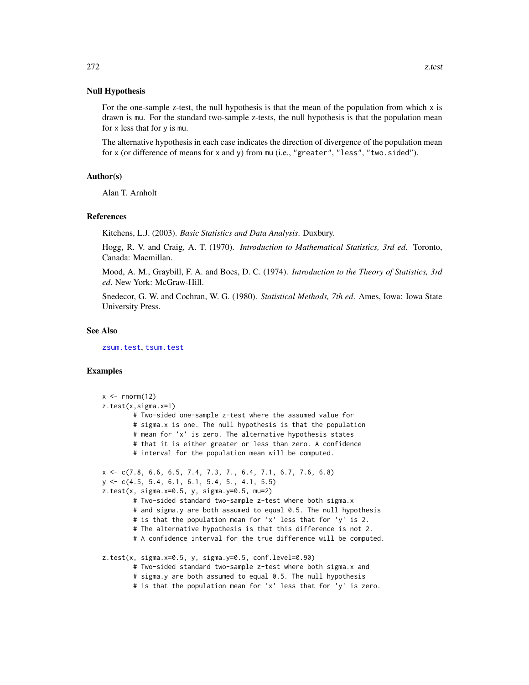#### Null Hypothesis

For the one-sample z-test, the null hypothesis is that the mean of the population from which  $x$  is drawn is mu. For the standard two-sample z-tests, the null hypothesis is that the population mean for x less that for y is mu.

The alternative hypothesis in each case indicates the direction of divergence of the population mean for x (or difference of means for x and y) from mu (i.e., "greater", "less", "two.sided").

# Author(s)

Alan T. Arnholt

#### References

Kitchens, L.J. (2003). *Basic Statistics and Data Analysis*. Duxbury.

Hogg, R. V. and Craig, A. T. (1970). *Introduction to Mathematical Statistics, 3rd ed*. Toronto, Canada: Macmillan.

Mood, A. M., Graybill, F. A. and Boes, D. C. (1974). *Introduction to the Theory of Statistics, 3rd ed*. New York: McGraw-Hill.

Snedecor, G. W. and Cochran, W. G. (1980). *Statistical Methods, 7th ed*. Ames, Iowa: Iowa State University Press.

#### See Also

[zsum.test](#page-272-0), [tsum.test](#page-251-0)

#### Examples

```
x < - rnorm(12)
z.test(x,sigma.x=1)
       # Two-sided one-sample z-test where the assumed value for
       # sigma.x is one. The null hypothesis is that the population
       # mean for 'x' is zero. The alternative hypothesis states
       # that it is either greater or less than zero. A confidence
       # interval for the population mean will be computed.
x <- c(7.8, 6.6, 6.5, 7.4, 7.3, 7., 6.4, 7.1, 6.7, 7.6, 6.8)
y \leq -c(4.5, 5.4, 6.1, 6.1, 5.4, 5., 4.1, 5.5)z.test(x, sigma.x=0.5, y, sigma.y=0.5, mu=2)
        # Two-sided standard two-sample z-test where both sigma.x
       # and sigma.y are both assumed to equal 0.5. The null hypothesis
       # is that the population mean for 'x' less that for 'y' is 2.
       # The alternative hypothesis is that this difference is not 2.
       # A confidence interval for the true difference will be computed.
z.test(x, sigma.x=0.5, y, sigma.y=0.5, conf.level=0.90)
       # Two-sided standard two-sample z-test where both sigma.x and
       # sigma.y are both assumed to equal 0.5. The null hypothesis
       # is that the population mean for 'x' less that for 'y' is zero.
```
<span id="page-271-0"></span>272 z.test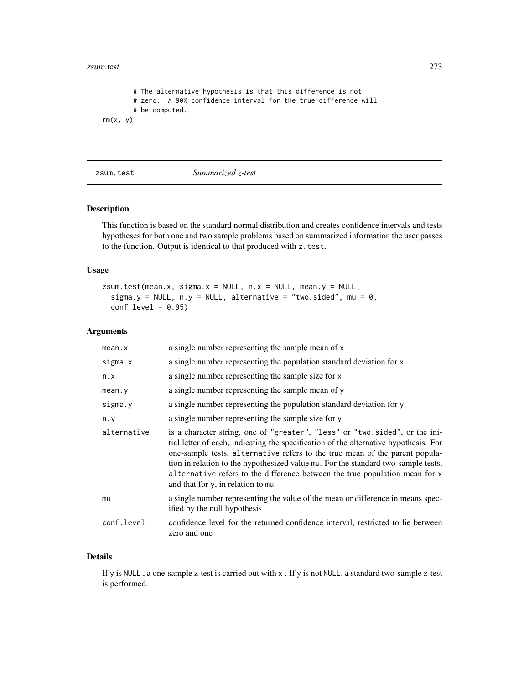#### <span id="page-272-1"></span>zsum.test 273

```
# The alternative hypothesis is that this difference is not
       # zero. A 90% confidence interval for the true difference will
       # be computed.
rm(x, y)
```
<span id="page-272-0"></span>zsum.test *Summarized z-test*

# Description

This function is based on the standard normal distribution and creates confidence intervals and tests hypotheses for both one and two sample problems based on summarized information the user passes to the function. Output is identical to that produced with z.test.

# Usage

```
zsum.test(mean.x, sigma.x = NULL, n.x = NULL, mean.y = NULL,
  sigma.y = NULL, n.y = NULL, alternative = "two.sided", mu = 0,
  conf.level = 0.95
```
#### Arguments

| mean.x      | a single number representing the sample mean of x                                                                                                                                                                                                                                                                                                                                                                                                            |
|-------------|--------------------------------------------------------------------------------------------------------------------------------------------------------------------------------------------------------------------------------------------------------------------------------------------------------------------------------------------------------------------------------------------------------------------------------------------------------------|
| sigma.x     | a single number representing the population standard deviation for x                                                                                                                                                                                                                                                                                                                                                                                         |
| n.x         | a single number representing the sample size for x                                                                                                                                                                                                                                                                                                                                                                                                           |
| mean.y      | a single number representing the sample mean of y                                                                                                                                                                                                                                                                                                                                                                                                            |
| sigma.y     | a single number representing the population standard deviation for y                                                                                                                                                                                                                                                                                                                                                                                         |
| $n \cdot y$ | a single number representing the sample size for y                                                                                                                                                                                                                                                                                                                                                                                                           |
| alternative | is a character string, one of "greater", "less" or "two.sided", or the ini-<br>tial letter of each, indicating the specification of the alternative hypothesis. For<br>one-sample tests, alternative refers to the true mean of the parent popula-<br>tion in relation to the hypothesized value mu. For the standard two-sample tests,<br>alternative refers to the difference between the true population mean for x<br>and that for y, in relation to mu. |
| mu          | a single number representing the value of the mean or difference in means spec-<br>ified by the null hypothesis                                                                                                                                                                                                                                                                                                                                              |
| conf.level  | confidence level for the returned confidence interval, restricted to lie between<br>zero and one                                                                                                                                                                                                                                                                                                                                                             |

# Details

If y is NULL , a one-sample z-test is carried out with x . If y is not NULL, a standard two-sample z-test is performed.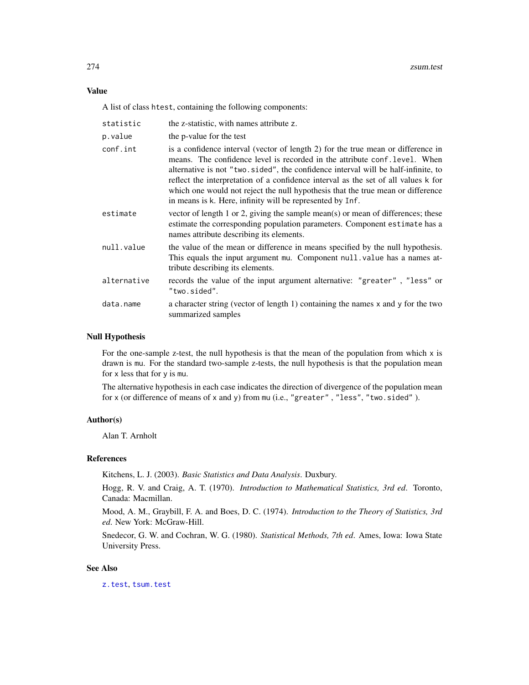#### <span id="page-273-0"></span>Value

A list of class htest, containing the following components:

| statistic   | the z-statistic, with names attribute z.                                                                                                                                                                                                                                                                                                                                                                                                                                                  |
|-------------|-------------------------------------------------------------------------------------------------------------------------------------------------------------------------------------------------------------------------------------------------------------------------------------------------------------------------------------------------------------------------------------------------------------------------------------------------------------------------------------------|
| p.value     | the p-value for the test                                                                                                                                                                                                                                                                                                                                                                                                                                                                  |
| conf.int    | is a confidence interval (vector of length 2) for the true mean or difference in<br>means. The confidence level is recorded in the attribute conf. level. When<br>alternative is not "two.sided", the confidence interval will be half-infinite, to<br>reflect the interpretation of a confidence interval as the set of all values k for<br>which one would not reject the null hypothesis that the true mean or difference<br>in means is k. Here, infinity will be represented by Inf. |
| estimate    | vector of length 1 or 2, giving the sample mean(s) or mean of differences; these<br>estimate the corresponding population parameters. Component estimate has a<br>names attribute describing its elements.                                                                                                                                                                                                                                                                                |
| null.value  | the value of the mean or difference in means specified by the null hypothesis.<br>This equals the input argument mu. Component null value has a names at-<br>tribute describing its elements.                                                                                                                                                                                                                                                                                             |
| alternative | records the value of the input argument alternative: "greater", "less" or<br>"two.sided".                                                                                                                                                                                                                                                                                                                                                                                                 |
| data.name   | a character string (vector of length 1) containing the names x and y for the two<br>summarized samples                                                                                                                                                                                                                                                                                                                                                                                    |

# Null Hypothesis

For the one-sample z-test, the null hypothesis is that the mean of the population from which x is drawn is mu. For the standard two-sample z-tests, the null hypothesis is that the population mean for x less that for y is mu.

The alternative hypothesis in each case indicates the direction of divergence of the population mean for x (or difference of means of x and y) from mu (i.e., "greater" , "less", "two.sided" ).

#### Author(s)

Alan T. Arnholt

#### References

Kitchens, L. J. (2003). *Basic Statistics and Data Analysis*. Duxbury.

Hogg, R. V. and Craig, A. T. (1970). *Introduction to Mathematical Statistics, 3rd ed*. Toronto, Canada: Macmillan.

Mood, A. M., Graybill, F. A. and Boes, D. C. (1974). *Introduction to the Theory of Statistics, 3rd ed*. New York: McGraw-Hill.

Snedecor, G. W. and Cochran, W. G. (1980). *Statistical Methods, 7th ed*. Ames, Iowa: Iowa State University Press.

#### See Also

[z.test](#page-269-0), [tsum.test](#page-251-0)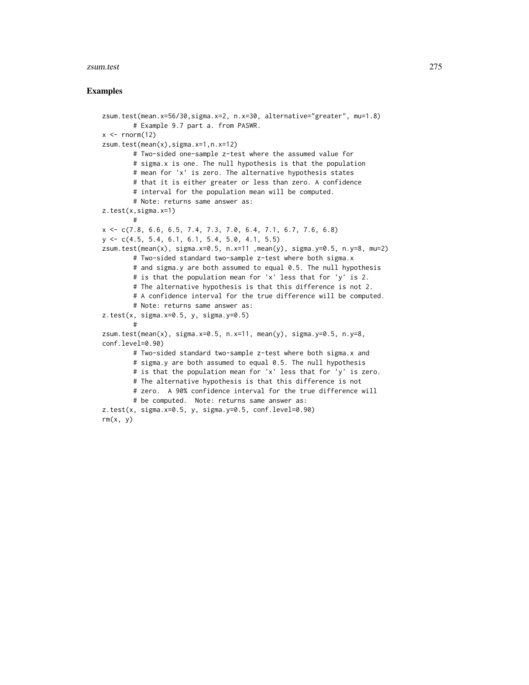#### zsum.test 275

#### Examples

```
zsum.test(mean.x=56/30,sigma.x=2, n.x=30, alternative="greater", mu=1.8)
        # Example 9.7 part a. from PASWR.
x \leq -rnorm(12)zsum.test(mean(x),sigma.x=1,n.x=12)
        # Two-sided one-sample z-test where the assumed value for
        # sigma.x is one. The null hypothesis is that the population
        # mean for 'x' is zero. The alternative hypothesis states
        # that it is either greater or less than zero. A confidence
        # interval for the population mean will be computed.
        # Note: returns same answer as:
z.test(x,sigma.x=1)
       #
x <- c(7.8, 6.6, 6.5, 7.4, 7.3, 7.0, 6.4, 7.1, 6.7, 7.6, 6.8)
y <- c(4.5, 5.4, 6.1, 6.1, 5.4, 5.0, 4.1, 5.5)
zsum.test(mean(x), sigma.x=0.5, n.x=11 ,mean(y), sigma.y=0.5, n.y=8, mu=2)
        # Two-sided standard two-sample z-test where both sigma.x
        # and sigma.y are both assumed to equal 0.5. The null hypothesis
        # is that the population mean for 'x' less that for 'y' is 2.
        # The alternative hypothesis is that this difference is not 2.
        # A confidence interval for the true difference will be computed.
        # Note: returns same answer as:
z.test(x, sigma.x=0.5, y, sigma.y=0.5)
        #
zsum.test(mean(x), sigma.x=0.5, n.x=11, mean(y), sigma.y=0.5, n.y=8,
conf.level=0.90)
        # Two-sided standard two-sample z-test where both sigma.x and
        # sigma.y are both assumed to equal 0.5. The null hypothesis
        # is that the population mean for 'x' less that for 'y' is zero.
        # The alternative hypothesis is that this difference is not
        # zero. A 90% confidence interval for the true difference will
        # be computed. Note: returns same answer as:
z.test(x, sigma.x=0.5, y, sigma.y=0.5, conf.level=0.90)
rm(x, y)
```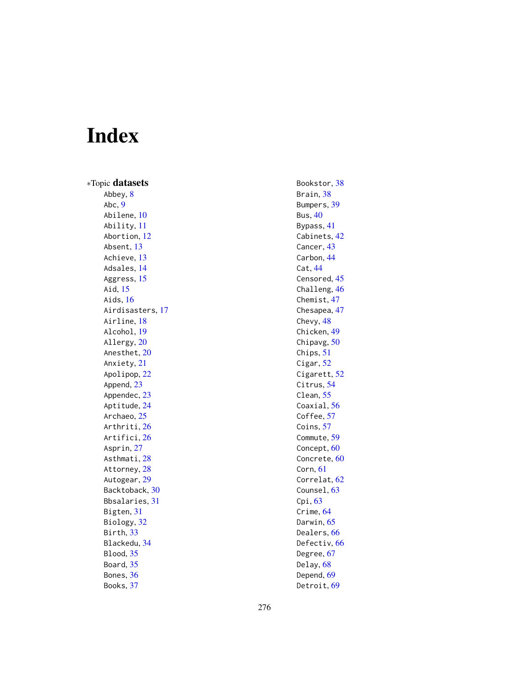# Index

∗Topic datasets Abbey, [8](#page-7-0) Abc , [9](#page-8-0) Abilene, [10](#page-9-0) Ability , [11](#page-10-0) Abortion , [12](#page-11-0) Absent , [13](#page-12-0) Achieve, [13](#page-12-0) Adsales , [14](#page-13-0) Aggress, [15](#page-14-0) Aid , [15](#page-14-0) Aids , [16](#page-15-0) Airdisasters, [17](#page-16-0) Airline, [18](#page-17-0) Alcohol , [19](#page-18-0) Allergy, [20](#page-19-0) Anesthet, [20](#page-19-0) Anxiety, [21](#page-20-0) Apolipop, [22](#page-21-0) Append, [23](#page-22-0) Appendec, [23](#page-22-0) Aptitude, [24](#page-23-0) Archaeo, [25](#page-24-0) Arthriti, [26](#page-25-0) Artifici , [26](#page-25-0) Asprin, [27](#page-26-0) Asthmati, [28](#page-27-0) Attorney, [28](#page-27-0) Autogear, [29](#page-28-0) Backtoback , [30](#page-29-0) Bbsalaries , [31](#page-30-0) Bigten, [31](#page-30-0) Biology, [32](#page-31-0) Birth , [33](#page-32-0) Blackedu , [34](#page-33-0) Blood, [35](#page-34-0) Board, [35](#page-34-0) Bones, [36](#page-35-0) Books , [37](#page-36-0)

Detroit, <mark>[69](#page-68-0)</mark>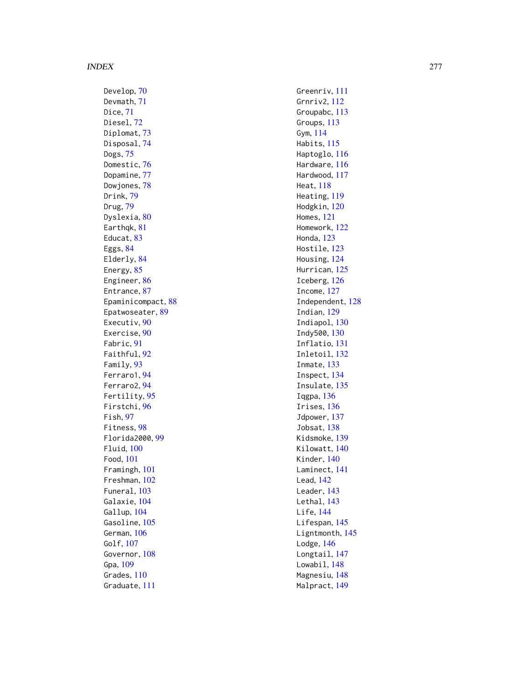Develop, [70](#page-69-0) Devmath , [71](#page-70-0) Dice , [71](#page-70-0) Diesel, [72](#page-71-0) Diplomat, [73](#page-72-0) Disposal , [74](#page-73-0) Dogs , [75](#page-74-0) Domestic, [76](#page-75-0) Dopamine , [77](#page-76-0) Dowjones, [78](#page-77-0) Drink , [79](#page-78-0) Drug , [79](#page-78-0) Dyslexia, <mark>8</mark>0 Earthqk, [81](#page-80-0) Educat, [83](#page-82-0) Eggs , [84](#page-83-0) Elderly, [84](#page-83-0) Energy, [85](#page-84-0) Engineer, [86](#page-85-0) Entrance, [87](#page-86-0) Epaminicompact , [88](#page-87-0) Epatwoseater, <mark>[89](#page-88-0)</mark> Executiv, [90](#page-89-0) Exercise, [90](#page-89-0) Fabric, [91](#page-90-0) Faithful , [92](#page-91-0) Family, [93](#page-92-0) Ferraro1 , [94](#page-93-0) Ferraro2 , [94](#page-93-0) Fertility , [95](#page-94-0) Firstchi , [96](#page-95-0) Fish , [97](#page-96-0) Fitness , [98](#page-97-0) Florida2000 , [99](#page-98-0) Fluid , [100](#page-99-0) Food , [101](#page-100-0) Framingh , [101](#page-100-0) Freshman , [102](#page-101-0) Funeral, [103](#page-102-0) Galaxie, [104](#page-103-0) Gallup, [104](#page-103-0) Gasoline, [105](#page-104-0) German, [106](#page-105-0) Golf , [107](#page-106-0) Governor, [108](#page-107-0) Gpa , [109](#page-108-0) Grades, [110](#page-109-0) Graduate , [111](#page-110-0)

Greenriv, [111](#page-110-0) Grnriv2 , [112](#page-111-0) Groupabc, [113](#page-112-0) Groups , [113](#page-112-0) Gym , [114](#page-113-0) Habits , [115](#page-114-0) Haptoglo, [116](#page-115-0) Hardware , [116](#page-115-0) Hardwood , [117](#page-116-0) Heat , [118](#page-117-0) Heating , [119](#page-118-0) Hodgkin , [120](#page-119-0) Homes , [121](#page-120-0) Homework , [122](#page-121-0) Honda , [123](#page-122-0) Hostile, [123](#page-122-0) Housing, [124](#page-123-0) Hurrican, [125](#page-124-0) Iceberg , [126](#page-125-0) Income , [127](#page-126-0) Independent , [128](#page-127-0) Indian , [129](#page-128-0) Indiapol, [130](#page-129-0) Indy500 , [130](#page-129-0) Inflatio , [131](#page-130-0) Inletoil , [132](#page-131-0) Inmate , [133](#page-132-0) Inspect , [134](#page-133-0) Insulate, [135](#page-134-0) Iqgpa , [136](#page-135-0) Irises , [136](#page-135-0) Jdpower, [137](#page-136-0) Jobsat, [138](#page-137-0) Kidsmoke , [139](#page-138-0) Kilowatt, [140](#page-139-0) Kinder , [140](#page-139-0) Laminect , [141](#page-140-0) Lead , [142](#page-141-0) Leader , [143](#page-142-0) Lethal, [143](#page-142-0) Life , [144](#page-143-0) Lifespan, [145](#page-144-0) Ligntmonth, [145](#page-144-0) Lodge, [146](#page-145-0) Longtail, [147](#page-146-0) Lowabil, [148](#page-147-0) Magnesiu, [148](#page-147-0) Malpract , [149](#page-148-0)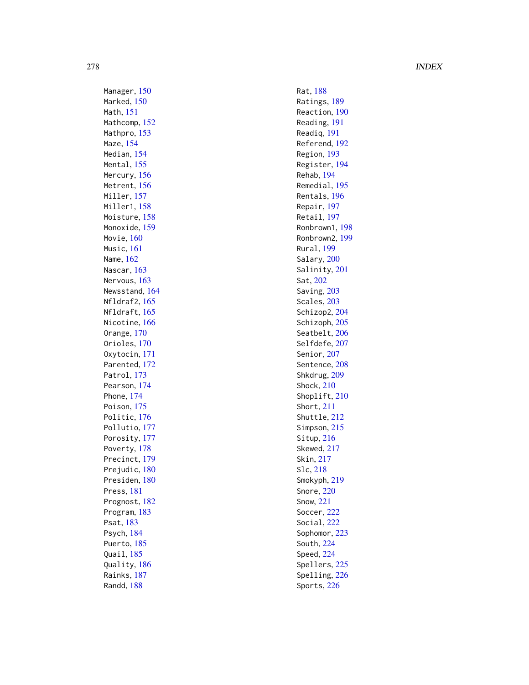Manager, [150](#page-149-0) Marked, [150](#page-149-0) Math , [151](#page-150-0) Mathcomp, [152](#page-151-0) Mathpro, [153](#page-152-0) Maze , [154](#page-153-0) Median, [154](#page-153-0) Mental, [155](#page-154-0) Mercury, [156](#page-155-0) Metrent, [156](#page-155-0) Miller, [157](#page-156-0) Miller1, [158](#page-157-0) Moisture, [158](#page-157-0) Monoxide, [159](#page-158-0) Movie, [160](#page-159-0) Music , [161](#page-160-0) Name , [162](#page-161-0) Nascar, [163](#page-162-0) Nervous, [163](#page-162-0) Newsstand , [164](#page-163-0) Nfldraf2 , [165](#page-164-0) Nfldraft , [165](#page-164-0) Nicotine, [166](#page-165-0) Orange , [170](#page-169-0) Orioles, [170](#page-169-0) Oxytocin , [171](#page-170-0) Parented, [172](#page-171-0) Patrol, [173](#page-172-0) Pearson, [174](#page-173-0) Phone , [174](#page-173-0) Poison, [175](#page-174-0) Politic, [176](#page-175-0) Pollutio, [177](#page-176-0) Porosity, [177](#page-176-0) Poverty, [178](#page-177-0) Precinct , [179](#page-178-0) Prejudic, [180](#page-179-0) Presiden, [180](#page-179-0) Press , [181](#page-180-0) Prognost, [182](#page-181-0) Program , [183](#page-182-0) Psat , [183](#page-182-0) Psych , [184](#page-183-0) Puerto, [185](#page-184-0) Quail , [185](#page-184-0) Quality , [186](#page-185-0) Rainks , [187](#page-186-0) Randd , [188](#page-187-0)

Rat , [188](#page-187-0) Ratings , [189](#page-188-0) Reaction, [190](#page-189-0) Reading , [191](#page-190-0) Readiq , [191](#page-190-0) Referend , [192](#page-191-0) Region , [193](#page-192-0) Register , [194](#page-193-0) Rehab , [194](#page-193-0) Remedial , [195](#page-194-0) Rentals , [196](#page-195-0) Repair , [197](#page-196-0) Retail , [197](#page-196-0) Ronbrown1 , [198](#page-197-0) Ronbrown2 , [199](#page-198-0) Rural, 1<mark>99</mark> Salary, [200](#page-199-0) Salinity, [201](#page-200-0) Sat , [202](#page-201-0) Saving, [203](#page-202-0) Scales, [203](#page-202-0) Schizop2, [204](#page-203-0) Schizoph, [205](#page-204-0) Seatbelt, [206](#page-205-0) Selfdefe, [207](#page-206-0) Senior, [207](#page-206-0) Sentence, [208](#page-207-0) Shkdrug, [209](#page-208-0) Shock , [210](#page-209-0) Shoplift, [210](#page-209-0) Short , [211](#page-210-0) Shuttle , [212](#page-211-0) Simpson, [215](#page-214-0) Situp, [216](#page-215-0) Skewed, [217](#page-216-0) Skin , [217](#page-216-0) Slc , [218](#page-217-0) Smokyph , [219](#page-218-0) Snore , [220](#page-219-0) Snow , [221](#page-220-0) Soccer , [222](#page-221-0) Social , [222](#page-221-0) Sophomor, [223](#page-222-0) South , [224](#page-223-0) Speed , [224](#page-223-0) Spellers, [225](#page-224-0) Spelling, [226](#page-225-0) Sports , [226](#page-225-0)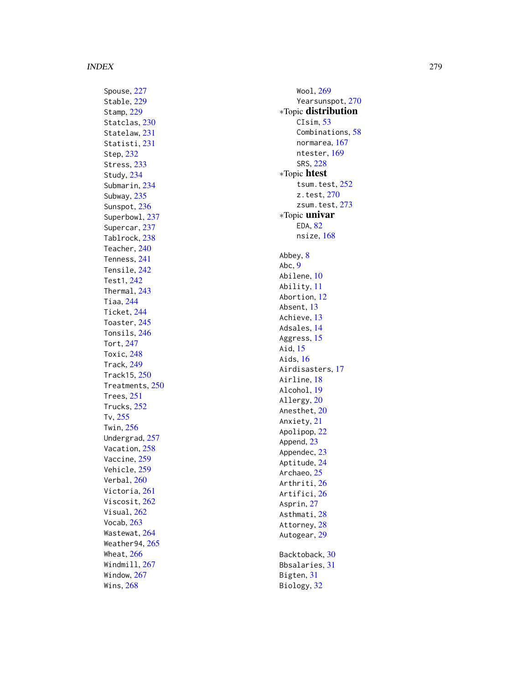Spouse , [227](#page-226-0) Stable, [229](#page-228-0) Stamp , [229](#page-228-0) Statclas, [230](#page-229-0) Statelaw, [231](#page-230-0) Statisti, [231](#page-230-0) Step , [232](#page-231-0) Stress, [233](#page-232-0) Study , [234](#page-233-0) Submarin , [234](#page-233-0) Subway , [235](#page-234-0) Sunspot, [236](#page-235-0) Superbowl , [237](#page-236-0) Supercar , [237](#page-236-0) Tablrock , [238](#page-237-0) Teacher , [240](#page-239-0) Tenness , [241](#page-240-0) Tensile , [242](#page-241-0) Test1 , [242](#page-241-0) Thermal , [243](#page-242-0) Tiaa , [244](#page-243-0) Ticket , [244](#page-243-0) Toaster, [245](#page-244-0) Tonsils , [246](#page-245-0) Tort , [247](#page-246-0) Toxic , [248](#page-247-0) Track , [249](#page-248-0) Track15 , [250](#page-249-0) Treatments , [250](#page-249-0) Trees , [251](#page-250-0) Trucks , [252](#page-251-1) Tv , [255](#page-254-0) Twin , [256](#page-255-0) Undergrad , [257](#page-256-0) Vacation, [258](#page-257-0) Vaccine, [259](#page-258-0) Vehicle , [259](#page-258-0) Verbal , [260](#page-259-0) Victoria , [261](#page-260-0) Viscosit, [262](#page-261-0) Visual , [262](#page-261-0) Vocab , [263](#page-262-0) Wastewat, [264](#page-263-0) Weather94 , [265](#page-264-0) Wheat, [266](#page-265-0) Windmill , [267](#page-266-0) Window , [267](#page-266-0) Wins , [268](#page-267-0)

Wool , [269](#page-268-0) Yearsunspot, [270](#page-269-1) ∗Topic distribution CIsim, [53](#page-52-0) Combinations , [58](#page-57-0) normarea , [167](#page-166-0) ntester, [169](#page-168-0) SRS , [228](#page-227-0) ∗Topic htest tsum.test , [252](#page-251-1) z.test , [270](#page-269-1) zsum.test, [273](#page-272-1) ∗Topic univar EDA, [82](#page-81-0) nsize, [168](#page-167-0) Abbey, [8](#page-7-0) Abc , [9](#page-8-0) Abilene, [10](#page-9-0) Ability , [11](#page-10-0) Abortion , [12](#page-11-0) Absent, [13](#page-12-0) Achieve, [13](#page-12-0) Adsales, [14](#page-13-0) Aggress, [15](#page-14-0) Aid , [15](#page-14-0) Aids , [16](#page-15-0) Airdisasters , [17](#page-16-0) Airline, [18](#page-17-0) Alcohol , [19](#page-18-0) Allergy, [20](#page-19-0) Anesthet, [20](#page-19-0) Anxiety, [21](#page-20-0) Apolipop , [22](#page-21-0) Append, [23](#page-22-0) Appendec, [23](#page-22-0) Aptitude , [24](#page-23-0) Archaeo, [25](#page-24-0) Arthriti, [26](#page-25-0) Artifici , [26](#page-25-0) Asprin, [27](#page-26-0) Asthmati, [28](#page-27-0) Attorney, [28](#page-27-0) Autogear, [29](#page-28-0) Backtoback , [30](#page-29-0) Bbsalaries , [31](#page-30-0) Bigten, [31](#page-30-0) Biology, [32](#page-31-0)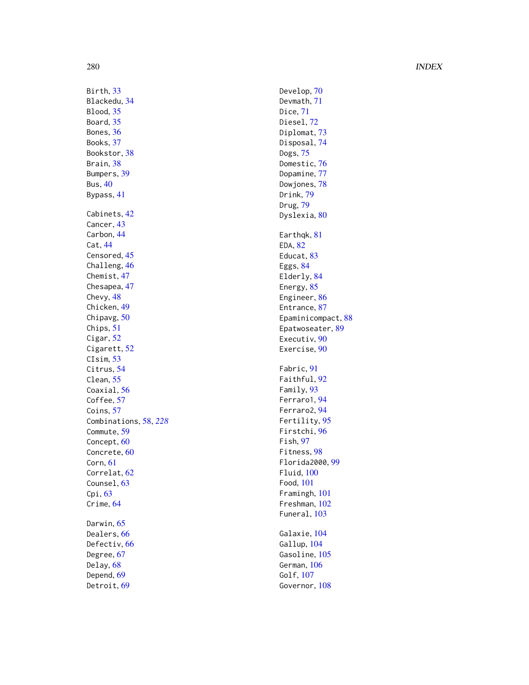Develop, [70](#page-69-0) Devmath , [71](#page-70-0) Dice , [71](#page-70-0) Diesel, [72](#page-71-0) Diplomat, [73](#page-72-0) Disposal , [74](#page-73-0) Dogs , [75](#page-74-0) Domestic, [76](#page-75-0) Dopamine, [77](#page-76-0) Dowjones, [78](#page-77-0) Drink , [79](#page-78-0) Drug , [79](#page-78-0) Dyslexia, <mark>[80](#page-79-0)</mark> Earthqk, [81](#page-80-0) EDA, [82](#page-81-0) Educat, [83](#page-82-0) Eggs , [84](#page-83-0) Elderly, [84](#page-83-0) Energy, [85](#page-84-0) Engineer, [86](#page-85-0) Entrance, [87](#page-86-0) Epaminicompact, [88](#page-87-0) Epatwoseater, <mark>[89](#page-88-0)</mark> Executiv, <mark>9</mark>0 Exercise, <mark>9</mark>0 Fabric, [91](#page-90-0) Faithful , [92](#page-91-0) Family, [93](#page-92-0) Ferraro1 , [94](#page-93-0) Ferraro2 , [94](#page-93-0) Fertility, [95](#page-94-0) Firstchi , [96](#page-95-0) Fish , [97](#page-96-0) Fitness , [98](#page-97-0) Florida2000 , [99](#page-98-0) Fluid , [100](#page-99-0) Food , [101](#page-100-0) Framingh , [101](#page-100-0) Freshman , [102](#page-101-0) Funeral, [103](#page-102-0) Galaxie, [104](#page-103-0) Gallup , [104](#page-103-0) Gasoline, [105](#page-104-0) German, [106](#page-105-0) Golf , [107](#page-106-0)

Governor,  $108$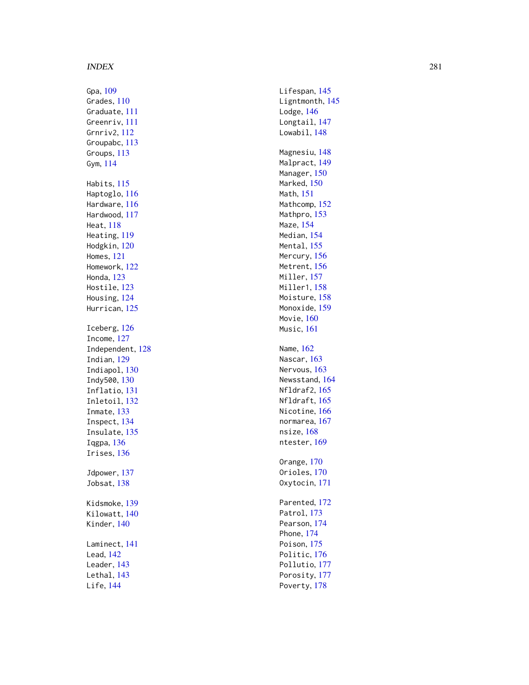Gpa, [109](#page-108-0) Grades , [110](#page-109-0) Graduate , [111](#page-110-0) Greenriv , [111](#page-110-0) Grnriv2 , [112](#page-111-0) Groupabc, [113](#page-112-0) Groups , [113](#page-112-0) Gym , [114](#page-113-0) Habits, [115](#page-114-0) Haptoglo, [116](#page-115-0) Hardware, [116](#page-115-0) Hardwood , [117](#page-116-0) Heat , [118](#page-117-0) Heating , [119](#page-118-0) Hodgkin , [120](#page-119-0) Homes , [121](#page-120-0) Homework , [122](#page-121-0) Honda , [123](#page-122-0) Hostile , [123](#page-122-0) Housing, [124](#page-123-0) Hurrican, [125](#page-124-0) Iceberg , [126](#page-125-0) Income , [127](#page-126-0) Independent , [128](#page-127-0) Indian , [129](#page-128-0) Indiapol , [130](#page-129-0) Indy500 , [130](#page-129-0) Inflatio , [131](#page-130-0) Inletoil , [132](#page-131-0) Inmate , [133](#page-132-0) Inspect , [134](#page-133-0) Insulate, [135](#page-134-0) Iqgpa , [136](#page-135-0) Irises, [136](#page-135-0) Jdpower, [137](#page-136-0) Jobsat, [138](#page-137-0) Kidsmoke , [139](#page-138-0) Kilowatt, [140](#page-139-0) Kinder, [140](#page-139-0) Laminect , [141](#page-140-0) Lead , [142](#page-141-0) Leader , [143](#page-142-0) Lethal, [143](#page-142-0) Life , [144](#page-143-0)

Lifespan, [145](#page-144-0) Ligntmonth, [145](#page-144-0) Lodge, [146](#page-145-0) Longtail, [147](#page-146-0) Lowabil, [148](#page-147-0) Magnesiu , [148](#page-147-0) Malpract , [149](#page-148-0) Manager, [150](#page-149-0) Marked, <mark>15</mark>0 Math , [151](#page-150-0) Mathcomp, [152](#page-151-0) Mathpro, [153](#page-152-0) Maze , [154](#page-153-0) Median , [154](#page-153-0) Mental, 1<mark>55</mark> Mercury, [156](#page-155-0) Metrent, [156](#page-155-0) Miller, <mark>15</mark>7 Miller1 , [158](#page-157-0) Moisture, <mark>[158](#page-157-0)</mark> Monoxide , [159](#page-158-0) Movie, [160](#page-159-0) Music , [161](#page-160-0) Name , [162](#page-161-0) Nascar, [163](#page-162-0) Nervous, [163](#page-162-0) Newsstand, [164](#page-163-0) Nfldraf2 , [165](#page-164-0) Nfldraft , [165](#page-164-0) Nicotine, [166](#page-165-0) normarea , [167](#page-166-0) nsize, [168](#page-167-0) ntester, [169](#page-168-0) Orange , [170](#page-169-0) Orioles, [170](#page-169-0) Oxytocin , [171](#page-170-0) Parented , [172](#page-171-0) Patrol, [173](#page-172-0) Pearson , [174](#page-173-0) Phone , [174](#page-173-0) Poison, [175](#page-174-0) Politic , [176](#page-175-0) Pollutio, [177](#page-176-0) Porosity, [177](#page-176-0) Poverty, [178](#page-177-0)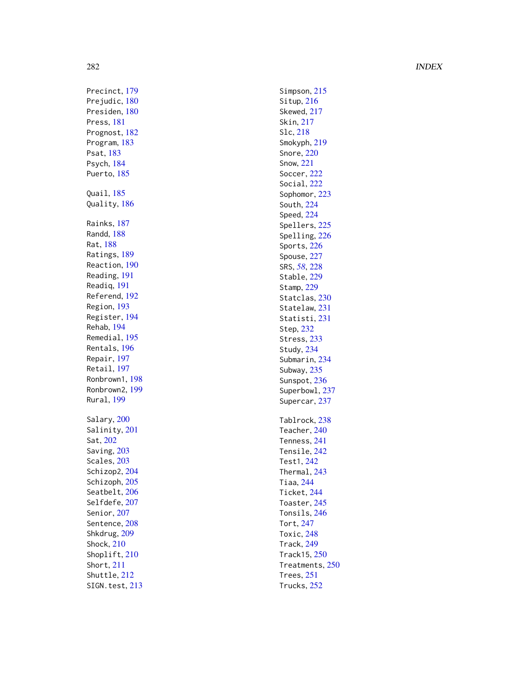Precinct , [179](#page-178-0) Prejudic, [180](#page-179-0) Presiden, [180](#page-179-0) Press , [181](#page-180-0) Prognost, [182](#page-181-0) Program , [183](#page-182-0) Psat , [183](#page-182-0) Psych , [184](#page-183-0) Puerto, [185](#page-184-0) Quail , [185](#page-184-0) Quality , [186](#page-185-0) Rainks , [187](#page-186-0) Randd , [188](#page-187-0) Rat , [188](#page-187-0) Ratings, [189](#page-188-0) Reaction , [190](#page-189-0) Reading , [191](#page-190-0) Readiq , [191](#page-190-0) Referend , [192](#page-191-0) Region , [193](#page-192-0) Register , [194](#page-193-0) Rehab , [194](#page-193-0) Remedial , [195](#page-194-0) Rentals , [196](#page-195-0) Repair , [197](#page-196-0) Retail , [197](#page-196-0) Ronbrown1 , [198](#page-197-0) Ronbrown2 , [199](#page-198-0) Rural , [199](#page-198-0) Salary, [200](#page-199-0) Salinity, [201](#page-200-0) Sat , [202](#page-201-0) Saving, [203](#page-202-0) Scales, [203](#page-202-0) Schizop2, [204](#page-203-0) Schizoph, [205](#page-204-0) Seatbelt, [206](#page-205-0) Selfdefe, [207](#page-206-0) Senior, [207](#page-206-0) Sentence, [208](#page-207-0) Shkdrug, [209](#page-208-0) Shock , [210](#page-209-0) Shoplift, [210](#page-209-0) Short , [211](#page-210-0) Shuttle , [212](#page-211-0) SIGN.test, [213](#page-212-0) Simpson, [215](#page-214-0) Situp, [216](#page-215-0) Skewed, [217](#page-216-0) Skin , [217](#page-216-0) Slc , [218](#page-217-0) Smokyph , [219](#page-218-0) Snore , [220](#page-219-0) Snow , [221](#page-220-0) Soccer , [222](#page-221-0) Social, [222](#page-221-0) Sophomor, [223](#page-222-0) South , [224](#page-223-0) Speed , [224](#page-223-0) Spellers, [225](#page-224-0) Spelling, [226](#page-225-0) Sports , [226](#page-225-0) Spouse, [227](#page-226-0) SRS , *[58](#page-57-0)* , [228](#page-227-0) Stable, [229](#page-228-0) Stamp, [229](#page-228-0) Statclas, [230](#page-229-0) Statelaw, [231](#page-230-0) Statisti , [231](#page-230-0) Step , [232](#page-231-0) Stress , [233](#page-232-0) Study , [234](#page-233-0) Submarin, [234](#page-233-0) Subway, [235](#page-234-0) Sunspot, [236](#page-235-0) Superbowl, [237](#page-236-0) Supercar, [237](#page-236-0) Tablrock , [238](#page-237-0) Teacher, [240](#page-239-0) Tenness , [241](#page-240-0) Tensile, [242](#page-241-0) Test1 , [242](#page-241-0) Thermal , [243](#page-242-0) Tiaa , [244](#page-243-0) Ticket , [244](#page-243-0) Toaster, [245](#page-244-0) Tonsils , [246](#page-245-0) Tort , [247](#page-246-0) Toxic, [248](#page-247-0) Track , [249](#page-248-0) Track15 , [250](#page-249-0) Treatments , [250](#page-249-0) Trees , [251](#page-250-0) Trucks , [252](#page-251-1)